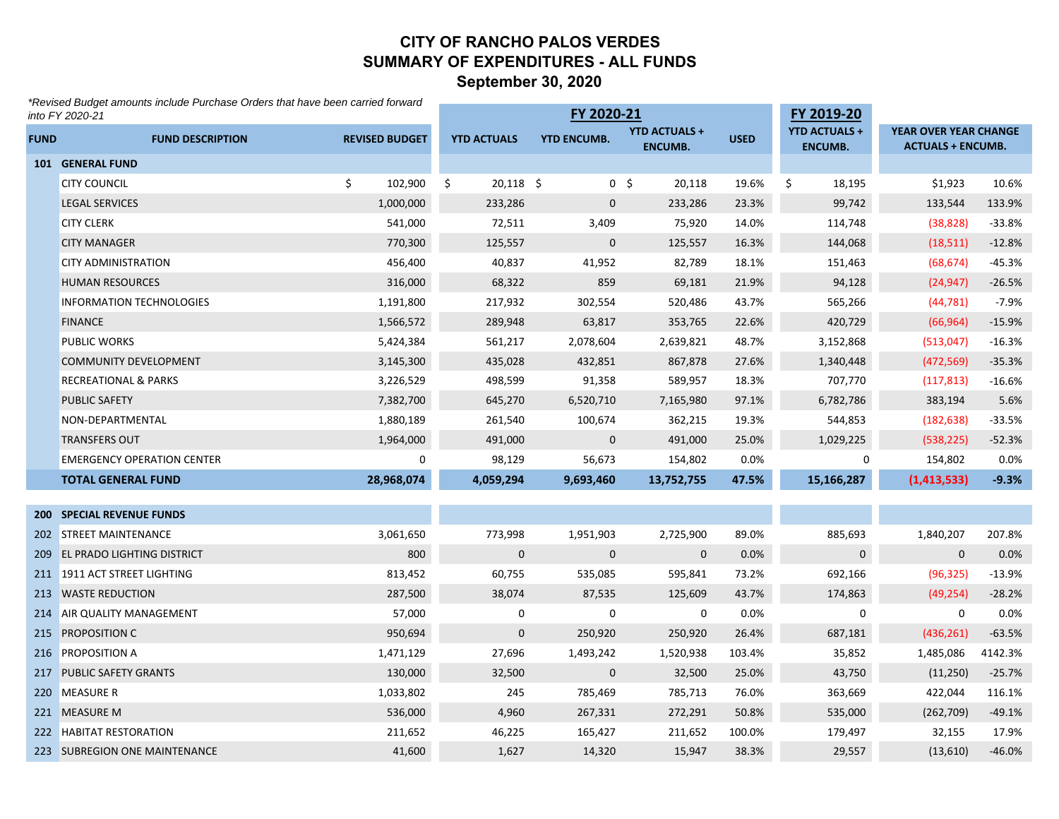#### **CITY OF RANCHO PALOS VERDESSUMMARY OF EXPENDITURES - ALL FUNDSSeptember 30, 2020**

*\*Revised Budget amounts include Purchase Orders that have been carried forward* 

|             | into FY 2020-21                   |                       |                    | FY 2020-21         |                          |             | FY 2019-20           |                          |          |
|-------------|-----------------------------------|-----------------------|--------------------|--------------------|--------------------------|-------------|----------------------|--------------------------|----------|
| <b>FUND</b> | <b>FUND DESCRIPTION</b>           | <b>REVISED BUDGET</b> | <b>YTD ACTUALS</b> | <b>YTD ENCUMB.</b> | <b>YTD ACTUALS +</b>     | <b>USED</b> | <b>YTD ACTUALS +</b> | YEAR OVER YEAR CHANGE    |          |
|             | 101 GENERAL FUND                  |                       |                    |                    | <b>ENCUMB.</b>           |             | <b>ENCUMB.</b>       | <b>ACTUALS + ENCUMB.</b> |          |
|             | <b>CITY COUNCIL</b>               | \$<br>102,900         | \$<br>$20,118$ \$  |                    | 0 <sup>5</sup><br>20,118 | 19.6%       | \$<br>18,195         | \$1,923                  | 10.6%    |
|             | <b>LEGAL SERVICES</b>             | 1,000,000             | 233,286            | $\mathbf{0}$       | 233,286                  | 23.3%       | 99,742               | 133,544                  | 133.9%   |
|             | <b>CITY CLERK</b>                 | 541,000               | 72,511             | 3,409              | 75,920                   | 14.0%       | 114,748              | (38, 828)                | $-33.8%$ |
|             | <b>CITY MANAGER</b>               | 770,300               | 125,557            | $\mathbf 0$        | 125,557                  | 16.3%       | 144,068              | (18, 511)                | $-12.8%$ |
|             | <b>CITY ADMINISTRATION</b>        | 456,400               | 40,837             | 41,952             | 82,789                   | 18.1%       | 151,463              | (68, 674)                | $-45.3%$ |
|             | <b>HUMAN RESOURCES</b>            | 316,000               | 68,322             | 859                | 69,181                   | 21.9%       | 94,128               | (24, 947)                | $-26.5%$ |
|             | <b>INFORMATION TECHNOLOGIES</b>   | 1,191,800             | 217,932            | 302,554            | 520,486                  | 43.7%       | 565,266              | (44, 781)                | $-7.9%$  |
|             | <b>FINANCE</b>                    | 1,566,572             | 289,948            | 63,817             | 353,765                  | 22.6%       | 420,729              | (66, 964)                | $-15.9%$ |
|             | <b>PUBLIC WORKS</b>               | 5,424,384             | 561,217            | 2,078,604          | 2,639,821                | 48.7%       | 3,152,868            | (513, 047)               | $-16.3%$ |
|             | <b>COMMUNITY DEVELOPMENT</b>      | 3,145,300             | 435,028            | 432,851            | 867,878                  | 27.6%       | 1,340,448            | (472, 569)               | $-35.3%$ |
|             | <b>RECREATIONAL &amp; PARKS</b>   | 3,226,529             | 498,599            | 91,358             | 589,957                  | 18.3%       | 707,770              | (117, 813)               | $-16.6%$ |
|             | PUBLIC SAFETY                     | 7,382,700             | 645,270            | 6,520,710          | 7,165,980                | 97.1%       | 6,782,786            | 383,194                  | 5.6%     |
|             | NON-DEPARTMENTAL                  | 1,880,189             | 261,540            | 100,674            | 362,215                  | 19.3%       | 544,853              | (182, 638)               | $-33.5%$ |
|             | <b>TRANSFERS OUT</b>              | 1,964,000             | 491,000            | $\mathbf 0$        | 491,000                  | 25.0%       | 1,029,225            | (538, 225)               | $-52.3%$ |
|             | <b>EMERGENCY OPERATION CENTER</b> | 0                     | 98,129             | 56,673             | 154,802                  | 0.0%        | 0                    | 154,802                  | 0.0%     |
|             | <b>TOTAL GENERAL FUND</b>         | 28,968,074            | 4,059,294          | 9,693,460          | 13,752,755               | 47.5%       | 15,166,287           | (1, 413, 533)            | $-9.3%$  |
|             |                                   |                       |                    |                    |                          |             |                      |                          |          |
|             | <b>200 SPECIAL REVENUE FUNDS</b>  |                       |                    |                    |                          |             |                      |                          |          |
|             | 202 STREET MAINTENANCE            | 3,061,650             | 773,998            | 1,951,903          | 2,725,900                | 89.0%       | 885,693              | 1,840,207                | 207.8%   |
|             | 209 EL PRADO LIGHTING DISTRICT    | 800                   | $\mathbf{0}$       | $\mathbf{0}$       | $\mathbf 0$              | 0.0%        | $\mathbf 0$          | $\mathbf{0}$             | 0.0%     |
|             | 211 1911 ACT STREET LIGHTING      | 813,452               | 60,755             | 535,085            | 595,841                  | 73.2%       | 692,166              | (96, 325)                | $-13.9%$ |
|             | 213 WASTE REDUCTION               | 287,500               | 38,074             | 87,535             | 125,609                  | 43.7%       | 174,863              | (49, 254)                | $-28.2%$ |
|             | 214 AIR QUALITY MANAGEMENT        | 57,000                | 0                  | $\Omega$           | 0                        | 0.0%        | 0                    | 0                        | 0.0%     |
|             | 215 PROPOSITION C                 | 950,694               | $\mathbf{0}$       | 250,920            | 250,920                  | 26.4%       | 687,181              | (436, 261)               | $-63.5%$ |
|             | 216 PROPOSITION A                 | 1,471,129             | 27,696             | 1,493,242          | 1,520,938                | 103.4%      | 35,852               | 1,485,086                | 4142.3%  |
|             | 217 PUBLIC SAFETY GRANTS          | 130,000               | 32,500             | $\mathbf 0$        | 32,500                   | 25.0%       | 43,750               | (11,250)                 | $-25.7%$ |
|             | 220 MEASURE R                     | 1,033,802             | 245                | 785,469            | 785,713                  | 76.0%       | 363,669              | 422,044                  | 116.1%   |
|             | 221 MEASURE M                     | 536,000               | 4,960              | 267,331            | 272,291                  | 50.8%       | 535,000              | (262, 709)               | $-49.1%$ |
|             | 222 HABITAT RESTORATION           | 211,652               | 46,225             | 165,427            | 211,652                  | 100.0%      | 179,497              | 32,155                   | 17.9%    |
|             | 223 SUBREGION ONE MAINTENANCE     | 41,600                | 1,627              | 14,320             | 15,947                   | 38.3%       | 29,557               | (13,610)                 | $-46.0%$ |
|             |                                   |                       |                    |                    |                          |             |                      |                          |          |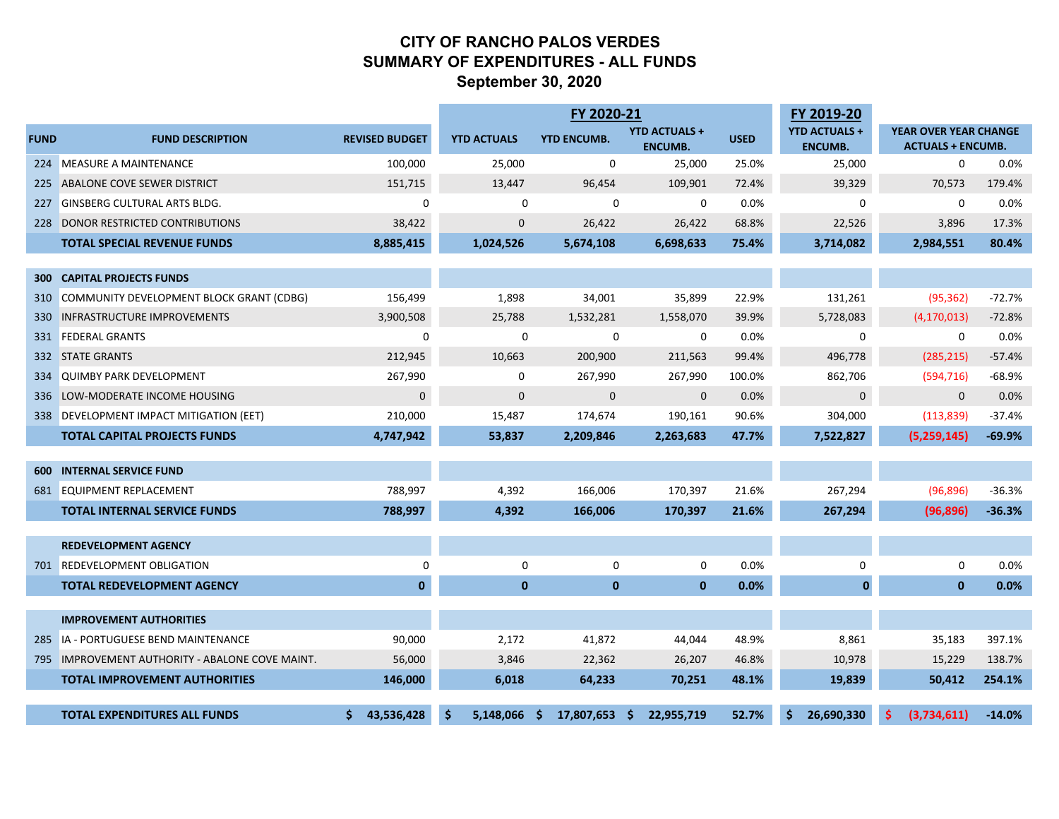#### **CITY OF RANCHO PALOS VERDES SUMMARY OF EXPENDITURES - ALL FUNDS September 30, 2020**

|             |                                                 |                       | FY 2020-21               |              |                    |                                        |             | FY 2019-20                             |          |                                                          |          |
|-------------|-------------------------------------------------|-----------------------|--------------------------|--------------|--------------------|----------------------------------------|-------------|----------------------------------------|----------|----------------------------------------------------------|----------|
| <b>FUND</b> | <b>FUND DESCRIPTION</b>                         | <b>REVISED BUDGET</b> | <b>YTD ACTUALS</b>       |              | <b>YTD ENCUMB.</b> | <b>YTD ACTUALS +</b><br><b>ENCUMB.</b> | <b>USED</b> | <b>YTD ACTUALS +</b><br><b>ENCUMB.</b> |          | <b>YEAR OVER YEAR CHANGE</b><br><b>ACTUALS + ENCUMB.</b> |          |
|             | 224 MEASURE A MAINTENANCE                       | 100,000               |                          | 25,000       | $\Omega$           | 25,000                                 | 25.0%       | 25,000                                 |          | $\Omega$                                                 | 0.0%     |
|             | 225 ABALONE COVE SEWER DISTRICT                 | 151,715               | 13,447                   |              | 96,454             | 109,901                                | 72.4%       | 39,329                                 |          | 70,573                                                   | 179.4%   |
| 227         | <b>GINSBERG CULTURAL ARTS BLDG.</b>             | $\mathbf 0$           |                          | 0            | 0                  | $\mathbf 0$                            | 0.0%        | 0                                      |          | $\Omega$                                                 | 0.0%     |
|             | 228 DONOR RESTRICTED CONTRIBUTIONS              | 38,422                |                          | $\mathbf 0$  | 26,422             | 26,422                                 | 68.8%       | 22,526                                 |          | 3,896                                                    | 17.3%    |
|             | <b>TOTAL SPECIAL REVENUE FUNDS</b>              | 8,885,415             | 1,024,526                |              | 5,674,108          | 6,698,633                              | 75.4%       | 3,714,082                              |          | 2,984,551                                                | 80.4%    |
|             |                                                 |                       |                          |              |                    |                                        |             |                                        |          |                                                          |          |
| 300         | <b>CAPITAL PROJECTS FUNDS</b>                   |                       |                          |              |                    |                                        |             |                                        |          |                                                          |          |
| 310         | COMMUNITY DEVELOPMENT BLOCK GRANT (CDBG)        | 156,499               |                          | 1,898        | 34,001             | 35,899                                 | 22.9%       | 131,261                                |          | (95, 362)                                                | $-72.7%$ |
|             | 330 INFRASTRUCTURE IMPROVEMENTS                 | 3,900,508             |                          | 25,788       | 1,532,281          | 1,558,070                              | 39.9%       | 5,728,083                              |          | (4, 170, 013)                                            | $-72.8%$ |
|             | 331 FEDERAL GRANTS                              | $\mathbf 0$           |                          | 0            | 0                  | 0                                      | 0.0%        | 0                                      |          | 0                                                        | 0.0%     |
|             | 332 STATE GRANTS                                | 212,945               |                          | 10,663       | 200,900            | 211,563                                | 99.4%       | 496,778                                |          | (285, 215)                                               | $-57.4%$ |
|             | 334 QUIMBY PARK DEVELOPMENT                     | 267,990               |                          | 0            | 267,990            | 267,990                                | 100.0%      | 862,706                                |          | (594, 716)                                               | $-68.9%$ |
|             | 336 LOW-MODERATE INCOME HOUSING                 | $\boldsymbol{0}$      |                          | $\mathbf{0}$ | $\mathbf{0}$       | $\mathbf 0$                            | 0.0%        | $\pmb{0}$                              |          | $\mathbf 0$                                              | 0.0%     |
|             | 338 DEVELOPMENT IMPACT MITIGATION (EET)         | 210,000               | 15,487                   |              | 174,674            | 190,161                                | 90.6%       | 304,000                                |          | (113, 839)                                               | $-37.4%$ |
|             | <b>TOTAL CAPITAL PROJECTS FUNDS</b>             | 4,747,942             | 53,837                   |              | 2,209,846          | 2,263,683                              | 47.7%       | 7,522,827                              |          | (5,259,145)                                              | $-69.9%$ |
|             |                                                 |                       |                          |              |                    |                                        |             |                                        |          |                                                          |          |
| 600         | <b>INTERNAL SERVICE FUND</b>                    |                       |                          |              |                    |                                        |             |                                        |          |                                                          |          |
|             | 681 EQUIPMENT REPLACEMENT                       | 788,997               |                          | 4,392        | 166,006            | 170,397                                | 21.6%       | 267,294                                |          | (96, 896)                                                | $-36.3%$ |
|             | <b>TOTAL INTERNAL SERVICE FUNDS</b>             | 788,997               |                          | 4,392        | 166,006            | 170,397                                | 21.6%       | 267,294                                |          | (96, 896)                                                | $-36.3%$ |
|             | <b>REDEVELOPMENT AGENCY</b>                     |                       |                          |              |                    |                                        |             |                                        |          |                                                          |          |
|             | 701 REDEVELOPMENT OBLIGATION                    | 0                     |                          | 0            | 0                  | $\mathbf 0$                            | 0.0%        | 0                                      |          | $\mathbf 0$                                              | 0.0%     |
|             | <b>TOTAL REDEVELOPMENT AGENCY</b>               | $\mathbf{0}$          |                          | $\mathbf{0}$ | $\mathbf{0}$       | $\mathbf{0}$                           | 0.0%        | $\bf{0}$                               |          | $\mathbf{0}$                                             | 0.0%     |
|             |                                                 |                       |                          |              |                    |                                        |             |                                        |          |                                                          |          |
|             | <b>IMPROVEMENT AUTHORITIES</b>                  |                       |                          |              |                    |                                        |             |                                        |          |                                                          |          |
| 285         | IA - PORTUGUESE BEND MAINTENANCE                | 90,000                |                          | 2,172        | 41,872             | 44,044                                 | 48.9%       | 8,861                                  |          | 35,183                                                   | 397.1%   |
|             | 795 IMPROVEMENT AUTHORITY - ABALONE COVE MAINT. | 56,000                |                          | 3,846        | 22,362             | 26,207                                 | 46.8%       | 10,978                                 |          | 15,229                                                   | 138.7%   |
|             | <b>TOTAL IMPROVEMENT AUTHORITIES</b>            | 146,000               |                          | 6,018        | 64,233             | 70,251                                 | 48.1%       | 19,839                                 |          | 50,412                                                   | 254.1%   |
|             | <b>TOTAL EXPENDITURES ALL FUNDS</b>             | 43,536,428            | 5,148,066 \$<br><b>S</b> |              | 17,807,653 \$      | 22,955,719                             | 52.7%       | 26,690,330                             | <b>S</b> | (3,734,611)                                              | $-14.0%$ |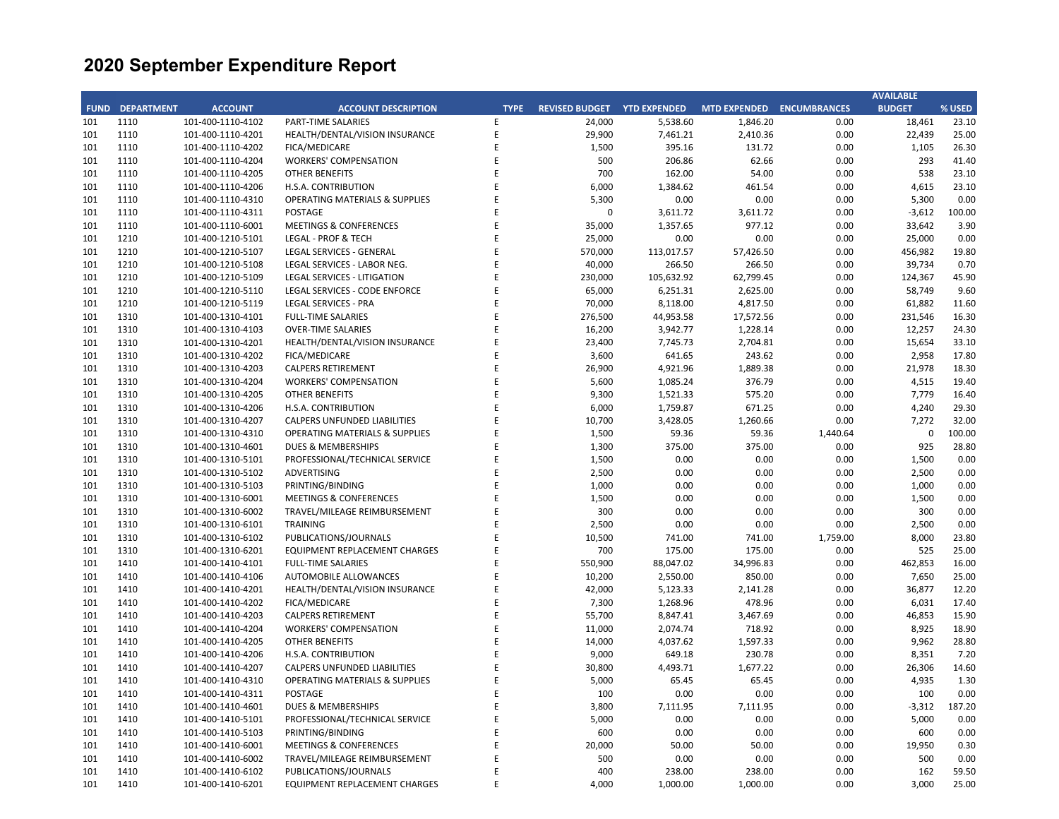|             |                   |                   |                                           |             |                       |                     |                           |          | <b>AVAILABLE</b> |        |
|-------------|-------------------|-------------------|-------------------------------------------|-------------|-----------------------|---------------------|---------------------------|----------|------------------|--------|
| <b>FUND</b> | <b>DEPARTMENT</b> | <b>ACCOUNT</b>    | <b>ACCOUNT DESCRIPTION</b>                | <b>TYPE</b> | <b>REVISED BUDGET</b> | <b>YTD EXPENDED</b> | MTD EXPENDED ENCUMBRANCES |          | <b>BUDGET</b>    | % USED |
| 101         | 1110              | 101-400-1110-4102 | PART-TIME SALARIES                        | E           | 24,000                | 5,538.60            | 1,846.20                  | 0.00     | 18,461           | 23.10  |
| 101         | 1110              | 101-400-1110-4201 | HEALTH/DENTAL/VISION INSURANCE            | E           | 29,900                | 7,461.21            | 2,410.36                  | 0.00     | 22,439           | 25.00  |
| 101         | 1110              | 101-400-1110-4202 | FICA/MEDICARE                             | E           | 1,500                 | 395.16              | 131.72                    | 0.00     | 1,105            | 26.30  |
| 101         | 1110              | 101-400-1110-4204 | <b>WORKERS' COMPENSATION</b>              | E           | 500                   | 206.86              | 62.66                     | 0.00     | 293              | 41.40  |
| 101         | 1110              | 101-400-1110-4205 | <b>OTHER BENEFITS</b>                     | E           | 700                   | 162.00              | 54.00                     | 0.00     | 538              | 23.10  |
| 101         | 1110              | 101-400-1110-4206 | H.S.A. CONTRIBUTION                       | E           | 6,000                 | 1,384.62            | 461.54                    | 0.00     | 4,615            | 23.10  |
| 101         | 1110              | 101-400-1110-4310 | <b>OPERATING MATERIALS &amp; SUPPLIES</b> | E           | 5,300                 | 0.00                | 0.00                      | 0.00     | 5,300            | 0.00   |
| 101         | 1110              | 101-400-1110-4311 | <b>POSTAGE</b>                            | E           | $\mathbf 0$           | 3,611.72            | 3,611.72                  | 0.00     | $-3,612$         | 100.00 |
| 101         | 1110              | 101-400-1110-6001 | <b>MEETINGS &amp; CONFERENCES</b>         | E           | 35,000                | 1,357.65            | 977.12                    | 0.00     | 33,642           | 3.90   |
| 101         | 1210              | 101-400-1210-5101 | <b>LEGAL - PROF &amp; TECH</b>            | E           | 25,000                | 0.00                | 0.00                      | 0.00     | 25,000           | 0.00   |
| 101         | 1210              | 101-400-1210-5107 | LEGAL SERVICES - GENERAL                  | E           | 570,000               | 113,017.57          | 57,426.50                 | 0.00     | 456,982          | 19.80  |
| 101         | 1210              | 101-400-1210-5108 | LEGAL SERVICES - LABOR NEG.               | E           | 40,000                | 266.50              | 266.50                    | 0.00     | 39,734           | 0.70   |
| 101         | 1210              | 101-400-1210-5109 | <b>LEGAL SERVICES - LITIGATION</b>        | E           | 230,000               | 105,632.92          | 62,799.45                 | 0.00     | 124,367          | 45.90  |
| 101         | 1210              | 101-400-1210-5110 | LEGAL SERVICES - CODE ENFORCE             | E           | 65,000                | 6,251.31            | 2,625.00                  | 0.00     | 58,749           | 9.60   |
| 101         | 1210              | 101-400-1210-5119 | <b>LEGAL SERVICES - PRA</b>               | E           | 70,000                | 8,118.00            | 4,817.50                  | 0.00     | 61,882           | 11.60  |
| 101         | 1310              | 101-400-1310-4101 | <b>FULL-TIME SALARIES</b>                 | E           | 276,500               | 44,953.58           | 17,572.56                 | 0.00     | 231,546          | 16.30  |
| 101         | 1310              | 101-400-1310-4103 | <b>OVER-TIME SALARIES</b>                 | E           | 16,200                | 3,942.77            | 1,228.14                  | 0.00     | 12,257           | 24.30  |
| 101         | 1310              | 101-400-1310-4201 | HEALTH/DENTAL/VISION INSURANCE            | E           | 23,400                | 7,745.73            | 2,704.81                  | 0.00     | 15,654           | 33.10  |
| 101         | 1310              | 101-400-1310-4202 | FICA/MEDICARE                             | E           | 3,600                 | 641.65              | 243.62                    | 0.00     | 2,958            | 17.80  |
|             |                   |                   |                                           | E           |                       |                     |                           |          |                  |        |
| 101         | 1310              | 101-400-1310-4203 | <b>CALPERS RETIREMENT</b>                 |             | 26,900                | 4,921.96            | 1,889.38                  | 0.00     | 21,978           | 18.30  |
| 101         | 1310              | 101-400-1310-4204 | <b>WORKERS' COMPENSATION</b>              | E           | 5,600                 | 1,085.24            | 376.79                    | 0.00     | 4,515            | 19.40  |
| 101         | 1310              | 101-400-1310-4205 | <b>OTHER BENEFITS</b>                     | E           | 9,300                 | 1,521.33            | 575.20                    | 0.00     | 7,779            | 16.40  |
| 101         | 1310              | 101-400-1310-4206 | <b>H.S.A. CONTRIBUTION</b>                | E           | 6,000                 | 1,759.87            | 671.25                    | 0.00     | 4,240            | 29.30  |
| 101         | 1310              | 101-400-1310-4207 | CALPERS UNFUNDED LIABILITIES              | E           | 10,700                | 3,428.05            | 1,260.66                  | 0.00     | 7,272            | 32.00  |
| 101         | 1310              | 101-400-1310-4310 | <b>OPERATING MATERIALS &amp; SUPPLIES</b> | E           | 1,500                 | 59.36               | 59.36                     | 1,440.64 | $\mathbf 0$      | 100.00 |
| 101         | 1310              | 101-400-1310-4601 | <b>DUES &amp; MEMBERSHIPS</b>             | E           | 1,300                 | 375.00              | 375.00                    | 0.00     | 925              | 28.80  |
| 101         | 1310              | 101-400-1310-5101 | PROFESSIONAL/TECHNICAL SERVICE            | E           | 1,500                 | 0.00                | 0.00                      | 0.00     | 1,500            | 0.00   |
| 101         | 1310              | 101-400-1310-5102 | ADVERTISING                               | E           | 2,500                 | 0.00                | 0.00                      | 0.00     | 2,500            | 0.00   |
| 101         | 1310              | 101-400-1310-5103 | PRINTING/BINDING                          | E           | 1,000                 | 0.00                | 0.00                      | 0.00     | 1,000            | 0.00   |
| 101         | 1310              | 101-400-1310-6001 | <b>MEETINGS &amp; CONFERENCES</b>         | E           | 1,500                 | 0.00                | 0.00                      | 0.00     | 1,500            | 0.00   |
| 101         | 1310              | 101-400-1310-6002 | TRAVEL/MILEAGE REIMBURSEMENT              | E           | 300                   | 0.00                | 0.00                      | 0.00     | 300              | 0.00   |
| 101         | 1310              | 101-400-1310-6101 | <b>TRAINING</b>                           | E           | 2,500                 | 0.00                | 0.00                      | 0.00     | 2,500            | 0.00   |
| 101         | 1310              | 101-400-1310-6102 | PUBLICATIONS/JOURNALS                     | E           | 10,500                | 741.00              | 741.00                    | 1,759.00 | 8,000            | 23.80  |
| 101         | 1310              | 101-400-1310-6201 | <b>EQUIPMENT REPLACEMENT CHARGES</b>      | E           | 700                   | 175.00              | 175.00                    | 0.00     | 525              | 25.00  |
| 101         | 1410              | 101-400-1410-4101 | <b>FULL-TIME SALARIES</b>                 | E           | 550,900               | 88,047.02           | 34,996.83                 | 0.00     | 462,853          | 16.00  |
| 101         | 1410              | 101-400-1410-4106 | AUTOMOBILE ALLOWANCES                     | E           | 10,200                | 2,550.00            | 850.00                    | 0.00     | 7,650            | 25.00  |
| 101         | 1410              | 101-400-1410-4201 | HEALTH/DENTAL/VISION INSURANCE            | E           | 42,000                | 5,123.33            | 2,141.28                  | 0.00     | 36,877           | 12.20  |
| 101         | 1410              | 101-400-1410-4202 | FICA/MEDICARE                             | E           | 7,300                 | 1,268.96            | 478.96                    | 0.00     | 6,031            | 17.40  |
| 101         | 1410              | 101-400-1410-4203 | <b>CALPERS RETIREMENT</b>                 | E           | 55,700                | 8,847.41            | 3,467.69                  | 0.00     | 46,853           | 15.90  |
| 101         | 1410              | 101-400-1410-4204 | <b>WORKERS' COMPENSATION</b>              | E           | 11,000                | 2,074.74            | 718.92                    | 0.00     | 8,925            | 18.90  |
| 101         | 1410              | 101-400-1410-4205 | <b>OTHER BENEFITS</b>                     | E           | 14,000                | 4,037.62            | 1,597.33                  | 0.00     | 9,962            | 28.80  |
| 101         | 1410              | 101-400-1410-4206 | H.S.A. CONTRIBUTION                       | E           | 9,000                 | 649.18              | 230.78                    | 0.00     | 8,351            | 7.20   |
| 101         | 1410              | 101-400-1410-4207 | <b>CALPERS UNFUNDED LIABILITIES</b>       | E           | 30,800                | 4,493.71            | 1,677.22                  | 0.00     | 26,306           | 14.60  |
| 101         | 1410              | 101-400-1410-4310 | <b>OPERATING MATERIALS &amp; SUPPLIES</b> | E           | 5,000                 | 65.45               | 65.45                     | 0.00     | 4,935            | 1.30   |
| 101         | 1410              | 101-400-1410-4311 | POSTAGE                                   | E           | 100                   | 0.00                | 0.00                      | 0.00     | 100              | 0.00   |
| 101         | 1410              | 101-400-1410-4601 | <b>DUES &amp; MEMBERSHIPS</b>             | E           | 3,800                 | 7,111.95            | 7,111.95                  | 0.00     | $-3,312$         | 187.20 |
| 101         | 1410              | 101-400-1410-5101 | PROFESSIONAL/TECHNICAL SERVICE            | E           | 5,000                 | 0.00                | 0.00                      | 0.00     | 5,000            | 0.00   |
| 101         | 1410              | 101-400-1410-5103 | PRINTING/BINDING                          | E           | 600                   | 0.00                | 0.00                      | 0.00     | 600              | 0.00   |
| 101         | 1410              | 101-400-1410-6001 | <b>MEETINGS &amp; CONFERENCES</b>         | E           | 20,000                | 50.00               | 50.00                     | 0.00     | 19,950           | 0.30   |
| 101         | 1410              | 101-400-1410-6002 | TRAVEL/MILEAGE REIMBURSEMENT              | E           | 500                   | 0.00                | 0.00                      | 0.00     | 500              | 0.00   |
| 101         | 1410              | 101-400-1410-6102 | PUBLICATIONS/JOURNALS                     | E           | 400                   | 238.00              | 238.00                    | 0.00     | 162              | 59.50  |
| 101         | 1410              | 101-400-1410-6201 | EQUIPMENT REPLACEMENT CHARGES             | F           | 4,000                 | 1,000.00            | 1,000.00                  | 0.00     | 3,000            | 25.00  |
|             |                   |                   |                                           |             |                       |                     |                           |          |                  |        |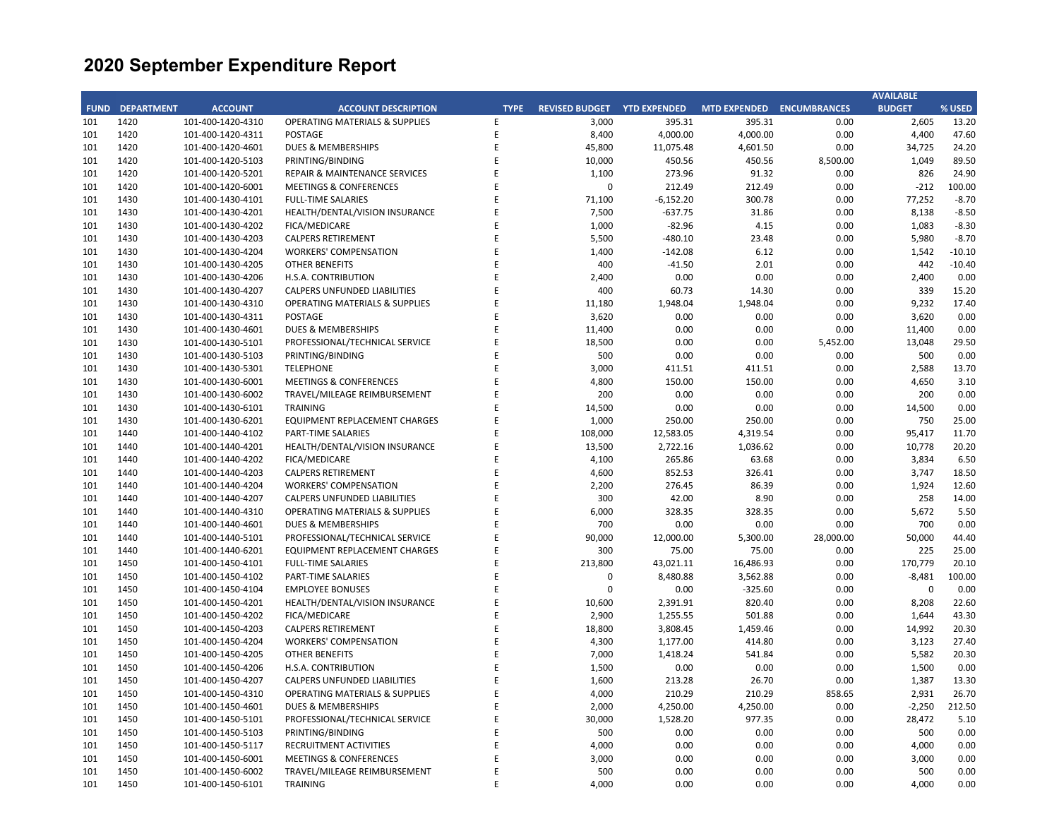|             |                   |                                        |                                            |             |                       |                     |                           |              | <b>AVAILABLE</b> |              |
|-------------|-------------------|----------------------------------------|--------------------------------------------|-------------|-----------------------|---------------------|---------------------------|--------------|------------------|--------------|
| <b>FUND</b> | <b>DEPARTMENT</b> | <b>ACCOUNT</b>                         | <b>ACCOUNT DESCRIPTION</b>                 | <b>TYPE</b> | <b>REVISED BUDGET</b> | <b>YTD EXPENDED</b> | MTD EXPENDED ENCUMBRANCES |              | <b>BUDGET</b>    | % USED       |
| 101         | 1420              | 101-400-1420-4310                      | <b>OPERATING MATERIALS &amp; SUPPLIES</b>  | E           | 3,000                 | 395.31              | 395.31                    | 0.00         | 2,605            | 13.20        |
| 101         | 1420              | 101-400-1420-4311                      | <b>POSTAGE</b>                             | E           | 8,400                 | 4,000.00            | 4,000.00                  | 0.00         | 4,400            | 47.60        |
| 101         | 1420              | 101-400-1420-4601                      | <b>DUES &amp; MEMBERSHIPS</b>              | E           | 45,800                | 11,075.48           | 4,601.50                  | 0.00         | 34,725           | 24.20        |
| 101         | 1420              | 101-400-1420-5103                      | PRINTING/BINDING                           | E           | 10,000                | 450.56              | 450.56                    | 8,500.00     | 1,049            | 89.50        |
| 101         | 1420              | 101-400-1420-5201                      | REPAIR & MAINTENANCE SERVICES              | E           | 1,100                 | 273.96              | 91.32                     | 0.00         | 826              | 24.90        |
| 101         | 1420              | 101-400-1420-6001                      | <b>MEETINGS &amp; CONFERENCES</b>          | E           | 0                     | 212.49              | 212.49                    | 0.00         | $-212$           | 100.00       |
| 101         | 1430              | 101-400-1430-4101                      | <b>FULL-TIME SALARIES</b>                  | E           | 71,100                | $-6,152.20$         | 300.78                    | 0.00         | 77,252           | $-8.70$      |
| 101         | 1430              | 101-400-1430-4201                      | HEALTH/DENTAL/VISION INSURANCE             | E           | 7,500                 | $-637.75$           | 31.86                     | 0.00         | 8,138            | $-8.50$      |
| 101         | 1430              | 101-400-1430-4202                      | FICA/MEDICARE                              | E           | 1,000                 | $-82.96$            | 4.15                      | 0.00         | 1,083            | $-8.30$      |
| 101         | 1430              | 101-400-1430-4203                      | <b>CALPERS RETIREMENT</b>                  | E           | 5,500                 | $-480.10$           | 23.48                     | 0.00         | 5,980            | $-8.70$      |
| 101         | 1430              | 101-400-1430-4204                      | <b>WORKERS' COMPENSATION</b>               | E           | 1,400                 | $-142.08$           | 6.12                      | 0.00         | 1,542            | $-10.10$     |
| 101         | 1430              | 101-400-1430-4205                      | OTHER BENEFITS                             | E           | 400                   | $-41.50$            | 2.01                      | 0.00         | 442              | $-10.40$     |
| 101         | 1430              | 101-400-1430-4206                      | H.S.A. CONTRIBUTION                        | F           | 2,400                 | 0.00                | 0.00                      | 0.00         | 2,400            | 0.00         |
| 101         | 1430              | 101-400-1430-4207                      | CALPERS UNFUNDED LIABILITIES               | E           | 400                   | 60.73               | 14.30                     | 0.00         | 339              | 15.20        |
| 101         | 1430              | 101-400-1430-4310                      | <b>OPERATING MATERIALS &amp; SUPPLIES</b>  | E           | 11,180                | 1,948.04            | 1,948.04                  | 0.00         | 9,232            | 17.40        |
| 101         | 1430              | 101-400-1430-4311                      | POSTAGE                                    | E           | 3,620                 | 0.00                | 0.00                      | 0.00         | 3,620            | 0.00         |
| 101         | 1430              | 101-400-1430-4601                      | <b>DUES &amp; MEMBERSHIPS</b>              | E           | 11,400                | 0.00                | 0.00                      | 0.00         | 11,400           | 0.00         |
| 101         | 1430              | 101-400-1430-5101                      | PROFESSIONAL/TECHNICAL SERVICE             | E           | 18,500                | 0.00                | 0.00                      | 5,452.00     | 13,048           | 29.50        |
| 101         | 1430              | 101-400-1430-5103                      | PRINTING/BINDING                           | E           | 500                   | 0.00                | 0.00                      | 0.00         | 500              | 0.00         |
| 101         | 1430              | 101-400-1430-5301                      | <b>TELEPHONE</b>                           | F           | 3,000                 | 411.51              | 411.51                    | 0.00         | 2,588            | 13.70        |
| 101         | 1430              | 101-400-1430-6001                      | <b>MEETINGS &amp; CONFERENCES</b>          | E           | 4,800                 | 150.00              | 150.00                    | 0.00         | 4,650            | 3.10         |
| 101         | 1430              | 101-400-1430-6002                      | TRAVEL/MILEAGE REIMBURSEMENT               | E           | 200                   | 0.00                | 0.00                      | 0.00         | 200              | 0.00         |
| 101         | 1430              | 101-400-1430-6101                      | <b>TRAINING</b>                            | E           | 14,500                | 0.00                | 0.00                      | 0.00         | 14,500           | 0.00         |
| 101         | 1430              | 101-400-1430-6201                      | <b>EQUIPMENT REPLACEMENT CHARGES</b>       | E           | 1,000                 | 250.00              | 250.00                    | 0.00         | 750              | 25.00        |
| 101         | 1440              | 101-400-1440-4102                      | PART-TIME SALARIES                         | E           | 108,000               | 12,583.05           | 4,319.54                  | 0.00         | 95,417           | 11.70        |
| 101         | 1440              | 101-400-1440-4201                      | HEALTH/DENTAL/VISION INSURANCE             | E           | 13,500                | 2,722.16            | 1,036.62                  | 0.00         | 10,778           | 20.20        |
| 101         | 1440              | 101-400-1440-4202                      | FICA/MEDICARE                              | E           | 4,100                 | 265.86              | 63.68                     | 0.00         | 3,834            | 6.50         |
| 101         | 1440              | 101-400-1440-4203                      | <b>CALPERS RETIREMENT</b>                  | E           | 4,600                 | 852.53              | 326.41                    | 0.00         | 3,747            | 18.50        |
| 101         | 1440              | 101-400-1440-4204                      | <b>WORKERS' COMPENSATION</b>               | E           | 2,200                 | 276.45              | 86.39                     | 0.00         | 1,924            | 12.60        |
| 101         | 1440              | 101-400-1440-4207                      | <b>CALPERS UNFUNDED LIABILITIES</b>        | E           | 300                   | 42.00               | 8.90                      | 0.00         | 258              | 14.00        |
| 101         | 1440              | 101-400-1440-4310                      | <b>OPERATING MATERIALS &amp; SUPPLIES</b>  | E           | 6,000                 | 328.35              | 328.35                    | 0.00         | 5,672            | 5.50         |
| 101         | 1440              | 101-400-1440-4601                      | <b>DUES &amp; MEMBERSHIPS</b>              | E           | 700                   | 0.00                | 0.00                      | 0.00         | 700              | 0.00         |
| 101         | 1440              | 101-400-1440-5101                      | PROFESSIONAL/TECHNICAL SERVICE             | E           | 90,000                | 12,000.00           | 5,300.00                  | 28,000.00    | 50,000           | 44.40        |
| 101         | 1440              | 101-400-1440-6201                      | <b>EQUIPMENT REPLACEMENT CHARGES</b>       | E           | 300                   | 75.00               | 75.00                     | 0.00         | 225              | 25.00        |
| 101         | 1450              | 101-400-1450-4101                      | <b>FULL-TIME SALARIES</b>                  | E           | 213,800               | 43,021.11           | 16,486.93                 | 0.00         | 170,779          | 20.10        |
| 101         | 1450              | 101-400-1450-4102                      | PART-TIME SALARIES                         | E           | $\mathbf 0$           | 8,480.88            | 3,562.88                  | 0.00         | $-8,481$         | 100.00       |
| 101         | 1450              | 101-400-1450-4104                      | <b>EMPLOYEE BONUSES</b>                    | E           | 0                     | 0.00                | $-325.60$                 | 0.00         | $\mathbf 0$      | 0.00         |
| 101         | 1450              | 101-400-1450-4201                      | HEALTH/DENTAL/VISION INSURANCE             | E           | 10,600                | 2,391.91            | 820.40                    | 0.00         | 8,208            | 22.60        |
| 101         | 1450              | 101-400-1450-4202                      | FICA/MEDICARE                              | E           | 2,900                 | 1,255.55            | 501.88                    | 0.00         | 1,644            | 43.30        |
| 101         | 1450              | 101-400-1450-4203                      | <b>CALPERS RETIREMENT</b>                  | E           | 18,800                | 3,808.45            | 1,459.46                  | 0.00         | 14,992           | 20.30        |
| 101         | 1450              | 101-400-1450-4204                      | <b>WORKERS' COMPENSATION</b>               | E           | 4,300                 | 1,177.00            | 414.80                    | 0.00         | 3,123            | 27.40        |
| 101         | 1450              | 101-400-1450-4205                      | <b>OTHER BENEFITS</b>                      | E           | 7,000                 | 1,418.24            | 541.84                    | 0.00         | 5,582            | 20.30        |
| 101         | 1450              | 101-400-1450-4206                      | <b>H.S.A. CONTRIBUTION</b>                 | E           | 1,500                 | 0.00                | 0.00                      | 0.00         | 1,500            | 0.00         |
| 101         | 1450              | 101-400-1450-4207                      | <b>CALPERS UNFUNDED LIABILITIES</b>        | E           | 1,600                 | 213.28              | 26.70                     | 0.00         | 1,387            | 13.30        |
| 101         | 1450              | 101-400-1450-4310                      | <b>OPERATING MATERIALS &amp; SUPPLIES</b>  | E           | 4,000                 | 210.29              | 210.29                    | 858.65       | 2,931            | 26.70        |
| 101         | 1450              | 101-400-1450-4601                      | DUES & MEMBERSHIPS                         | E           | 2,000                 | 4,250.00            | 4,250.00                  | 0.00         | $-2,250$         | 212.50       |
|             |                   |                                        |                                            | E           |                       |                     |                           | 0.00         |                  | 5.10         |
| 101         | 1450              | 101-400-1450-5101                      | PROFESSIONAL/TECHNICAL SERVICE             | E           | 30,000<br>500         | 1,528.20            | 977.35                    |              | 28,472<br>500    |              |
| 101<br>101  | 1450<br>1450      | 101-400-1450-5103<br>101-400-1450-5117 | PRINTING/BINDING<br>RECRUITMENT ACTIVITIES | E           | 4,000                 | 0.00<br>0.00        | 0.00<br>0.00              | 0.00<br>0.00 | 4,000            | 0.00<br>0.00 |
| 101         | 1450              | 101-400-1450-6001                      | <b>MEETINGS &amp; CONFERENCES</b>          | E           | 3,000                 | 0.00                | 0.00                      | 0.00         | 3,000            | 0.00         |
| 101         | 1450              |                                        |                                            | E           |                       |                     |                           | 0.00         | 500              | 0.00         |
| 101         |                   | 101-400-1450-6002                      | TRAVEL/MILEAGE REIMBURSEMENT               | F           | 500<br>4,000          | 0.00<br>0.00        | 0.00<br>0.00              | 0.00         | 4,000            | 0.00         |
|             | 1450              | 101-400-1450-6101                      | TRAINING                                   |             |                       |                     |                           |              |                  |              |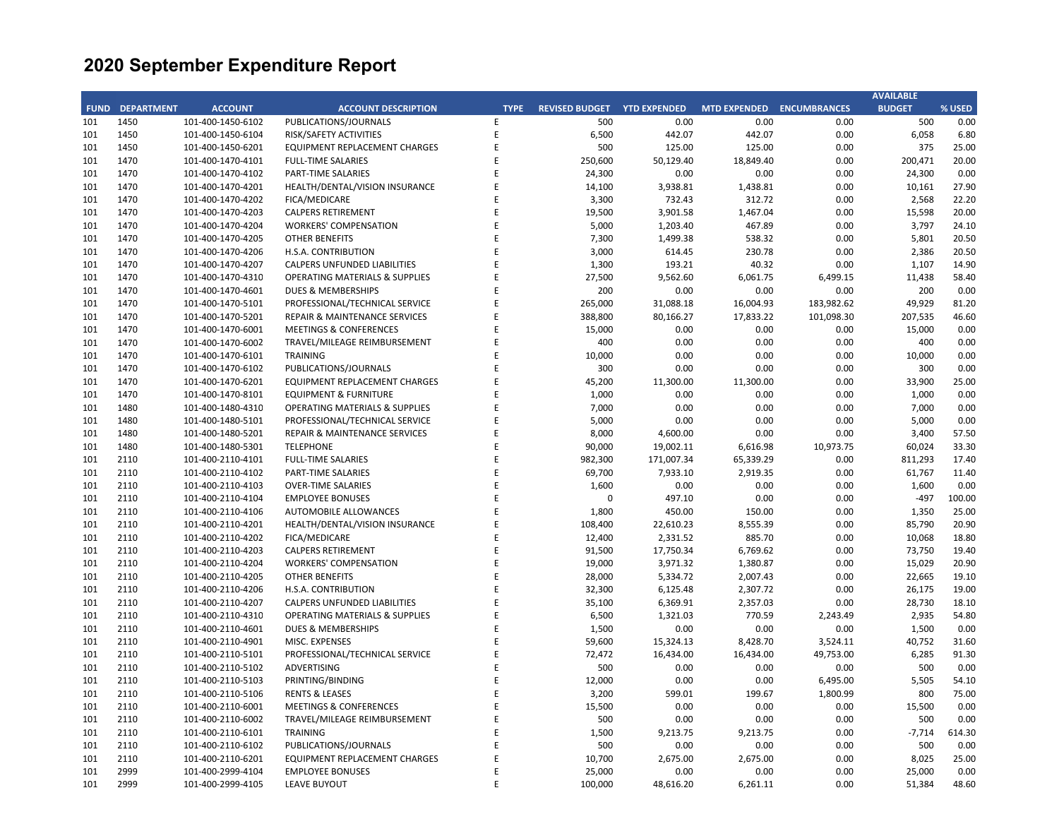|             |                   |                   |                                           |             |                       |                     |                           |            | <b>AVAILABLE</b> |        |
|-------------|-------------------|-------------------|-------------------------------------------|-------------|-----------------------|---------------------|---------------------------|------------|------------------|--------|
| <b>FUND</b> | <b>DEPARTMENT</b> | <b>ACCOUNT</b>    | <b>ACCOUNT DESCRIPTION</b>                | <b>TYPE</b> | <b>REVISED BUDGET</b> | <b>YTD EXPENDED</b> | MTD EXPENDED ENCUMBRANCES |            | <b>BUDGET</b>    | % USED |
| 101         | 1450              | 101-400-1450-6102 | PUBLICATIONS/JOURNALS                     | Ε           | 500                   | 0.00                | 0.00                      | 0.00       | 500              | 0.00   |
| 101         | 1450              | 101-400-1450-6104 | RISK/SAFETY ACTIVITIES                    | E           | 6,500                 | 442.07              | 442.07                    | 0.00       | 6,058            | 6.80   |
| 101         | 1450              | 101-400-1450-6201 | EQUIPMENT REPLACEMENT CHARGES             | E           | 500                   | 125.00              | 125.00                    | 0.00       | 375              | 25.00  |
| 101         | 1470              | 101-400-1470-4101 | <b>FULL-TIME SALARIES</b>                 | E           | 250,600               | 50,129.40           | 18,849.40                 | 0.00       | 200,471          | 20.00  |
| 101         | 1470              | 101-400-1470-4102 | PART-TIME SALARIES                        | E           | 24,300                | 0.00                | 0.00                      | 0.00       | 24,300           | 0.00   |
| 101         | 1470              | 101-400-1470-4201 | HEALTH/DENTAL/VISION INSURANCE            | E           | 14,100                | 3,938.81            | 1,438.81                  | 0.00       | 10,161           | 27.90  |
| 101         | 1470              | 101-400-1470-4202 | FICA/MEDICARE                             | E           | 3,300                 | 732.43              | 312.72                    | 0.00       | 2,568            | 22.20  |
| 101         | 1470              | 101-400-1470-4203 | <b>CALPERS RETIREMENT</b>                 | E           | 19,500                | 3,901.58            | 1,467.04                  | 0.00       | 15,598           | 20.00  |
| 101         | 1470              | 101-400-1470-4204 | <b>WORKERS' COMPENSATION</b>              | E           | 5,000                 | 1,203.40            | 467.89                    | 0.00       | 3,797            | 24.10  |
| 101         | 1470              | 101-400-1470-4205 | <b>OTHER BENEFITS</b>                     | E           | 7,300                 | 1,499.38            | 538.32                    | 0.00       | 5,801            | 20.50  |
| 101         | 1470              | 101-400-1470-4206 | H.S.A. CONTRIBUTION                       | E           | 3,000                 | 614.45              | 230.78                    | 0.00       | 2,386            | 20.50  |
| 101         | 1470              | 101-400-1470-4207 | CALPERS UNFUNDED LIABILITIES              | E           | 1,300                 | 193.21              | 40.32                     | 0.00       | 1,107            | 14.90  |
| 101         | 1470              | 101-400-1470-4310 | <b>OPERATING MATERIALS &amp; SUPPLIES</b> | E           | 27,500                | 9,562.60            | 6,061.75                  | 6,499.15   | 11,438           | 58.40  |
| 101         | 1470              | 101-400-1470-4601 | <b>DUES &amp; MEMBERSHIPS</b>             | E           | 200                   | 0.00                | 0.00                      | 0.00       | 200              | 0.00   |
| 101         | 1470              | 101-400-1470-5101 | PROFESSIONAL/TECHNICAL SERVICE            | E           | 265,000               | 31,088.18           | 16,004.93                 | 183,982.62 | 49,929           | 81.20  |
| 101         | 1470              | 101-400-1470-5201 | REPAIR & MAINTENANCE SERVICES             | E           | 388,800               | 80,166.27           | 17,833.22                 | 101,098.30 | 207,535          | 46.60  |
| 101         | 1470              | 101-400-1470-6001 | <b>MEETINGS &amp; CONFERENCES</b>         | E           | 15,000                | 0.00                | 0.00                      | 0.00       | 15,000           | 0.00   |
| 101         | 1470              | 101-400-1470-6002 | TRAVEL/MILEAGE REIMBURSEMENT              | E           | 400                   | 0.00                | 0.00                      | 0.00       | 400              | 0.00   |
| 101         | 1470              | 101-400-1470-6101 | <b>TRAINING</b>                           | E           | 10,000                | 0.00                | 0.00                      | 0.00       | 10,000           | 0.00   |
| 101         | 1470              | 101-400-1470-6102 | PUBLICATIONS/JOURNALS                     | E           | 300                   | 0.00                | 0.00                      | 0.00       | 300              | 0.00   |
|             | 1470              |                   |                                           | E           | 45,200                |                     | 11,300.00                 | 0.00       | 33,900           | 25.00  |
| 101         |                   | 101-400-1470-6201 | EQUIPMENT REPLACEMENT CHARGES             | E           |                       | 11,300.00<br>0.00   | 0.00                      | 0.00       |                  | 0.00   |
| 101         | 1470              | 101-400-1470-8101 | <b>EQUIPMENT &amp; FURNITURE</b>          | E           | 1,000                 |                     |                           |            | 1,000            |        |
| 101         | 1480              | 101-400-1480-4310 | <b>OPERATING MATERIALS &amp; SUPPLIES</b> | E           | 7,000                 | 0.00                | 0.00                      | 0.00       | 7,000            | 0.00   |
| 101         | 1480              | 101-400-1480-5101 | PROFESSIONAL/TECHNICAL SERVICE            |             | 5,000                 | 0.00                | 0.00                      | 0.00       | 5,000            | 0.00   |
| 101         | 1480              | 101-400-1480-5201 | REPAIR & MAINTENANCE SERVICES             | E           | 8,000                 | 4,600.00            | 0.00                      | 0.00       | 3,400            | 57.50  |
| 101         | 1480              | 101-400-1480-5301 | <b>TELEPHONE</b>                          | E           | 90,000                | 19,002.11           | 6,616.98                  | 10,973.75  | 60,024           | 33.30  |
| 101         | 2110              | 101-400-2110-4101 | <b>FULL-TIME SALARIES</b>                 | E           | 982,300               | 171,007.34          | 65,339.29                 | 0.00       | 811,293          | 17.40  |
| 101         | 2110              | 101-400-2110-4102 | PART-TIME SALARIES                        | E           | 69,700                | 7,933.10            | 2,919.35                  | 0.00       | 61,767           | 11.40  |
| 101         | 2110              | 101-400-2110-4103 | <b>OVER-TIME SALARIES</b>                 | E           | 1,600                 | 0.00                | 0.00                      | 0.00       | 1,600            | 0.00   |
| 101         | 2110              | 101-400-2110-4104 | <b>EMPLOYEE BONUSES</b>                   | E           | $\mathbf 0$           | 497.10              | 0.00                      | 0.00       | $-497$           | 100.00 |
| 101         | 2110              | 101-400-2110-4106 | AUTOMOBILE ALLOWANCES                     | E           | 1,800                 | 450.00              | 150.00                    | 0.00       | 1,350            | 25.00  |
| 101         | 2110              | 101-400-2110-4201 | HEALTH/DENTAL/VISION INSURANCE            | E           | 108,400               | 22,610.23           | 8,555.39                  | 0.00       | 85,790           | 20.90  |
| 101         | 2110              | 101-400-2110-4202 | FICA/MEDICARE                             | E           | 12,400                | 2,331.52            | 885.70                    | 0.00       | 10,068           | 18.80  |
| 101         | 2110              | 101-400-2110-4203 | <b>CALPERS RETIREMENT</b>                 | E           | 91,500                | 17,750.34           | 6,769.62                  | 0.00       | 73,750           | 19.40  |
| 101         | 2110              | 101-400-2110-4204 | <b>WORKERS' COMPENSATION</b>              | E           | 19,000                | 3,971.32            | 1,380.87                  | 0.00       | 15,029           | 20.90  |
| 101         | 2110              | 101-400-2110-4205 | OTHER BENEFITS                            | E           | 28,000                | 5,334.72            | 2,007.43                  | 0.00       | 22,665           | 19.10  |
| 101         | 2110              | 101-400-2110-4206 | H.S.A. CONTRIBUTION                       | E           | 32,300                | 6,125.48            | 2,307.72                  | 0.00       | 26,175           | 19.00  |
| 101         | 2110              | 101-400-2110-4207 | <b>CALPERS UNFUNDED LIABILITIES</b>       | E           | 35,100                | 6,369.91            | 2,357.03                  | 0.00       | 28,730           | 18.10  |
| 101         | 2110              | 101-400-2110-4310 | <b>OPERATING MATERIALS &amp; SUPPLIES</b> | E           | 6,500                 | 1,321.03            | 770.59                    | 2,243.49   | 2,935            | 54.80  |
| 101         | 2110              | 101-400-2110-4601 | <b>DUES &amp; MEMBERSHIPS</b>             | E           | 1,500                 | 0.00                | 0.00                      | 0.00       | 1,500            | 0.00   |
| 101         | 2110              | 101-400-2110-4901 | MISC. EXPENSES                            | E           | 59,600                | 15,324.13           | 8,428.70                  | 3,524.11   | 40,752           | 31.60  |
| 101         | 2110              | 101-400-2110-5101 | PROFESSIONAL/TECHNICAL SERVICE            | E           | 72,472                | 16,434.00           | 16,434.00                 | 49,753.00  | 6,285            | 91.30  |
| 101         | 2110              | 101-400-2110-5102 | <b>ADVERTISING</b>                        | E           | 500                   | 0.00                | 0.00                      | 0.00       | 500              | 0.00   |
| 101         | 2110              | 101-400-2110-5103 | PRINTING/BINDING                          | E           | 12,000                | 0.00                | 0.00                      | 6,495.00   | 5,505            | 54.10  |
| 101         | 2110              | 101-400-2110-5106 | <b>RENTS &amp; LEASES</b>                 | E           | 3,200                 | 599.01              | 199.67                    | 1,800.99   | 800              | 75.00  |
| 101         | 2110              | 101-400-2110-6001 | <b>MEETINGS &amp; CONFERENCES</b>         | E           | 15,500                | 0.00                | 0.00                      | 0.00       | 15,500           | 0.00   |
| 101         | 2110              | 101-400-2110-6002 | TRAVEL/MILEAGE REIMBURSEMENT              | E           | 500                   | 0.00                | 0.00                      | 0.00       | 500              | 0.00   |
| 101         | 2110              | 101-400-2110-6101 | <b>TRAINING</b>                           | E           | 1,500                 | 9,213.75            | 9,213.75                  | 0.00       | $-7,714$         | 614.30 |
| 101         | 2110              | 101-400-2110-6102 | PUBLICATIONS/JOURNALS                     | E           | 500                   | 0.00                | 0.00                      | 0.00       | 500              | 0.00   |
| 101         | 2110              | 101-400-2110-6201 | <b>EQUIPMENT REPLACEMENT CHARGES</b>      | E           | 10,700                | 2,675.00            | 2,675.00                  | 0.00       | 8,025            | 25.00  |
| 101         | 2999              | 101-400-2999-4104 | <b>EMPLOYEE BONUSES</b>                   | E           | 25,000                | 0.00                | 0.00                      | 0.00       | 25,000           | 0.00   |
| 101         | 2999              | 101-400-2999-4105 | <b>LEAVE BUYOUT</b>                       | F           | 100,000               | 48,616.20           | 6,261.11                  | 0.00       | 51,384           | 48.60  |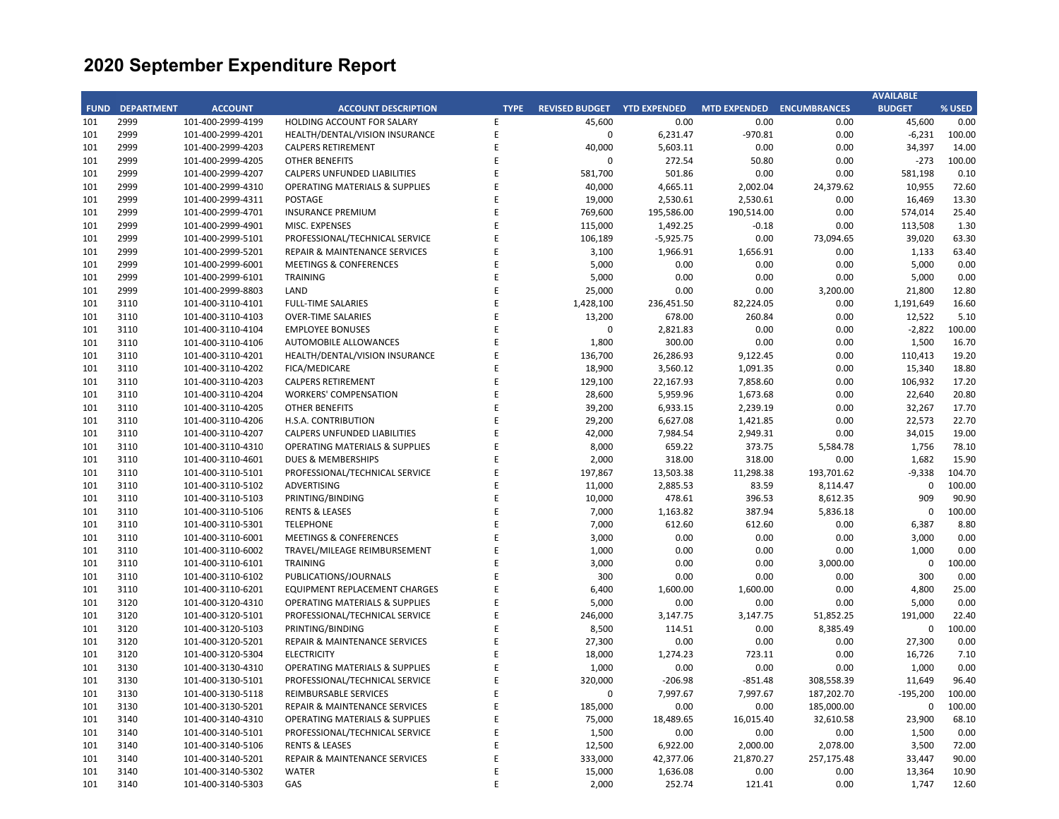|             |                   |                   |                                           |             |                       |                     |                                  |            | <b>AVAILABLE</b> |        |
|-------------|-------------------|-------------------|-------------------------------------------|-------------|-----------------------|---------------------|----------------------------------|------------|------------------|--------|
| <b>FUND</b> | <b>DEPARTMENT</b> | <b>ACCOUNT</b>    | <b>ACCOUNT DESCRIPTION</b>                | <b>TYPE</b> | <b>REVISED BUDGET</b> | <b>YTD EXPENDED</b> | <b>MTD EXPENDED ENCUMBRANCES</b> |            | <b>BUDGET</b>    | % USED |
| 101         | 2999              | 101-400-2999-4199 | HOLDING ACCOUNT FOR SALARY                | E           | 45,600                | 0.00                | 0.00                             | 0.00       | 45,600           | 0.00   |
| 101         | 2999              | 101-400-2999-4201 | HEALTH/DENTAL/VISION INSURANCE            | E           | 0                     | 6,231.47            | $-970.81$                        | 0.00       | $-6,231$         | 100.00 |
| 101         | 2999              | 101-400-2999-4203 | <b>CALPERS RETIREMENT</b>                 | E           | 40,000                | 5,603.11            | 0.00                             | 0.00       | 34,397           | 14.00  |
| 101         | 2999              | 101-400-2999-4205 | <b>OTHER BENEFITS</b>                     | E           | $\Omega$              | 272.54              | 50.80                            | 0.00       | $-273$           | 100.00 |
| 101         | 2999              | 101-400-2999-4207 | <b>CALPERS UNFUNDED LIABILITIES</b>       | E           | 581,700               | 501.86              | 0.00                             | 0.00       | 581,198          | 0.10   |
| 101         | 2999              | 101-400-2999-4310 | <b>OPERATING MATERIALS &amp; SUPPLIES</b> | E           | 40,000                | 4,665.11            | 2,002.04                         | 24,379.62  | 10,955           | 72.60  |
| 101         | 2999              | 101-400-2999-4311 | POSTAGE                                   | E           | 19,000                | 2,530.61            | 2,530.61                         | 0.00       | 16,469           | 13.30  |
| 101         | 2999              | 101-400-2999-4701 | <b>INSURANCE PREMIUM</b>                  | E           | 769,600               | 195,586.00          | 190,514.00                       | 0.00       | 574,014          | 25.40  |
| 101         | 2999              | 101-400-2999-4901 | MISC. EXPENSES                            | E           | 115,000               | 1,492.25            | $-0.18$                          | 0.00       | 113,508          | 1.30   |
| 101         | 2999              | 101-400-2999-5101 | PROFESSIONAL/TECHNICAL SERVICE            | E           | 106,189               | $-5,925.75$         | 0.00                             | 73,094.65  | 39,020           | 63.30  |
| 101         | 2999              | 101-400-2999-5201 | REPAIR & MAINTENANCE SERVICES             | E           | 3,100                 | 1,966.91            | 1,656.91                         | 0.00       | 1,133            | 63.40  |
| 101         | 2999              | 101-400-2999-6001 | <b>MEETINGS &amp; CONFERENCES</b>         | E           | 5,000                 | 0.00                | 0.00                             | 0.00       | 5,000            | 0.00   |
| 101         | 2999              | 101-400-2999-6101 | <b>TRAINING</b>                           | E           | 5,000                 | 0.00                | 0.00                             | 0.00       | 5,000            | 0.00   |
| 101         | 2999              | 101-400-2999-8803 | LAND                                      | E           | 25,000                | 0.00                | 0.00                             | 3,200.00   | 21,800           | 12.80  |
| 101         | 3110              | 101-400-3110-4101 | <b>FULL-TIME SALARIES</b>                 | E           | 1,428,100             | 236,451.50          | 82,224.05                        | 0.00       | 1,191,649        | 16.60  |
| 101         | 3110              | 101-400-3110-4103 | <b>OVER-TIME SALARIES</b>                 | E           | 13,200                | 678.00              | 260.84                           | 0.00       | 12,522           | 5.10   |
| 101         | 3110              | 101-400-3110-4104 | <b>EMPLOYEE BONUSES</b>                   | E           | $\mathbf 0$           | 2,821.83            | 0.00                             | 0.00       | $-2,822$         | 100.00 |
| 101         | 3110              | 101-400-3110-4106 | <b>AUTOMOBILE ALLOWANCES</b>              | E           | 1,800                 | 300.00              | 0.00                             | 0.00       | 1,500            | 16.70  |
| 101         | 3110              | 101-400-3110-4201 | HEALTH/DENTAL/VISION INSURANCE            | E           | 136,700               | 26,286.93           | 9,122.45                         | 0.00       | 110,413          | 19.20  |
| 101         | 3110              | 101-400-3110-4202 | FICA/MEDICARE                             | E           | 18,900                | 3,560.12            | 1,091.35                         | 0.00       | 15,340           | 18.80  |
| 101         | 3110              | 101-400-3110-4203 | <b>CALPERS RETIREMENT</b>                 | E           | 129,100               | 22,167.93           | 7,858.60                         | 0.00       | 106,932          | 17.20  |
| 101         | 3110              | 101-400-3110-4204 | <b>WORKERS' COMPENSATION</b>              | E           | 28,600                | 5,959.96            | 1,673.68                         | 0.00       | 22,640           | 20.80  |
| 101         | 3110              | 101-400-3110-4205 | <b>OTHER BENEFITS</b>                     | E           | 39,200                | 6,933.15            | 2,239.19                         | 0.00       | 32,267           | 17.70  |
| 101         | 3110              | 101-400-3110-4206 | H.S.A. CONTRIBUTION                       | E           | 29,200                | 6,627.08            | 1,421.85                         | 0.00       | 22,573           | 22.70  |
| 101         | 3110              | 101-400-3110-4207 | <b>CALPERS UNFUNDED LIABILITIES</b>       | E           | 42,000                | 7,984.54            | 2,949.31                         | 0.00       | 34,015           | 19.00  |
| 101         | 3110              | 101-400-3110-4310 | <b>OPERATING MATERIALS &amp; SUPPLIES</b> | E           | 8,000                 | 659.22              | 373.75                           | 5,584.78   | 1,756            | 78.10  |
| 101         | 3110              |                   |                                           | E           |                       | 318.00              | 318.00                           | 0.00       | 1,682            | 15.90  |
|             |                   | 101-400-3110-4601 | <b>DUES &amp; MEMBERSHIPS</b>             | E           | 2,000                 |                     |                                  |            |                  |        |
| 101         | 3110              | 101-400-3110-5101 | PROFESSIONAL/TECHNICAL SERVICE            | E           | 197,867               | 13,503.38           | 11,298.38                        | 193,701.62 | $-9,338$         | 104.70 |
| 101         | 3110              | 101-400-3110-5102 | <b>ADVERTISING</b>                        | E           | 11,000                | 2,885.53            | 83.59                            | 8,114.47   | 0                | 100.00 |
| 101         | 3110              | 101-400-3110-5103 | PRINTING/BINDING                          |             | 10,000                | 478.61              | 396.53                           | 8,612.35   | 909              | 90.90  |
| 101         | 3110              | 101-400-3110-5106 | <b>RENTS &amp; LEASES</b>                 | E           | 7,000                 | 1,163.82            | 387.94                           | 5,836.18   | 0                | 100.00 |
| 101         | 3110              | 101-400-3110-5301 | <b>TELEPHONE</b>                          | E           | 7,000                 | 612.60              | 612.60                           | 0.00       | 6,387            | 8.80   |
| 101         | 3110              | 101-400-3110-6001 | <b>MEETINGS &amp; CONFERENCES</b>         | E           | 3,000                 | 0.00                | 0.00                             | 0.00       | 3,000            | 0.00   |
| 101         | 3110              | 101-400-3110-6002 | TRAVEL/MILEAGE REIMBURSEMENT              | E           | 1,000                 | 0.00                | 0.00                             | 0.00       | 1,000            | 0.00   |
| 101         | 3110              | 101-400-3110-6101 | <b>TRAINING</b>                           | E           | 3,000                 | 0.00                | 0.00                             | 3,000.00   | 0                | 100.00 |
| 101         | 3110              | 101-400-3110-6102 | PUBLICATIONS/JOURNALS                     | E           | 300                   | 0.00                | 0.00                             | 0.00       | 300              | 0.00   |
| 101         | 3110              | 101-400-3110-6201 | <b>EQUIPMENT REPLACEMENT CHARGES</b>      | E           | 6,400                 | 1,600.00            | 1,600.00                         | 0.00       | 4,800            | 25.00  |
| 101         | 3120              | 101-400-3120-4310 | <b>OPERATING MATERIALS &amp; SUPPLIES</b> | E           | 5,000                 | 0.00                | 0.00                             | 0.00       | 5,000            | 0.00   |
| 101         | 3120              | 101-400-3120-5101 | PROFESSIONAL/TECHNICAL SERVICE            | E           | 246,000               | 3,147.75            | 3,147.75                         | 51,852.25  | 191,000          | 22.40  |
| 101         | 3120              | 101-400-3120-5103 | PRINTING/BINDING                          | E           | 8,500                 | 114.51              | 0.00                             | 8,385.49   | $\mathbf 0$      | 100.00 |
| 101         | 3120              | 101-400-3120-5201 | REPAIR & MAINTENANCE SERVICES             | E           | 27,300                | 0.00                | 0.00                             | 0.00       | 27,300           | 0.00   |
| 101         | 3120              | 101-400-3120-5304 | <b>ELECTRICITY</b>                        | E           | 18,000                | 1,274.23            | 723.11                           | 0.00       | 16,726           | 7.10   |
| 101         | 3130              | 101-400-3130-4310 | <b>OPERATING MATERIALS &amp; SUPPLIES</b> | E           | 1,000                 | 0.00                | 0.00                             | 0.00       | 1,000            | 0.00   |
| 101         | 3130              | 101-400-3130-5101 | PROFESSIONAL/TECHNICAL SERVICE            | E           | 320,000               | $-206.98$           | $-851.48$                        | 308,558.39 | 11,649           | 96.40  |
| 101         | 3130              | 101-400-3130-5118 | REIMBURSABLE SERVICES                     | F           | 0                     | 7,997.67            | 7,997.67                         | 187,202.70 | $-195,200$       | 100.00 |
| 101         | 3130              | 101-400-3130-5201 | REPAIR & MAINTENANCE SERVICES             | E           | 185,000               | 0.00                | 0.00                             | 185,000.00 | $\mathbf 0$      | 100.00 |
| 101         | 3140              | 101-400-3140-4310 | <b>OPERATING MATERIALS &amp; SUPPLIES</b> | E           | 75,000                | 18,489.65           | 16,015.40                        | 32,610.58  | 23,900           | 68.10  |
| 101         | 3140              | 101-400-3140-5101 | PROFESSIONAL/TECHNICAL SERVICE            | E           | 1,500                 | 0.00                | 0.00                             | 0.00       | 1,500            | 0.00   |
| 101         | 3140              | 101-400-3140-5106 | <b>RENTS &amp; LEASES</b>                 | E           | 12,500                | 6,922.00            | 2,000.00                         | 2,078.00   | 3,500            | 72.00  |
| 101         | 3140              | 101-400-3140-5201 | <b>REPAIR &amp; MAINTENANCE SERVICES</b>  | E           | 333,000               | 42,377.06           | 21,870.27                        | 257,175.48 | 33,447           | 90.00  |
| 101         | 3140              | 101-400-3140-5302 | <b>WATER</b>                              | E           | 15,000                | 1,636.08            | 0.00                             | 0.00       | 13,364           | 10.90  |
| 101         | 3140              | 101-400-3140-5303 | GAS                                       | F           | 2,000                 | 252.74              | 121.41                           | 0.00       | 1,747            | 12.60  |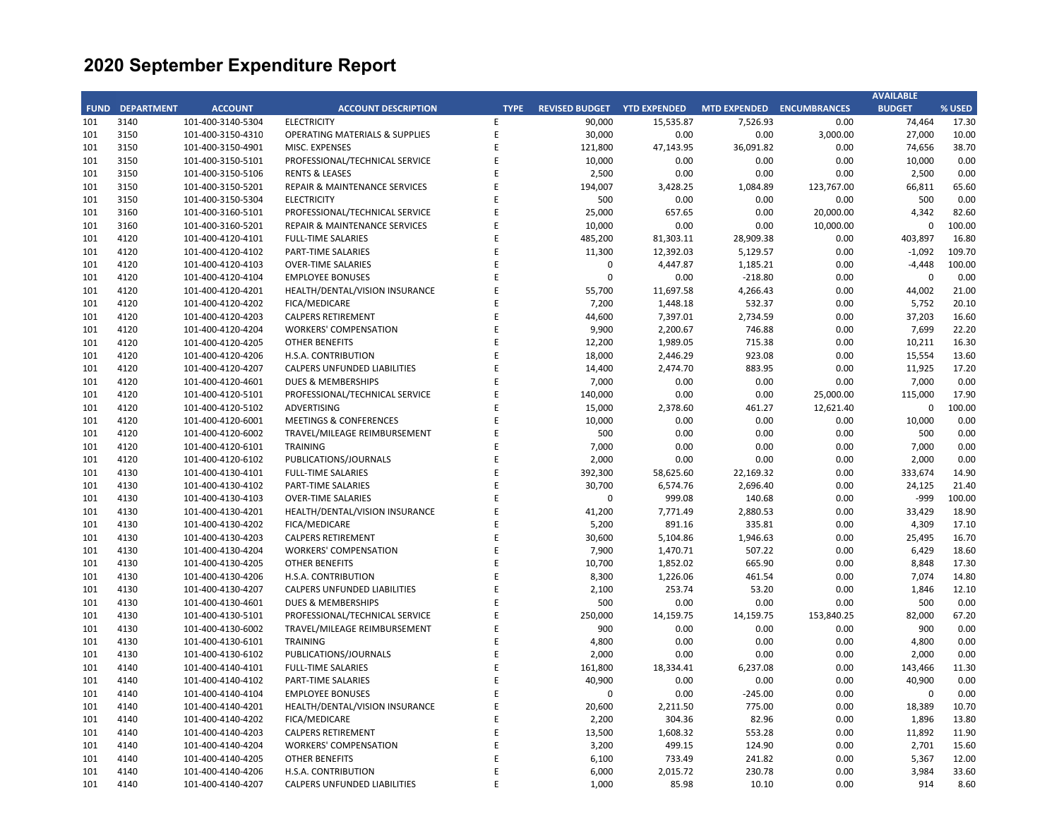|             |                   |                   |                                           |             |                       |                     |                           |            | <b>AVAILABLE</b> |              |
|-------------|-------------------|-------------------|-------------------------------------------|-------------|-----------------------|---------------------|---------------------------|------------|------------------|--------------|
| <b>FUND</b> | <b>DEPARTMENT</b> | <b>ACCOUNT</b>    | <b>ACCOUNT DESCRIPTION</b>                | <b>TYPE</b> | <b>REVISED BUDGET</b> | <b>YTD EXPENDED</b> | MTD EXPENDED ENCUMBRANCES |            | <b>BUDGET</b>    | % USED       |
| 101         | 3140              | 101-400-3140-5304 | <b>ELECTRICITY</b>                        | E           | 90,000                | 15,535.87           | 7,526.93                  | 0.00       | 74,464           | 17.30        |
| 101         | 3150              | 101-400-3150-4310 | <b>OPERATING MATERIALS &amp; SUPPLIES</b> | E           | 30,000                | 0.00                | 0.00                      | 3,000.00   | 27,000           | 10.00        |
| 101         | 3150              | 101-400-3150-4901 | MISC. EXPENSES                            | E           | 121,800               | 47,143.95           | 36,091.82                 | 0.00       | 74,656           | 38.70        |
| 101         | 3150              | 101-400-3150-5101 | PROFESSIONAL/TECHNICAL SERVICE            | E           | 10,000                | 0.00                | 0.00                      | 0.00       | 10,000           | 0.00         |
| 101         | 3150              | 101-400-3150-5106 | <b>RENTS &amp; LEASES</b>                 | E           | 2,500                 | 0.00                | 0.00                      | 0.00       | 2,500            | 0.00         |
| 101         | 3150              | 101-400-3150-5201 | <b>REPAIR &amp; MAINTENANCE SERVICES</b>  | E           | 194,007               | 3,428.25            | 1,084.89                  | 123,767.00 | 66,811           | 65.60        |
| 101         | 3150              | 101-400-3150-5304 | <b>ELECTRICITY</b>                        | E           | 500                   | 0.00                | 0.00                      | 0.00       | 500              | 0.00         |
| 101         | 3160              | 101-400-3160-5101 | PROFESSIONAL/TECHNICAL SERVICE            | E           | 25,000                | 657.65              | 0.00                      | 20,000.00  | 4,342            | 82.60        |
| 101         | 3160              | 101-400-3160-5201 | REPAIR & MAINTENANCE SERVICES             | E           | 10,000                | 0.00                | 0.00                      | 10,000.00  | $\mathbf 0$      | 100.00       |
| 101         | 4120              | 101-400-4120-4101 | <b>FULL-TIME SALARIES</b>                 | E           | 485,200               | 81,303.11           | 28,909.38                 | 0.00       | 403,897          | 16.80        |
| 101         | 4120              | 101-400-4120-4102 | <b>PART-TIME SALARIES</b>                 | E           | 11,300                | 12,392.03           | 5,129.57                  | 0.00       | $-1,092$         | 109.70       |
| 101         | 4120              | 101-400-4120-4103 | <b>OVER-TIME SALARIES</b>                 | E           | 0                     | 4,447.87            | 1,185.21                  | 0.00       | $-4,448$         | 100.00       |
| 101         | 4120              | 101-400-4120-4104 | <b>EMPLOYEE BONUSES</b>                   | E           | $\mathbf 0$           | 0.00                | $-218.80$                 | 0.00       | $\mathbf 0$      | 0.00         |
| 101         | 4120              | 101-400-4120-4201 | HEALTH/DENTAL/VISION INSURANCE            | E           | 55,700                | 11,697.58           | 4,266.43                  | 0.00       | 44,002           | 21.00        |
| 101         | 4120              | 101-400-4120-4202 | FICA/MEDICARE                             | E           | 7,200                 | 1,448.18            | 532.37                    | 0.00       | 5,752            | 20.10        |
| 101         | 4120              | 101-400-4120-4203 | <b>CALPERS RETIREMENT</b>                 | E           | 44,600                | 7,397.01            | 2,734.59                  | 0.00       | 37,203           | 16.60        |
| 101         | 4120              | 101-400-4120-4204 | <b>WORKERS' COMPENSATION</b>              | E           | 9,900                 | 2,200.67            | 746.88                    | 0.00       | 7,699            | 22.20        |
| 101         | 4120              | 101-400-4120-4205 | <b>OTHER BENEFITS</b>                     | E           | 12,200                | 1,989.05            | 715.38                    | 0.00       | 10,211           | 16.30        |
| 101         | 4120              | 101-400-4120-4206 | H.S.A. CONTRIBUTION                       | E           | 18,000                | 2,446.29            | 923.08                    | 0.00       | 15,554           | 13.60        |
| 101         | 4120              | 101-400-4120-4207 | CALPERS UNFUNDED LIABILITIES              | E           | 14,400                | 2,474.70            | 883.95                    | 0.00       | 11,925           | 17.20        |
| 101         | 4120              | 101-400-4120-4601 | <b>DUES &amp; MEMBERSHIPS</b>             | E           | 7,000                 | 0.00                | 0.00                      | 0.00       | 7,000            | 0.00         |
| 101         | 4120              | 101-400-4120-5101 | PROFESSIONAL/TECHNICAL SERVICE            | E           | 140,000               | 0.00                | 0.00                      | 25,000.00  | 115,000          | 17.90        |
| 101         | 4120              | 101-400-4120-5102 | <b>ADVERTISING</b>                        | E           | 15,000                | 2,378.60            | 461.27                    | 12,621.40  | $\mathbf 0$      | 100.00       |
| 101         | 4120              | 101-400-4120-6001 | <b>MEETINGS &amp; CONFERENCES</b>         | E           | 10,000                | 0.00                | 0.00                      | 0.00       | 10,000           | 0.00         |
| 101         | 4120              |                   |                                           | E           | 500                   |                     | 0.00                      | 0.00       | 500              |              |
| 101         | 4120              | 101-400-4120-6002 | TRAVEL/MILEAGE REIMBURSEMENT<br>TRAINING  | E           | 7,000                 | 0.00<br>0.00        | 0.00                      | 0.00       | 7,000            | 0.00<br>0.00 |
|             |                   | 101-400-4120-6101 |                                           | E           |                       |                     |                           |            |                  |              |
| 101         | 4120              | 101-400-4120-6102 | PUBLICATIONS/JOURNALS                     | E           | 2,000                 | 0.00                | 0.00                      | 0.00       | 2,000            | 0.00         |
| 101         | 4130              | 101-400-4130-4101 | <b>FULL-TIME SALARIES</b>                 |             | 392,300               | 58,625.60           | 22,169.32                 | 0.00       | 333,674          | 14.90        |
| 101         | 4130              | 101-400-4130-4102 | PART-TIME SALARIES                        | E           | 30,700                | 6,574.76            | 2,696.40                  | 0.00       | 24,125           | 21.40        |
| 101         | 4130              | 101-400-4130-4103 | <b>OVER-TIME SALARIES</b>                 | E           | 0                     | 999.08              | 140.68                    | 0.00       | $-999$           | 100.00       |
| 101         | 4130              | 101-400-4130-4201 | HEALTH/DENTAL/VISION INSURANCE            | E           | 41,200                | 7,771.49            | 2,880.53                  | 0.00       | 33,429           | 18.90        |
| 101         | 4130              | 101-400-4130-4202 | FICA/MEDICARE                             | E           | 5,200                 | 891.16              | 335.81                    | 0.00       | 4,309            | 17.10        |
| 101         | 4130              | 101-400-4130-4203 | <b>CALPERS RETIREMENT</b>                 | E           | 30,600                | 5,104.86            | 1,946.63                  | 0.00       | 25,495           | 16.70        |
| 101         | 4130              | 101-400-4130-4204 | <b>WORKERS' COMPENSATION</b>              | E           | 7,900                 | 1,470.71            | 507.22                    | 0.00       | 6,429            | 18.60        |
| 101         | 4130              | 101-400-4130-4205 | <b>OTHER BENEFITS</b>                     | E           | 10,700                | 1,852.02            | 665.90                    | 0.00       | 8,848            | 17.30        |
| 101         | 4130              | 101-400-4130-4206 | H.S.A. CONTRIBUTION                       | E           | 8,300                 | 1,226.06            | 461.54                    | 0.00       | 7,074            | 14.80        |
| 101         | 4130              | 101-400-4130-4207 | <b>CALPERS UNFUNDED LIABILITIES</b>       | E           | 2,100                 | 253.74              | 53.20                     | 0.00       | 1,846            | 12.10        |
| 101         | 4130              | 101-400-4130-4601 | <b>DUES &amp; MEMBERSHIPS</b>             | E           | 500                   | 0.00                | 0.00                      | 0.00       | 500              | 0.00         |
| 101         | 4130              | 101-400-4130-5101 | PROFESSIONAL/TECHNICAL SERVICE            | E           | 250,000               | 14,159.75           | 14,159.75                 | 153,840.25 | 82,000           | 67.20        |
| 101         | 4130              | 101-400-4130-6002 | TRAVEL/MILEAGE REIMBURSEMENT              | E           | 900                   | 0.00                | 0.00                      | 0.00       | 900              | 0.00         |
| 101         | 4130              | 101-400-4130-6101 | <b>TRAINING</b>                           | E           | 4,800                 | 0.00                | 0.00                      | 0.00       | 4,800            | 0.00         |
| 101         | 4130              | 101-400-4130-6102 | PUBLICATIONS/JOURNALS                     | E           | 2,000                 | 0.00                | 0.00                      | 0.00       | 2,000            | 0.00         |
| 101         | 4140              | 101-400-4140-4101 | <b>FULL-TIME SALARIES</b>                 | E           | 161,800               | 18,334.41           | 6,237.08                  | 0.00       | 143,466          | 11.30        |
| 101         | 4140              | 101-400-4140-4102 | PART-TIME SALARIES                        | E           | 40,900                | 0.00                | 0.00                      | 0.00       | 40,900           | 0.00         |
| 101         | 4140              | 101-400-4140-4104 | <b>EMPLOYEE BONUSES</b>                   | E           | $\mathbf 0$           | 0.00                | $-245.00$                 | 0.00       | $\mathbf 0$      | 0.00         |
| 101         | 4140              | 101-400-4140-4201 | HEALTH/DENTAL/VISION INSURANCE            | E           | 20,600                | 2,211.50            | 775.00                    | 0.00       | 18,389           | 10.70        |
| 101         | 4140              | 101-400-4140-4202 | FICA/MEDICARE                             | E           | 2,200                 | 304.36              | 82.96                     | 0.00       | 1,896            | 13.80        |
| 101         | 4140              | 101-400-4140-4203 | <b>CALPERS RETIREMENT</b>                 | E           | 13,500                | 1,608.32            | 553.28                    | 0.00       | 11,892           | 11.90        |
| 101         | 4140              | 101-400-4140-4204 | <b>WORKERS' COMPENSATION</b>              | E           | 3,200                 | 499.15              | 124.90                    | 0.00       | 2,701            | 15.60        |
| 101         | 4140              | 101-400-4140-4205 | <b>OTHER BENEFITS</b>                     | F           | 6,100                 | 733.49              | 241.82                    | 0.00       | 5,367            | 12.00        |
| 101         | 4140              | 101-400-4140-4206 | H.S.A. CONTRIBUTION                       | E           | 6,000                 | 2,015.72            | 230.78                    | 0.00       | 3,984            | 33.60        |
| 101         | 4140              | 101-400-4140-4207 | <b>CALPERS UNFUNDED LIABILITIES</b>       | F           | 1,000                 | 85.98               | 10.10                     | 0.00       | 914              | 8.60         |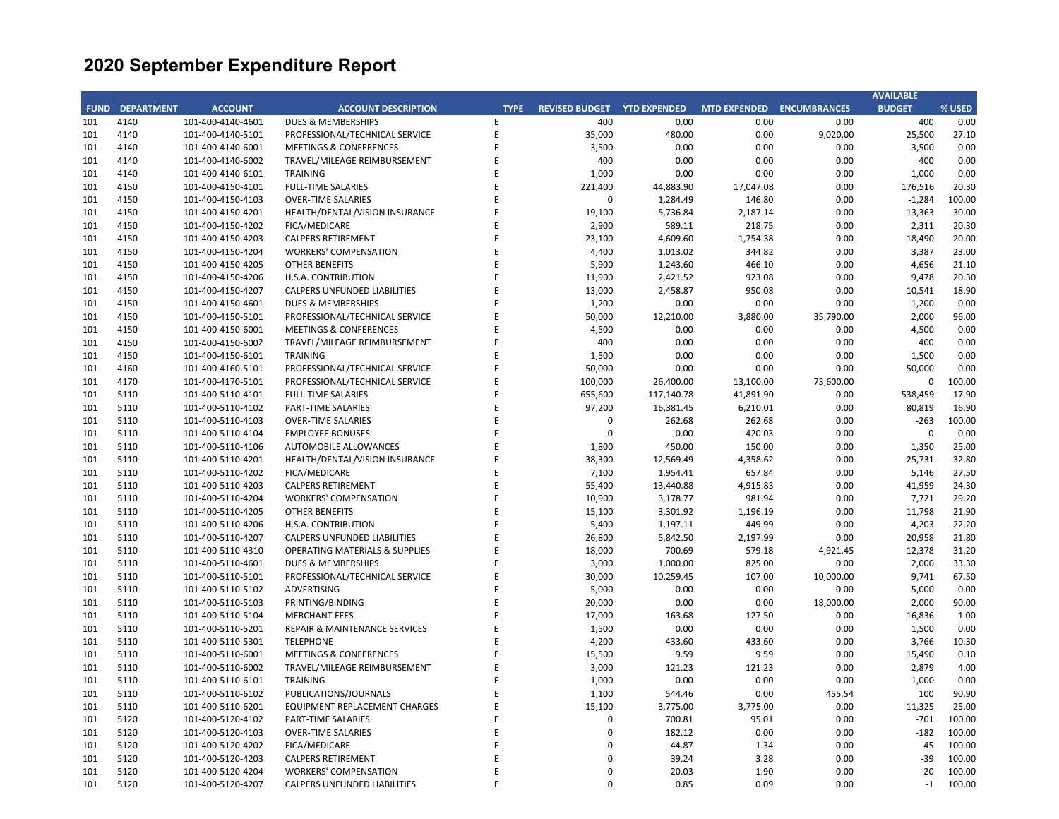| <b>BUDGET</b><br>% USED<br><b>FUND</b><br><b>DEPARTMENT</b><br><b>ACCOUNT</b><br><b>ACCOUNT DESCRIPTION</b><br><b>TYPE</b><br><b>REVISED BUDGET</b><br><b>YTD EXPENDED</b><br>MTD EXPENDED ENCUMBRANCES<br>4140<br><b>DUES &amp; MEMBERSHIPS</b><br>400<br>0.00<br>0.00<br>0.00<br>400<br>0.00<br>101<br>101-400-4140-4601<br>Ε<br>E<br>4140<br>101-400-4140-5101<br>PROFESSIONAL/TECHNICAL SERVICE<br>35,000<br>480.00<br>0.00<br>9,020.00<br>25,500<br>27.10<br>101<br>E<br>3,500<br>0.00<br>0.00<br>3,500<br>0.00<br>101<br>4140<br>101-400-4140-6001<br><b>MEETINGS &amp; CONFERENCES</b><br>0.00<br>E<br>400<br>0.00<br>0.00<br>400<br>0.00<br>101<br>4140<br>101-400-4140-6002<br>TRAVEL/MILEAGE REIMBURSEMENT<br>0.00<br>E<br><b>TRAINING</b><br>1,000<br>0.00<br>0.00<br>0.00<br>1,000<br>0.00<br>101<br>4140<br>101-400-4140-6101<br>4150<br><b>FULL-TIME SALARIES</b><br>E<br>221,400<br>44,883.90<br>17,047.08<br>0.00<br>176,516<br>20.30<br>101<br>101-400-4150-4101<br>E<br>101<br>4150<br>101-400-4150-4103<br><b>OVER-TIME SALARIES</b><br>0<br>1,284.49<br>146.80<br>0.00<br>$-1,284$<br>100.00<br>E<br>30.00<br>101<br>4150<br>101-400-4150-4201<br>HEALTH/DENTAL/VISION INSURANCE<br>19,100<br>5,736.84<br>2,187.14<br>0.00<br>13,363<br>4150<br>101-400-4150-4202<br>FICA/MEDICARE<br>E<br>2,900<br>589.11<br>218.75<br>0.00<br>2,311<br>20.30<br>101<br><b>CALPERS RETIREMENT</b><br>E<br>23,100<br>4,609.60<br>1,754.38<br>0.00<br>18,490<br>20.00<br>101<br>4150<br>101-400-4150-4203<br>4150<br>101-400-4150-4204<br><b>WORKERS' COMPENSATION</b><br>E<br>4,400<br>1,013.02<br>344.82<br>0.00<br>3,387<br>23.00<br>101<br>E<br>5,900<br>0.00<br>4,656<br>21.10<br>101<br>4150<br>101-400-4150-4205<br><b>OTHER BENEFITS</b><br>1,243.60<br>466.10<br>E<br>11,900<br>923.08<br>0.00<br>9,478<br>20.30<br>101<br>4150<br>101-400-4150-4206<br>H.S.A. CONTRIBUTION<br>2,421.52<br>E<br>18.90<br>101<br>4150<br>101-400-4150-4207<br><b>CALPERS UNFUNDED LIABILITIES</b><br>13,000<br>2,458.87<br>950.08<br>0.00<br>10,541<br>101<br>4150<br>101-400-4150-4601<br>DUES & MEMBERSHIPS<br>E<br>1,200<br>0.00<br>0.00<br>0.00<br>1,200<br>0.00<br>E<br>50,000<br>96.00<br>101<br>4150<br>101-400-4150-5101<br>PROFESSIONAL/TECHNICAL SERVICE<br>12,210.00<br>3,880.00<br>35,790.00<br>2,000<br>E<br>4,500<br>0.00<br>0.00<br>0.00<br>4,500<br>0.00<br>101<br>4150<br>101-400-4150-6001<br><b>MEETINGS &amp; CONFERENCES</b><br>E<br>101<br>4150<br>101-400-4150-6002<br>TRAVEL/MILEAGE REIMBURSEMENT<br>400<br>0.00<br>0.00<br>0.00<br>400<br>0.00<br>0.00<br>101<br><b>TRAINING</b><br>E<br>1,500<br>0.00<br>0.00<br>0.00<br>1,500<br>4150<br>101-400-4150-6101<br>PROFESSIONAL/TECHNICAL SERVICE<br>E<br>50,000<br>0.00<br>0.00<br>0.00<br>50,000<br>0.00<br>101<br>4160<br>101-400-4160-5101<br>E<br>$\mathbf 0$<br>100.00<br>101<br>4170<br>101-400-4170-5101<br>PROFESSIONAL/TECHNICAL SERVICE<br>100,000<br>26,400.00<br>13,100.00<br>73,600.00<br>101<br>5110<br>101-400-5110-4101<br><b>FULL-TIME SALARIES</b><br>E<br>655,600<br>117,140.78<br>41,891.90<br>0.00<br>538,459<br>17.90<br>E<br>97,200<br>0.00<br>80,819<br>16.90<br>101<br>5110<br>101-400-5110-4102<br><b>PART-TIME SALARIES</b><br>16,381.45<br>6,210.01<br>E<br>100.00<br>101<br>5110<br>101-400-5110-4103<br><b>OVER-TIME SALARIES</b><br>0<br>262.68<br>262.68<br>0.00<br>$-263$<br>E<br>$\mathbf 0$<br>0<br>0.00<br>101<br>5110<br>101-400-5110-4104<br><b>EMPLOYEE BONUSES</b><br>0.00<br>-420.03<br>0.00<br>101<br>5110<br>101-400-5110-4106<br>E<br>1,800<br>450.00<br>150.00<br>0.00<br>1,350<br>25.00<br>AUTOMOBILE ALLOWANCES<br>E<br>32.80<br>101<br>5110<br>101-400-5110-4201<br>HEALTH/DENTAL/VISION INSURANCE<br>38,300<br>12,569.49<br>4,358.62<br>0.00<br>25,731<br>E<br>7,100<br>657.84<br>27.50<br>101<br>5110<br>101-400-5110-4202<br>FICA/MEDICARE<br>1,954.41<br>0.00<br>5,146<br>E<br>5110<br>55,400<br>13,440.88<br>4,915.83<br>0.00<br>41,959<br>24.30<br>101<br>101-400-5110-4203<br><b>CALPERS RETIREMENT</b><br>E<br>10,900<br>7,721<br>29.20<br>101<br>5110<br>101-400-5110-4204<br><b>WORKERS' COMPENSATION</b><br>3,178.77<br>981.94<br>0.00<br>E<br>15,100<br>11,798<br>21.90<br>101<br>5110<br>101-400-5110-4205<br>OTHER BENEFITS<br>3,301.92<br>1,196.19<br>0.00<br>E<br>5110<br>H.S.A. CONTRIBUTION<br>5,400<br>1,197.11<br>449.99<br>0.00<br>4,203<br>22.20<br>101<br>101-400-5110-4206<br>101<br>5110<br>101-400-5110-4207<br><b>CALPERS UNFUNDED LIABILITIES</b><br>E<br>26,800<br>5,842.50<br>2,197.99<br>0.00<br>20,958<br>21.80<br>E<br>101<br>5110<br>101-400-5110-4310<br><b>OPERATING MATERIALS &amp; SUPPLIES</b><br>18,000<br>700.69<br>579.18<br>4,921.45<br>12,378<br>31.20<br>E<br>3,000<br>2,000<br>101<br>5110<br>101-400-5110-4601<br><b>DUES &amp; MEMBERSHIPS</b><br>1,000.00<br>825.00<br>0.00<br>33.30<br>E<br>30,000<br>10,259.45<br>10,000.00<br>67.50<br>101<br>5110<br>101-400-5110-5101<br>PROFESSIONAL/TECHNICAL SERVICE<br>107.00<br>9,741<br>E<br>5,000<br>0.00<br>0.00<br>5,000<br>0.00<br>101<br>5110<br>101-400-5110-5102<br>ADVERTISING<br>0.00<br>E<br>5110<br>101-400-5110-5103<br>PRINTING/BINDING<br>20,000<br>0.00<br>0.00<br>18,000.00<br>2,000<br>90.00<br>101<br>E<br>17,000<br>5110<br>163.68<br>127.50<br>0.00<br>16,836<br>1.00<br>101<br>101-400-5110-5104<br><b>MERCHANT FEES</b><br>E<br>1,500<br>0.00<br>0.00<br>0.00<br>1,500<br>0.00<br>101<br>5110<br>101-400-5110-5201<br>REPAIR & MAINTENANCE SERVICES<br>E<br>4,200<br>101<br>5110<br>101-400-5110-5301<br><b>TELEPHONE</b><br>433.60<br>433.60<br>0.00<br>3,766<br>10.30<br>101<br>5110<br>101-400-5110-6001<br><b>MEETINGS &amp; CONFERENCES</b><br>E<br>15,500<br>9.59<br>9.59<br>0.00<br>15,490<br>0.10<br>E<br>3,000<br>2,879<br>101<br>5110<br>101-400-5110-6002<br>TRAVEL/MILEAGE REIMBURSEMENT<br>121.23<br>121.23<br>0.00<br>4.00<br>E<br>1,000<br>0.00<br>0.00<br>0.00<br>1,000<br>0.00<br>101<br>5110<br>101-400-5110-6101<br><b>TRAINING</b><br>E<br>90.90<br>101<br>5110<br>101-400-5110-6102<br>PUBLICATIONS/JOURNALS<br>1,100<br>544.46<br>0.00<br>455.54<br>100<br>101<br>5110<br>EQUIPMENT REPLACEMENT CHARGES<br>E<br>15,100<br>3,775.00<br>3,775.00<br>0.00<br>11,325<br>25.00<br>101-400-5110-6201<br>E<br>$-701$<br>100.00<br>101<br>5120<br>101-400-5120-4102<br>PART-TIME SALARIES<br>0<br>700.81<br>95.01<br>0.00<br>E<br>0<br>100.00<br>5120<br>101-400-5120-4103<br>182.12<br>0.00<br>0.00<br>$-182$<br>101<br><b>OVER-TIME SALARIES</b><br>5120<br>E<br>$\mathbf 0$<br>44.87<br>0.00<br>$-45$<br>100.00<br>101<br>101-400-5120-4202<br>FICA/MEDICARE<br>1.34<br>E<br>$\mathbf 0$<br>39.24<br>3.28<br>0.00<br>$-39$<br>100.00<br>101<br>5120<br>101-400-5120-4203<br><b>CALPERS RETIREMENT</b><br>20.03<br>100.00<br>101<br>5120<br>101-400-5120-4204<br><b>WORKERS' COMPENSATION</b><br>E<br>0<br>1.90<br>0.00<br>$-20$<br>F<br>$\Omega$<br>100.00<br>101<br>5120<br><b>CALPERS UNFUNDED LIABILITIES</b><br>0.85<br>0.09<br>0.00<br>$-1$<br>101-400-5120-4207 |  |  |  |  | <b>AVAILABLE</b> |  |
|-----------------------------------------------------------------------------------------------------------------------------------------------------------------------------------------------------------------------------------------------------------------------------------------------------------------------------------------------------------------------------------------------------------------------------------------------------------------------------------------------------------------------------------------------------------------------------------------------------------------------------------------------------------------------------------------------------------------------------------------------------------------------------------------------------------------------------------------------------------------------------------------------------------------------------------------------------------------------------------------------------------------------------------------------------------------------------------------------------------------------------------------------------------------------------------------------------------------------------------------------------------------------------------------------------------------------------------------------------------------------------------------------------------------------------------------------------------------------------------------------------------------------------------------------------------------------------------------------------------------------------------------------------------------------------------------------------------------------------------------------------------------------------------------------------------------------------------------------------------------------------------------------------------------------------------------------------------------------------------------------------------------------------------------------------------------------------------------------------------------------------------------------------------------------------------------------------------------------------------------------------------------------------------------------------------------------------------------------------------------------------------------------------------------------------------------------------------------------------------------------------------------------------------------------------------------------------------------------------------------------------------------------------------------------------------------------------------------------------------------------------------------------------------------------------------------------------------------------------------------------------------------------------------------------------------------------------------------------------------------------------------------------------------------------------------------------------------------------------------------------------------------------------------------------------------------------------------------------------------------------------------------------------------------------------------------------------------------------------------------------------------------------------------------------------------------------------------------------------------------------------------------------------------------------------------------------------------------------------------------------------------------------------------------------------------------------------------------------------------------------------------------------------------------------------------------------------------------------------------------------------------------------------------------------------------------------------------------------------------------------------------------------------------------------------------------------------------------------------------------------------------------------------------------------------------------------------------------------------------------------------------------------------------------------------------------------------------------------------------------------------------------------------------------------------------------------------------------------------------------------------------------------------------------------------------------------------------------------------------------------------------------------------------------------------------------------------------------------------------------------------------------------------------------------------------------------------------------------------------------------------------------------------------------------------------------------------------------------------------------------------------------------------------------------------------------------------------------------------------------------------------------------------------------------------------------------------------------------------------------------------------------------------------------------------------------------------------------------------------------------------------------------------------------------------------------------------------------------------------------------------------------------------------------------------------------------------------------------------------------------------------------------------------------------------------------------------------------------------------------------------------------------------------------------------------------------------------------------------------------------------------------------------------------------------------------------------------------------------------------------------------------------------------------------------------------------------------------------------------------------------------------------------------------------------------------------------------------------------------------------------------------------------------------------------------------------------------------------------------------------------------------------------------------------------------------------------------------------------------------------------------------------------------------------------------------------------------------------------------------------------------------------------------------------------------------------------------------------------------------------------------------------------------------------------------------------------------------------------------------------------------------------------------------------------------------------------------------------------------------------------------------------------|--|--|--|--|------------------|--|
|                                                                                                                                                                                                                                                                                                                                                                                                                                                                                                                                                                                                                                                                                                                                                                                                                                                                                                                                                                                                                                                                                                                                                                                                                                                                                                                                                                                                                                                                                                                                                                                                                                                                                                                                                                                                                                                                                                                                                                                                                                                                                                                                                                                                                                                                                                                                                                                                                                                                                                                                                                                                                                                                                                                                                                                                                                                                                                                                                                                                                                                                                                                                                                                                                                                                                                                                                                                                                                                                                                                                                                                                                                                                                                                                                                                                                                                                                                                                                                                                                                                                                                                                                                                                                                                                                                                                                                                                                                                                                                                                                                                                                                                                                                                                                                                                                                                                                                                                                                                                                                                                                                                                                                                                                                                                                                                                                                                                                                                                                                                                                                                                                                                                                                                                                                                                                                                                                                                                                                                                                                                                                                                                                                                                                                                                                                                                                                                                                                                                                                                                                                                                                                                                                                                                                                                                                                                                                                                                                                                                                             |  |  |  |  |                  |  |
|                                                                                                                                                                                                                                                                                                                                                                                                                                                                                                                                                                                                                                                                                                                                                                                                                                                                                                                                                                                                                                                                                                                                                                                                                                                                                                                                                                                                                                                                                                                                                                                                                                                                                                                                                                                                                                                                                                                                                                                                                                                                                                                                                                                                                                                                                                                                                                                                                                                                                                                                                                                                                                                                                                                                                                                                                                                                                                                                                                                                                                                                                                                                                                                                                                                                                                                                                                                                                                                                                                                                                                                                                                                                                                                                                                                                                                                                                                                                                                                                                                                                                                                                                                                                                                                                                                                                                                                                                                                                                                                                                                                                                                                                                                                                                                                                                                                                                                                                                                                                                                                                                                                                                                                                                                                                                                                                                                                                                                                                                                                                                                                                                                                                                                                                                                                                                                                                                                                                                                                                                                                                                                                                                                                                                                                                                                                                                                                                                                                                                                                                                                                                                                                                                                                                                                                                                                                                                                                                                                                                                             |  |  |  |  |                  |  |
|                                                                                                                                                                                                                                                                                                                                                                                                                                                                                                                                                                                                                                                                                                                                                                                                                                                                                                                                                                                                                                                                                                                                                                                                                                                                                                                                                                                                                                                                                                                                                                                                                                                                                                                                                                                                                                                                                                                                                                                                                                                                                                                                                                                                                                                                                                                                                                                                                                                                                                                                                                                                                                                                                                                                                                                                                                                                                                                                                                                                                                                                                                                                                                                                                                                                                                                                                                                                                                                                                                                                                                                                                                                                                                                                                                                                                                                                                                                                                                                                                                                                                                                                                                                                                                                                                                                                                                                                                                                                                                                                                                                                                                                                                                                                                                                                                                                                                                                                                                                                                                                                                                                                                                                                                                                                                                                                                                                                                                                                                                                                                                                                                                                                                                                                                                                                                                                                                                                                                                                                                                                                                                                                                                                                                                                                                                                                                                                                                                                                                                                                                                                                                                                                                                                                                                                                                                                                                                                                                                                                                             |  |  |  |  |                  |  |
|                                                                                                                                                                                                                                                                                                                                                                                                                                                                                                                                                                                                                                                                                                                                                                                                                                                                                                                                                                                                                                                                                                                                                                                                                                                                                                                                                                                                                                                                                                                                                                                                                                                                                                                                                                                                                                                                                                                                                                                                                                                                                                                                                                                                                                                                                                                                                                                                                                                                                                                                                                                                                                                                                                                                                                                                                                                                                                                                                                                                                                                                                                                                                                                                                                                                                                                                                                                                                                                                                                                                                                                                                                                                                                                                                                                                                                                                                                                                                                                                                                                                                                                                                                                                                                                                                                                                                                                                                                                                                                                                                                                                                                                                                                                                                                                                                                                                                                                                                                                                                                                                                                                                                                                                                                                                                                                                                                                                                                                                                                                                                                                                                                                                                                                                                                                                                                                                                                                                                                                                                                                                                                                                                                                                                                                                                                                                                                                                                                                                                                                                                                                                                                                                                                                                                                                                                                                                                                                                                                                                                             |  |  |  |  |                  |  |
|                                                                                                                                                                                                                                                                                                                                                                                                                                                                                                                                                                                                                                                                                                                                                                                                                                                                                                                                                                                                                                                                                                                                                                                                                                                                                                                                                                                                                                                                                                                                                                                                                                                                                                                                                                                                                                                                                                                                                                                                                                                                                                                                                                                                                                                                                                                                                                                                                                                                                                                                                                                                                                                                                                                                                                                                                                                                                                                                                                                                                                                                                                                                                                                                                                                                                                                                                                                                                                                                                                                                                                                                                                                                                                                                                                                                                                                                                                                                                                                                                                                                                                                                                                                                                                                                                                                                                                                                                                                                                                                                                                                                                                                                                                                                                                                                                                                                                                                                                                                                                                                                                                                                                                                                                                                                                                                                                                                                                                                                                                                                                                                                                                                                                                                                                                                                                                                                                                                                                                                                                                                                                                                                                                                                                                                                                                                                                                                                                                                                                                                                                                                                                                                                                                                                                                                                                                                                                                                                                                                                                             |  |  |  |  |                  |  |
|                                                                                                                                                                                                                                                                                                                                                                                                                                                                                                                                                                                                                                                                                                                                                                                                                                                                                                                                                                                                                                                                                                                                                                                                                                                                                                                                                                                                                                                                                                                                                                                                                                                                                                                                                                                                                                                                                                                                                                                                                                                                                                                                                                                                                                                                                                                                                                                                                                                                                                                                                                                                                                                                                                                                                                                                                                                                                                                                                                                                                                                                                                                                                                                                                                                                                                                                                                                                                                                                                                                                                                                                                                                                                                                                                                                                                                                                                                                                                                                                                                                                                                                                                                                                                                                                                                                                                                                                                                                                                                                                                                                                                                                                                                                                                                                                                                                                                                                                                                                                                                                                                                                                                                                                                                                                                                                                                                                                                                                                                                                                                                                                                                                                                                                                                                                                                                                                                                                                                                                                                                                                                                                                                                                                                                                                                                                                                                                                                                                                                                                                                                                                                                                                                                                                                                                                                                                                                                                                                                                                                             |  |  |  |  |                  |  |
|                                                                                                                                                                                                                                                                                                                                                                                                                                                                                                                                                                                                                                                                                                                                                                                                                                                                                                                                                                                                                                                                                                                                                                                                                                                                                                                                                                                                                                                                                                                                                                                                                                                                                                                                                                                                                                                                                                                                                                                                                                                                                                                                                                                                                                                                                                                                                                                                                                                                                                                                                                                                                                                                                                                                                                                                                                                                                                                                                                                                                                                                                                                                                                                                                                                                                                                                                                                                                                                                                                                                                                                                                                                                                                                                                                                                                                                                                                                                                                                                                                                                                                                                                                                                                                                                                                                                                                                                                                                                                                                                                                                                                                                                                                                                                                                                                                                                                                                                                                                                                                                                                                                                                                                                                                                                                                                                                                                                                                                                                                                                                                                                                                                                                                                                                                                                                                                                                                                                                                                                                                                                                                                                                                                                                                                                                                                                                                                                                                                                                                                                                                                                                                                                                                                                                                                                                                                                                                                                                                                                                             |  |  |  |  |                  |  |
|                                                                                                                                                                                                                                                                                                                                                                                                                                                                                                                                                                                                                                                                                                                                                                                                                                                                                                                                                                                                                                                                                                                                                                                                                                                                                                                                                                                                                                                                                                                                                                                                                                                                                                                                                                                                                                                                                                                                                                                                                                                                                                                                                                                                                                                                                                                                                                                                                                                                                                                                                                                                                                                                                                                                                                                                                                                                                                                                                                                                                                                                                                                                                                                                                                                                                                                                                                                                                                                                                                                                                                                                                                                                                                                                                                                                                                                                                                                                                                                                                                                                                                                                                                                                                                                                                                                                                                                                                                                                                                                                                                                                                                                                                                                                                                                                                                                                                                                                                                                                                                                                                                                                                                                                                                                                                                                                                                                                                                                                                                                                                                                                                                                                                                                                                                                                                                                                                                                                                                                                                                                                                                                                                                                                                                                                                                                                                                                                                                                                                                                                                                                                                                                                                                                                                                                                                                                                                                                                                                                                                             |  |  |  |  |                  |  |
|                                                                                                                                                                                                                                                                                                                                                                                                                                                                                                                                                                                                                                                                                                                                                                                                                                                                                                                                                                                                                                                                                                                                                                                                                                                                                                                                                                                                                                                                                                                                                                                                                                                                                                                                                                                                                                                                                                                                                                                                                                                                                                                                                                                                                                                                                                                                                                                                                                                                                                                                                                                                                                                                                                                                                                                                                                                                                                                                                                                                                                                                                                                                                                                                                                                                                                                                                                                                                                                                                                                                                                                                                                                                                                                                                                                                                                                                                                                                                                                                                                                                                                                                                                                                                                                                                                                                                                                                                                                                                                                                                                                                                                                                                                                                                                                                                                                                                                                                                                                                                                                                                                                                                                                                                                                                                                                                                                                                                                                                                                                                                                                                                                                                                                                                                                                                                                                                                                                                                                                                                                                                                                                                                                                                                                                                                                                                                                                                                                                                                                                                                                                                                                                                                                                                                                                                                                                                                                                                                                                                                             |  |  |  |  |                  |  |
|                                                                                                                                                                                                                                                                                                                                                                                                                                                                                                                                                                                                                                                                                                                                                                                                                                                                                                                                                                                                                                                                                                                                                                                                                                                                                                                                                                                                                                                                                                                                                                                                                                                                                                                                                                                                                                                                                                                                                                                                                                                                                                                                                                                                                                                                                                                                                                                                                                                                                                                                                                                                                                                                                                                                                                                                                                                                                                                                                                                                                                                                                                                                                                                                                                                                                                                                                                                                                                                                                                                                                                                                                                                                                                                                                                                                                                                                                                                                                                                                                                                                                                                                                                                                                                                                                                                                                                                                                                                                                                                                                                                                                                                                                                                                                                                                                                                                                                                                                                                                                                                                                                                                                                                                                                                                                                                                                                                                                                                                                                                                                                                                                                                                                                                                                                                                                                                                                                                                                                                                                                                                                                                                                                                                                                                                                                                                                                                                                                                                                                                                                                                                                                                                                                                                                                                                                                                                                                                                                                                                                             |  |  |  |  |                  |  |
|                                                                                                                                                                                                                                                                                                                                                                                                                                                                                                                                                                                                                                                                                                                                                                                                                                                                                                                                                                                                                                                                                                                                                                                                                                                                                                                                                                                                                                                                                                                                                                                                                                                                                                                                                                                                                                                                                                                                                                                                                                                                                                                                                                                                                                                                                                                                                                                                                                                                                                                                                                                                                                                                                                                                                                                                                                                                                                                                                                                                                                                                                                                                                                                                                                                                                                                                                                                                                                                                                                                                                                                                                                                                                                                                                                                                                                                                                                                                                                                                                                                                                                                                                                                                                                                                                                                                                                                                                                                                                                                                                                                                                                                                                                                                                                                                                                                                                                                                                                                                                                                                                                                                                                                                                                                                                                                                                                                                                                                                                                                                                                                                                                                                                                                                                                                                                                                                                                                                                                                                                                                                                                                                                                                                                                                                                                                                                                                                                                                                                                                                                                                                                                                                                                                                                                                                                                                                                                                                                                                                                             |  |  |  |  |                  |  |
|                                                                                                                                                                                                                                                                                                                                                                                                                                                                                                                                                                                                                                                                                                                                                                                                                                                                                                                                                                                                                                                                                                                                                                                                                                                                                                                                                                                                                                                                                                                                                                                                                                                                                                                                                                                                                                                                                                                                                                                                                                                                                                                                                                                                                                                                                                                                                                                                                                                                                                                                                                                                                                                                                                                                                                                                                                                                                                                                                                                                                                                                                                                                                                                                                                                                                                                                                                                                                                                                                                                                                                                                                                                                                                                                                                                                                                                                                                                                                                                                                                                                                                                                                                                                                                                                                                                                                                                                                                                                                                                                                                                                                                                                                                                                                                                                                                                                                                                                                                                                                                                                                                                                                                                                                                                                                                                                                                                                                                                                                                                                                                                                                                                                                                                                                                                                                                                                                                                                                                                                                                                                                                                                                                                                                                                                                                                                                                                                                                                                                                                                                                                                                                                                                                                                                                                                                                                                                                                                                                                                                             |  |  |  |  |                  |  |
|                                                                                                                                                                                                                                                                                                                                                                                                                                                                                                                                                                                                                                                                                                                                                                                                                                                                                                                                                                                                                                                                                                                                                                                                                                                                                                                                                                                                                                                                                                                                                                                                                                                                                                                                                                                                                                                                                                                                                                                                                                                                                                                                                                                                                                                                                                                                                                                                                                                                                                                                                                                                                                                                                                                                                                                                                                                                                                                                                                                                                                                                                                                                                                                                                                                                                                                                                                                                                                                                                                                                                                                                                                                                                                                                                                                                                                                                                                                                                                                                                                                                                                                                                                                                                                                                                                                                                                                                                                                                                                                                                                                                                                                                                                                                                                                                                                                                                                                                                                                                                                                                                                                                                                                                                                                                                                                                                                                                                                                                                                                                                                                                                                                                                                                                                                                                                                                                                                                                                                                                                                                                                                                                                                                                                                                                                                                                                                                                                                                                                                                                                                                                                                                                                                                                                                                                                                                                                                                                                                                                                             |  |  |  |  |                  |  |
|                                                                                                                                                                                                                                                                                                                                                                                                                                                                                                                                                                                                                                                                                                                                                                                                                                                                                                                                                                                                                                                                                                                                                                                                                                                                                                                                                                                                                                                                                                                                                                                                                                                                                                                                                                                                                                                                                                                                                                                                                                                                                                                                                                                                                                                                                                                                                                                                                                                                                                                                                                                                                                                                                                                                                                                                                                                                                                                                                                                                                                                                                                                                                                                                                                                                                                                                                                                                                                                                                                                                                                                                                                                                                                                                                                                                                                                                                                                                                                                                                                                                                                                                                                                                                                                                                                                                                                                                                                                                                                                                                                                                                                                                                                                                                                                                                                                                                                                                                                                                                                                                                                                                                                                                                                                                                                                                                                                                                                                                                                                                                                                                                                                                                                                                                                                                                                                                                                                                                                                                                                                                                                                                                                                                                                                                                                                                                                                                                                                                                                                                                                                                                                                                                                                                                                                                                                                                                                                                                                                                                             |  |  |  |  |                  |  |
|                                                                                                                                                                                                                                                                                                                                                                                                                                                                                                                                                                                                                                                                                                                                                                                                                                                                                                                                                                                                                                                                                                                                                                                                                                                                                                                                                                                                                                                                                                                                                                                                                                                                                                                                                                                                                                                                                                                                                                                                                                                                                                                                                                                                                                                                                                                                                                                                                                                                                                                                                                                                                                                                                                                                                                                                                                                                                                                                                                                                                                                                                                                                                                                                                                                                                                                                                                                                                                                                                                                                                                                                                                                                                                                                                                                                                                                                                                                                                                                                                                                                                                                                                                                                                                                                                                                                                                                                                                                                                                                                                                                                                                                                                                                                                                                                                                                                                                                                                                                                                                                                                                                                                                                                                                                                                                                                                                                                                                                                                                                                                                                                                                                                                                                                                                                                                                                                                                                                                                                                                                                                                                                                                                                                                                                                                                                                                                                                                                                                                                                                                                                                                                                                                                                                                                                                                                                                                                                                                                                                                             |  |  |  |  |                  |  |
|                                                                                                                                                                                                                                                                                                                                                                                                                                                                                                                                                                                                                                                                                                                                                                                                                                                                                                                                                                                                                                                                                                                                                                                                                                                                                                                                                                                                                                                                                                                                                                                                                                                                                                                                                                                                                                                                                                                                                                                                                                                                                                                                                                                                                                                                                                                                                                                                                                                                                                                                                                                                                                                                                                                                                                                                                                                                                                                                                                                                                                                                                                                                                                                                                                                                                                                                                                                                                                                                                                                                                                                                                                                                                                                                                                                                                                                                                                                                                                                                                                                                                                                                                                                                                                                                                                                                                                                                                                                                                                                                                                                                                                                                                                                                                                                                                                                                                                                                                                                                                                                                                                                                                                                                                                                                                                                                                                                                                                                                                                                                                                                                                                                                                                                                                                                                                                                                                                                                                                                                                                                                                                                                                                                                                                                                                                                                                                                                                                                                                                                                                                                                                                                                                                                                                                                                                                                                                                                                                                                                                             |  |  |  |  |                  |  |
|                                                                                                                                                                                                                                                                                                                                                                                                                                                                                                                                                                                                                                                                                                                                                                                                                                                                                                                                                                                                                                                                                                                                                                                                                                                                                                                                                                                                                                                                                                                                                                                                                                                                                                                                                                                                                                                                                                                                                                                                                                                                                                                                                                                                                                                                                                                                                                                                                                                                                                                                                                                                                                                                                                                                                                                                                                                                                                                                                                                                                                                                                                                                                                                                                                                                                                                                                                                                                                                                                                                                                                                                                                                                                                                                                                                                                                                                                                                                                                                                                                                                                                                                                                                                                                                                                                                                                                                                                                                                                                                                                                                                                                                                                                                                                                                                                                                                                                                                                                                                                                                                                                                                                                                                                                                                                                                                                                                                                                                                                                                                                                                                                                                                                                                                                                                                                                                                                                                                                                                                                                                                                                                                                                                                                                                                                                                                                                                                                                                                                                                                                                                                                                                                                                                                                                                                                                                                                                                                                                                                                             |  |  |  |  |                  |  |
|                                                                                                                                                                                                                                                                                                                                                                                                                                                                                                                                                                                                                                                                                                                                                                                                                                                                                                                                                                                                                                                                                                                                                                                                                                                                                                                                                                                                                                                                                                                                                                                                                                                                                                                                                                                                                                                                                                                                                                                                                                                                                                                                                                                                                                                                                                                                                                                                                                                                                                                                                                                                                                                                                                                                                                                                                                                                                                                                                                                                                                                                                                                                                                                                                                                                                                                                                                                                                                                                                                                                                                                                                                                                                                                                                                                                                                                                                                                                                                                                                                                                                                                                                                                                                                                                                                                                                                                                                                                                                                                                                                                                                                                                                                                                                                                                                                                                                                                                                                                                                                                                                                                                                                                                                                                                                                                                                                                                                                                                                                                                                                                                                                                                                                                                                                                                                                                                                                                                                                                                                                                                                                                                                                                                                                                                                                                                                                                                                                                                                                                                                                                                                                                                                                                                                                                                                                                                                                                                                                                                                             |  |  |  |  |                  |  |
|                                                                                                                                                                                                                                                                                                                                                                                                                                                                                                                                                                                                                                                                                                                                                                                                                                                                                                                                                                                                                                                                                                                                                                                                                                                                                                                                                                                                                                                                                                                                                                                                                                                                                                                                                                                                                                                                                                                                                                                                                                                                                                                                                                                                                                                                                                                                                                                                                                                                                                                                                                                                                                                                                                                                                                                                                                                                                                                                                                                                                                                                                                                                                                                                                                                                                                                                                                                                                                                                                                                                                                                                                                                                                                                                                                                                                                                                                                                                                                                                                                                                                                                                                                                                                                                                                                                                                                                                                                                                                                                                                                                                                                                                                                                                                                                                                                                                                                                                                                                                                                                                                                                                                                                                                                                                                                                                                                                                                                                                                                                                                                                                                                                                                                                                                                                                                                                                                                                                                                                                                                                                                                                                                                                                                                                                                                                                                                                                                                                                                                                                                                                                                                                                                                                                                                                                                                                                                                                                                                                                                             |  |  |  |  |                  |  |
|                                                                                                                                                                                                                                                                                                                                                                                                                                                                                                                                                                                                                                                                                                                                                                                                                                                                                                                                                                                                                                                                                                                                                                                                                                                                                                                                                                                                                                                                                                                                                                                                                                                                                                                                                                                                                                                                                                                                                                                                                                                                                                                                                                                                                                                                                                                                                                                                                                                                                                                                                                                                                                                                                                                                                                                                                                                                                                                                                                                                                                                                                                                                                                                                                                                                                                                                                                                                                                                                                                                                                                                                                                                                                                                                                                                                                                                                                                                                                                                                                                                                                                                                                                                                                                                                                                                                                                                                                                                                                                                                                                                                                                                                                                                                                                                                                                                                                                                                                                                                                                                                                                                                                                                                                                                                                                                                                                                                                                                                                                                                                                                                                                                                                                                                                                                                                                                                                                                                                                                                                                                                                                                                                                                                                                                                                                                                                                                                                                                                                                                                                                                                                                                                                                                                                                                                                                                                                                                                                                                                                             |  |  |  |  |                  |  |
|                                                                                                                                                                                                                                                                                                                                                                                                                                                                                                                                                                                                                                                                                                                                                                                                                                                                                                                                                                                                                                                                                                                                                                                                                                                                                                                                                                                                                                                                                                                                                                                                                                                                                                                                                                                                                                                                                                                                                                                                                                                                                                                                                                                                                                                                                                                                                                                                                                                                                                                                                                                                                                                                                                                                                                                                                                                                                                                                                                                                                                                                                                                                                                                                                                                                                                                                                                                                                                                                                                                                                                                                                                                                                                                                                                                                                                                                                                                                                                                                                                                                                                                                                                                                                                                                                                                                                                                                                                                                                                                                                                                                                                                                                                                                                                                                                                                                                                                                                                                                                                                                                                                                                                                                                                                                                                                                                                                                                                                                                                                                                                                                                                                                                                                                                                                                                                                                                                                                                                                                                                                                                                                                                                                                                                                                                                                                                                                                                                                                                                                                                                                                                                                                                                                                                                                                                                                                                                                                                                                                                             |  |  |  |  |                  |  |
|                                                                                                                                                                                                                                                                                                                                                                                                                                                                                                                                                                                                                                                                                                                                                                                                                                                                                                                                                                                                                                                                                                                                                                                                                                                                                                                                                                                                                                                                                                                                                                                                                                                                                                                                                                                                                                                                                                                                                                                                                                                                                                                                                                                                                                                                                                                                                                                                                                                                                                                                                                                                                                                                                                                                                                                                                                                                                                                                                                                                                                                                                                                                                                                                                                                                                                                                                                                                                                                                                                                                                                                                                                                                                                                                                                                                                                                                                                                                                                                                                                                                                                                                                                                                                                                                                                                                                                                                                                                                                                                                                                                                                                                                                                                                                                                                                                                                                                                                                                                                                                                                                                                                                                                                                                                                                                                                                                                                                                                                                                                                                                                                                                                                                                                                                                                                                                                                                                                                                                                                                                                                                                                                                                                                                                                                                                                                                                                                                                                                                                                                                                                                                                                                                                                                                                                                                                                                                                                                                                                                                             |  |  |  |  |                  |  |
|                                                                                                                                                                                                                                                                                                                                                                                                                                                                                                                                                                                                                                                                                                                                                                                                                                                                                                                                                                                                                                                                                                                                                                                                                                                                                                                                                                                                                                                                                                                                                                                                                                                                                                                                                                                                                                                                                                                                                                                                                                                                                                                                                                                                                                                                                                                                                                                                                                                                                                                                                                                                                                                                                                                                                                                                                                                                                                                                                                                                                                                                                                                                                                                                                                                                                                                                                                                                                                                                                                                                                                                                                                                                                                                                                                                                                                                                                                                                                                                                                                                                                                                                                                                                                                                                                                                                                                                                                                                                                                                                                                                                                                                                                                                                                                                                                                                                                                                                                                                                                                                                                                                                                                                                                                                                                                                                                                                                                                                                                                                                                                                                                                                                                                                                                                                                                                                                                                                                                                                                                                                                                                                                                                                                                                                                                                                                                                                                                                                                                                                                                                                                                                                                                                                                                                                                                                                                                                                                                                                                                             |  |  |  |  |                  |  |
|                                                                                                                                                                                                                                                                                                                                                                                                                                                                                                                                                                                                                                                                                                                                                                                                                                                                                                                                                                                                                                                                                                                                                                                                                                                                                                                                                                                                                                                                                                                                                                                                                                                                                                                                                                                                                                                                                                                                                                                                                                                                                                                                                                                                                                                                                                                                                                                                                                                                                                                                                                                                                                                                                                                                                                                                                                                                                                                                                                                                                                                                                                                                                                                                                                                                                                                                                                                                                                                                                                                                                                                                                                                                                                                                                                                                                                                                                                                                                                                                                                                                                                                                                                                                                                                                                                                                                                                                                                                                                                                                                                                                                                                                                                                                                                                                                                                                                                                                                                                                                                                                                                                                                                                                                                                                                                                                                                                                                                                                                                                                                                                                                                                                                                                                                                                                                                                                                                                                                                                                                                                                                                                                                                                                                                                                                                                                                                                                                                                                                                                                                                                                                                                                                                                                                                                                                                                                                                                                                                                                                             |  |  |  |  |                  |  |
|                                                                                                                                                                                                                                                                                                                                                                                                                                                                                                                                                                                                                                                                                                                                                                                                                                                                                                                                                                                                                                                                                                                                                                                                                                                                                                                                                                                                                                                                                                                                                                                                                                                                                                                                                                                                                                                                                                                                                                                                                                                                                                                                                                                                                                                                                                                                                                                                                                                                                                                                                                                                                                                                                                                                                                                                                                                                                                                                                                                                                                                                                                                                                                                                                                                                                                                                                                                                                                                                                                                                                                                                                                                                                                                                                                                                                                                                                                                                                                                                                                                                                                                                                                                                                                                                                                                                                                                                                                                                                                                                                                                                                                                                                                                                                                                                                                                                                                                                                                                                                                                                                                                                                                                                                                                                                                                                                                                                                                                                                                                                                                                                                                                                                                                                                                                                                                                                                                                                                                                                                                                                                                                                                                                                                                                                                                                                                                                                                                                                                                                                                                                                                                                                                                                                                                                                                                                                                                                                                                                                                             |  |  |  |  |                  |  |
|                                                                                                                                                                                                                                                                                                                                                                                                                                                                                                                                                                                                                                                                                                                                                                                                                                                                                                                                                                                                                                                                                                                                                                                                                                                                                                                                                                                                                                                                                                                                                                                                                                                                                                                                                                                                                                                                                                                                                                                                                                                                                                                                                                                                                                                                                                                                                                                                                                                                                                                                                                                                                                                                                                                                                                                                                                                                                                                                                                                                                                                                                                                                                                                                                                                                                                                                                                                                                                                                                                                                                                                                                                                                                                                                                                                                                                                                                                                                                                                                                                                                                                                                                                                                                                                                                                                                                                                                                                                                                                                                                                                                                                                                                                                                                                                                                                                                                                                                                                                                                                                                                                                                                                                                                                                                                                                                                                                                                                                                                                                                                                                                                                                                                                                                                                                                                                                                                                                                                                                                                                                                                                                                                                                                                                                                                                                                                                                                                                                                                                                                                                                                                                                                                                                                                                                                                                                                                                                                                                                                                             |  |  |  |  |                  |  |
|                                                                                                                                                                                                                                                                                                                                                                                                                                                                                                                                                                                                                                                                                                                                                                                                                                                                                                                                                                                                                                                                                                                                                                                                                                                                                                                                                                                                                                                                                                                                                                                                                                                                                                                                                                                                                                                                                                                                                                                                                                                                                                                                                                                                                                                                                                                                                                                                                                                                                                                                                                                                                                                                                                                                                                                                                                                                                                                                                                                                                                                                                                                                                                                                                                                                                                                                                                                                                                                                                                                                                                                                                                                                                                                                                                                                                                                                                                                                                                                                                                                                                                                                                                                                                                                                                                                                                                                                                                                                                                                                                                                                                                                                                                                                                                                                                                                                                                                                                                                                                                                                                                                                                                                                                                                                                                                                                                                                                                                                                                                                                                                                                                                                                                                                                                                                                                                                                                                                                                                                                                                                                                                                                                                                                                                                                                                                                                                                                                                                                                                                                                                                                                                                                                                                                                                                                                                                                                                                                                                                                             |  |  |  |  |                  |  |
|                                                                                                                                                                                                                                                                                                                                                                                                                                                                                                                                                                                                                                                                                                                                                                                                                                                                                                                                                                                                                                                                                                                                                                                                                                                                                                                                                                                                                                                                                                                                                                                                                                                                                                                                                                                                                                                                                                                                                                                                                                                                                                                                                                                                                                                                                                                                                                                                                                                                                                                                                                                                                                                                                                                                                                                                                                                                                                                                                                                                                                                                                                                                                                                                                                                                                                                                                                                                                                                                                                                                                                                                                                                                                                                                                                                                                                                                                                                                                                                                                                                                                                                                                                                                                                                                                                                                                                                                                                                                                                                                                                                                                                                                                                                                                                                                                                                                                                                                                                                                                                                                                                                                                                                                                                                                                                                                                                                                                                                                                                                                                                                                                                                                                                                                                                                                                                                                                                                                                                                                                                                                                                                                                                                                                                                                                                                                                                                                                                                                                                                                                                                                                                                                                                                                                                                                                                                                                                                                                                                                                             |  |  |  |  |                  |  |
|                                                                                                                                                                                                                                                                                                                                                                                                                                                                                                                                                                                                                                                                                                                                                                                                                                                                                                                                                                                                                                                                                                                                                                                                                                                                                                                                                                                                                                                                                                                                                                                                                                                                                                                                                                                                                                                                                                                                                                                                                                                                                                                                                                                                                                                                                                                                                                                                                                                                                                                                                                                                                                                                                                                                                                                                                                                                                                                                                                                                                                                                                                                                                                                                                                                                                                                                                                                                                                                                                                                                                                                                                                                                                                                                                                                                                                                                                                                                                                                                                                                                                                                                                                                                                                                                                                                                                                                                                                                                                                                                                                                                                                                                                                                                                                                                                                                                                                                                                                                                                                                                                                                                                                                                                                                                                                                                                                                                                                                                                                                                                                                                                                                                                                                                                                                                                                                                                                                                                                                                                                                                                                                                                                                                                                                                                                                                                                                                                                                                                                                                                                                                                                                                                                                                                                                                                                                                                                                                                                                                                             |  |  |  |  |                  |  |
|                                                                                                                                                                                                                                                                                                                                                                                                                                                                                                                                                                                                                                                                                                                                                                                                                                                                                                                                                                                                                                                                                                                                                                                                                                                                                                                                                                                                                                                                                                                                                                                                                                                                                                                                                                                                                                                                                                                                                                                                                                                                                                                                                                                                                                                                                                                                                                                                                                                                                                                                                                                                                                                                                                                                                                                                                                                                                                                                                                                                                                                                                                                                                                                                                                                                                                                                                                                                                                                                                                                                                                                                                                                                                                                                                                                                                                                                                                                                                                                                                                                                                                                                                                                                                                                                                                                                                                                                                                                                                                                                                                                                                                                                                                                                                                                                                                                                                                                                                                                                                                                                                                                                                                                                                                                                                                                                                                                                                                                                                                                                                                                                                                                                                                                                                                                                                                                                                                                                                                                                                                                                                                                                                                                                                                                                                                                                                                                                                                                                                                                                                                                                                                                                                                                                                                                                                                                                                                                                                                                                                             |  |  |  |  |                  |  |
|                                                                                                                                                                                                                                                                                                                                                                                                                                                                                                                                                                                                                                                                                                                                                                                                                                                                                                                                                                                                                                                                                                                                                                                                                                                                                                                                                                                                                                                                                                                                                                                                                                                                                                                                                                                                                                                                                                                                                                                                                                                                                                                                                                                                                                                                                                                                                                                                                                                                                                                                                                                                                                                                                                                                                                                                                                                                                                                                                                                                                                                                                                                                                                                                                                                                                                                                                                                                                                                                                                                                                                                                                                                                                                                                                                                                                                                                                                                                                                                                                                                                                                                                                                                                                                                                                                                                                                                                                                                                                                                                                                                                                                                                                                                                                                                                                                                                                                                                                                                                                                                                                                                                                                                                                                                                                                                                                                                                                                                                                                                                                                                                                                                                                                                                                                                                                                                                                                                                                                                                                                                                                                                                                                                                                                                                                                                                                                                                                                                                                                                                                                                                                                                                                                                                                                                                                                                                                                                                                                                                                             |  |  |  |  |                  |  |
|                                                                                                                                                                                                                                                                                                                                                                                                                                                                                                                                                                                                                                                                                                                                                                                                                                                                                                                                                                                                                                                                                                                                                                                                                                                                                                                                                                                                                                                                                                                                                                                                                                                                                                                                                                                                                                                                                                                                                                                                                                                                                                                                                                                                                                                                                                                                                                                                                                                                                                                                                                                                                                                                                                                                                                                                                                                                                                                                                                                                                                                                                                                                                                                                                                                                                                                                                                                                                                                                                                                                                                                                                                                                                                                                                                                                                                                                                                                                                                                                                                                                                                                                                                                                                                                                                                                                                                                                                                                                                                                                                                                                                                                                                                                                                                                                                                                                                                                                                                                                                                                                                                                                                                                                                                                                                                                                                                                                                                                                                                                                                                                                                                                                                                                                                                                                                                                                                                                                                                                                                                                                                                                                                                                                                                                                                                                                                                                                                                                                                                                                                                                                                                                                                                                                                                                                                                                                                                                                                                                                                             |  |  |  |  |                  |  |
|                                                                                                                                                                                                                                                                                                                                                                                                                                                                                                                                                                                                                                                                                                                                                                                                                                                                                                                                                                                                                                                                                                                                                                                                                                                                                                                                                                                                                                                                                                                                                                                                                                                                                                                                                                                                                                                                                                                                                                                                                                                                                                                                                                                                                                                                                                                                                                                                                                                                                                                                                                                                                                                                                                                                                                                                                                                                                                                                                                                                                                                                                                                                                                                                                                                                                                                                                                                                                                                                                                                                                                                                                                                                                                                                                                                                                                                                                                                                                                                                                                                                                                                                                                                                                                                                                                                                                                                                                                                                                                                                                                                                                                                                                                                                                                                                                                                                                                                                                                                                                                                                                                                                                                                                                                                                                                                                                                                                                                                                                                                                                                                                                                                                                                                                                                                                                                                                                                                                                                                                                                                                                                                                                                                                                                                                                                                                                                                                                                                                                                                                                                                                                                                                                                                                                                                                                                                                                                                                                                                                                             |  |  |  |  |                  |  |
|                                                                                                                                                                                                                                                                                                                                                                                                                                                                                                                                                                                                                                                                                                                                                                                                                                                                                                                                                                                                                                                                                                                                                                                                                                                                                                                                                                                                                                                                                                                                                                                                                                                                                                                                                                                                                                                                                                                                                                                                                                                                                                                                                                                                                                                                                                                                                                                                                                                                                                                                                                                                                                                                                                                                                                                                                                                                                                                                                                                                                                                                                                                                                                                                                                                                                                                                                                                                                                                                                                                                                                                                                                                                                                                                                                                                                                                                                                                                                                                                                                                                                                                                                                                                                                                                                                                                                                                                                                                                                                                                                                                                                                                                                                                                                                                                                                                                                                                                                                                                                                                                                                                                                                                                                                                                                                                                                                                                                                                                                                                                                                                                                                                                                                                                                                                                                                                                                                                                                                                                                                                                                                                                                                                                                                                                                                                                                                                                                                                                                                                                                                                                                                                                                                                                                                                                                                                                                                                                                                                                                             |  |  |  |  |                  |  |
|                                                                                                                                                                                                                                                                                                                                                                                                                                                                                                                                                                                                                                                                                                                                                                                                                                                                                                                                                                                                                                                                                                                                                                                                                                                                                                                                                                                                                                                                                                                                                                                                                                                                                                                                                                                                                                                                                                                                                                                                                                                                                                                                                                                                                                                                                                                                                                                                                                                                                                                                                                                                                                                                                                                                                                                                                                                                                                                                                                                                                                                                                                                                                                                                                                                                                                                                                                                                                                                                                                                                                                                                                                                                                                                                                                                                                                                                                                                                                                                                                                                                                                                                                                                                                                                                                                                                                                                                                                                                                                                                                                                                                                                                                                                                                                                                                                                                                                                                                                                                                                                                                                                                                                                                                                                                                                                                                                                                                                                                                                                                                                                                                                                                                                                                                                                                                                                                                                                                                                                                                                                                                                                                                                                                                                                                                                                                                                                                                                                                                                                                                                                                                                                                                                                                                                                                                                                                                                                                                                                                                             |  |  |  |  |                  |  |
|                                                                                                                                                                                                                                                                                                                                                                                                                                                                                                                                                                                                                                                                                                                                                                                                                                                                                                                                                                                                                                                                                                                                                                                                                                                                                                                                                                                                                                                                                                                                                                                                                                                                                                                                                                                                                                                                                                                                                                                                                                                                                                                                                                                                                                                                                                                                                                                                                                                                                                                                                                                                                                                                                                                                                                                                                                                                                                                                                                                                                                                                                                                                                                                                                                                                                                                                                                                                                                                                                                                                                                                                                                                                                                                                                                                                                                                                                                                                                                                                                                                                                                                                                                                                                                                                                                                                                                                                                                                                                                                                                                                                                                                                                                                                                                                                                                                                                                                                                                                                                                                                                                                                                                                                                                                                                                                                                                                                                                                                                                                                                                                                                                                                                                                                                                                                                                                                                                                                                                                                                                                                                                                                                                                                                                                                                                                                                                                                                                                                                                                                                                                                                                                                                                                                                                                                                                                                                                                                                                                                                             |  |  |  |  |                  |  |
|                                                                                                                                                                                                                                                                                                                                                                                                                                                                                                                                                                                                                                                                                                                                                                                                                                                                                                                                                                                                                                                                                                                                                                                                                                                                                                                                                                                                                                                                                                                                                                                                                                                                                                                                                                                                                                                                                                                                                                                                                                                                                                                                                                                                                                                                                                                                                                                                                                                                                                                                                                                                                                                                                                                                                                                                                                                                                                                                                                                                                                                                                                                                                                                                                                                                                                                                                                                                                                                                                                                                                                                                                                                                                                                                                                                                                                                                                                                                                                                                                                                                                                                                                                                                                                                                                                                                                                                                                                                                                                                                                                                                                                                                                                                                                                                                                                                                                                                                                                                                                                                                                                                                                                                                                                                                                                                                                                                                                                                                                                                                                                                                                                                                                                                                                                                                                                                                                                                                                                                                                                                                                                                                                                                                                                                                                                                                                                                                                                                                                                                                                                                                                                                                                                                                                                                                                                                                                                                                                                                                                             |  |  |  |  |                  |  |
|                                                                                                                                                                                                                                                                                                                                                                                                                                                                                                                                                                                                                                                                                                                                                                                                                                                                                                                                                                                                                                                                                                                                                                                                                                                                                                                                                                                                                                                                                                                                                                                                                                                                                                                                                                                                                                                                                                                                                                                                                                                                                                                                                                                                                                                                                                                                                                                                                                                                                                                                                                                                                                                                                                                                                                                                                                                                                                                                                                                                                                                                                                                                                                                                                                                                                                                                                                                                                                                                                                                                                                                                                                                                                                                                                                                                                                                                                                                                                                                                                                                                                                                                                                                                                                                                                                                                                                                                                                                                                                                                                                                                                                                                                                                                                                                                                                                                                                                                                                                                                                                                                                                                                                                                                                                                                                                                                                                                                                                                                                                                                                                                                                                                                                                                                                                                                                                                                                                                                                                                                                                                                                                                                                                                                                                                                                                                                                                                                                                                                                                                                                                                                                                                                                                                                                                                                                                                                                                                                                                                                             |  |  |  |  |                  |  |
|                                                                                                                                                                                                                                                                                                                                                                                                                                                                                                                                                                                                                                                                                                                                                                                                                                                                                                                                                                                                                                                                                                                                                                                                                                                                                                                                                                                                                                                                                                                                                                                                                                                                                                                                                                                                                                                                                                                                                                                                                                                                                                                                                                                                                                                                                                                                                                                                                                                                                                                                                                                                                                                                                                                                                                                                                                                                                                                                                                                                                                                                                                                                                                                                                                                                                                                                                                                                                                                                                                                                                                                                                                                                                                                                                                                                                                                                                                                                                                                                                                                                                                                                                                                                                                                                                                                                                                                                                                                                                                                                                                                                                                                                                                                                                                                                                                                                                                                                                                                                                                                                                                                                                                                                                                                                                                                                                                                                                                                                                                                                                                                                                                                                                                                                                                                                                                                                                                                                                                                                                                                                                                                                                                                                                                                                                                                                                                                                                                                                                                                                                                                                                                                                                                                                                                                                                                                                                                                                                                                                                             |  |  |  |  |                  |  |
|                                                                                                                                                                                                                                                                                                                                                                                                                                                                                                                                                                                                                                                                                                                                                                                                                                                                                                                                                                                                                                                                                                                                                                                                                                                                                                                                                                                                                                                                                                                                                                                                                                                                                                                                                                                                                                                                                                                                                                                                                                                                                                                                                                                                                                                                                                                                                                                                                                                                                                                                                                                                                                                                                                                                                                                                                                                                                                                                                                                                                                                                                                                                                                                                                                                                                                                                                                                                                                                                                                                                                                                                                                                                                                                                                                                                                                                                                                                                                                                                                                                                                                                                                                                                                                                                                                                                                                                                                                                                                                                                                                                                                                                                                                                                                                                                                                                                                                                                                                                                                                                                                                                                                                                                                                                                                                                                                                                                                                                                                                                                                                                                                                                                                                                                                                                                                                                                                                                                                                                                                                                                                                                                                                                                                                                                                                                                                                                                                                                                                                                                                                                                                                                                                                                                                                                                                                                                                                                                                                                                                             |  |  |  |  |                  |  |
|                                                                                                                                                                                                                                                                                                                                                                                                                                                                                                                                                                                                                                                                                                                                                                                                                                                                                                                                                                                                                                                                                                                                                                                                                                                                                                                                                                                                                                                                                                                                                                                                                                                                                                                                                                                                                                                                                                                                                                                                                                                                                                                                                                                                                                                                                                                                                                                                                                                                                                                                                                                                                                                                                                                                                                                                                                                                                                                                                                                                                                                                                                                                                                                                                                                                                                                                                                                                                                                                                                                                                                                                                                                                                                                                                                                                                                                                                                                                                                                                                                                                                                                                                                                                                                                                                                                                                                                                                                                                                                                                                                                                                                                                                                                                                                                                                                                                                                                                                                                                                                                                                                                                                                                                                                                                                                                                                                                                                                                                                                                                                                                                                                                                                                                                                                                                                                                                                                                                                                                                                                                                                                                                                                                                                                                                                                                                                                                                                                                                                                                                                                                                                                                                                                                                                                                                                                                                                                                                                                                                                             |  |  |  |  |                  |  |
|                                                                                                                                                                                                                                                                                                                                                                                                                                                                                                                                                                                                                                                                                                                                                                                                                                                                                                                                                                                                                                                                                                                                                                                                                                                                                                                                                                                                                                                                                                                                                                                                                                                                                                                                                                                                                                                                                                                                                                                                                                                                                                                                                                                                                                                                                                                                                                                                                                                                                                                                                                                                                                                                                                                                                                                                                                                                                                                                                                                                                                                                                                                                                                                                                                                                                                                                                                                                                                                                                                                                                                                                                                                                                                                                                                                                                                                                                                                                                                                                                                                                                                                                                                                                                                                                                                                                                                                                                                                                                                                                                                                                                                                                                                                                                                                                                                                                                                                                                                                                                                                                                                                                                                                                                                                                                                                                                                                                                                                                                                                                                                                                                                                                                                                                                                                                                                                                                                                                                                                                                                                                                                                                                                                                                                                                                                                                                                                                                                                                                                                                                                                                                                                                                                                                                                                                                                                                                                                                                                                                                             |  |  |  |  |                  |  |
|                                                                                                                                                                                                                                                                                                                                                                                                                                                                                                                                                                                                                                                                                                                                                                                                                                                                                                                                                                                                                                                                                                                                                                                                                                                                                                                                                                                                                                                                                                                                                                                                                                                                                                                                                                                                                                                                                                                                                                                                                                                                                                                                                                                                                                                                                                                                                                                                                                                                                                                                                                                                                                                                                                                                                                                                                                                                                                                                                                                                                                                                                                                                                                                                                                                                                                                                                                                                                                                                                                                                                                                                                                                                                                                                                                                                                                                                                                                                                                                                                                                                                                                                                                                                                                                                                                                                                                                                                                                                                                                                                                                                                                                                                                                                                                                                                                                                                                                                                                                                                                                                                                                                                                                                                                                                                                                                                                                                                                                                                                                                                                                                                                                                                                                                                                                                                                                                                                                                                                                                                                                                                                                                                                                                                                                                                                                                                                                                                                                                                                                                                                                                                                                                                                                                                                                                                                                                                                                                                                                                                             |  |  |  |  |                  |  |
|                                                                                                                                                                                                                                                                                                                                                                                                                                                                                                                                                                                                                                                                                                                                                                                                                                                                                                                                                                                                                                                                                                                                                                                                                                                                                                                                                                                                                                                                                                                                                                                                                                                                                                                                                                                                                                                                                                                                                                                                                                                                                                                                                                                                                                                                                                                                                                                                                                                                                                                                                                                                                                                                                                                                                                                                                                                                                                                                                                                                                                                                                                                                                                                                                                                                                                                                                                                                                                                                                                                                                                                                                                                                                                                                                                                                                                                                                                                                                                                                                                                                                                                                                                                                                                                                                                                                                                                                                                                                                                                                                                                                                                                                                                                                                                                                                                                                                                                                                                                                                                                                                                                                                                                                                                                                                                                                                                                                                                                                                                                                                                                                                                                                                                                                                                                                                                                                                                                                                                                                                                                                                                                                                                                                                                                                                                                                                                                                                                                                                                                                                                                                                                                                                                                                                                                                                                                                                                                                                                                                                             |  |  |  |  |                  |  |
|                                                                                                                                                                                                                                                                                                                                                                                                                                                                                                                                                                                                                                                                                                                                                                                                                                                                                                                                                                                                                                                                                                                                                                                                                                                                                                                                                                                                                                                                                                                                                                                                                                                                                                                                                                                                                                                                                                                                                                                                                                                                                                                                                                                                                                                                                                                                                                                                                                                                                                                                                                                                                                                                                                                                                                                                                                                                                                                                                                                                                                                                                                                                                                                                                                                                                                                                                                                                                                                                                                                                                                                                                                                                                                                                                                                                                                                                                                                                                                                                                                                                                                                                                                                                                                                                                                                                                                                                                                                                                                                                                                                                                                                                                                                                                                                                                                                                                                                                                                                                                                                                                                                                                                                                                                                                                                                                                                                                                                                                                                                                                                                                                                                                                                                                                                                                                                                                                                                                                                                                                                                                                                                                                                                                                                                                                                                                                                                                                                                                                                                                                                                                                                                                                                                                                                                                                                                                                                                                                                                                                             |  |  |  |  |                  |  |
|                                                                                                                                                                                                                                                                                                                                                                                                                                                                                                                                                                                                                                                                                                                                                                                                                                                                                                                                                                                                                                                                                                                                                                                                                                                                                                                                                                                                                                                                                                                                                                                                                                                                                                                                                                                                                                                                                                                                                                                                                                                                                                                                                                                                                                                                                                                                                                                                                                                                                                                                                                                                                                                                                                                                                                                                                                                                                                                                                                                                                                                                                                                                                                                                                                                                                                                                                                                                                                                                                                                                                                                                                                                                                                                                                                                                                                                                                                                                                                                                                                                                                                                                                                                                                                                                                                                                                                                                                                                                                                                                                                                                                                                                                                                                                                                                                                                                                                                                                                                                                                                                                                                                                                                                                                                                                                                                                                                                                                                                                                                                                                                                                                                                                                                                                                                                                                                                                                                                                                                                                                                                                                                                                                                                                                                                                                                                                                                                                                                                                                                                                                                                                                                                                                                                                                                                                                                                                                                                                                                                                             |  |  |  |  |                  |  |
|                                                                                                                                                                                                                                                                                                                                                                                                                                                                                                                                                                                                                                                                                                                                                                                                                                                                                                                                                                                                                                                                                                                                                                                                                                                                                                                                                                                                                                                                                                                                                                                                                                                                                                                                                                                                                                                                                                                                                                                                                                                                                                                                                                                                                                                                                                                                                                                                                                                                                                                                                                                                                                                                                                                                                                                                                                                                                                                                                                                                                                                                                                                                                                                                                                                                                                                                                                                                                                                                                                                                                                                                                                                                                                                                                                                                                                                                                                                                                                                                                                                                                                                                                                                                                                                                                                                                                                                                                                                                                                                                                                                                                                                                                                                                                                                                                                                                                                                                                                                                                                                                                                                                                                                                                                                                                                                                                                                                                                                                                                                                                                                                                                                                                                                                                                                                                                                                                                                                                                                                                                                                                                                                                                                                                                                                                                                                                                                                                                                                                                                                                                                                                                                                                                                                                                                                                                                                                                                                                                                                                             |  |  |  |  |                  |  |
|                                                                                                                                                                                                                                                                                                                                                                                                                                                                                                                                                                                                                                                                                                                                                                                                                                                                                                                                                                                                                                                                                                                                                                                                                                                                                                                                                                                                                                                                                                                                                                                                                                                                                                                                                                                                                                                                                                                                                                                                                                                                                                                                                                                                                                                                                                                                                                                                                                                                                                                                                                                                                                                                                                                                                                                                                                                                                                                                                                                                                                                                                                                                                                                                                                                                                                                                                                                                                                                                                                                                                                                                                                                                                                                                                                                                                                                                                                                                                                                                                                                                                                                                                                                                                                                                                                                                                                                                                                                                                                                                                                                                                                                                                                                                                                                                                                                                                                                                                                                                                                                                                                                                                                                                                                                                                                                                                                                                                                                                                                                                                                                                                                                                                                                                                                                                                                                                                                                                                                                                                                                                                                                                                                                                                                                                                                                                                                                                                                                                                                                                                                                                                                                                                                                                                                                                                                                                                                                                                                                                                             |  |  |  |  |                  |  |
|                                                                                                                                                                                                                                                                                                                                                                                                                                                                                                                                                                                                                                                                                                                                                                                                                                                                                                                                                                                                                                                                                                                                                                                                                                                                                                                                                                                                                                                                                                                                                                                                                                                                                                                                                                                                                                                                                                                                                                                                                                                                                                                                                                                                                                                                                                                                                                                                                                                                                                                                                                                                                                                                                                                                                                                                                                                                                                                                                                                                                                                                                                                                                                                                                                                                                                                                                                                                                                                                                                                                                                                                                                                                                                                                                                                                                                                                                                                                                                                                                                                                                                                                                                                                                                                                                                                                                                                                                                                                                                                                                                                                                                                                                                                                                                                                                                                                                                                                                                                                                                                                                                                                                                                                                                                                                                                                                                                                                                                                                                                                                                                                                                                                                                                                                                                                                                                                                                                                                                                                                                                                                                                                                                                                                                                                                                                                                                                                                                                                                                                                                                                                                                                                                                                                                                                                                                                                                                                                                                                                                             |  |  |  |  |                  |  |
|                                                                                                                                                                                                                                                                                                                                                                                                                                                                                                                                                                                                                                                                                                                                                                                                                                                                                                                                                                                                                                                                                                                                                                                                                                                                                                                                                                                                                                                                                                                                                                                                                                                                                                                                                                                                                                                                                                                                                                                                                                                                                                                                                                                                                                                                                                                                                                                                                                                                                                                                                                                                                                                                                                                                                                                                                                                                                                                                                                                                                                                                                                                                                                                                                                                                                                                                                                                                                                                                                                                                                                                                                                                                                                                                                                                                                                                                                                                                                                                                                                                                                                                                                                                                                                                                                                                                                                                                                                                                                                                                                                                                                                                                                                                                                                                                                                                                                                                                                                                                                                                                                                                                                                                                                                                                                                                                                                                                                                                                                                                                                                                                                                                                                                                                                                                                                                                                                                                                                                                                                                                                                                                                                                                                                                                                                                                                                                                                                                                                                                                                                                                                                                                                                                                                                                                                                                                                                                                                                                                                                             |  |  |  |  |                  |  |
|                                                                                                                                                                                                                                                                                                                                                                                                                                                                                                                                                                                                                                                                                                                                                                                                                                                                                                                                                                                                                                                                                                                                                                                                                                                                                                                                                                                                                                                                                                                                                                                                                                                                                                                                                                                                                                                                                                                                                                                                                                                                                                                                                                                                                                                                                                                                                                                                                                                                                                                                                                                                                                                                                                                                                                                                                                                                                                                                                                                                                                                                                                                                                                                                                                                                                                                                                                                                                                                                                                                                                                                                                                                                                                                                                                                                                                                                                                                                                                                                                                                                                                                                                                                                                                                                                                                                                                                                                                                                                                                                                                                                                                                                                                                                                                                                                                                                                                                                                                                                                                                                                                                                                                                                                                                                                                                                                                                                                                                                                                                                                                                                                                                                                                                                                                                                                                                                                                                                                                                                                                                                                                                                                                                                                                                                                                                                                                                                                                                                                                                                                                                                                                                                                                                                                                                                                                                                                                                                                                                                                             |  |  |  |  |                  |  |
|                                                                                                                                                                                                                                                                                                                                                                                                                                                                                                                                                                                                                                                                                                                                                                                                                                                                                                                                                                                                                                                                                                                                                                                                                                                                                                                                                                                                                                                                                                                                                                                                                                                                                                                                                                                                                                                                                                                                                                                                                                                                                                                                                                                                                                                                                                                                                                                                                                                                                                                                                                                                                                                                                                                                                                                                                                                                                                                                                                                                                                                                                                                                                                                                                                                                                                                                                                                                                                                                                                                                                                                                                                                                                                                                                                                                                                                                                                                                                                                                                                                                                                                                                                                                                                                                                                                                                                                                                                                                                                                                                                                                                                                                                                                                                                                                                                                                                                                                                                                                                                                                                                                                                                                                                                                                                                                                                                                                                                                                                                                                                                                                                                                                                                                                                                                                                                                                                                                                                                                                                                                                                                                                                                                                                                                                                                                                                                                                                                                                                                                                                                                                                                                                                                                                                                                                                                                                                                                                                                                                                             |  |  |  |  |                  |  |
|                                                                                                                                                                                                                                                                                                                                                                                                                                                                                                                                                                                                                                                                                                                                                                                                                                                                                                                                                                                                                                                                                                                                                                                                                                                                                                                                                                                                                                                                                                                                                                                                                                                                                                                                                                                                                                                                                                                                                                                                                                                                                                                                                                                                                                                                                                                                                                                                                                                                                                                                                                                                                                                                                                                                                                                                                                                                                                                                                                                                                                                                                                                                                                                                                                                                                                                                                                                                                                                                                                                                                                                                                                                                                                                                                                                                                                                                                                                                                                                                                                                                                                                                                                                                                                                                                                                                                                                                                                                                                                                                                                                                                                                                                                                                                                                                                                                                                                                                                                                                                                                                                                                                                                                                                                                                                                                                                                                                                                                                                                                                                                                                                                                                                                                                                                                                                                                                                                                                                                                                                                                                                                                                                                                                                                                                                                                                                                                                                                                                                                                                                                                                                                                                                                                                                                                                                                                                                                                                                                                                                             |  |  |  |  |                  |  |
|                                                                                                                                                                                                                                                                                                                                                                                                                                                                                                                                                                                                                                                                                                                                                                                                                                                                                                                                                                                                                                                                                                                                                                                                                                                                                                                                                                                                                                                                                                                                                                                                                                                                                                                                                                                                                                                                                                                                                                                                                                                                                                                                                                                                                                                                                                                                                                                                                                                                                                                                                                                                                                                                                                                                                                                                                                                                                                                                                                                                                                                                                                                                                                                                                                                                                                                                                                                                                                                                                                                                                                                                                                                                                                                                                                                                                                                                                                                                                                                                                                                                                                                                                                                                                                                                                                                                                                                                                                                                                                                                                                                                                                                                                                                                                                                                                                                                                                                                                                                                                                                                                                                                                                                                                                                                                                                                                                                                                                                                                                                                                                                                                                                                                                                                                                                                                                                                                                                                                                                                                                                                                                                                                                                                                                                                                                                                                                                                                                                                                                                                                                                                                                                                                                                                                                                                                                                                                                                                                                                                                             |  |  |  |  |                  |  |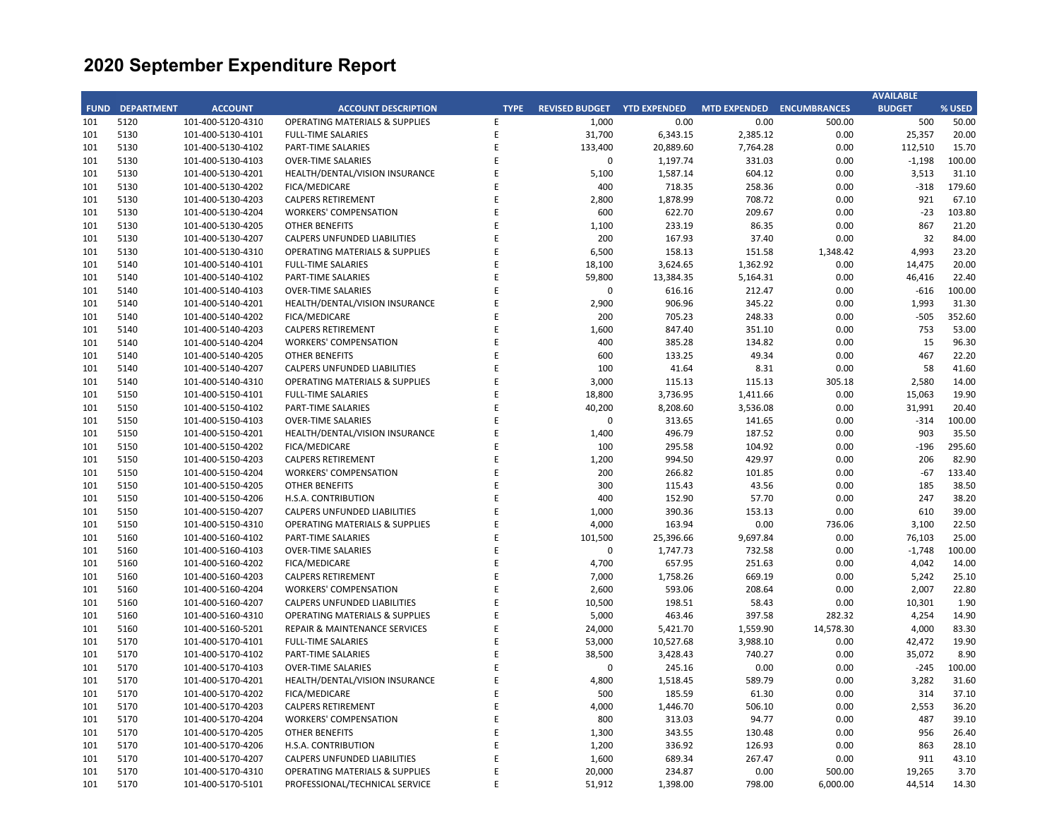|             |                   |                   |                                           |             |                       |                     |                           |           | <b>AVAILABLE</b> |        |
|-------------|-------------------|-------------------|-------------------------------------------|-------------|-----------------------|---------------------|---------------------------|-----------|------------------|--------|
| <b>FUND</b> | <b>DEPARTMENT</b> | <b>ACCOUNT</b>    | <b>ACCOUNT DESCRIPTION</b>                | <b>TYPE</b> | <b>REVISED BUDGET</b> | <b>YTD EXPENDED</b> | MTD EXPENDED ENCUMBRANCES |           | <b>BUDGET</b>    | % USED |
| 101         | 5120              | 101-400-5120-4310 | <b>OPERATING MATERIALS &amp; SUPPLIES</b> | Ε           | 1,000                 | 0.00                | 0.00                      | 500.00    | 500              | 50.00  |
| 101         | 5130              | 101-400-5130-4101 | <b>FULL-TIME SALARIES</b>                 | E           | 31,700                | 6,343.15            | 2,385.12                  | 0.00      | 25,357           | 20.00  |
| 101         | 5130              | 101-400-5130-4102 | PART-TIME SALARIES                        | E           | 133,400               | 20,889.60           | 7,764.28                  | 0.00      | 112,510          | 15.70  |
| 101         | 5130              | 101-400-5130-4103 | <b>OVER-TIME SALARIES</b>                 | E           | $\mathbf 0$           | 1,197.74            | 331.03                    | 0.00      | $-1,198$         | 100.00 |
| 101         | 5130              | 101-400-5130-4201 | HEALTH/DENTAL/VISION INSURANCE            | E           | 5,100                 | 1,587.14            | 604.12                    | 0.00      | 3,513            | 31.10  |
| 101         | 5130              | 101-400-5130-4202 | FICA/MEDICARE                             | E           | 400                   | 718.35              | 258.36                    | 0.00      | $-318$           | 179.60 |
| 101         | 5130              | 101-400-5130-4203 | <b>CALPERS RETIREMENT</b>                 | E           | 2,800                 | 1,878.99            | 708.72                    | 0.00      | 921              | 67.10  |
| 101         | 5130              | 101-400-5130-4204 | <b>WORKERS' COMPENSATION</b>              | E           | 600                   | 622.70              | 209.67                    | 0.00      | $-23$            | 103.80 |
| 101         | 5130              | 101-400-5130-4205 | <b>OTHER BENEFITS</b>                     | E           | 1,100                 | 233.19              | 86.35                     | 0.00      | 867              | 21.20  |
| 101         | 5130              | 101-400-5130-4207 | CALPERS UNFUNDED LIABILITIES              | E           | 200                   | 167.93              | 37.40                     | 0.00      | 32               | 84.00  |
| 101         | 5130              | 101-400-5130-4310 | <b>OPERATING MATERIALS &amp; SUPPLIES</b> | E           | 6,500                 | 158.13              | 151.58                    | 1,348.42  | 4,993            | 23.20  |
| 101         | 5140              | 101-400-5140-4101 | <b>FULL-TIME SALARIES</b>                 | E           | 18,100                | 3,624.65            | 1,362.92                  | 0.00      | 14,475           | 20.00  |
| 101         | 5140              | 101-400-5140-4102 | <b>PART-TIME SALARIES</b>                 | E           | 59,800                | 13,384.35           | 5,164.31                  | 0.00      | 46,416           | 22.40  |
| 101         | 5140              | 101-400-5140-4103 | <b>OVER-TIME SALARIES</b>                 | E           | 0                     | 616.16              | 212.47                    | 0.00      | $-616$           | 100.00 |
| 101         | 5140              | 101-400-5140-4201 | HEALTH/DENTAL/VISION INSURANCE            | E           | 2,900                 | 906.96              | 345.22                    | 0.00      | 1,993            | 31.30  |
| 101         | 5140              | 101-400-5140-4202 | FICA/MEDICARE                             | E           | 200                   | 705.23              | 248.33                    | 0.00      | $-505$           | 352.60 |
| 101         | 5140              | 101-400-5140-4203 | <b>CALPERS RETIREMENT</b>                 | E           | 1,600                 | 847.40              | 351.10                    | 0.00      | 753              | 53.00  |
| 101         | 5140              | 101-400-5140-4204 | <b>WORKERS' COMPENSATION</b>              | E           | 400                   | 385.28              | 134.82                    | 0.00      | 15               | 96.30  |
| 101         | 5140              | 101-400-5140-4205 | <b>OTHER BENEFITS</b>                     | E           | 600                   | 133.25              | 49.34                     | 0.00      | 467              | 22.20  |
| 101         | 5140              | 101-400-5140-4207 | <b>CALPERS UNFUNDED LIABILITIES</b>       | E           | 100                   | 41.64               | 8.31                      | 0.00      | 58               | 41.60  |
| 101         | 5140              | 101-400-5140-4310 | <b>OPERATING MATERIALS &amp; SUPPLIES</b> | E           | 3,000                 | 115.13              | 115.13                    | 305.18    | 2,580            | 14.00  |
| 101         | 5150              | 101-400-5150-4101 | <b>FULL-TIME SALARIES</b>                 | E           | 18,800                | 3,736.95            | 1,411.66                  | 0.00      | 15,063           | 19.90  |
| 101         | 5150              | 101-400-5150-4102 | PART-TIME SALARIES                        | E           | 40,200                | 8,208.60            | 3,536.08                  | 0.00      | 31,991           | 20.40  |
| 101         | 5150              | 101-400-5150-4103 | <b>OVER-TIME SALARIES</b>                 | E           | $\mathbf 0$           | 313.65              | 141.65                    | 0.00      | $-314$           | 100.00 |
|             |                   |                   | HEALTH/DENTAL/VISION INSURANCE            | E           | 1,400                 |                     |                           | 0.00      | 903              | 35.50  |
| 101         | 5150<br>5150      | 101-400-5150-4201 |                                           | E           | 100                   | 496.79<br>295.58    | 187.52                    | 0.00      | $-196$           | 295.60 |
| 101         |                   | 101-400-5150-4202 | FICA/MEDICARE                             | E           |                       |                     | 104.92                    |           |                  | 82.90  |
| 101         | 5150              | 101-400-5150-4203 | <b>CALPERS RETIREMENT</b>                 |             | 1,200                 | 994.50              | 429.97                    | 0.00      | 206              |        |
| 101         | 5150              | 101-400-5150-4204 | <b>WORKERS' COMPENSATION</b>              | E           | 200                   | 266.82              | 101.85                    | 0.00      | $-67$            | 133.40 |
| 101         | 5150              | 101-400-5150-4205 | <b>OTHER BENEFITS</b>                     | E           | 300                   | 115.43              | 43.56                     | 0.00      | 185              | 38.50  |
| 101         | 5150              | 101-400-5150-4206 | H.S.A. CONTRIBUTION                       | E           | 400                   | 152.90              | 57.70                     | 0.00      | 247              | 38.20  |
| 101         | 5150              | 101-400-5150-4207 | <b>CALPERS UNFUNDED LIABILITIES</b>       | E           | 1,000                 | 390.36              | 153.13                    | 0.00      | 610              | 39.00  |
| 101         | 5150              | 101-400-5150-4310 | <b>OPERATING MATERIALS &amp; SUPPLIES</b> | E           | 4,000                 | 163.94              | 0.00                      | 736.06    | 3,100            | 22.50  |
| 101         | 5160              | 101-400-5160-4102 | PART-TIME SALARIES                        | E           | 101,500               | 25,396.66           | 9,697.84                  | 0.00      | 76,103           | 25.00  |
| 101         | 5160              | 101-400-5160-4103 | <b>OVER-TIME SALARIES</b>                 | E           | $\Omega$              | 1,747.73            | 732.58                    | 0.00      | $-1,748$         | 100.00 |
| 101         | 5160              | 101-400-5160-4202 | FICA/MEDICARE                             | E           | 4,700                 | 657.95              | 251.63                    | 0.00      | 4,042            | 14.00  |
| 101         | 5160              | 101-400-5160-4203 | <b>CALPERS RETIREMENT</b>                 | E           | 7,000                 | 1,758.26            | 669.19                    | 0.00      | 5,242            | 25.10  |
| 101         | 5160              | 101-400-5160-4204 | <b>WORKERS' COMPENSATION</b>              | E           | 2,600                 | 593.06              | 208.64                    | 0.00      | 2,007            | 22.80  |
| 101         | 5160              | 101-400-5160-4207 | <b>CALPERS UNFUNDED LIABILITIES</b>       | E           | 10,500                | 198.51              | 58.43                     | 0.00      | 10,301           | 1.90   |
| 101         | 5160              | 101-400-5160-4310 | <b>OPERATING MATERIALS &amp; SUPPLIES</b> | E           | 5,000                 | 463.46              | 397.58                    | 282.32    | 4,254            | 14.90  |
| 101         | 5160              | 101-400-5160-5201 | <b>REPAIR &amp; MAINTENANCE SERVICES</b>  | E           | 24,000                | 5,421.70            | 1,559.90                  | 14,578.30 | 4,000            | 83.30  |
| 101         | 5170              | 101-400-5170-4101 | <b>FULL-TIME SALARIES</b>                 | E           | 53,000                | 10,527.68           | 3,988.10                  | 0.00      | 42,472           | 19.90  |
| 101         | 5170              | 101-400-5170-4102 | PART-TIME SALARIES                        | E           | 38,500                | 3,428.43            | 740.27                    | 0.00      | 35,072           | 8.90   |
| 101         | 5170              | 101-400-5170-4103 | <b>OVER-TIME SALARIES</b>                 | E           | 0                     | 245.16              | 0.00                      | 0.00      | $-245$           | 100.00 |
| 101         | 5170              | 101-400-5170-4201 | HEALTH/DENTAL/VISION INSURANCE            | E           | 4,800                 | 1,518.45            | 589.79                    | 0.00      | 3,282            | 31.60  |
| 101         | 5170              | 101-400-5170-4202 | FICA/MEDICARE                             | E           | 500                   | 185.59              | 61.30                     | 0.00      | 314              | 37.10  |
| 101         | 5170              | 101-400-5170-4203 | <b>CALPERS RETIREMENT</b>                 | E           | 4,000                 | 1,446.70            | 506.10                    | 0.00      | 2,553            | 36.20  |
| 101         | 5170              | 101-400-5170-4204 | <b>WORKERS' COMPENSATION</b>              | E           | 800                   | 313.03              | 94.77                     | 0.00      | 487              | 39.10  |
| 101         | 5170              | 101-400-5170-4205 | <b>OTHER BENEFITS</b>                     | E           | 1,300                 | 343.55              | 130.48                    | 0.00      | 956              | 26.40  |
| 101         | 5170              | 101-400-5170-4206 | H.S.A. CONTRIBUTION                       | E           | 1,200                 | 336.92              | 126.93                    | 0.00      | 863              | 28.10  |
| 101         | 5170              | 101-400-5170-4207 | <b>CALPERS UNFUNDED LIABILITIES</b>       | E           | 1,600                 | 689.34              | 267.47                    | 0.00      | 911              | 43.10  |
| 101         | 5170              | 101-400-5170-4310 | <b>OPERATING MATERIALS &amp; SUPPLIES</b> | E           | 20,000                | 234.87              | 0.00                      | 500.00    | 19,265           | 3.70   |
| 101         | 5170              | 101-400-5170-5101 | PROFESSIONAL/TECHNICAL SERVICE            | F           | 51,912                | 1,398.00            | 798.00                    | 6,000.00  | 44,514           | 14.30  |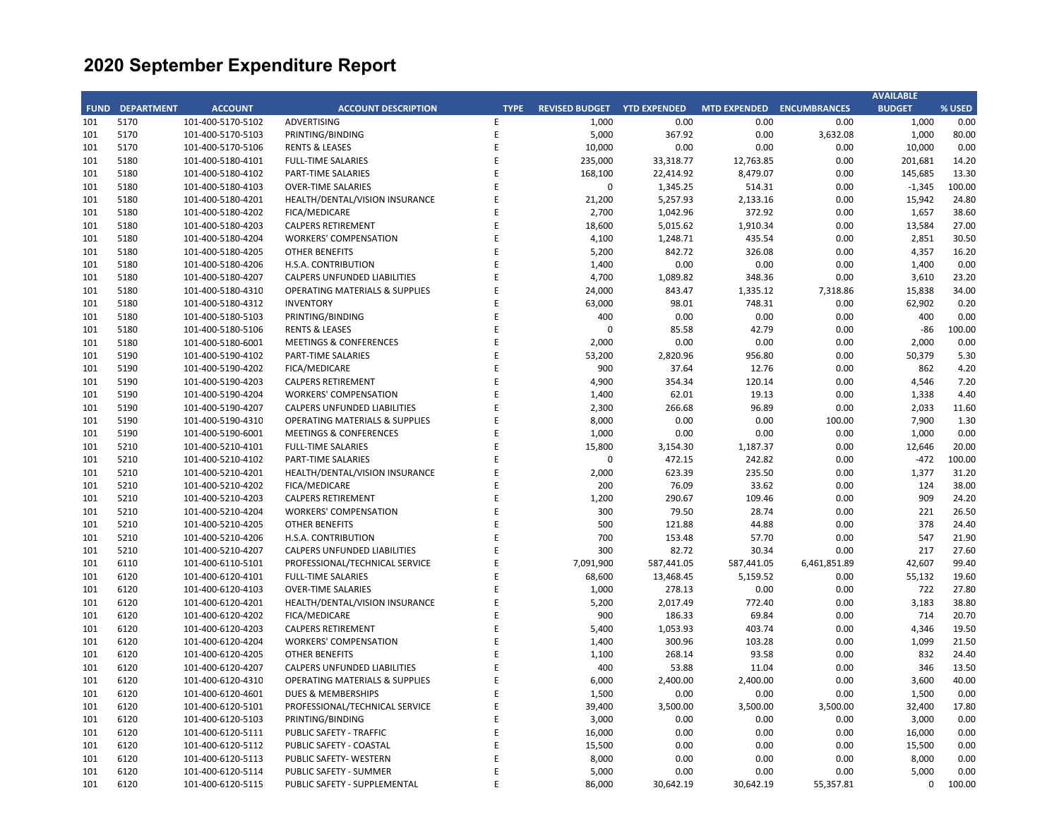|             |                   |                   |                                           |             |                       |                     |                                  |              | <b>AVAILABLE</b> |        |
|-------------|-------------------|-------------------|-------------------------------------------|-------------|-----------------------|---------------------|----------------------------------|--------------|------------------|--------|
| <b>FUND</b> | <b>DEPARTMENT</b> | <b>ACCOUNT</b>    | <b>ACCOUNT DESCRIPTION</b>                | <b>TYPE</b> | <b>REVISED BUDGET</b> | <b>YTD EXPENDED</b> | <b>MTD EXPENDED ENCUMBRANCES</b> |              | <b>BUDGET</b>    | % USED |
| 101         | 5170              | 101-400-5170-5102 | <b>ADVERTISING</b>                        | E           | 1,000                 | 0.00                | 0.00                             | 0.00         | 1,000            | 0.00   |
| 101         | 5170              | 101-400-5170-5103 | PRINTING/BINDING                          | E           | 5,000                 | 367.92              | 0.00                             | 3,632.08     | 1,000            | 80.00  |
| 101         | 5170              | 101-400-5170-5106 | <b>RENTS &amp; LEASES</b>                 | E           | 10,000                | 0.00                | 0.00                             | 0.00         | 10,000           | 0.00   |
| 101         | 5180              | 101-400-5180-4101 | <b>FULL-TIME SALARIES</b>                 | E           | 235,000               | 33,318.77           | 12,763.85                        | 0.00         | 201,681          | 14.20  |
| 101         | 5180              | 101-400-5180-4102 | PART-TIME SALARIES                        | E           | 168,100               | 22,414.92           | 8,479.07                         | 0.00         | 145,685          | 13.30  |
| 101         | 5180              | 101-400-5180-4103 | <b>OVER-TIME SALARIES</b>                 | E           | 0                     | 1,345.25            | 514.31                           | 0.00         | $-1,345$         | 100.00 |
| 101         | 5180              | 101-400-5180-4201 | HEALTH/DENTAL/VISION INSURANCE            | E           | 21,200                | 5,257.93            | 2,133.16                         | 0.00         | 15,942           | 24.80  |
| 101         | 5180              | 101-400-5180-4202 | FICA/MEDICARE                             | E           | 2,700                 | 1,042.96            | 372.92                           | 0.00         | 1,657            | 38.60  |
| 101         | 5180              | 101-400-5180-4203 | <b>CALPERS RETIREMENT</b>                 | E           | 18,600                | 5,015.62            | 1,910.34                         | 0.00         | 13,584           | 27.00  |
| 101         | 5180              | 101-400-5180-4204 | <b>WORKERS' COMPENSATION</b>              | E           | 4,100                 | 1,248.71            | 435.54                           | 0.00         | 2,851            | 30.50  |
| 101         | 5180              | 101-400-5180-4205 | <b>OTHER BENEFITS</b>                     | E           | 5,200                 | 842.72              | 326.08                           | 0.00         | 4,357            | 16.20  |
| 101         | 5180              | 101-400-5180-4206 | H.S.A. CONTRIBUTION                       | E           | 1,400                 | 0.00                | 0.00                             | 0.00         | 1,400            | 0.00   |
| 101         | 5180              | 101-400-5180-4207 | <b>CALPERS UNFUNDED LIABILITIES</b>       | E           | 4,700                 | 1,089.82            | 348.36                           | 0.00         | 3,610            | 23.20  |
| 101         | 5180              | 101-400-5180-4310 | <b>OPERATING MATERIALS &amp; SUPPLIES</b> | E           | 24,000                | 843.47              | 1,335.12                         | 7,318.86     | 15,838           | 34.00  |
| 101         | 5180              | 101-400-5180-4312 | <b>INVENTORY</b>                          | E           | 63,000                | 98.01               | 748.31                           | 0.00         | 62,902           | 0.20   |
| 101         | 5180              | 101-400-5180-5103 | PRINTING/BINDING                          | E           | 400                   | 0.00                | 0.00                             | 0.00         | 400              | 0.00   |
| 101         | 5180              | 101-400-5180-5106 | <b>RENTS &amp; LEASES</b>                 | E           | $\Omega$              | 85.58               | 42.79                            | 0.00         | $-86$            | 100.00 |
| 101         | 5180              | 101-400-5180-6001 | <b>MEETINGS &amp; CONFERENCES</b>         | E           | 2,000                 | 0.00                | 0.00                             | 0.00         | 2,000            | 0.00   |
| 101         | 5190              | 101-400-5190-4102 | PART-TIME SALARIES                        | E           | 53,200                | 2,820.96            | 956.80                           | 0.00         | 50,379           | 5.30   |
| 101         | 5190              | 101-400-5190-4202 | FICA/MEDICARE                             | E           | 900                   | 37.64               | 12.76                            | 0.00         | 862              | 4.20   |
| 101         | 5190              | 101-400-5190-4203 | <b>CALPERS RETIREMENT</b>                 | E           | 4,900                 | 354.34              | 120.14                           | 0.00         | 4,546            | 7.20   |
| 101         | 5190              | 101-400-5190-4204 | <b>WORKERS' COMPENSATION</b>              | E           | 1,400                 | 62.01               | 19.13                            | 0.00         | 1,338            | 4.40   |
| 101         | 5190              | 101-400-5190-4207 | <b>CALPERS UNFUNDED LIABILITIES</b>       | E           | 2,300                 | 266.68              | 96.89                            | 0.00         | 2,033            | 11.60  |
| 101         | 5190              | 101-400-5190-4310 | <b>OPERATING MATERIALS &amp; SUPPLIES</b> | E           | 8,000                 | 0.00                | 0.00                             | 100.00       | 7,900            | 1.30   |
| 101         | 5190              | 101-400-5190-6001 | <b>MEETINGS &amp; CONFERENCES</b>         | E           | 1,000                 | 0.00                | 0.00                             | 0.00         | 1,000            | 0.00   |
| 101         | 5210              | 101-400-5210-4101 | <b>FULL-TIME SALARIES</b>                 | E           | 15,800                | 3,154.30            | 1,187.37                         | 0.00         | 12,646           | 20.00  |
| 101         | 5210              | 101-400-5210-4102 | PART-TIME SALARIES                        | E           | 0                     | 472.15              | 242.82                           | 0.00         | $-472$           | 100.00 |
| 101         | 5210              | 101-400-5210-4201 | HEALTH/DENTAL/VISION INSURANCE            | E           | 2,000                 | 623.39              | 235.50                           | 0.00         | 1,377            | 31.20  |
| 101         | 5210              | 101-400-5210-4202 | FICA/MEDICARE                             | E           | 200                   | 76.09               | 33.62                            | 0.00         | 124              | 38.00  |
| 101         | 5210              | 101-400-5210-4203 | <b>CALPERS RETIREMENT</b>                 | E           | 1,200                 | 290.67              | 109.46                           | 0.00         | 909              | 24.20  |
| 101         | 5210              | 101-400-5210-4204 | <b>WORKERS' COMPENSATION</b>              | E           | 300                   | 79.50               | 28.74                            | 0.00         | 221              | 26.50  |
| 101         | 5210              | 101-400-5210-4205 | <b>OTHER BENEFITS</b>                     | E           | 500                   | 121.88              | 44.88                            | 0.00         | 378              | 24.40  |
| 101         | 5210              | 101-400-5210-4206 | H.S.A. CONTRIBUTION                       | E           | 700                   | 153.48              | 57.70                            | 0.00         | 547              | 21.90  |
| 101         | 5210              | 101-400-5210-4207 | CALPERS UNFUNDED LIABILITIES              | E           | 300                   | 82.72               | 30.34                            | 0.00         | 217              | 27.60  |
| 101         | 6110              | 101-400-6110-5101 | PROFESSIONAL/TECHNICAL SERVICE            | E           | 7,091,900             | 587,441.05          | 587,441.05                       | 6,461,851.89 | 42,607           | 99.40  |
| 101         | 6120              | 101-400-6120-4101 | <b>FULL-TIME SALARIES</b>                 | E           | 68,600                | 13,468.45           | 5,159.52                         | 0.00         | 55,132           | 19.60  |
| 101         | 6120              | 101-400-6120-4103 | <b>OVER-TIME SALARIES</b>                 | E           | 1,000                 | 278.13              | 0.00                             | 0.00         | 722              | 27.80  |
| 101         | 6120              | 101-400-6120-4201 | HEALTH/DENTAL/VISION INSURANCE            | E           | 5,200                 | 2,017.49            | 772.40                           | 0.00         | 3,183            | 38.80  |
| 101         | 6120              | 101-400-6120-4202 | FICA/MEDICARE                             | E           | 900                   | 186.33              | 69.84                            | 0.00         | 714              | 20.70  |
| 101         | 6120              | 101-400-6120-4203 | <b>CALPERS RETIREMENT</b>                 | E           | 5,400                 | 1,053.93            | 403.74                           | 0.00         | 4,346            | 19.50  |
| 101         | 6120              | 101-400-6120-4204 | <b>WORKERS' COMPENSATION</b>              | E           | 1,400                 | 300.96              | 103.28                           | 0.00         | 1,099            | 21.50  |
| 101         | 6120              | 101-400-6120-4205 | <b>OTHER BENEFITS</b>                     | E           | 1,100                 | 268.14              | 93.58                            | 0.00         | 832              | 24.40  |
| 101         | 6120              | 101-400-6120-4207 | <b>CALPERS UNFUNDED LIABILITIES</b>       | E           | 400                   | 53.88               | 11.04                            | 0.00         | 346              | 13.50  |
| 101         | 6120              | 101-400-6120-4310 | <b>OPERATING MATERIALS &amp; SUPPLIES</b> | E           | 6,000                 | 2,400.00            | 2,400.00                         | 0.00         | 3,600            | 40.00  |
| 101         | 6120              | 101-400-6120-4601 | <b>DUES &amp; MEMBERSHIPS</b>             | E           | 1,500                 | 0.00                | 0.00                             | 0.00         | 1,500            | 0.00   |
| 101         | 6120              | 101-400-6120-5101 | PROFESSIONAL/TECHNICAL SERVICE            | E           | 39,400                | 3,500.00            | 3,500.00                         | 3,500.00     | 32,400           | 17.80  |
| 101         | 6120              | 101-400-6120-5103 | PRINTING/BINDING                          | E           | 3,000                 | 0.00                | 0.00                             | 0.00         | 3,000            | 0.00   |
| 101         | 6120              | 101-400-6120-5111 | PUBLIC SAFETY - TRAFFIC                   | E           | 16,000                | 0.00                | 0.00                             | 0.00         | 16,000           | 0.00   |
| 101         | 6120              | 101-400-6120-5112 | PUBLIC SAFETY - COASTAL                   | E           | 15,500                | 0.00                | 0.00                             | 0.00         | 15,500           | 0.00   |
| 101         | 6120              | 101-400-6120-5113 | PUBLIC SAFETY- WESTERN                    | E           | 8,000                 | 0.00                | 0.00                             | 0.00         | 8,000            | 0.00   |
| 101         | 6120              | 101-400-6120-5114 | PUBLIC SAFETY - SUMMER                    | E           | 5,000                 | 0.00                | 0.00                             | 0.00         | 5,000            | 0.00   |
| 101         | 6120              | 101-400-6120-5115 | PUBLIC SAFETY - SUPPLEMENTAL              | F           | 86,000                | 30,642.19           | 30,642.19                        | 55,357.81    | $\mathbf 0$      | 100.00 |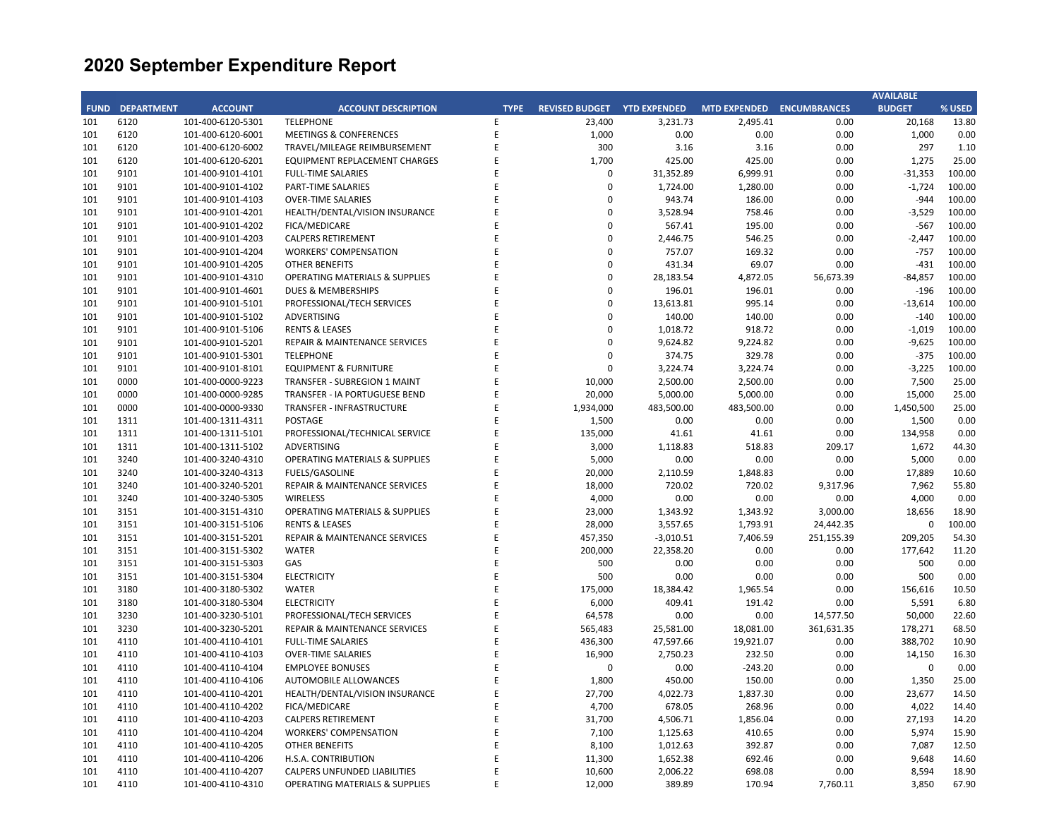| <b>FUND</b><br><b>DEPARTMENT</b><br><b>ACCOUNT</b><br><b>ACCOUNT DESCRIPTION</b><br><b>TYPE</b><br><b>REVISED BUDGET</b><br><b>YTD EXPENDED</b><br><b>MTD EXPENDED</b><br>6120<br>101-400-6120-5301<br><b>TELEPHONE</b><br>3,231.73<br>2,495.41<br>101<br>E<br>23,400<br>6120<br>101-400-6120-6001<br><b>MEETINGS &amp; CONFERENCES</b><br>E<br>1,000<br>0.00<br>0.00<br>101<br>E<br>300<br>101<br>6120<br>101-400-6120-6002<br>TRAVEL/MILEAGE REIMBURSEMENT<br>3.16<br>3.16<br>1,700<br>425.00<br>101<br>6120<br>101-400-6120-6201<br>EQUIPMENT REPLACEMENT CHARGES<br>E<br>425.00 | <b>BUDGET</b><br><b>ENCUMBRANCES</b><br>20,168<br>0.00<br>0.00<br>1,000<br>297<br>0.00<br>1,275<br>0.00<br>0.00<br>$-31,353$<br>0.00<br>$-1,724$ | % USED<br>13.80<br>0.00<br>1.10<br>25.00<br>100.00 |
|-------------------------------------------------------------------------------------------------------------------------------------------------------------------------------------------------------------------------------------------------------------------------------------------------------------------------------------------------------------------------------------------------------------------------------------------------------------------------------------------------------------------------------------------------------------------------------------|--------------------------------------------------------------------------------------------------------------------------------------------------|----------------------------------------------------|
|                                                                                                                                                                                                                                                                                                                                                                                                                                                                                                                                                                                     |                                                                                                                                                  |                                                    |
|                                                                                                                                                                                                                                                                                                                                                                                                                                                                                                                                                                                     |                                                                                                                                                  |                                                    |
|                                                                                                                                                                                                                                                                                                                                                                                                                                                                                                                                                                                     |                                                                                                                                                  |                                                    |
|                                                                                                                                                                                                                                                                                                                                                                                                                                                                                                                                                                                     |                                                                                                                                                  |                                                    |
|                                                                                                                                                                                                                                                                                                                                                                                                                                                                                                                                                                                     |                                                                                                                                                  |                                                    |
| E<br>9101<br>$\Omega$<br>31,352.89<br>6,999.91<br>101<br>101-400-9101-4101<br><b>FULL-TIME SALARIES</b>                                                                                                                                                                                                                                                                                                                                                                                                                                                                             |                                                                                                                                                  |                                                    |
| 9101<br>E<br>0<br>1,724.00<br>101<br>101-400-9101-4102<br>PART-TIME SALARIES<br>1,280.00                                                                                                                                                                                                                                                                                                                                                                                                                                                                                            |                                                                                                                                                  | 100.00                                             |
| E<br>101<br>9101<br>101-400-9101-4103<br><b>OVER-TIME SALARIES</b><br>0<br>943.74<br>186.00                                                                                                                                                                                                                                                                                                                                                                                                                                                                                         | $-944$<br>0.00                                                                                                                                   | 100.00                                             |
| E<br>$\mathbf 0$<br>101<br>9101<br>HEALTH/DENTAL/VISION INSURANCE<br>3,528.94<br>101-400-9101-4201<br>758.46                                                                                                                                                                                                                                                                                                                                                                                                                                                                        | 0.00<br>$-3,529$                                                                                                                                 | 100.00                                             |
| 9101<br>FICA/MEDICARE<br>E<br>$\mathbf 0$<br>567.41<br>195.00<br>101<br>101-400-9101-4202                                                                                                                                                                                                                                                                                                                                                                                                                                                                                           | 0.00<br>$-567$                                                                                                                                   | 100.00                                             |
| $\mathbf 0$<br>E<br>101<br>9101<br>101-400-9101-4203<br><b>CALPERS RETIREMENT</b><br>2,446.75<br>546.25                                                                                                                                                                                                                                                                                                                                                                                                                                                                             | $-2,447$<br>0.00                                                                                                                                 | 100.00                                             |
| 9101<br>101-400-9101-4204<br>E<br>$\mathbf 0$<br>757.07<br>169.32<br>101<br><b>WORKERS' COMPENSATION</b>                                                                                                                                                                                                                                                                                                                                                                                                                                                                            | 0.00<br>$-757$                                                                                                                                   | 100.00                                             |
| $\mathbf 0$<br>E<br>101<br>9101<br>101-400-9101-4205<br><b>OTHER BENEFITS</b><br>431.34<br>69.07                                                                                                                                                                                                                                                                                                                                                                                                                                                                                    | $-431$<br>0.00                                                                                                                                   | 100.00                                             |
| $\mathbf 0$<br>101<br>9101<br>101-400-9101-4310<br><b>OPERATING MATERIALS &amp; SUPPLIES</b><br>E<br>28,183.54<br>4,872.05                                                                                                                                                                                                                                                                                                                                                                                                                                                          | $-84,857$<br>56,673.39                                                                                                                           | 100.00                                             |
| E<br>$\pmb{0}$<br>9101<br>196.01<br>101<br>101-400-9101-4601<br>DUES & MEMBERSHIPS<br>196.01                                                                                                                                                                                                                                                                                                                                                                                                                                                                                        | 0.00<br>$-196$                                                                                                                                   | 100.00                                             |
| 101<br>9101<br>101-400-9101-5101<br>PROFESSIONAL/TECH SERVICES<br>E<br>0<br>13,613.81<br>995.14                                                                                                                                                                                                                                                                                                                                                                                                                                                                                     | 0.00<br>$-13,614$                                                                                                                                | 100.00                                             |
| E<br>$\Omega$<br>101<br>9101<br>101-400-9101-5102<br><b>ADVERTISING</b><br>140.00<br>140.00                                                                                                                                                                                                                                                                                                                                                                                                                                                                                         | 0.00<br>$-140$                                                                                                                                   | 100.00                                             |
| E<br>$\pmb{0}$<br>101<br>9101<br>101-400-9101-5106<br><b>RENTS &amp; LEASES</b><br>1,018.72<br>918.72                                                                                                                                                                                                                                                                                                                                                                                                                                                                               | $-1,019$<br>0.00                                                                                                                                 | 100.00                                             |
| 9101<br>101-400-9101-5201<br>REPAIR & MAINTENANCE SERVICES<br>E<br>$\mathbf 0$<br>9,624.82<br>9,224.82<br>101                                                                                                                                                                                                                                                                                                                                                                                                                                                                       | 0.00<br>$-9,625$                                                                                                                                 | 100.00                                             |
| $\mathbf 0$<br>E<br>374.75<br>329.78<br>101<br>9101<br>101-400-9101-5301<br><b>TELEPHONE</b>                                                                                                                                                                                                                                                                                                                                                                                                                                                                                        | $-375$<br>0.00                                                                                                                                   | 100.00                                             |
| $\pmb{0}$                                                                                                                                                                                                                                                                                                                                                                                                                                                                                                                                                                           |                                                                                                                                                  | 100.00                                             |
| 101<br>9101<br>101-400-9101-8101<br><b>EQUIPMENT &amp; FURNITURE</b><br>E<br>3,224.74<br>3,224.74<br>E                                                                                                                                                                                                                                                                                                                                                                                                                                                                              | $-3,225$<br>0.00                                                                                                                                 |                                                    |
| 0000<br>10,000<br>2,500.00<br>2,500.00<br>101<br>101-400-0000-9223<br><b>TRANSFER - SUBREGION 1 MAINT</b>                                                                                                                                                                                                                                                                                                                                                                                                                                                                           | 7,500<br>0.00                                                                                                                                    | 25.00                                              |
| 0000<br>E<br>20,000<br>5,000.00<br>5,000.00<br>101<br>101-400-0000-9285<br>TRANSFER - IA PORTUGUESE BEND                                                                                                                                                                                                                                                                                                                                                                                                                                                                            | 0.00<br>15,000                                                                                                                                   | 25.00                                              |
| E<br>1,934,000<br>101<br>0000<br>101-400-0000-9330<br>TRANSFER - INFRASTRUCTURE<br>483,500.00<br>483,500.00                                                                                                                                                                                                                                                                                                                                                                                                                                                                         | 0.00<br>1,450,500                                                                                                                                | 25.00                                              |
| 101<br>1311<br>101-400-1311-4311<br>POSTAGE<br>E<br>1,500<br>0.00<br>0.00                                                                                                                                                                                                                                                                                                                                                                                                                                                                                                           | 0.00<br>1,500                                                                                                                                    | 0.00                                               |
| E<br>101<br>1311<br>101-400-1311-5101<br>PROFESSIONAL/TECHNICAL SERVICE<br>135,000<br>41.61<br>41.61                                                                                                                                                                                                                                                                                                                                                                                                                                                                                | 0.00<br>134,958                                                                                                                                  | 0.00                                               |
| E<br>3,000<br>101<br>1311<br>101-400-1311-5102<br>ADVERTISING<br>1,118.83<br>518.83                                                                                                                                                                                                                                                                                                                                                                                                                                                                                                 | 209.17<br>1,672                                                                                                                                  | 44.30                                              |
| 3240<br>101-400-3240-4310<br><b>OPERATING MATERIALS &amp; SUPPLIES</b><br>E<br>5,000<br>0.00<br>0.00<br>101                                                                                                                                                                                                                                                                                                                                                                                                                                                                         | 0.00<br>5,000                                                                                                                                    | 0.00                                               |
| 101<br>3240<br>E<br>20,000<br>101-400-3240-4313<br><b>FUELS/GASOLINE</b><br>2,110.59<br>1,848.83                                                                                                                                                                                                                                                                                                                                                                                                                                                                                    | 0.00<br>17,889                                                                                                                                   | 10.60                                              |
| 101<br>3240<br>101-400-3240-5201<br>REPAIR & MAINTENANCE SERVICES<br>E<br>18,000<br>720.02<br>720.02                                                                                                                                                                                                                                                                                                                                                                                                                                                                                | 9,317.96<br>7,962                                                                                                                                | 55.80                                              |
| E<br>3240<br><b>WIRELESS</b><br>4,000<br>0.00<br>0.00<br>101<br>101-400-3240-5305                                                                                                                                                                                                                                                                                                                                                                                                                                                                                                   | 0.00<br>4,000                                                                                                                                    | 0.00                                               |
| 101<br>3151<br>101-400-3151-4310<br><b>OPERATING MATERIALS &amp; SUPPLIES</b><br>E<br>23,000<br>1,343.92<br>1,343.92                                                                                                                                                                                                                                                                                                                                                                                                                                                                | 3,000.00<br>18,656                                                                                                                               | 18.90                                              |
| 101<br>3151<br>101-400-3151-5106<br><b>RENTS &amp; LEASES</b><br>E<br>28,000<br>3,557.65<br>1,793.91                                                                                                                                                                                                                                                                                                                                                                                                                                                                                | 24,442.35<br>$\mathbf 0$                                                                                                                         | 100.00                                             |
| E<br>457,350<br>7,406.59<br>101<br>3151<br>101-400-3151-5201<br>REPAIR & MAINTENANCE SERVICES<br>$-3,010.51$                                                                                                                                                                                                                                                                                                                                                                                                                                                                        | 251,155.39<br>209,205                                                                                                                            | 54.30                                              |
| 3151<br>101-400-3151-5302<br><b>WATER</b><br>E<br>200,000<br>101<br>22,358.20<br>0.00                                                                                                                                                                                                                                                                                                                                                                                                                                                                                               | 177,642<br>0.00                                                                                                                                  | 11.20                                              |
| GAS<br>E<br>0.00<br>101<br>3151<br>101-400-3151-5303<br>500<br>0.00                                                                                                                                                                                                                                                                                                                                                                                                                                                                                                                 | 500<br>0.00                                                                                                                                      | 0.00                                               |
| 500<br>101<br>3151<br>101-400-3151-5304<br><b>ELECTRICITY</b><br>E<br>0.00<br>0.00                                                                                                                                                                                                                                                                                                                                                                                                                                                                                                  | 0.00<br>500                                                                                                                                      | 0.00                                               |
| 101<br>3180<br>WATER<br>E<br>175,000<br>1,965.54<br>101-400-3180-5302<br>18,384.42                                                                                                                                                                                                                                                                                                                                                                                                                                                                                                  | 0.00<br>156,616                                                                                                                                  | 10.50                                              |
| E<br>6,000<br>191.42<br>101<br>3180<br>101-400-3180-5304<br><b>ELECTRICITY</b><br>409.41                                                                                                                                                                                                                                                                                                                                                                                                                                                                                            | 0.00<br>5,591                                                                                                                                    | 6.80                                               |
| E<br>3230<br>PROFESSIONAL/TECH SERVICES<br>64,578<br>0.00<br>0.00<br>101<br>101-400-3230-5101                                                                                                                                                                                                                                                                                                                                                                                                                                                                                       | 14,577.50<br>50,000                                                                                                                              | 22.60                                              |
| 101<br>3230<br>101-400-3230-5201<br>REPAIR & MAINTENANCE SERVICES<br>E<br>565,483<br>25,581.00<br>18,081.00                                                                                                                                                                                                                                                                                                                                                                                                                                                                         | 361,631.35<br>178,271                                                                                                                            | 68.50                                              |
| E<br>436,300<br>19,921.07<br>101<br>4110<br>101-400-4110-4101<br><b>FULL-TIME SALARIES</b><br>47,597.66                                                                                                                                                                                                                                                                                                                                                                                                                                                                             | 0.00<br>388,702                                                                                                                                  | 10.90                                              |
| E<br>16,900<br>2,750.23<br>101<br>4110<br>101-400-4110-4103<br><b>OVER-TIME SALARIES</b><br>232.50                                                                                                                                                                                                                                                                                                                                                                                                                                                                                  | 14,150<br>0.00                                                                                                                                   | 16.30                                              |
| 4110<br>101-400-4110-4104<br><b>EMPLOYEE BONUSES</b><br>E<br>0<br>0.00<br>$-243.20$<br>101                                                                                                                                                                                                                                                                                                                                                                                                                                                                                          | 0.00<br>$\mathbf 0$                                                                                                                              | 0.00                                               |
| E<br>1,800<br>150.00<br>101<br>4110<br>101-400-4110-4106<br>AUTOMOBILE ALLOWANCES<br>450.00                                                                                                                                                                                                                                                                                                                                                                                                                                                                                         | 1,350<br>0.00                                                                                                                                    | 25.00                                              |
| 27,700<br>101<br>4110<br>101-400-4110-4201<br>HEALTH/DENTAL/VISION INSURANCE<br>E<br>4,022.73<br>1,837.30                                                                                                                                                                                                                                                                                                                                                                                                                                                                           | 0.00<br>23,677                                                                                                                                   | 14.50                                              |
| E<br>4,700<br>4110<br>FICA/MEDICARE<br>678.05<br>268.96<br>101<br>101-400-4110-4202                                                                                                                                                                                                                                                                                                                                                                                                                                                                                                 | 0.00<br>4,022                                                                                                                                    | 14.40                                              |
| 101<br>4110<br>E<br>31,700<br>4,506.71<br>1,856.04<br>101-400-4110-4203<br><b>CALPERS RETIREMENT</b>                                                                                                                                                                                                                                                                                                                                                                                                                                                                                | 0.00<br>27,193                                                                                                                                   | 14.20                                              |
| E<br>7,100<br>101<br>4110<br>101-400-4110-4204<br><b>WORKERS' COMPENSATION</b><br>1,125.63<br>410.65                                                                                                                                                                                                                                                                                                                                                                                                                                                                                | 5,974<br>0.00                                                                                                                                    | 15.90                                              |
| 101<br>4110<br>E<br>8,100<br>1,012.63<br>392.87<br>101-400-4110-4205<br>OTHER BENEFITS                                                                                                                                                                                                                                                                                                                                                                                                                                                                                              | 0.00<br>7,087                                                                                                                                    | 12.50                                              |
| E<br>101<br>4110<br>101-400-4110-4206<br>H.S.A. CONTRIBUTION<br>11,300<br>1,652.38<br>692.46                                                                                                                                                                                                                                                                                                                                                                                                                                                                                        | 0.00<br>9,648                                                                                                                                    | 14.60                                              |
| E<br>10,600<br>2,006.22<br>698.08<br>101<br>4110<br>101-400-4110-4207<br>CALPERS UNFUNDED LIABILITIES                                                                                                                                                                                                                                                                                                                                                                                                                                                                               | 0.00<br>8,594                                                                                                                                    | 18.90                                              |
| 101<br>4110<br>101-400-4110-4310<br><b>OPERATING MATERIALS &amp; SUPPLIES</b><br>F<br>12,000<br>389.89<br>170.94                                                                                                                                                                                                                                                                                                                                                                                                                                                                    | 7,760.11<br>3,850                                                                                                                                | 67.90                                              |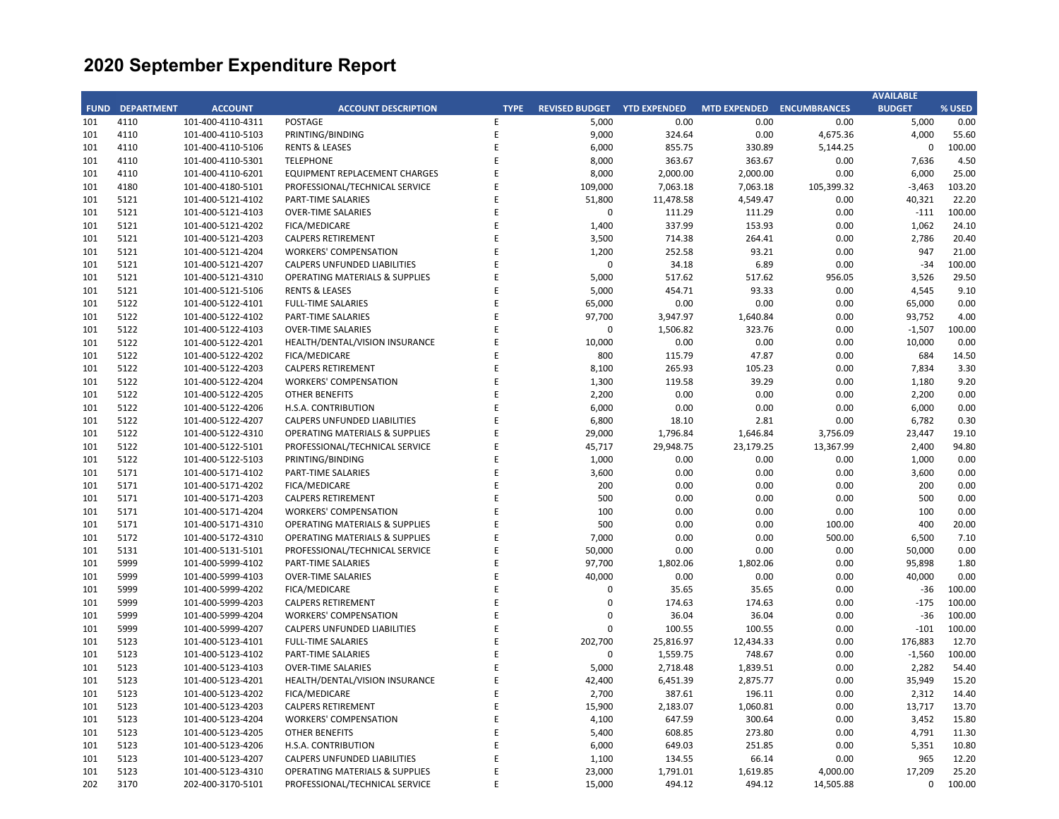|             |                   |                   |                                           |             |                       |                     |                           |            | <b>AVAILABLE</b> |        |
|-------------|-------------------|-------------------|-------------------------------------------|-------------|-----------------------|---------------------|---------------------------|------------|------------------|--------|
| <b>FUND</b> | <b>DEPARTMENT</b> | <b>ACCOUNT</b>    | <b>ACCOUNT DESCRIPTION</b>                | <b>TYPE</b> | <b>REVISED BUDGET</b> | <b>YTD EXPENDED</b> | MTD EXPENDED ENCUMBRANCES |            | <b>BUDGET</b>    | % USED |
| 101         | 4110              | 101-400-4110-4311 | POSTAGE                                   | E           | 5,000                 | 0.00                | 0.00                      | 0.00       | 5,000            | 0.00   |
| 101         | 4110              | 101-400-4110-5103 | PRINTING/BINDING                          | E           | 9,000                 | 324.64              | 0.00                      | 4,675.36   | 4,000            | 55.60  |
| 101         | 4110              | 101-400-4110-5106 | <b>RENTS &amp; LEASES</b>                 | E           | 6,000                 | 855.75              | 330.89                    | 5,144.25   | $\mathbf 0$      | 100.00 |
| 101         | 4110              | 101-400-4110-5301 | <b>TELEPHONE</b>                          | E           | 8,000                 | 363.67              | 363.67                    | 0.00       | 7,636            | 4.50   |
| 101         | 4110              | 101-400-4110-6201 | <b>EQUIPMENT REPLACEMENT CHARGES</b>      | E           | 8,000                 | 2,000.00            | 2,000.00                  | 0.00       | 6,000            | 25.00  |
| 101         | 4180              | 101-400-4180-5101 | PROFESSIONAL/TECHNICAL SERVICE            | E           | 109,000               | 7,063.18            | 7,063.18                  | 105,399.32 | $-3,463$         | 103.20 |
| 101         | 5121              | 101-400-5121-4102 | PART-TIME SALARIES                        | E           | 51,800                | 11,478.58           | 4,549.47                  | 0.00       | 40,321           | 22.20  |
| 101         | 5121              | 101-400-5121-4103 | <b>OVER-TIME SALARIES</b>                 | E           | $\mathbf 0$           | 111.29              | 111.29                    | 0.00       | $-111$           | 100.00 |
| 101         | 5121              | 101-400-5121-4202 | FICA/MEDICARE                             | E           | 1,400                 | 337.99              | 153.93                    | 0.00       | 1,062            | 24.10  |
| 101         | 5121              | 101-400-5121-4203 | <b>CALPERS RETIREMENT</b>                 | E           | 3,500                 | 714.38              | 264.41                    | 0.00       | 2,786            | 20.40  |
| 101         | 5121              | 101-400-5121-4204 | <b>WORKERS' COMPENSATION</b>              | E           | 1,200                 | 252.58              | 93.21                     | 0.00       | 947              | 21.00  |
| 101         | 5121              | 101-400-5121-4207 | <b>CALPERS UNFUNDED LIABILITIES</b>       | E           | 0                     | 34.18               | 6.89                      | 0.00       | $-34$            | 100.00 |
| 101         | 5121              | 101-400-5121-4310 | <b>OPERATING MATERIALS &amp; SUPPLIES</b> | E           | 5,000                 | 517.62              | 517.62                    | 956.05     | 3,526            | 29.50  |
| 101         | 5121              | 101-400-5121-5106 | <b>RENTS &amp; LEASES</b>                 | E           | 5,000                 | 454.71              | 93.33                     | 0.00       | 4,545            | 9.10   |
| 101         | 5122              | 101-400-5122-4101 | <b>FULL-TIME SALARIES</b>                 | E           | 65,000                | 0.00                | 0.00                      | 0.00       | 65,000           | 0.00   |
| 101         | 5122              | 101-400-5122-4102 | <b>PART-TIME SALARIES</b>                 | E           | 97,700                | 3,947.97            | 1,640.84                  | 0.00       | 93,752           | 4.00   |
| 101         | 5122              | 101-400-5122-4103 | <b>OVER-TIME SALARIES</b>                 | E           | $\mathbf 0$           | 1,506.82            | 323.76                    | 0.00       | $-1,507$         | 100.00 |
| 101         | 5122              | 101-400-5122-4201 | HEALTH/DENTAL/VISION INSURANCE            | E           | 10,000                | 0.00                | 0.00                      | 0.00       | 10,000           | 0.00   |
| 101         | 5122              | 101-400-5122-4202 | FICA/MEDICARE                             | E           | 800                   | 115.79              | 47.87                     | 0.00       | 684              | 14.50  |
| 101         | 5122              | 101-400-5122-4203 | <b>CALPERS RETIREMENT</b>                 | E           | 8,100                 | 265.93              | 105.23                    | 0.00       | 7,834            | 3.30   |
| 101         | 5122              | 101-400-5122-4204 | <b>WORKERS' COMPENSATION</b>              | E           |                       | 119.58              | 39.29                     | 0.00       | 1,180            | 9.20   |
|             | 5122              |                   |                                           | E           | 1,300                 | 0.00                | 0.00                      |            |                  | 0.00   |
| 101         |                   | 101-400-5122-4205 | <b>OTHER BENEFITS</b>                     |             | 2,200                 |                     |                           | 0.00       | 2,200            |        |
| 101         | 5122              | 101-400-5122-4206 | H.S.A. CONTRIBUTION                       | E<br>E      | 6,000                 | 0.00                | 0.00                      | 0.00       | 6,000            | 0.00   |
| 101         | 5122              | 101-400-5122-4207 | <b>CALPERS UNFUNDED LIABILITIES</b>       |             | 6,800                 | 18.10               | 2.81                      | 0.00       | 6,782            | 0.30   |
| 101         | 5122              | 101-400-5122-4310 | <b>OPERATING MATERIALS &amp; SUPPLIES</b> | E           | 29,000                | 1,796.84            | 1,646.84                  | 3,756.09   | 23,447           | 19.10  |
| 101         | 5122              | 101-400-5122-5101 | PROFESSIONAL/TECHNICAL SERVICE            | E           | 45,717                | 29,948.75           | 23,179.25                 | 13,367.99  | 2,400            | 94.80  |
| 101         | 5122              | 101-400-5122-5103 | PRINTING/BINDING                          | E           | 1,000                 | 0.00                | 0.00                      | 0.00       | 1,000            | 0.00   |
| 101         | 5171              | 101-400-5171-4102 | PART-TIME SALARIES                        | E           | 3,600                 | 0.00                | 0.00                      | 0.00       | 3,600            | 0.00   |
| 101         | 5171              | 101-400-5171-4202 | FICA/MEDICARE                             | E           | 200                   | 0.00                | 0.00                      | 0.00       | 200              | 0.00   |
| 101         | 5171              | 101-400-5171-4203 | <b>CALPERS RETIREMENT</b>                 | E           | 500                   | 0.00                | 0.00                      | 0.00       | 500              | 0.00   |
| 101         | 5171              | 101-400-5171-4204 | <b>WORKERS' COMPENSATION</b>              | E           | 100                   | 0.00                | 0.00                      | 0.00       | 100              | 0.00   |
| 101         | 5171              | 101-400-5171-4310 | <b>OPERATING MATERIALS &amp; SUPPLIES</b> | E           | 500                   | 0.00                | 0.00                      | 100.00     | 400              | 20.00  |
| 101         | 5172              | 101-400-5172-4310 | <b>OPERATING MATERIALS &amp; SUPPLIES</b> | E           | 7,000                 | 0.00                | 0.00                      | 500.00     | 6,500            | 7.10   |
| 101         | 5131              | 101-400-5131-5101 | PROFESSIONAL/TECHNICAL SERVICE            | E           | 50,000                | 0.00                | 0.00                      | 0.00       | 50,000           | 0.00   |
| 101         | 5999              | 101-400-5999-4102 | PART-TIME SALARIES                        | E           | 97,700                | 1,802.06            | 1,802.06                  | 0.00       | 95,898           | 1.80   |
| 101         | 5999              | 101-400-5999-4103 | <b>OVER-TIME SALARIES</b>                 | E           | 40,000                | 0.00                | 0.00                      | 0.00       | 40,000           | 0.00   |
| 101         | 5999              | 101-400-5999-4202 | FICA/MEDICARE                             | E           | 0                     | 35.65               | 35.65                     | 0.00       | $-36$            | 100.00 |
| 101         | 5999              | 101-400-5999-4203 | <b>CALPERS RETIREMENT</b>                 | E           | 0                     | 174.63              | 174.63                    | 0.00       | $-175$           | 100.00 |
| 101         | 5999              | 101-400-5999-4204 | <b>WORKERS' COMPENSATION</b>              | E           | 0                     | 36.04               | 36.04                     | 0.00       | $-36$            | 100.00 |
| 101         | 5999              | 101-400-5999-4207 | <b>CALPERS UNFUNDED LIABILITIES</b>       | E           | 0                     | 100.55              | 100.55                    | 0.00       | $-101$           | 100.00 |
| 101         | 5123              | 101-400-5123-4101 | <b>FULL-TIME SALARIES</b>                 | E           | 202,700               | 25,816.97           | 12,434.33                 | 0.00       | 176,883          | 12.70  |
| 101         | 5123              | 101-400-5123-4102 | PART-TIME SALARIES                        | E           | 0                     | 1,559.75            | 748.67                    | 0.00       | $-1,560$         | 100.00 |
| 101         | 5123              | 101-400-5123-4103 | <b>OVER-TIME SALARIES</b>                 | E           | 5,000                 | 2,718.48            | 1,839.51                  | 0.00       | 2,282            | 54.40  |
| 101         | 5123              | 101-400-5123-4201 | HEALTH/DENTAL/VISION INSURANCE            | E           | 42,400                | 6,451.39            | 2,875.77                  | 0.00       | 35,949           | 15.20  |
| 101         | 5123              | 101-400-5123-4202 | FICA/MEDICARE                             | E           | 2,700                 | 387.61              | 196.11                    | 0.00       | 2,312            | 14.40  |
| 101         | 5123              | 101-400-5123-4203 | <b>CALPERS RETIREMENT</b>                 | E           | 15,900                | 2,183.07            | 1,060.81                  | 0.00       | 13,717           | 13.70  |
| 101         | 5123              | 101-400-5123-4204 | <b>WORKERS' COMPENSATION</b>              | E           | 4,100                 | 647.59              | 300.64                    | 0.00       | 3,452            | 15.80  |
| 101         | 5123              | 101-400-5123-4205 | <b>OTHER BENEFITS</b>                     | E           | 5,400                 | 608.85              | 273.80                    | 0.00       | 4,791            | 11.30  |
| 101         | 5123              | 101-400-5123-4206 | H.S.A. CONTRIBUTION                       | E           | 6,000                 | 649.03              | 251.85                    | 0.00       | 5,351            | 10.80  |
| 101         | 5123              | 101-400-5123-4207 | <b>CALPERS UNFUNDED LIABILITIES</b>       | E           | 1,100                 | 134.55              | 66.14                     | 0.00       | 965              | 12.20  |
| 101         | 5123              | 101-400-5123-4310 | <b>OPERATING MATERIALS &amp; SUPPLIES</b> | E           | 23,000                | 1,791.01            | 1,619.85                  | 4,000.00   | 17,209           | 25.20  |
| 202         | 3170              | 202-400-3170-5101 | PROFESSIONAL/TECHNICAL SERVICE            | F           | 15,000                | 494.12              | 494.12                    | 14,505.88  | $\Omega$         | 100.00 |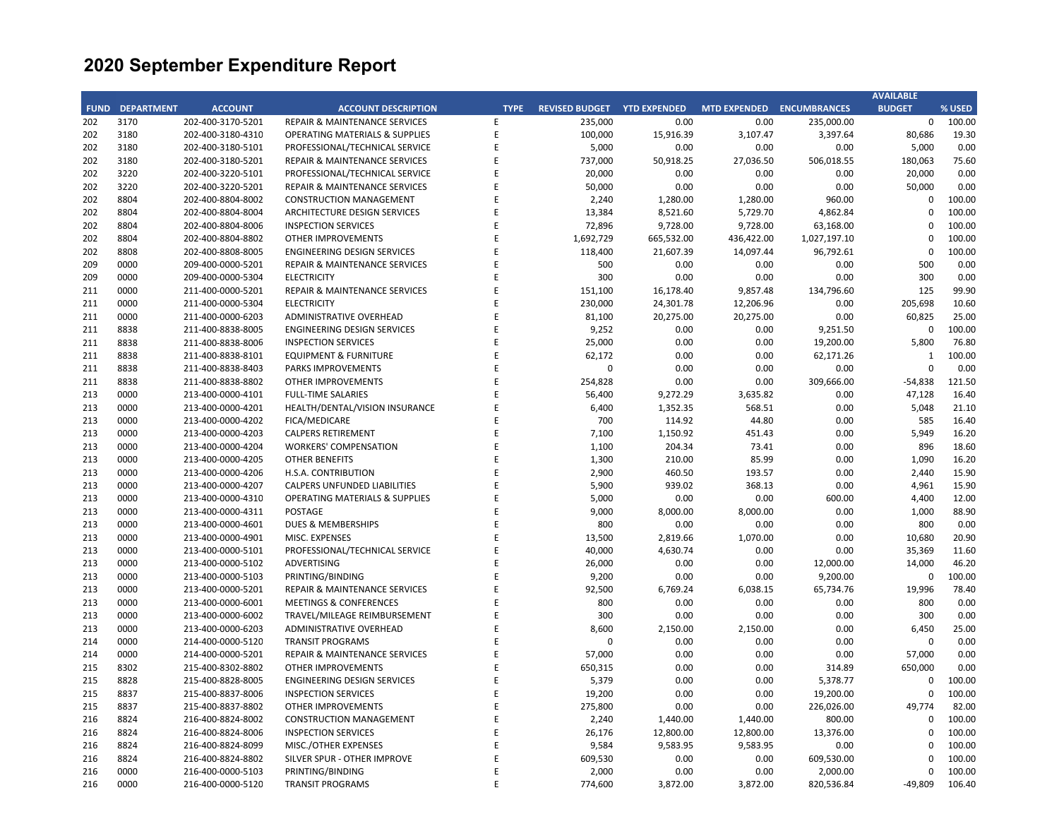|             |                   |                   |                                           |             |                                    |            |                     |                     | <b>AVAILABLE</b> |        |
|-------------|-------------------|-------------------|-------------------------------------------|-------------|------------------------------------|------------|---------------------|---------------------|------------------|--------|
| <b>FUND</b> | <b>DEPARTMENT</b> | <b>ACCOUNT</b>    | <b>ACCOUNT DESCRIPTION</b>                | <b>TYPE</b> | <b>REVISED BUDGET YTD EXPENDED</b> |            | <b>MTD EXPENDED</b> | <b>ENCUMBRANCES</b> | <b>BUDGET</b>    | % USED |
| 202         | 3170              | 202-400-3170-5201 | REPAIR & MAINTENANCE SERVICES             | E           | 235,000                            | 0.00       | 0.00                | 235,000.00          | $\mathbf 0$      | 100.00 |
| 202         | 3180              | 202-400-3180-4310 | <b>OPERATING MATERIALS &amp; SUPPLIES</b> | E           | 100,000                            | 15,916.39  | 3,107.47            | 3,397.64            | 80,686           | 19.30  |
| 202         | 3180              | 202-400-3180-5101 | PROFESSIONAL/TECHNICAL SERVICE            | E           | 5,000                              | 0.00       | 0.00                | 0.00                | 5,000            | 0.00   |
| 202         | 3180              | 202-400-3180-5201 | REPAIR & MAINTENANCE SERVICES             | E           | 737,000                            | 50,918.25  | 27,036.50           | 506,018.55          | 180,063          | 75.60  |
| 202         | 3220              | 202-400-3220-5101 | PROFESSIONAL/TECHNICAL SERVICE            | E           | 20,000                             | 0.00       | 0.00                | 0.00                | 20,000           | 0.00   |
| 202         | 3220              | 202-400-3220-5201 | REPAIR & MAINTENANCE SERVICES             | E           | 50,000                             | 0.00       | 0.00                | 0.00                | 50,000           | 0.00   |
| 202         | 8804              | 202-400-8804-8002 | <b>CONSTRUCTION MANAGEMENT</b>            | E           | 2,240                              | 1,280.00   | 1,280.00            | 960.00              | $\Omega$         | 100.00 |
| 202         | 8804              | 202-400-8804-8004 | ARCHITECTURE DESIGN SERVICES              | E           | 13,384                             | 8,521.60   | 5,729.70            | 4,862.84            | $\mathbf 0$      | 100.00 |
| 202         | 8804              | 202-400-8804-8006 | <b>INSPECTION SERVICES</b>                | E           | 72,896                             | 9,728.00   | 9,728.00            | 63,168.00           | $\Omega$         | 100.00 |
| 202         | 8804              | 202-400-8804-8802 | <b>OTHER IMPROVEMENTS</b>                 | E           | 1,692,729                          | 665,532.00 | 436,422.00          | 1,027,197.10        | $\mathbf 0$      | 100.00 |
| 202         | 8808              | 202-400-8808-8005 | ENGINEERING DESIGN SERVICES               | E           | 118,400                            | 21,607.39  | 14,097.44           | 96,792.61           | 0                | 100.00 |
| 209         | 0000              | 209-400-0000-5201 | <b>REPAIR &amp; MAINTENANCE SERVICES</b>  | E           | 500                                | 0.00       | 0.00                | 0.00                | 500              | 0.00   |
| 209         | 0000              | 209-400-0000-5304 | <b>ELECTRICITY</b>                        | E           | 300                                | 0.00       | 0.00                | 0.00                | 300              | 0.00   |
| 211         | 0000              | 211-400-0000-5201 | REPAIR & MAINTENANCE SERVICES             | E           | 151,100                            | 16,178.40  | 9,857.48            | 134,796.60          | 125              | 99.90  |
| 211         | 0000              | 211-400-0000-5304 | <b>ELECTRICITY</b>                        | E           | 230,000                            | 24,301.78  | 12,206.96           | 0.00                | 205,698          | 10.60  |
| 211         | 0000              | 211-400-0000-6203 | ADMINISTRATIVE OVERHEAD                   | E           | 81,100                             | 20,275.00  | 20,275.00           | 0.00                | 60,825           | 25.00  |
| 211         | 8838              | 211-400-8838-8005 | <b>ENGINEERING DESIGN SERVICES</b>        | E           | 9,252                              | 0.00       | 0.00                | 9,251.50            | $\mathbf 0$      | 100.00 |
| 211         | 8838              | 211-400-8838-8006 | <b>INSPECTION SERVICES</b>                | E           | 25,000                             | 0.00       | 0.00                | 19,200.00           | 5,800            | 76.80  |
| 211         | 8838              | 211-400-8838-8101 | <b>EQUIPMENT &amp; FURNITURE</b>          | E           | 62,172                             | 0.00       | 0.00                | 62,171.26           | $\mathbf{1}$     | 100.00 |
| 211         | 8838              | 211-400-8838-8403 | <b>PARKS IMPROVEMENTS</b>                 | E           | $\mathbf 0$                        | 0.00       | 0.00                | 0.00                | $\mathbf 0$      | 0.00   |
| 211         | 8838              | 211-400-8838-8802 | <b>OTHER IMPROVEMENTS</b>                 | E           | 254,828                            | 0.00       | 0.00                |                     |                  | 121.50 |
| 213         |                   |                   |                                           | E           |                                    |            |                     | 309,666.00          | $-54,838$        |        |
|             | 0000              | 213-400-0000-4101 | <b>FULL-TIME SALARIES</b>                 |             | 56,400                             | 9,272.29   | 3,635.82            | 0.00                | 47,128           | 16.40  |
| 213<br>213  | 0000              | 213-400-0000-4201 | HEALTH/DENTAL/VISION INSURANCE            | E<br>E      | 6,400                              | 1,352.35   | 568.51              | 0.00                | 5,048            | 21.10  |
|             | 0000              | 213-400-0000-4202 | <b>FICA/MEDICARE</b>                      |             | 700                                | 114.92     | 44.80               | 0.00                | 585              | 16.40  |
| 213         | 0000              | 213-400-0000-4203 | <b>CALPERS RETIREMENT</b>                 | E           | 7,100                              | 1,150.92   | 451.43              | 0.00                | 5,949            | 16.20  |
| 213         | 0000              | 213-400-0000-4204 | <b>WORKERS' COMPENSATION</b>              | E           | 1,100                              | 204.34     | 73.41               | 0.00                | 896              | 18.60  |
| 213         | 0000              | 213-400-0000-4205 | <b>OTHER BENEFITS</b>                     | E           | 1,300                              | 210.00     | 85.99               | 0.00                | 1,090            | 16.20  |
| 213         | 0000              | 213-400-0000-4206 | H.S.A. CONTRIBUTION                       | E           | 2,900                              | 460.50     | 193.57              | 0.00                | 2,440            | 15.90  |
| 213         | 0000              | 213-400-0000-4207 | <b>CALPERS UNFUNDED LIABILITIES</b>       | E           | 5,900                              | 939.02     | 368.13              | 0.00                | 4,961            | 15.90  |
| 213         | 0000              | 213-400-0000-4310 | <b>OPERATING MATERIALS &amp; SUPPLIES</b> | E           | 5,000                              | 0.00       | 0.00                | 600.00              | 4,400            | 12.00  |
| 213         | 0000              | 213-400-0000-4311 | POSTAGE                                   | E           | 9,000                              | 8,000.00   | 8,000.00            | 0.00                | 1,000            | 88.90  |
| 213         | 0000              | 213-400-0000-4601 | <b>DUES &amp; MEMBERSHIPS</b>             | E           | 800                                | 0.00       | 0.00                | 0.00                | 800              | 0.00   |
| 213         | 0000              | 213-400-0000-4901 | MISC. EXPENSES                            | E           | 13,500                             | 2,819.66   | 1,070.00            | 0.00                | 10,680           | 20.90  |
| 213         | 0000              | 213-400-0000-5101 | PROFESSIONAL/TECHNICAL SERVICE            | E           | 40,000                             | 4,630.74   | 0.00                | 0.00                | 35,369           | 11.60  |
| 213         | 0000              | 213-400-0000-5102 | ADVERTISING                               | E           | 26,000                             | 0.00       | 0.00                | 12,000.00           | 14,000           | 46.20  |
| 213         | 0000              | 213-400-0000-5103 | PRINTING/BINDING                          | E           | 9,200                              | 0.00       | 0.00                | 9,200.00            | $\mathbf 0$      | 100.00 |
| 213         | 0000              | 213-400-0000-5201 | REPAIR & MAINTENANCE SERVICES             | E           | 92,500                             | 6,769.24   | 6,038.15            | 65,734.76           | 19,996           | 78.40  |
| 213         | 0000              | 213-400-0000-6001 | <b>MEETINGS &amp; CONFERENCES</b>         | E           | 800                                | 0.00       | 0.00                | 0.00                | 800              | 0.00   |
| 213         | 0000              | 213-400-0000-6002 | TRAVEL/MILEAGE REIMBURSEMENT              | E           | 300                                | 0.00       | 0.00                | 0.00                | 300              | 0.00   |
| 213         | 0000              | 213-400-0000-6203 | ADMINISTRATIVE OVERHEAD                   | E           | 8,600                              | 2,150.00   | 2,150.00            | 0.00                | 6,450            | 25.00  |
| 214         | 0000              | 214-400-0000-5120 | <b>TRANSIT PROGRAMS</b>                   | E           | $\Omega$                           | 0.00       | 0.00                | 0.00                | $\mathbf 0$      | 0.00   |
| 214         | 0000              | 214-400-0000-5201 | REPAIR & MAINTENANCE SERVICES             | E           | 57,000                             | 0.00       | 0.00                | 0.00                | 57,000           | 0.00   |
| 215         | 8302              | 215-400-8302-8802 | <b>OTHER IMPROVEMENTS</b>                 | E           | 650,315                            | 0.00       | 0.00                | 314.89              | 650,000          | 0.00   |
| 215         | 8828              | 215-400-8828-8005 | <b>ENGINEERING DESIGN SERVICES</b>        | E           | 5,379                              | 0.00       | 0.00                | 5,378.77            | $\mathbf 0$      | 100.00 |
| 215         | 8837              | 215-400-8837-8006 | <b>INSPECTION SERVICES</b>                | E           | 19,200                             | 0.00       | 0.00                | 19,200.00           | $\mathbf 0$      | 100.00 |
| 215         | 8837              | 215-400-8837-8802 | <b>OTHER IMPROVEMENTS</b>                 | E           | 275,800                            | 0.00       | 0.00                | 226,026.00          | 49,774           | 82.00  |
| 216         | 8824              | 216-400-8824-8002 | <b>CONSTRUCTION MANAGEMENT</b>            | E           | 2,240                              | 1,440.00   | 1,440.00            | 800.00              | $\mathbf 0$      | 100.00 |
| 216         | 8824              | 216-400-8824-8006 | <b>INSPECTION SERVICES</b>                | E           | 26,176                             | 12,800.00  | 12,800.00           | 13,376.00           | $\mathbf 0$      | 100.00 |
| 216         | 8824              | 216-400-8824-8099 | MISC./OTHER EXPENSES                      | E           | 9,584                              | 9,583.95   | 9,583.95            | 0.00                | $\mathbf 0$      | 100.00 |
| 216         | 8824              | 216-400-8824-8802 | SILVER SPUR - OTHER IMPROVE               | F           | 609,530                            | 0.00       | 0.00                | 609,530.00          | $\Omega$         | 100.00 |
| 216         | 0000              | 216-400-0000-5103 | PRINTING/BINDING                          | E           | 2,000                              | 0.00       | 0.00                | 2,000.00            | $\mathbf 0$      | 100.00 |
| 216         | 0000              | 216-400-0000-5120 | <b>TRANSIT PROGRAMS</b>                   | F           | 774,600                            | 3,872.00   | 3,872.00            | 820,536.84          | $-49,809$        | 106.40 |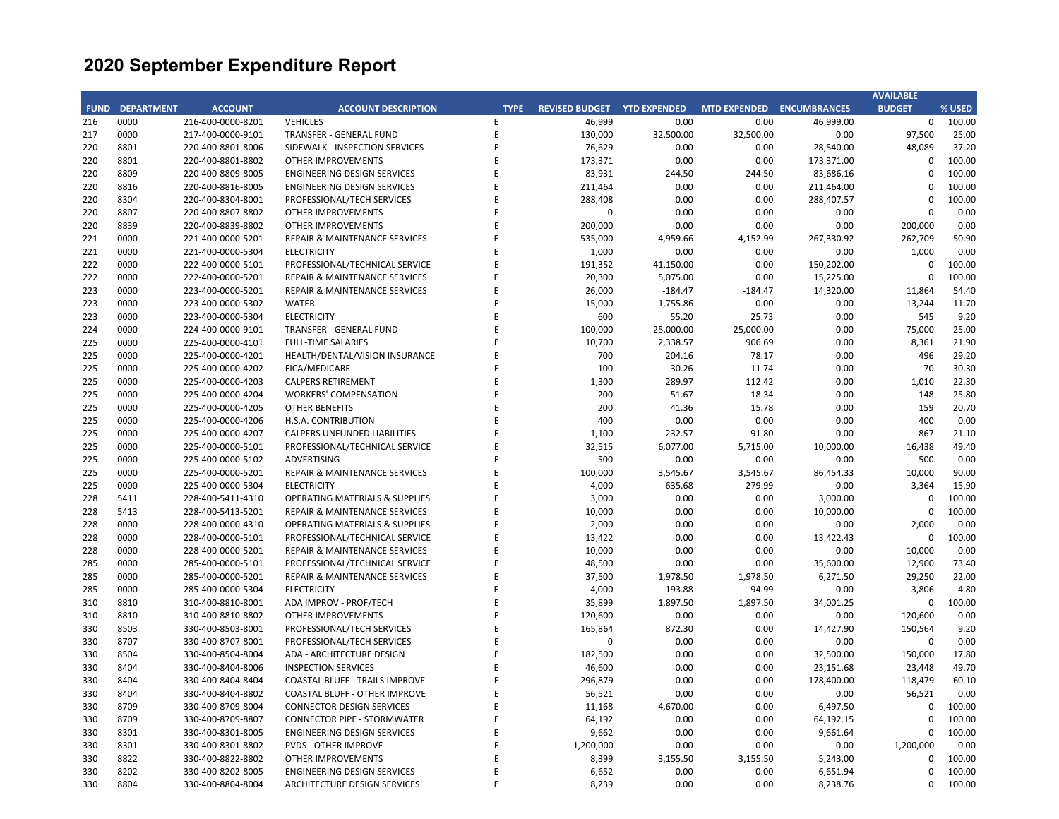| <b>FUND</b><br><b>DEPARTMENT</b><br><b>ACCOUNT</b><br><b>ACCOUNT DESCRIPTION</b><br><b>TYPE</b><br><b>REVISED BUDGET</b><br><b>YTD EXPENDED</b><br>MTD EXPENDED ENCUMBRANCES<br>216<br>0000<br>216-400-0000-8201<br><b>VEHICLES</b><br>E<br>46,999<br>0.00<br>0.00<br>46,999.00<br>E<br>0000<br>217<br>217-400-0000-9101<br><b>TRANSFER - GENERAL FUND</b><br>130,000<br>32,500.00<br>32,500.00<br>0.00<br>220<br>8801<br>SIDEWALK - INSPECTION SERVICES<br>E<br>76,629<br>0.00<br>0.00<br>220-400-8801-8006<br>28,540.00<br>220<br>8801<br>220-400-8801-8802<br><b>OTHER IMPROVEMENTS</b><br>E<br>173,371<br>0.00<br>0.00<br>173,371.00<br>220<br>8809<br>E<br>83,931<br>244.50<br>244.50<br>83,686.16<br>220-400-8809-8005<br><b>ENGINEERING DESIGN SERVICES</b><br>E<br>0.00<br>220<br>8816<br>220-400-8816-8005<br><b>ENGINEERING DESIGN SERVICES</b><br>211,464<br>0.00<br>211,464.00<br>E<br>8304<br>PROFESSIONAL/TECH SERVICES<br>288,408<br>0.00<br>0.00<br>288,407.57<br>220<br>220-400-8304-8001<br>220<br>8807<br>220-400-8807-8802<br><b>OTHER IMPROVEMENTS</b><br>E<br>0<br>0.00<br>0.00<br>0.00<br>E<br>220<br>8839<br>220-400-8839-8802<br><b>OTHER IMPROVEMENTS</b><br>200,000<br>0.00<br>0.00<br>0.00<br>0000<br>E<br>535,000<br>221<br>221-400-0000-5201<br><b>REPAIR &amp; MAINTENANCE SERVICES</b><br>4,959.66<br>4,152.99<br>267,330.92 | <b>BUDGET</b><br>$\mathbf{0}$<br>97,500<br>48,089<br>$\Omega$<br>$\mathbf 0$<br>$\mathbf 0$<br>$\mathbf 0$<br>$\mathbf 0$<br>200,000<br>262,709<br>1,000<br>0<br>$\mathbf 0$<br>11,864<br>13,244 | % USED<br>100.00<br>25.00<br>37.20<br>100.00<br>100.00<br>100.00<br>100.00<br>0.00<br>0.00<br>50.90<br>0.00<br>100.00<br>100.00<br>54.40 |
|--------------------------------------------------------------------------------------------------------------------------------------------------------------------------------------------------------------------------------------------------------------------------------------------------------------------------------------------------------------------------------------------------------------------------------------------------------------------------------------------------------------------------------------------------------------------------------------------------------------------------------------------------------------------------------------------------------------------------------------------------------------------------------------------------------------------------------------------------------------------------------------------------------------------------------------------------------------------------------------------------------------------------------------------------------------------------------------------------------------------------------------------------------------------------------------------------------------------------------------------------------------------------------------------------------------------------------------------------------------|--------------------------------------------------------------------------------------------------------------------------------------------------------------------------------------------------|------------------------------------------------------------------------------------------------------------------------------------------|
|                                                                                                                                                                                                                                                                                                                                                                                                                                                                                                                                                                                                                                                                                                                                                                                                                                                                                                                                                                                                                                                                                                                                                                                                                                                                                                                                                              |                                                                                                                                                                                                  |                                                                                                                                          |
|                                                                                                                                                                                                                                                                                                                                                                                                                                                                                                                                                                                                                                                                                                                                                                                                                                                                                                                                                                                                                                                                                                                                                                                                                                                                                                                                                              |                                                                                                                                                                                                  |                                                                                                                                          |
|                                                                                                                                                                                                                                                                                                                                                                                                                                                                                                                                                                                                                                                                                                                                                                                                                                                                                                                                                                                                                                                                                                                                                                                                                                                                                                                                                              |                                                                                                                                                                                                  |                                                                                                                                          |
|                                                                                                                                                                                                                                                                                                                                                                                                                                                                                                                                                                                                                                                                                                                                                                                                                                                                                                                                                                                                                                                                                                                                                                                                                                                                                                                                                              |                                                                                                                                                                                                  |                                                                                                                                          |
|                                                                                                                                                                                                                                                                                                                                                                                                                                                                                                                                                                                                                                                                                                                                                                                                                                                                                                                                                                                                                                                                                                                                                                                                                                                                                                                                                              |                                                                                                                                                                                                  |                                                                                                                                          |
|                                                                                                                                                                                                                                                                                                                                                                                                                                                                                                                                                                                                                                                                                                                                                                                                                                                                                                                                                                                                                                                                                                                                                                                                                                                                                                                                                              |                                                                                                                                                                                                  |                                                                                                                                          |
|                                                                                                                                                                                                                                                                                                                                                                                                                                                                                                                                                                                                                                                                                                                                                                                                                                                                                                                                                                                                                                                                                                                                                                                                                                                                                                                                                              |                                                                                                                                                                                                  |                                                                                                                                          |
|                                                                                                                                                                                                                                                                                                                                                                                                                                                                                                                                                                                                                                                                                                                                                                                                                                                                                                                                                                                                                                                                                                                                                                                                                                                                                                                                                              |                                                                                                                                                                                                  |                                                                                                                                          |
|                                                                                                                                                                                                                                                                                                                                                                                                                                                                                                                                                                                                                                                                                                                                                                                                                                                                                                                                                                                                                                                                                                                                                                                                                                                                                                                                                              |                                                                                                                                                                                                  |                                                                                                                                          |
|                                                                                                                                                                                                                                                                                                                                                                                                                                                                                                                                                                                                                                                                                                                                                                                                                                                                                                                                                                                                                                                                                                                                                                                                                                                                                                                                                              |                                                                                                                                                                                                  |                                                                                                                                          |
|                                                                                                                                                                                                                                                                                                                                                                                                                                                                                                                                                                                                                                                                                                                                                                                                                                                                                                                                                                                                                                                                                                                                                                                                                                                                                                                                                              |                                                                                                                                                                                                  |                                                                                                                                          |
| E<br>221<br>0000<br>221-400-0000-5304<br><b>ELECTRICITY</b><br>1,000<br>0.00<br>0.00<br>0.00                                                                                                                                                                                                                                                                                                                                                                                                                                                                                                                                                                                                                                                                                                                                                                                                                                                                                                                                                                                                                                                                                                                                                                                                                                                                 |                                                                                                                                                                                                  |                                                                                                                                          |
| 222<br>0000<br>PROFESSIONAL/TECHNICAL SERVICE<br>F<br>150,202.00<br>222-400-0000-5101<br>191,352<br>41,150.00<br>0.00                                                                                                                                                                                                                                                                                                                                                                                                                                                                                                                                                                                                                                                                                                                                                                                                                                                                                                                                                                                                                                                                                                                                                                                                                                        |                                                                                                                                                                                                  |                                                                                                                                          |
| 222<br>0000<br>222-400-0000-5201<br>REPAIR & MAINTENANCE SERVICES<br>E<br>20,300<br>5,075.00<br>0.00<br>15,225.00                                                                                                                                                                                                                                                                                                                                                                                                                                                                                                                                                                                                                                                                                                                                                                                                                                                                                                                                                                                                                                                                                                                                                                                                                                            |                                                                                                                                                                                                  |                                                                                                                                          |
| 223<br>0000<br><b>REPAIR &amp; MAINTENANCE SERVICES</b><br>E<br>26,000<br>14,320.00<br>223-400-0000-5201<br>$-184.47$<br>$-184.47$                                                                                                                                                                                                                                                                                                                                                                                                                                                                                                                                                                                                                                                                                                                                                                                                                                                                                                                                                                                                                                                                                                                                                                                                                           |                                                                                                                                                                                                  |                                                                                                                                          |
| 0000<br><b>WATER</b><br>E<br>15,000<br>0.00<br>223<br>223-400-0000-5302<br>1,755.86<br>0.00                                                                                                                                                                                                                                                                                                                                                                                                                                                                                                                                                                                                                                                                                                                                                                                                                                                                                                                                                                                                                                                                                                                                                                                                                                                                  |                                                                                                                                                                                                  | 11.70                                                                                                                                    |
| E<br>223<br>0000<br><b>ELECTRICITY</b><br>600<br>55.20<br>25.73<br>0.00<br>223-400-0000-5304                                                                                                                                                                                                                                                                                                                                                                                                                                                                                                                                                                                                                                                                                                                                                                                                                                                                                                                                                                                                                                                                                                                                                                                                                                                                 | 545                                                                                                                                                                                              | 9.20                                                                                                                                     |
| 224<br>0000<br>224-400-0000-9101<br>E<br>100,000<br>25,000.00<br>25,000.00<br>0.00<br>TRANSFER - GENERAL FUND                                                                                                                                                                                                                                                                                                                                                                                                                                                                                                                                                                                                                                                                                                                                                                                                                                                                                                                                                                                                                                                                                                                                                                                                                                                | 75,000                                                                                                                                                                                           | 25.00                                                                                                                                    |
| E<br>10,700<br>225<br>0000<br>225-400-0000-4101<br><b>FULL-TIME SALARIES</b><br>2,338.57<br>906.69<br>0.00                                                                                                                                                                                                                                                                                                                                                                                                                                                                                                                                                                                                                                                                                                                                                                                                                                                                                                                                                                                                                                                                                                                                                                                                                                                   | 8,361                                                                                                                                                                                            | 21.90                                                                                                                                    |
| 0000<br>700<br>0.00<br>225<br>225-400-0000-4201<br>HEALTH/DENTAL/VISION INSURANCE<br>E<br>204.16<br>78.17                                                                                                                                                                                                                                                                                                                                                                                                                                                                                                                                                                                                                                                                                                                                                                                                                                                                                                                                                                                                                                                                                                                                                                                                                                                    | 496                                                                                                                                                                                              | 29.20                                                                                                                                    |
| E                                                                                                                                                                                                                                                                                                                                                                                                                                                                                                                                                                                                                                                                                                                                                                                                                                                                                                                                                                                                                                                                                                                                                                                                                                                                                                                                                            | 70                                                                                                                                                                                               | 30.30                                                                                                                                    |
| 0000<br>225-400-0000-4202<br>FICA/MEDICARE<br>100<br>30.26<br>0.00<br>225<br>11.74<br>E                                                                                                                                                                                                                                                                                                                                                                                                                                                                                                                                                                                                                                                                                                                                                                                                                                                                                                                                                                                                                                                                                                                                                                                                                                                                      |                                                                                                                                                                                                  |                                                                                                                                          |
| 0000<br>1,300<br>289.97<br>225<br>225-400-0000-4203<br><b>CALPERS RETIREMENT</b><br>112.42<br>0.00                                                                                                                                                                                                                                                                                                                                                                                                                                                                                                                                                                                                                                                                                                                                                                                                                                                                                                                                                                                                                                                                                                                                                                                                                                                           | 1,010                                                                                                                                                                                            | 22.30                                                                                                                                    |
| 200<br>225<br>0000<br>225-400-0000-4204<br><b>WORKERS' COMPENSATION</b><br>E<br>51.67<br>18.34<br>0.00                                                                                                                                                                                                                                                                                                                                                                                                                                                                                                                                                                                                                                                                                                                                                                                                                                                                                                                                                                                                                                                                                                                                                                                                                                                       | 148                                                                                                                                                                                              | 25.80                                                                                                                                    |
| 0000<br>E<br>200<br>41.36<br>0.00<br>225<br>225-400-0000-4205<br><b>OTHER BENEFITS</b><br>15.78                                                                                                                                                                                                                                                                                                                                                                                                                                                                                                                                                                                                                                                                                                                                                                                                                                                                                                                                                                                                                                                                                                                                                                                                                                                              | 159                                                                                                                                                                                              | 20.70                                                                                                                                    |
| 400<br>0.00<br>225<br>0000<br>225-400-0000-4206<br>H.S.A. CONTRIBUTION<br>E<br>0.00<br>0.00                                                                                                                                                                                                                                                                                                                                                                                                                                                                                                                                                                                                                                                                                                                                                                                                                                                                                                                                                                                                                                                                                                                                                                                                                                                                  | 400                                                                                                                                                                                              | 0.00                                                                                                                                     |
| E<br>225<br>0000<br>1,100<br>232.57<br>0.00<br>225-400-0000-4207<br>CALPERS UNFUNDED LIABILITIES<br>91.80                                                                                                                                                                                                                                                                                                                                                                                                                                                                                                                                                                                                                                                                                                                                                                                                                                                                                                                                                                                                                                                                                                                                                                                                                                                    | 867                                                                                                                                                                                              | 21.10                                                                                                                                    |
| 225<br>0000<br>PROFESSIONAL/TECHNICAL SERVICE<br>E<br>32,515<br>6,077.00<br>5,715.00<br>10,000.00<br>225-400-0000-5101                                                                                                                                                                                                                                                                                                                                                                                                                                                                                                                                                                                                                                                                                                                                                                                                                                                                                                                                                                                                                                                                                                                                                                                                                                       | 16,438                                                                                                                                                                                           | 49.40                                                                                                                                    |
| 500<br>225<br>0000<br>225-400-0000-5102<br><b>ADVERTISING</b><br>E<br>0.00<br>0.00<br>0.00                                                                                                                                                                                                                                                                                                                                                                                                                                                                                                                                                                                                                                                                                                                                                                                                                                                                                                                                                                                                                                                                                                                                                                                                                                                                   | 500                                                                                                                                                                                              | 0.00                                                                                                                                     |
| 0000<br>E<br>100,000<br>225<br>225-400-0000-5201<br>REPAIR & MAINTENANCE SERVICES<br>3,545.67<br>3,545.67<br>86,454.33                                                                                                                                                                                                                                                                                                                                                                                                                                                                                                                                                                                                                                                                                                                                                                                                                                                                                                                                                                                                                                                                                                                                                                                                                                       | 10,000                                                                                                                                                                                           | 90.00                                                                                                                                    |
| 225<br>0000<br>E<br>4,000<br>635.68<br>279.99<br>0.00<br>225-400-0000-5304<br><b>ELECTRICITY</b>                                                                                                                                                                                                                                                                                                                                                                                                                                                                                                                                                                                                                                                                                                                                                                                                                                                                                                                                                                                                                                                                                                                                                                                                                                                             | 3,364                                                                                                                                                                                            | 15.90                                                                                                                                    |
| E<br>228<br>5411<br>228-400-5411-4310<br><b>OPERATING MATERIALS &amp; SUPPLIES</b><br>3,000<br>0.00<br>0.00<br>3,000.00                                                                                                                                                                                                                                                                                                                                                                                                                                                                                                                                                                                                                                                                                                                                                                                                                                                                                                                                                                                                                                                                                                                                                                                                                                      | 0                                                                                                                                                                                                | 100.00                                                                                                                                   |
| 10,000<br>10,000.00<br>228<br>5413<br>228-400-5413-5201<br>REPAIR & MAINTENANCE SERVICES<br>E<br>0.00<br>0.00                                                                                                                                                                                                                                                                                                                                                                                                                                                                                                                                                                                                                                                                                                                                                                                                                                                                                                                                                                                                                                                                                                                                                                                                                                                | $\mathbf 0$                                                                                                                                                                                      | 100.00                                                                                                                                   |
| E<br>0000<br>2,000<br>0.00<br>0.00<br>0.00<br>228<br>228-400-0000-4310<br><b>OPERATING MATERIALS &amp; SUPPLIES</b>                                                                                                                                                                                                                                                                                                                                                                                                                                                                                                                                                                                                                                                                                                                                                                                                                                                                                                                                                                                                                                                                                                                                                                                                                                          | 2,000                                                                                                                                                                                            | 0.00                                                                                                                                     |
| 0000<br>228-400-0000-5101<br>PROFESSIONAL/TECHNICAL SERVICE<br>E<br>13,422<br>0.00<br>0.00<br>13,422.43<br>228                                                                                                                                                                                                                                                                                                                                                                                                                                                                                                                                                                                                                                                                                                                                                                                                                                                                                                                                                                                                                                                                                                                                                                                                                                               | $\mathbf 0$                                                                                                                                                                                      | 100.00                                                                                                                                   |
| E<br>228<br>0000<br>228-400-0000-5201<br>REPAIR & MAINTENANCE SERVICES<br>10,000<br>0.00<br>0.00<br>0.00                                                                                                                                                                                                                                                                                                                                                                                                                                                                                                                                                                                                                                                                                                                                                                                                                                                                                                                                                                                                                                                                                                                                                                                                                                                     | 10,000                                                                                                                                                                                           | 0.00                                                                                                                                     |
| E<br>285<br>0000<br>285-400-0000-5101<br>PROFESSIONAL/TECHNICAL SERVICE<br>48,500<br>0.00<br>0.00<br>35,600.00                                                                                                                                                                                                                                                                                                                                                                                                                                                                                                                                                                                                                                                                                                                                                                                                                                                                                                                                                                                                                                                                                                                                                                                                                                               | 12,900                                                                                                                                                                                           | 73.40                                                                                                                                    |
| E<br>285<br>0000<br>285-400-0000-5201<br>REPAIR & MAINTENANCE SERVICES<br>37,500<br>1,978.50<br>1,978.50<br>6,271.50                                                                                                                                                                                                                                                                                                                                                                                                                                                                                                                                                                                                                                                                                                                                                                                                                                                                                                                                                                                                                                                                                                                                                                                                                                         | 29,250                                                                                                                                                                                           | 22.00                                                                                                                                    |
| 0000<br>E<br>4,000<br>285<br>285-400-0000-5304<br><b>ELECTRICITY</b><br>193.88<br>94.99<br>0.00                                                                                                                                                                                                                                                                                                                                                                                                                                                                                                                                                                                                                                                                                                                                                                                                                                                                                                                                                                                                                                                                                                                                                                                                                                                              | 3,806                                                                                                                                                                                            | 4.80                                                                                                                                     |
| 8810<br>310-400-8810-8001<br>ADA IMPROV - PROF/TECH<br>E<br>35,899<br>1,897.50<br>1,897.50<br>34,001.25<br>310                                                                                                                                                                                                                                                                                                                                                                                                                                                                                                                                                                                                                                                                                                                                                                                                                                                                                                                                                                                                                                                                                                                                                                                                                                               | $\mathbf 0$                                                                                                                                                                                      | 100.00                                                                                                                                   |
| 8810<br>E<br>120,600<br>0.00<br>310-400-8810-8802<br><b>OTHER IMPROVEMENTS</b><br>0.00<br>0.00<br>310                                                                                                                                                                                                                                                                                                                                                                                                                                                                                                                                                                                                                                                                                                                                                                                                                                                                                                                                                                                                                                                                                                                                                                                                                                                        | 120,600                                                                                                                                                                                          | 0.00                                                                                                                                     |
| 872.30<br>330<br>8503<br>330-400-8503-8001<br>PROFESSIONAL/TECH SERVICES<br>E<br>165,864<br>0.00<br>14,427.90                                                                                                                                                                                                                                                                                                                                                                                                                                                                                                                                                                                                                                                                                                                                                                                                                                                                                                                                                                                                                                                                                                                                                                                                                                                | 150,564                                                                                                                                                                                          | 9.20                                                                                                                                     |
| E<br>8707<br>$\Omega$<br>0.00<br>0.00<br>0.00<br>330<br>330-400-8707-8001<br>PROFESSIONAL/TECH SERVICES                                                                                                                                                                                                                                                                                                                                                                                                                                                                                                                                                                                                                                                                                                                                                                                                                                                                                                                                                                                                                                                                                                                                                                                                                                                      | $\mathbf 0$                                                                                                                                                                                      | 0.00                                                                                                                                     |
| 8504<br>ADA - ARCHITECTURE DESIGN<br>E<br>182,500<br>0.00<br>0.00<br>32,500.00<br>330<br>330-400-8504-8004                                                                                                                                                                                                                                                                                                                                                                                                                                                                                                                                                                                                                                                                                                                                                                                                                                                                                                                                                                                                                                                                                                                                                                                                                                                   | 150,000                                                                                                                                                                                          | 17.80                                                                                                                                    |
| F<br>8404<br>330-400-8404-8006<br><b>INSPECTION SERVICES</b><br>46,600<br>0.00<br>0.00<br>23,151.68<br>330                                                                                                                                                                                                                                                                                                                                                                                                                                                                                                                                                                                                                                                                                                                                                                                                                                                                                                                                                                                                                                                                                                                                                                                                                                                   | 23,448                                                                                                                                                                                           | 49.70                                                                                                                                    |
| 8404<br>E<br>296,879<br>0.00<br>0.00<br>178,400.00<br>330<br>330-400-8404-8404<br>COASTAL BLUFF - TRAILS IMPROVE                                                                                                                                                                                                                                                                                                                                                                                                                                                                                                                                                                                                                                                                                                                                                                                                                                                                                                                                                                                                                                                                                                                                                                                                                                             | 118,479                                                                                                                                                                                          | 60.10                                                                                                                                    |
| 8404<br>E<br>56,521<br>0.00<br>0.00<br>0.00<br>330<br>330-400-8404-8802<br>COASTAL BLUFF - OTHER IMPROVE                                                                                                                                                                                                                                                                                                                                                                                                                                                                                                                                                                                                                                                                                                                                                                                                                                                                                                                                                                                                                                                                                                                                                                                                                                                     | 56,521                                                                                                                                                                                           | 0.00                                                                                                                                     |
| E<br>6,497.50<br>8709<br>330-400-8709-8004<br><b>CONNECTOR DESIGN SERVICES</b><br>11,168<br>4,670.00<br>0.00<br>330                                                                                                                                                                                                                                                                                                                                                                                                                                                                                                                                                                                                                                                                                                                                                                                                                                                                                                                                                                                                                                                                                                                                                                                                                                          | $\mathbf 0$                                                                                                                                                                                      | 100.00                                                                                                                                   |
| 330<br>8709<br>330-400-8709-8807<br><b>CONNECTOR PIPE - STORMWATER</b><br>E<br>64,192<br>0.00<br>0.00<br>64,192.15                                                                                                                                                                                                                                                                                                                                                                                                                                                                                                                                                                                                                                                                                                                                                                                                                                                                                                                                                                                                                                                                                                                                                                                                                                           | $\mathbf 0$                                                                                                                                                                                      | 100.00                                                                                                                                   |
| E<br>9,662<br>330<br>8301<br>330-400-8301-8005<br><b>ENGINEERING DESIGN SERVICES</b><br>0.00<br>0.00<br>9,661.64                                                                                                                                                                                                                                                                                                                                                                                                                                                                                                                                                                                                                                                                                                                                                                                                                                                                                                                                                                                                                                                                                                                                                                                                                                             | $\mathbf 0$                                                                                                                                                                                      | 100.00                                                                                                                                   |
| 330<br>8301<br>330-400-8301-8802<br><b>PVDS - OTHER IMPROVE</b><br>E<br>1,200,000<br>0.00<br>0.00<br>0.00                                                                                                                                                                                                                                                                                                                                                                                                                                                                                                                                                                                                                                                                                                                                                                                                                                                                                                                                                                                                                                                                                                                                                                                                                                                    | 1,200,000                                                                                                                                                                                        | 0.00                                                                                                                                     |
| 8822<br>E<br>8,399<br>3,155.50<br>330<br>330-400-8822-8802<br><b>OTHER IMPROVEMENTS</b><br>3,155.50<br>5,243.00                                                                                                                                                                                                                                                                                                                                                                                                                                                                                                                                                                                                                                                                                                                                                                                                                                                                                                                                                                                                                                                                                                                                                                                                                                              | $\mathbf 0$                                                                                                                                                                                      | 100.00                                                                                                                                   |
| 8202<br>330-400-8202-8005<br>E<br>6,652<br>0.00<br>0.00<br>6,651.94<br>330<br><b>ENGINEERING DESIGN SERVICES</b>                                                                                                                                                                                                                                                                                                                                                                                                                                                                                                                                                                                                                                                                                                                                                                                                                                                                                                                                                                                                                                                                                                                                                                                                                                             | $\mathbf 0$                                                                                                                                                                                      | 100.00                                                                                                                                   |
| F<br>330<br>8804<br>330-400-8804-8004<br>ARCHITECTURE DESIGN SERVICES<br>8,239<br>0.00<br>0.00<br>8,238.76                                                                                                                                                                                                                                                                                                                                                                                                                                                                                                                                                                                                                                                                                                                                                                                                                                                                                                                                                                                                                                                                                                                                                                                                                                                   | $\mathbf 0$                                                                                                                                                                                      | 100.00                                                                                                                                   |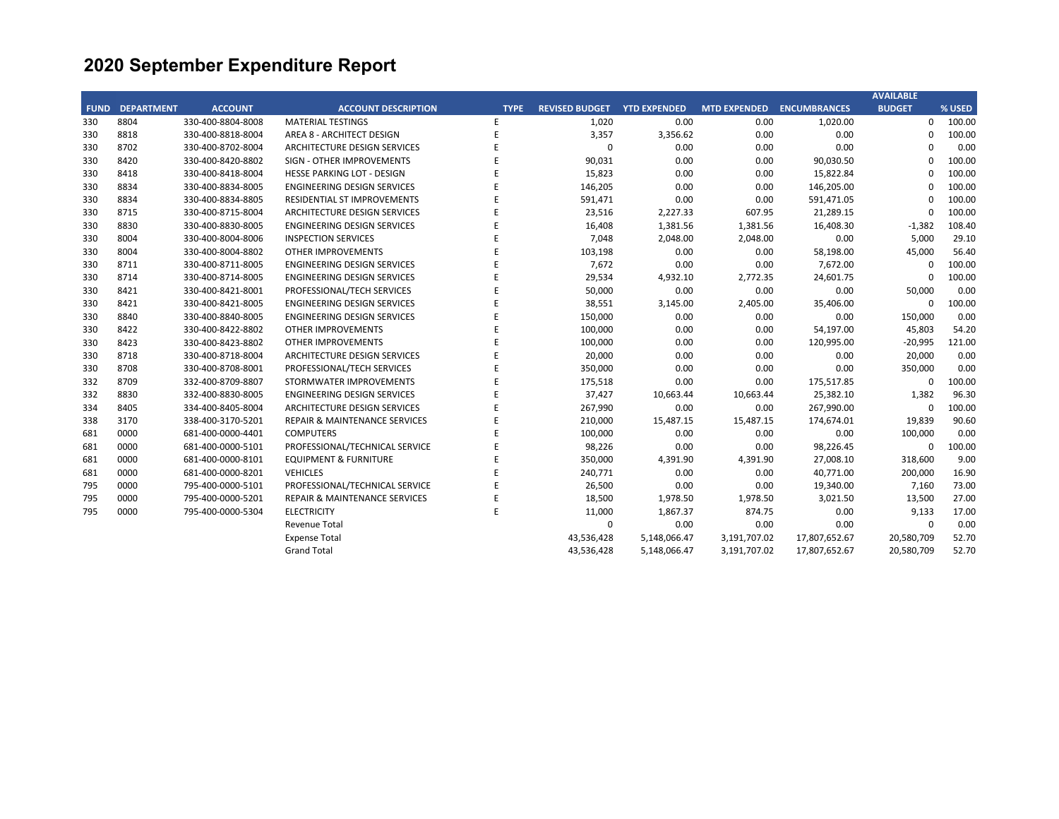|             |                   |                   |                                          |             |                       |                     |                     |                     | <b>AVAILABLE</b> |        |
|-------------|-------------------|-------------------|------------------------------------------|-------------|-----------------------|---------------------|---------------------|---------------------|------------------|--------|
| <b>FUND</b> | <b>DEPARTMENT</b> | <b>ACCOUNT</b>    | <b>ACCOUNT DESCRIPTION</b>               | <b>TYPE</b> | <b>REVISED BUDGET</b> | <b>YTD EXPENDED</b> | <b>MTD EXPENDED</b> | <b>ENCUMBRANCES</b> | <b>BUDGET</b>    | % USED |
| 330         | 8804              | 330-400-8804-8008 | <b>MATERIAL TESTINGS</b>                 | E           | 1,020                 | 0.00                | 0.00                | 1,020.00            | $\mathbf 0$      | 100.00 |
| 330         | 8818              | 330-400-8818-8004 | AREA 8 - ARCHITECT DESIGN                | F           | 3,357                 | 3,356.62            | 0.00                | 0.00                | 0                | 100.00 |
| 330         | 8702              | 330-400-8702-8004 | ARCHITECTURE DESIGN SERVICES             | F           | $\mathbf 0$           | 0.00                | 0.00                | 0.00                | $\Omega$         | 0.00   |
| 330         | 8420              | 330-400-8420-8802 | <b>SIGN - OTHER IMPROVEMENTS</b>         | E           | 90,031                | 0.00                | 0.00                | 90,030.50           | $\Omega$         | 100.00 |
| 330         | 8418              | 330-400-8418-8004 | <b>HESSE PARKING LOT - DESIGN</b>        | F           | 15,823                | 0.00                | 0.00                | 15,822.84           | $\Omega$         | 100.00 |
| 330         | 8834              | 330-400-8834-8005 | <b>ENGINEERING DESIGN SERVICES</b>       |             | 146,205               | 0.00                | 0.00                | 146,205.00          | $\Omega$         | 100.00 |
| 330         | 8834              | 330-400-8834-8805 | RESIDENTIAL ST IMPROVEMENTS              |             | 591,471               | 0.00                | 0.00                | 591,471.05          | $\Omega$         | 100.00 |
| 330         | 8715              | 330-400-8715-8004 | <b>ARCHITECTURE DESIGN SERVICES</b>      |             | 23,516                | 2,227.33            | 607.95              | 21,289.15           | $\Omega$         | 100.00 |
| 330         | 8830              | 330-400-8830-8005 | <b>ENGINEERING DESIGN SERVICES</b>       |             | 16,408                | 1,381.56            | 1,381.56            | 16,408.30           | $-1,382$         | 108.40 |
| 330         | 8004              | 330-400-8004-8006 | <b>INSPECTION SERVICES</b>               |             | 7,048                 | 2,048.00            | 2,048.00            | 0.00                | 5,000            | 29.10  |
| 330         | 8004              | 330-400-8004-8802 | OTHER IMPROVEMENTS                       |             | 103,198               | 0.00                | 0.00                | 58,198.00           | 45,000           | 56.40  |
| 330         | 8711              | 330-400-8711-8005 | <b>ENGINEERING DESIGN SERVICES</b>       |             | 7,672                 | 0.00                | 0.00                | 7,672.00            | $\mathbf 0$      | 100.00 |
| 330         | 8714              | 330-400-8714-8005 | <b>ENGINEERING DESIGN SERVICES</b>       |             | 29,534                | 4,932.10            | 2,772.35            | 24,601.75           | $\mathbf 0$      | 100.00 |
| 330         | 8421              | 330-400-8421-8001 | PROFESSIONAL/TECH SERVICES               |             | 50,000                | 0.00                | 0.00                | 0.00                | 50,000           | 0.00   |
| 330         | 8421              | 330-400-8421-8005 | <b>ENGINEERING DESIGN SERVICES</b>       |             | 38,551                | 3,145.00            | 2,405.00            | 35,406.00           | $\mathbf 0$      | 100.00 |
| 330         | 8840              | 330-400-8840-8005 | <b>ENGINEERING DESIGN SERVICES</b>       | F           | 150,000               | 0.00                | 0.00                | 0.00                | 150,000          | 0.00   |
| 330         | 8422              | 330-400-8422-8802 | OTHER IMPROVEMENTS                       | F           | 100,000               | 0.00                | 0.00                | 54,197.00           | 45,803           | 54.20  |
| 330         | 8423              | 330-400-8423-8802 | <b>OTHER IMPROVEMENTS</b>                |             | 100,000               | 0.00                | 0.00                | 120,995.00          | $-20,995$        | 121.00 |
| 330         | 8718              | 330-400-8718-8004 | ARCHITECTURE DESIGN SERVICES             |             | 20,000                | 0.00                | 0.00                | 0.00                | 20,000           | 0.00   |
| 330         | 8708              | 330-400-8708-8001 | PROFESSIONAL/TECH SERVICES               |             | 350,000               | 0.00                | 0.00                | 0.00                | 350,000          | 0.00   |
| 332         | 8709              | 332-400-8709-8807 | STORMWATER IMPROVEMENTS                  |             | 175,518               | 0.00                | 0.00                | 175,517.85          | $\mathbf 0$      | 100.00 |
| 332         | 8830              | 332-400-8830-8005 | <b>ENGINEERING DESIGN SERVICES</b>       |             | 37,427                | 10,663.44           | 10,663.44           | 25,382.10           | 1,382            | 96.30  |
| 334         | 8405              | 334-400-8405-8004 | <b>ARCHITECTURE DESIGN SERVICES</b>      |             | 267,990               | 0.00                | 0.00                | 267,990.00          | $\mathbf 0$      | 100.00 |
| 338         | 3170              | 338-400-3170-5201 | <b>REPAIR &amp; MAINTENANCE SERVICES</b> |             | 210,000               | 15,487.15           | 15,487.15           | 174,674.01          | 19,839           | 90.60  |
| 681         | 0000              | 681-400-0000-4401 | <b>COMPUTERS</b>                         |             | 100,000               | 0.00                | 0.00                | 0.00                | 100,000          | 0.00   |
| 681         | 0000              | 681-400-0000-5101 | PROFESSIONAL/TECHNICAL SERVICE           |             | 98,226                | 0.00                | 0.00                | 98,226.45           | $\mathbf 0$      | 100.00 |
| 681         | 0000              | 681-400-0000-8101 | <b>EQUIPMENT &amp; FURNITURE</b>         |             | 350,000               | 4,391.90            | 4,391.90            | 27,008.10           | 318,600          | 9.00   |
| 681         | 0000              | 681-400-0000-8201 | <b>VEHICLES</b>                          |             | 240,771               | 0.00                | 0.00                | 40,771.00           | 200,000          | 16.90  |
| 795         | 0000              | 795-400-0000-5101 | PROFESSIONAL/TECHNICAL SERVICE           |             | 26,500                | 0.00                | 0.00                | 19,340.00           | 7,160            | 73.00  |
| 795         | 0000              | 795-400-0000-5201 | <b>REPAIR &amp; MAINTENANCE SERVICES</b> | F           | 18,500                | 1,978.50            | 1,978.50            | 3,021.50            | 13,500           | 27.00  |
| 795         | 0000              | 795-400-0000-5304 | <b>ELECTRICITY</b>                       | E           | 11,000                | 1,867.37            | 874.75              | 0.00                | 9,133            | 17.00  |
|             |                   |                   | <b>Revenue Total</b>                     |             | 0                     | 0.00                | 0.00                | 0.00                | $\mathbf 0$      | 0.00   |
|             |                   |                   | <b>Expense Total</b>                     |             | 43,536,428            | 5,148,066.47        | 3,191,707.02        | 17,807,652.67       | 20,580,709       | 52.70  |
|             |                   |                   | <b>Grand Total</b>                       |             | 43,536,428            | 5,148,066.47        | 3,191,707.02        | 17,807,652.67       | 20,580,709       | 52.70  |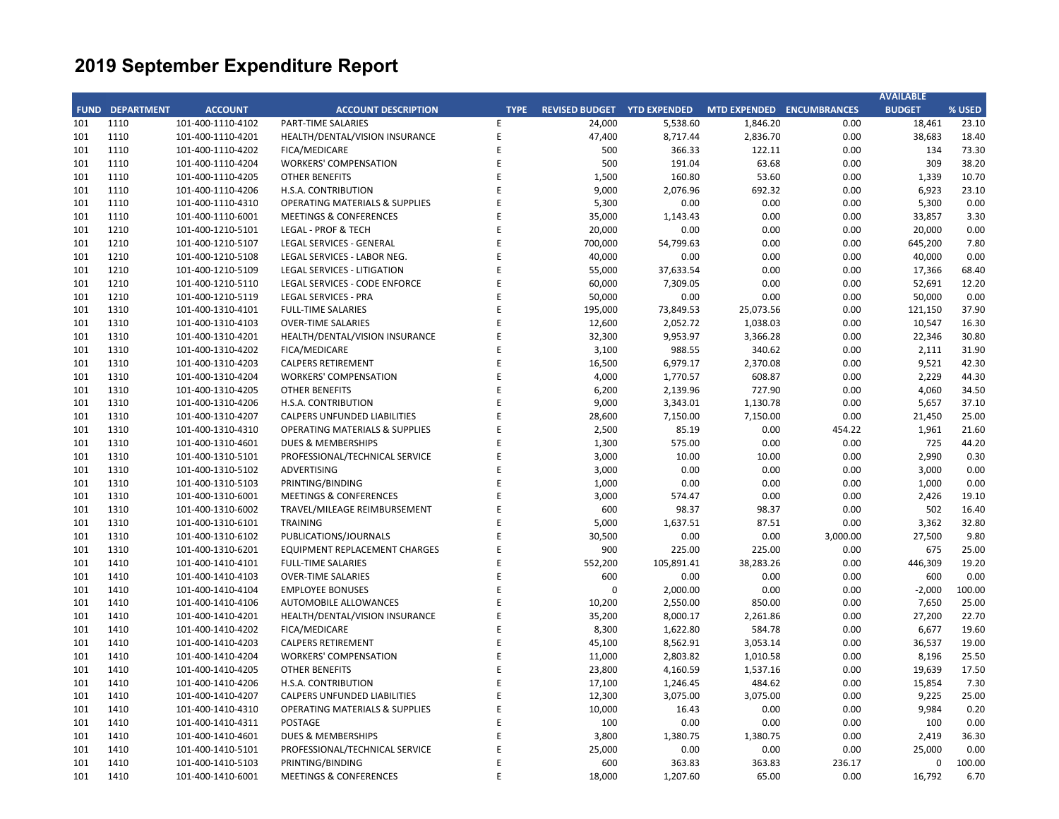|     |                        |                   |                                           |             |                                    |                      |                           |              | <b>AVAILABLE</b> |        |
|-----|------------------------|-------------------|-------------------------------------------|-------------|------------------------------------|----------------------|---------------------------|--------------|------------------|--------|
|     | <b>FUND DEPARTMENT</b> | <b>ACCOUNT</b>    | <b>ACCOUNT DESCRIPTION</b>                | <b>TYPE</b> | <b>REVISED BUDGET YTD EXPENDED</b> |                      | MTD EXPENDED ENCUMBRANCES |              | <b>BUDGET</b>    | % USED |
| 101 | 1110                   | 101-400-1110-4102 | PART-TIME SALARIES                        | E           | 24,000                             | 5,538.60             | 1,846.20                  | 0.00         | 18,461           | 23.10  |
| 101 | 1110                   | 101-400-1110-4201 | HEALTH/DENTAL/VISION INSURANCE            | E           | 47,400                             | 8,717.44             | 2,836.70                  | 0.00         | 38,683           | 18.40  |
| 101 | 1110                   | 101-400-1110-4202 | <b>FICA/MEDICARE</b>                      | E           | 500                                | 366.33               | 122.11                    | 0.00         | 134              | 73.30  |
| 101 | 1110                   | 101-400-1110-4204 | <b>WORKERS' COMPENSATION</b>              | E           | 500                                | 191.04               | 63.68                     | 0.00         | 309              | 38.20  |
| 101 | 1110                   | 101-400-1110-4205 | <b>OTHER BENEFITS</b>                     | E           | 1,500                              | 160.80               | 53.60                     | 0.00         | 1,339            | 10.70  |
| 101 | 1110                   | 101-400-1110-4206 | H.S.A. CONTRIBUTION                       | F           | 9,000                              | 2,076.96             | 692.32                    | 0.00         | 6,923            | 23.10  |
| 101 | 1110                   | 101-400-1110-4310 | <b>OPERATING MATERIALS &amp; SUPPLIES</b> | E           | 5,300                              | 0.00                 | 0.00                      | 0.00         | 5,300            | 0.00   |
| 101 | 1110                   | 101-400-1110-6001 | <b>MEETINGS &amp; CONFERENCES</b>         | F           | 35,000                             | 1,143.43             | 0.00                      | 0.00         | 33,857           | 3.30   |
| 101 | 1210                   | 101-400-1210-5101 | LEGAL - PROF & TECH                       | E           | 20,000                             | 0.00                 | 0.00                      | 0.00         | 20,000           | 0.00   |
| 101 | 1210                   | 101-400-1210-5107 | LEGAL SERVICES - GENERAL                  | F           | 700,000                            | 54,799.63            | 0.00                      | 0.00         | 645,200          | 7.80   |
| 101 | 1210                   | 101-400-1210-5108 | LEGAL SERVICES - LABOR NEG.               | E           | 40,000                             | 0.00                 | 0.00                      | 0.00         | 40,000           | 0.00   |
| 101 | 1210                   | 101-400-1210-5109 | LEGAL SERVICES - LITIGATION               | F           | 55,000                             | 37,633.54            | 0.00                      | 0.00         | 17,366           | 68.40  |
| 101 | 1210                   | 101-400-1210-5110 | LEGAL SERVICES - CODE ENFORCE             | E           | 60,000                             | 7,309.05             | 0.00                      | 0.00         | 52,691           | 12.20  |
| 101 | 1210                   | 101-400-1210-5119 | <b>LEGAL SERVICES - PRA</b>               | F           | 50,000                             | 0.00                 | 0.00                      | 0.00         | 50,000           | 0.00   |
| 101 | 1310                   | 101-400-1310-4101 | <b>FULL-TIME SALARIES</b>                 | E           | 195,000                            | 73,849.53            | 25,073.56                 | 0.00         | 121,150          | 37.90  |
| 101 | 1310                   | 101-400-1310-4103 | <b>OVER-TIME SALARIES</b>                 | E           | 12,600                             | 2,052.72             | 1,038.03                  | 0.00         | 10,547           | 16.30  |
| 101 | 1310                   | 101-400-1310-4201 | HEALTH/DENTAL/VISION INSURANCE            | E           | 32,300                             | 9,953.97             | 3,366.28                  | 0.00         | 22,346           | 30.80  |
| 101 | 1310                   | 101-400-1310-4202 | FICA/MEDICARE                             | F           | 3,100                              | 988.55               | 340.62                    | 0.00         | 2,111            | 31.90  |
| 101 | 1310                   | 101-400-1310-4203 | <b>CALPERS RETIREMENT</b>                 | E           | 16,500                             | 6,979.17             | 2,370.08                  | 0.00         | 9,521            | 42.30  |
| 101 | 1310                   | 101-400-1310-4204 | <b>WORKERS' COMPENSATION</b>              | E           | 4,000                              | 1,770.57             | 608.87                    | 0.00         | 2,229            | 44.30  |
| 101 | 1310                   | 101-400-1310-4205 | <b>OTHER BENEFITS</b>                     | E           | 6,200                              | 2,139.96             | 727.90                    | 0.00         | 4,060            | 34.50  |
| 101 | 1310                   | 101-400-1310-4206 | H.S.A. CONTRIBUTION                       | E           | 9,000                              | 3,343.01             | 1,130.78                  | 0.00         | 5,657            | 37.10  |
| 101 | 1310                   | 101-400-1310-4207 | <b>CALPERS UNFUNDED LIABILITIES</b>       | E           | 28,600                             | 7,150.00             | 7,150.00                  | 0.00         | 21,450           | 25.00  |
| 101 | 1310                   | 101-400-1310-4310 | <b>OPERATING MATERIALS &amp; SUPPLIES</b> | E           | 2,500                              | 85.19                | 0.00                      | 454.22       | 1,961            | 21.60  |
| 101 | 1310                   | 101-400-1310-4601 | <b>DUES &amp; MEMBERSHIPS</b>             | E           | 1,300                              | 575.00               | 0.00                      | 0.00         | 725              | 44.20  |
| 101 | 1310                   | 101-400-1310-5101 | PROFESSIONAL/TECHNICAL SERVICE            | F           | 3,000                              | 10.00                | 10.00                     | 0.00         | 2,990            | 0.30   |
| 101 | 1310                   | 101-400-1310-5102 | ADVERTISING                               | E           | 3,000                              | 0.00                 | 0.00                      | 0.00         | 3,000            | 0.00   |
| 101 | 1310                   | 101-400-1310-5103 | PRINTING/BINDING                          | F           | 1,000                              | 0.00                 | 0.00                      | 0.00         | 1,000            | 0.00   |
| 101 | 1310                   | 101-400-1310-6001 | <b>MEETINGS &amp; CONFERENCES</b>         | E           | 3,000                              | 574.47               | 0.00                      | 0.00         | 2,426            | 19.10  |
| 101 | 1310                   | 101-400-1310-6002 | TRAVEL/MILEAGE REIMBURSEMENT              | E           | 600                                | 98.37                | 98.37                     | 0.00         | 502              | 16.40  |
| 101 | 1310                   | 101-400-1310-6101 | <b>TRAINING</b>                           | E           | 5,000                              | 1,637.51             | 87.51                     | 0.00         | 3,362            | 32.80  |
| 101 | 1310                   | 101-400-1310-6102 | PUBLICATIONS/JOURNALS                     | E           | 30,500                             | 0.00                 | 0.00                      | 3,000.00     | 27,500           | 9.80   |
| 101 | 1310                   | 101-400-1310-6201 | <b>EQUIPMENT REPLACEMENT CHARGES</b>      | E           | 900                                | 225.00               | 225.00                    | 0.00         | 675              | 25.00  |
| 101 | 1410                   | 101-400-1410-4101 | <b>FULL-TIME SALARIES</b>                 | E           | 552,200                            | 105,891.41           | 38,283.26                 | 0.00         | 446,309          | 19.20  |
| 101 | 1410                   | 101-400-1410-4103 | <b>OVER-TIME SALARIES</b>                 | E           | 600                                | 0.00                 | 0.00                      | 0.00         | 600              | 0.00   |
| 101 | 1410                   | 101-400-1410-4104 | <b>EMPLOYEE BONUSES</b>                   | F           | $\Omega$                           | 2,000.00             | 0.00                      | 0.00         | $-2,000$         | 100.00 |
| 101 | 1410                   | 101-400-1410-4106 | <b>AUTOMOBILE ALLOWANCES</b>              | E           | 10,200                             | 2,550.00             | 850.00                    | 0.00         | 7,650            | 25.00  |
| 101 | 1410                   | 101-400-1410-4201 | HEALTH/DENTAL/VISION INSURANCE            | E           | 35,200                             | 8,000.17             | 2,261.86                  | 0.00         | 27,200           | 22.70  |
| 101 | 1410                   | 101-400-1410-4202 | FICA/MEDICARE                             | E           | 8,300                              | 1,622.80             | 584.78                    | 0.00         | 6,677            | 19.60  |
| 101 | 1410                   | 101-400-1410-4203 | <b>CALPERS RETIREMENT</b>                 | E           |                                    |                      | 3,053.14                  | 0.00         | 36,537           | 19.00  |
|     | 1410                   |                   | <b>WORKERS' COMPENSATION</b>              | E           | 45,100                             | 8,562.91             |                           |              | 8,196            | 25.50  |
| 101 |                        | 101-400-1410-4204 |                                           | F           | 11,000<br>23,800                   | 2,803.82<br>4,160.59 | 1,010.58                  | 0.00<br>0.00 | 19,639           | 17.50  |
| 101 | 1410                   | 101-400-1410-4205 | <b>OTHER BENEFITS</b>                     | E           |                                    |                      | 1,537.16                  |              |                  |        |
| 101 | 1410                   | 101-400-1410-4206 | H.S.A. CONTRIBUTION                       | F           | 17,100                             | 1,246.45             | 484.62                    | 0.00         | 15,854           | 7.30   |
| 101 | 1410                   | 101-400-1410-4207 | <b>CALPERS UNFUNDED LIABILITIES</b>       | E           | 12,300                             | 3,075.00             | 3,075.00                  | 0.00         | 9,225            | 25.00  |
| 101 | 1410                   | 101-400-1410-4310 | <b>OPERATING MATERIALS &amp; SUPPLIES</b> |             | 10,000                             | 16.43                | 0.00                      | 0.00         | 9,984            | 0.20   |
| 101 | 1410                   | 101-400-1410-4311 | <b>POSTAGE</b>                            | E           | 100                                | 0.00                 | 0.00                      | 0.00         | 100              | 0.00   |
| 101 | 1410                   | 101-400-1410-4601 | <b>DUES &amp; MEMBERSHIPS</b>             | E<br>F      | 3,800                              | 1,380.75             | 1,380.75                  | 0.00         | 2,419            | 36.30  |
| 101 | 1410                   | 101-400-1410-5101 | PROFESSIONAL/TECHNICAL SERVICE            |             | 25,000                             | 0.00                 | 0.00                      | 0.00         | 25,000           | 0.00   |
| 101 | 1410                   | 101-400-1410-5103 | PRINTING/BINDING                          | E           | 600                                | 363.83               | 363.83                    | 236.17       | 0                | 100.00 |
| 101 | 1410                   | 101-400-1410-6001 | MEETINGS & CONFERENCES                    | E           | 18,000                             | 1,207.60             | 65.00                     | 0.00         | 16,792           | 6.70   |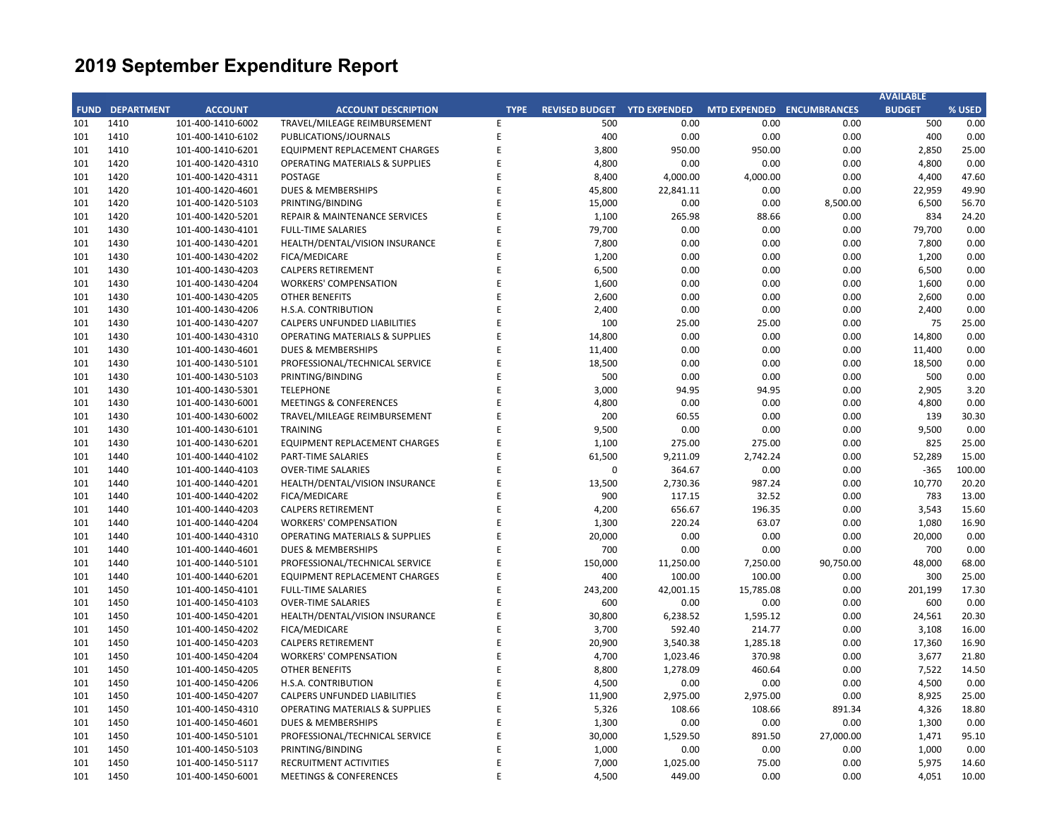|             |                   |                   |                                           |             |                                    |           |                                  |           | <b>AVAILABLE</b> |        |
|-------------|-------------------|-------------------|-------------------------------------------|-------------|------------------------------------|-----------|----------------------------------|-----------|------------------|--------|
| <b>FUND</b> | <b>DEPARTMENT</b> | <b>ACCOUNT</b>    | <b>ACCOUNT DESCRIPTION</b>                | <b>TYPE</b> | <b>REVISED BUDGET YTD EXPENDED</b> |           | <b>MTD EXPENDED ENCUMBRANCES</b> |           | <b>BUDGET</b>    | % USED |
| 101         | 1410              | 101-400-1410-6002 | TRAVEL/MILEAGE REIMBURSEMENT              | Ε           | 500                                | 0.00      | 0.00                             | 0.00      | 500              | 0.00   |
| 101         | 1410              | 101-400-1410-6102 | PUBLICATIONS/JOURNALS                     | E           | 400                                | 0.00      | 0.00                             | 0.00      | 400              | 0.00   |
| 101         | 1410              | 101-400-1410-6201 | EQUIPMENT REPLACEMENT CHARGES             | Ε           | 3,800                              | 950.00    | 950.00                           | 0.00      | 2,850            | 25.00  |
| 101         | 1420              | 101-400-1420-4310 | <b>OPERATING MATERIALS &amp; SUPPLIES</b> | E           | 4,800                              | 0.00      | 0.00                             | 0.00      | 4,800            | 0.00   |
| 101         | 1420              | 101-400-1420-4311 | <b>POSTAGE</b>                            | E           | 8,400                              | 4,000.00  | 4,000.00                         | 0.00      | 4,400            | 47.60  |
| 101         | 1420              | 101-400-1420-4601 | <b>DUES &amp; MEMBERSHIPS</b>             | E           | 45,800                             | 22,841.11 | 0.00                             | 0.00      | 22,959           | 49.90  |
| 101         | 1420              | 101-400-1420-5103 | PRINTING/BINDING                          | E           | 15,000                             | 0.00      | 0.00                             | 8,500.00  | 6,500            | 56.70  |
| 101         | 1420              | 101-400-1420-5201 | <b>REPAIR &amp; MAINTENANCE SERVICES</b>  | F           | 1,100                              | 265.98    | 88.66                            | 0.00      | 834              | 24.20  |
| 101         | 1430              | 101-400-1430-4101 | <b>FULL-TIME SALARIES</b>                 | E           | 79,700                             | 0.00      | 0.00                             | 0.00      | 79,700           | 0.00   |
| 101         | 1430              | 101-400-1430-4201 | HEALTH/DENTAL/VISION INSURANCE            | E           | 7,800                              | 0.00      | 0.00                             | 0.00      | 7,800            | 0.00   |
| 101         | 1430              | 101-400-1430-4202 | FICA/MEDICARE                             | E           | 1,200                              | 0.00      | 0.00                             | 0.00      | 1,200            | 0.00   |
| 101         | 1430              | 101-400-1430-4203 | <b>CALPERS RETIREMENT</b>                 | E           | 6,500                              | 0.00      | 0.00                             | 0.00      | 6,500            | 0.00   |
| 101         | 1430              | 101-400-1430-4204 | <b>WORKERS' COMPENSATION</b>              | F           | 1,600                              | 0.00      | 0.00                             | 0.00      | 1,600            | 0.00   |
| 101         | 1430              | 101-400-1430-4205 | <b>OTHER BENEFITS</b>                     | E           | 2,600                              | 0.00      | 0.00                             | 0.00      | 2,600            | 0.00   |
| 101         | 1430              | 101-400-1430-4206 | H.S.A. CONTRIBUTION                       | F           | 2,400                              | 0.00      | 0.00                             | 0.00      | 2,400            | 0.00   |
| 101         | 1430              | 101-400-1430-4207 | <b>CALPERS UNFUNDED LIABILITIES</b>       | E           | 100                                | 25.00     | 25.00                            | 0.00      | 75               | 25.00  |
| 101         | 1430              | 101-400-1430-4310 | <b>OPERATING MATERIALS &amp; SUPPLIES</b> | F           | 14,800                             | 0.00      | 0.00                             | 0.00      | 14,800           | 0.00   |
| 101         | 1430              | 101-400-1430-4601 | <b>DUES &amp; MEMBERSHIPS</b>             | F           | 11,400                             | 0.00      | 0.00                             | 0.00      | 11,400           | 0.00   |
| 101         | 1430              | 101-400-1430-5101 | PROFESSIONAL/TECHNICAL SERVICE            | F           | 18,500                             | 0.00      | 0.00                             | 0.00      | 18,500           | 0.00   |
| 101         | 1430              | 101-400-1430-5103 | PRINTING/BINDING                          | E           | 500                                | 0.00      | 0.00                             | 0.00      | 500              | 0.00   |
| 101         | 1430              | 101-400-1430-5301 | <b>TELEPHONE</b>                          | F           | 3,000                              | 94.95     | 94.95                            | 0.00      | 2,905            | 3.20   |
| 101         | 1430              | 101-400-1430-6001 | <b>MEETINGS &amp; CONFERENCES</b>         | E           | 4,800                              | 0.00      | 0.00                             | 0.00      | 4,800            | 0.00   |
| 101         | 1430              | 101-400-1430-6002 | TRAVEL/MILEAGE REIMBURSEMENT              | E           | 200                                | 60.55     | 0.00                             | 0.00      | 139              | 30.30  |
| 101         | 1430              | 101-400-1430-6101 | <b>TRAINING</b>                           | E           | 9,500                              | 0.00      | 0.00                             | 0.00      | 9,500            | 0.00   |
| 101         | 1430              | 101-400-1430-6201 | EQUIPMENT REPLACEMENT CHARGES             | F           | 1,100                              | 275.00    | 275.00                           | 0.00      | 825              | 25.00  |
| 101         | 1440              | 101-400-1440-4102 | PART-TIME SALARIES                        | F           | 61,500                             | 9,211.09  | 2,742.24                         | 0.00      | 52,289           | 15.00  |
| 101         | 1440              | 101-400-1440-4103 | <b>OVER-TIME SALARIES</b>                 | F           | $\pmb{0}$                          | 364.67    | 0.00                             | 0.00      | $-365$           | 100.00 |
| 101         | 1440              | 101-400-1440-4201 | HEALTH/DENTAL/VISION INSURANCE            | E           | 13,500                             | 2,730.36  | 987.24                           | 0.00      | 10,770           | 20.20  |
| 101         | 1440              | 101-400-1440-4202 | FICA/MEDICARE                             | E           | 900                                | 117.15    | 32.52                            | 0.00      | 783              | 13.00  |
| 101         | 1440              | 101-400-1440-4203 | <b>CALPERS RETIREMENT</b>                 | E           | 4,200                              | 656.67    | 196.35                           | 0.00      | 3,543            | 15.60  |
| 101         | 1440              | 101-400-1440-4204 | <b>WORKERS' COMPENSATION</b>              | F           | 1,300                              | 220.24    | 63.07                            | 0.00      | 1,080            | 16.90  |
| 101         | 1440              | 101-400-1440-4310 | <b>OPERATING MATERIALS &amp; SUPPLIES</b> | E           | 20,000                             | 0.00      | 0.00                             | 0.00      | 20,000           | 0.00   |
| 101         | 1440              | 101-400-1440-4601 | <b>DUES &amp; MEMBERSHIPS</b>             | E           | 700                                | 0.00      | 0.00                             | 0.00      | 700              | 0.00   |
| 101         | 1440              | 101-400-1440-5101 | PROFESSIONAL/TECHNICAL SERVICE            | E           | 150,000                            | 11,250.00 | 7,250.00                         | 90,750.00 | 48,000           | 68.00  |
| 101         | 1440              | 101-400-1440-6201 | <b>EQUIPMENT REPLACEMENT CHARGES</b>      | F           | 400                                | 100.00    | 100.00                           | 0.00      | 300              | 25.00  |
| 101         | 1450              | 101-400-1450-4101 | <b>FULL-TIME SALARIES</b>                 | E           | 243,200                            | 42,001.15 | 15,785.08                        | 0.00      | 201,199          | 17.30  |
| 101         | 1450              | 101-400-1450-4103 | <b>OVER-TIME SALARIES</b>                 | E           | 600                                | 0.00      | 0.00                             | 0.00      | 600              | 0.00   |
| 101         | 1450              | 101-400-1450-4201 | HEALTH/DENTAL/VISION INSURANCE            | E           | 30,800                             | 6,238.52  | 1,595.12                         | 0.00      | 24,561           | 20.30  |
| 101         | 1450              | 101-400-1450-4202 | FICA/MEDICARE                             | F           | 3,700                              | 592.40    | 214.77                           | 0.00      | 3,108            | 16.00  |
| 101         | 1450              | 101-400-1450-4203 | <b>CALPERS RETIREMENT</b>                 | F           | 20,900                             | 3,540.38  | 1,285.18                         | 0.00      | 17,360           | 16.90  |
| 101         | 1450              | 101-400-1450-4204 | <b>WORKERS' COMPENSATION</b>              | E           | 4,700                              | 1,023.46  | 370.98                           | 0.00      | 3,677            | 21.80  |
| 101         | 1450              | 101-400-1450-4205 | <b>OTHER BENEFITS</b>                     | F           | 8,800                              | 1,278.09  | 460.64                           | 0.00      | 7,522            | 14.50  |
| 101         | 1450              | 101-400-1450-4206 | H.S.A. CONTRIBUTION                       | E           | 4,500                              | 0.00      | 0.00                             | 0.00      | 4,500            | 0.00   |
| 101         | 1450              | 101-400-1450-4207 | <b>CALPERS UNFUNDED LIABILITIES</b>       | F           | 11,900                             | 2,975.00  | 2,975.00                         | 0.00      | 8,925            | 25.00  |
| 101         | 1450              | 101-400-1450-4310 | <b>OPERATING MATERIALS &amp; SUPPLIES</b> | E           | 5,326                              | 108.66    | 108.66                           | 891.34    | 4,326            | 18.80  |
| 101         | 1450              | 101-400-1450-4601 | DUES & MEMBERSHIPS                        | F           | 1,300                              | 0.00      | 0.00                             | 0.00      | 1,300            | 0.00   |
| 101         | 1450              | 101-400-1450-5101 | PROFESSIONAL/TECHNICAL SERVICE            | E           | 30,000                             | 1,529.50  | 891.50                           | 27,000.00 | 1,471            | 95.10  |
| 101         | 1450              | 101-400-1450-5103 | PRINTING/BINDING                          | F           | 1,000                              | 0.00      | 0.00                             | 0.00      | 1,000            | 0.00   |
| 101         | 1450              | 101-400-1450-5117 | <b>RECRUITMENT ACTIVITIES</b>             | E           | 7,000                              | 1,025.00  | 75.00                            | 0.00      | 5,975            | 14.60  |
| 101         | 1450              | 101-400-1450-6001 | <b>MEETINGS &amp; CONFERENCES</b>         | E           | 4,500                              | 449.00    | 0.00                             | 0.00      | 4,051            | 10.00  |
|             |                   |                   |                                           |             |                                    |           |                                  |           |                  |        |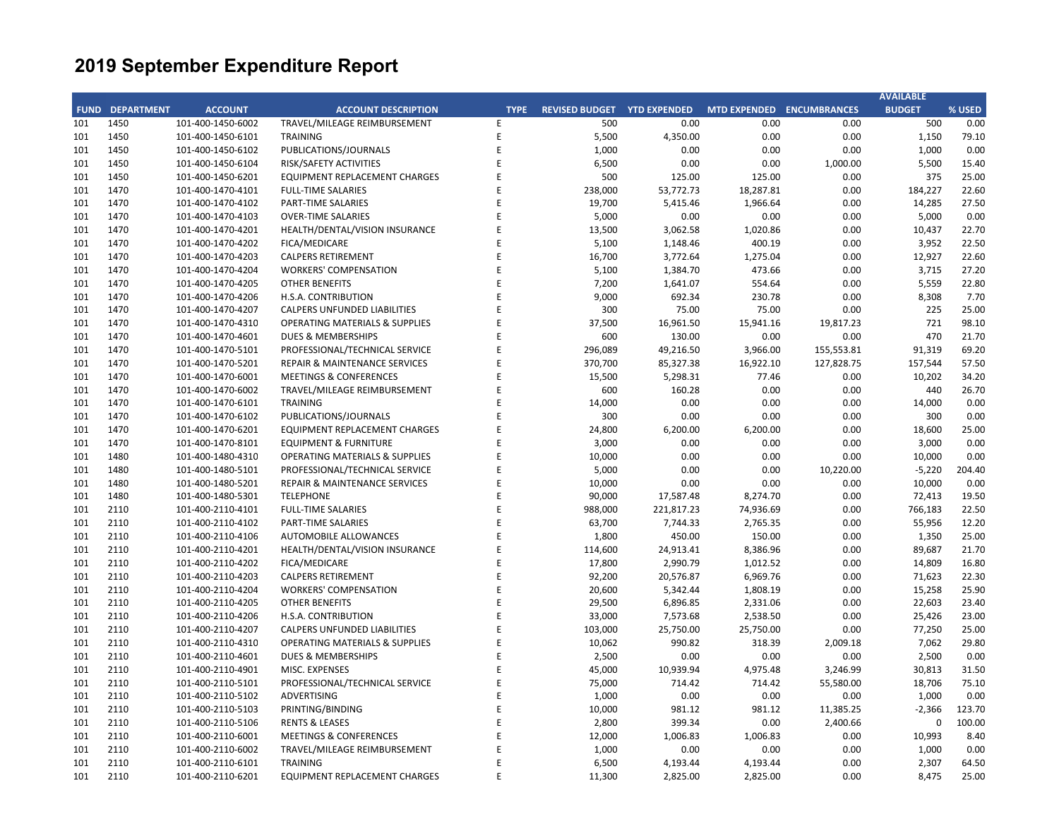|             |                   |                   |                                           |             |                       |                     |                           |            | <b>AVAILABLE</b> |        |
|-------------|-------------------|-------------------|-------------------------------------------|-------------|-----------------------|---------------------|---------------------------|------------|------------------|--------|
| <b>FUND</b> | <b>DEPARTMENT</b> | <b>ACCOUNT</b>    | <b>ACCOUNT DESCRIPTION</b>                | <b>TYPE</b> | <b>REVISED BUDGET</b> | <b>YTD EXPENDED</b> | MTD EXPENDED ENCUMBRANCES |            | <b>BUDGET</b>    | % USED |
| 101         | 1450              | 101-400-1450-6002 | TRAVEL/MILEAGE REIMBURSEMENT              | E           | 500                   | 0.00                | 0.00                      | 0.00       | 500              | 0.00   |
| 101         | 1450              | 101-400-1450-6101 | <b>TRAINING</b>                           | E           | 5,500                 | 4,350.00            | 0.00                      | 0.00       | 1,150            | 79.10  |
| 101         | 1450              | 101-400-1450-6102 | PUBLICATIONS/JOURNALS                     | E           | 1,000                 | 0.00                | 0.00                      | 0.00       | 1,000            | 0.00   |
| 101         | 1450              | 101-400-1450-6104 | RISK/SAFETY ACTIVITIES                    | E           | 6,500                 | 0.00                | 0.00                      | 1,000.00   | 5,500            | 15.40  |
| 101         | 1450              | 101-400-1450-6201 | EQUIPMENT REPLACEMENT CHARGES             | E           | 500                   | 125.00              | 125.00                    | 0.00       | 375              | 25.00  |
| 101         | 1470              | 101-400-1470-4101 | <b>FULL-TIME SALARIES</b>                 | E           | 238,000               | 53,772.73           | 18,287.81                 | 0.00       | 184,227          | 22.60  |
| 101         | 1470              | 101-400-1470-4102 | PART-TIME SALARIES                        | E           | 19,700                | 5,415.46            | 1,966.64                  | 0.00       | 14,285           | 27.50  |
| 101         | 1470              | 101-400-1470-4103 | <b>OVER-TIME SALARIES</b>                 | F           | 5,000                 | 0.00                | 0.00                      | 0.00       | 5,000            | 0.00   |
| 101         | 1470              | 101-400-1470-4201 | HEALTH/DENTAL/VISION INSURANCE            | E           | 13,500                | 3,062.58            | 1,020.86                  | 0.00       | 10,437           | 22.70  |
| 101         | 1470              | 101-400-1470-4202 | FICA/MEDICARE                             | E           | 5,100                 | 1,148.46            | 400.19                    | 0.00       | 3,952            | 22.50  |
| 101         | 1470              | 101-400-1470-4203 | <b>CALPERS RETIREMENT</b>                 | E           | 16,700                | 3,772.64            | 1,275.04                  | 0.00       | 12,927           | 22.60  |
| 101         | 1470              | 101-400-1470-4204 | <b>WORKERS' COMPENSATION</b>              | F           | 5,100                 | 1,384.70            | 473.66                    | 0.00       | 3,715            | 27.20  |
| 101         | 1470              | 101-400-1470-4205 | <b>OTHER BENEFITS</b>                     | E           | 7,200                 | 1,641.07            | 554.64                    | 0.00       | 5,559            | 22.80  |
| 101         | 1470              | 101-400-1470-4206 | H.S.A. CONTRIBUTION                       | E           | 9,000                 | 692.34              | 230.78                    | 0.00       | 8,308            | 7.70   |
| 101         | 1470              | 101-400-1470-4207 | <b>CALPERS UNFUNDED LIABILITIES</b>       | E           | 300                   | 75.00               | 75.00                     | 0.00       | 225              | 25.00  |
| 101         | 1470              | 101-400-1470-4310 | <b>OPERATING MATERIALS &amp; SUPPLIES</b> | E           | 37,500                | 16,961.50           | 15,941.16                 | 19,817.23  | 721              | 98.10  |
| 101         | 1470              | 101-400-1470-4601 | <b>DUES &amp; MEMBERSHIPS</b>             | E           | 600                   | 130.00              | 0.00                      | 0.00       | 470              | 21.70  |
| 101         | 1470              | 101-400-1470-5101 | PROFESSIONAL/TECHNICAL SERVICE            | E           | 296,089               | 49,216.50           | 3,966.00                  | 155,553.81 | 91.319           | 69.20  |
| 101         | 1470              | 101-400-1470-5201 | REPAIR & MAINTENANCE SERVICES             | E           | 370,700               | 85,327.38           | 16,922.10                 | 127,828.75 | 157,544          | 57.50  |
| 101         | 1470              | 101-400-1470-6001 | <b>MEETINGS &amp; CONFERENCES</b>         | E           | 15,500                | 5,298.31            | 77.46                     | 0.00       | 10,202           | 34.20  |
| 101         | 1470              | 101-400-1470-6002 | TRAVEL/MILEAGE REIMBURSEMENT              | E           | 600                   | 160.28              | 0.00                      | 0.00       | 440              | 26.70  |
| 101         | 1470              | 101-400-1470-6101 | <b>TRAINING</b>                           | E           | 14,000                | 0.00                | 0.00                      | 0.00       | 14,000           | 0.00   |
| 101         | 1470              | 101-400-1470-6102 | PUBLICATIONS/JOURNALS                     | F           | 300                   | 0.00                | 0.00                      | 0.00       | 300              | 0.00   |
| 101         | 1470              | 101-400-1470-6201 | <b>EQUIPMENT REPLACEMENT CHARGES</b>      | F           | 24,800                | 6,200.00            | 6,200.00                  | 0.00       | 18,600           | 25.00  |
| 101         | 1470              | 101-400-1470-8101 | <b>EQUIPMENT &amp; FURNITURE</b>          | E           | 3,000                 | 0.00                | 0.00                      | 0.00       | 3,000            | 0.00   |
| 101         | 1480              | 101-400-1480-4310 | <b>OPERATING MATERIALS &amp; SUPPLIES</b> | E           | 10,000                | 0.00                | 0.00                      | 0.00       | 10,000           | 0.00   |
| 101         | 1480              | 101-400-1480-5101 | PROFESSIONAL/TECHNICAL SERVICE            | E           | 5,000                 | 0.00                | 0.00                      | 10,220.00  | $-5,220$         | 204.40 |
| 101         | 1480              | 101-400-1480-5201 | REPAIR & MAINTENANCE SERVICES             | E           | 10,000                | 0.00                | 0.00                      | 0.00       | 10,000           | 0.00   |
| 101         | 1480              | 101-400-1480-5301 | <b>TELEPHONE</b>                          | E           | 90,000                | 17,587.48           | 8,274.70                  | 0.00       | 72,413           | 19.50  |
| 101         | 2110              | 101-400-2110-4101 | <b>FULL-TIME SALARIES</b>                 | E           | 988,000               | 221,817.23          | 74,936.69                 | 0.00       | 766,183          | 22.50  |
| 101         | 2110              | 101-400-2110-4102 | PART-TIME SALARIES                        | E           | 63,700                | 7,744.33            | 2,765.35                  | 0.00       | 55,956           | 12.20  |
| 101         | 2110              | 101-400-2110-4106 | <b>AUTOMOBILE ALLOWANCES</b>              | E           | 1,800                 | 450.00              | 150.00                    | 0.00       | 1,350            | 25.00  |
| 101         | 2110              | 101-400-2110-4201 | HEALTH/DENTAL/VISION INSURANCE            | E           | 114,600               | 24,913.41           | 8,386.96                  | 0.00       | 89,687           | 21.70  |
| 101         | 2110              | 101-400-2110-4202 | <b>FICA/MEDICARE</b>                      | F           | 17,800                | 2,990.79            | 1,012.52                  | 0.00       | 14,809           | 16.80  |
| 101         | 2110              | 101-400-2110-4203 | <b>CALPERS RETIREMENT</b>                 | E           | 92,200                | 20,576.87           | 6,969.76                  | 0.00       | 71,623           | 22.30  |
| 101         | 2110              | 101-400-2110-4204 | <b>WORKERS' COMPENSATION</b>              | Ė           | 20,600                | 5,342.44            | 1,808.19                  | 0.00       | 15,258           | 25.90  |
| 101         | 2110              | 101-400-2110-4205 | <b>OTHER BENEFITS</b>                     | F           | 29,500                | 6,896.85            | 2,331.06                  | 0.00       | 22,603           | 23.40  |
| 101         | 2110              | 101-400-2110-4206 | H.S.A. CONTRIBUTION                       | F           | 33,000                | 7,573.68            | 2,538.50                  | 0.00       | 25,426           | 23.00  |
| 101         | 2110              | 101-400-2110-4207 | <b>CALPERS UNFUNDED LIABILITIES</b>       | E           | 103,000               | 25,750.00           | 25,750.00                 | 0.00       | 77,250           | 25.00  |
| 101         | 2110              | 101-400-2110-4310 | <b>OPERATING MATERIALS &amp; SUPPLIES</b> | E           | 10,062                | 990.82              | 318.39                    | 2,009.18   | 7,062            | 29.80  |
| 101         | 2110              | 101-400-2110-4601 | <b>DUES &amp; MEMBERSHIPS</b>             | E           | 2,500                 | 0.00                | 0.00                      | 0.00       | 2,500            | 0.00   |
| 101         | 2110              | 101-400-2110-4901 | MISC. EXPENSES                            | F           | 45,000                | 10,939.94           | 4,975.48                  | 3,246.99   | 30,813           | 31.50  |
| 101         | 2110              | 101-400-2110-5101 | PROFESSIONAL/TECHNICAL SERVICE            | E           | 75,000                | 714.42              | 714.42                    | 55,580.00  | 18,706           | 75.10  |
| 101         | 2110              | 101-400-2110-5102 | ADVERTISING                               | E           | 1,000                 | 0.00                | 0.00                      | 0.00       | 1,000            | 0.00   |
| 101         | 2110              | 101-400-2110-5103 | PRINTING/BINDING                          | E           | 10,000                | 981.12              | 981.12                    | 11,385.25  | $-2,366$         | 123.70 |
| 101         | 2110              | 101-400-2110-5106 | <b>RENTS &amp; LEASES</b>                 | E           | 2,800                 | 399.34              | 0.00                      | 2,400.66   | $\mathbf 0$      | 100.00 |
| 101         | 2110              | 101-400-2110-6001 | <b>MEETINGS &amp; CONFERENCES</b>         | E           | 12,000                | 1,006.83            | 1,006.83                  | 0.00       | 10,993           | 8.40   |
| 101         | 2110              | 101-400-2110-6002 | TRAVEL/MILEAGE REIMBURSEMENT              | E           | 1,000                 | 0.00                | 0.00                      | 0.00       | 1,000            | 0.00   |
| 101         | 2110              | 101-400-2110-6101 | <b>TRAINING</b>                           | F           | 6,500                 | 4,193.44            | 4,193.44                  | 0.00       | 2,307            | 64.50  |
| 101         | 2110              | 101-400-2110-6201 | <b>EQUIPMENT REPLACEMENT CHARGES</b>      | F           | 11,300                | 2,825.00            | 2,825.00                  | 0.00       | 8,475            | 25.00  |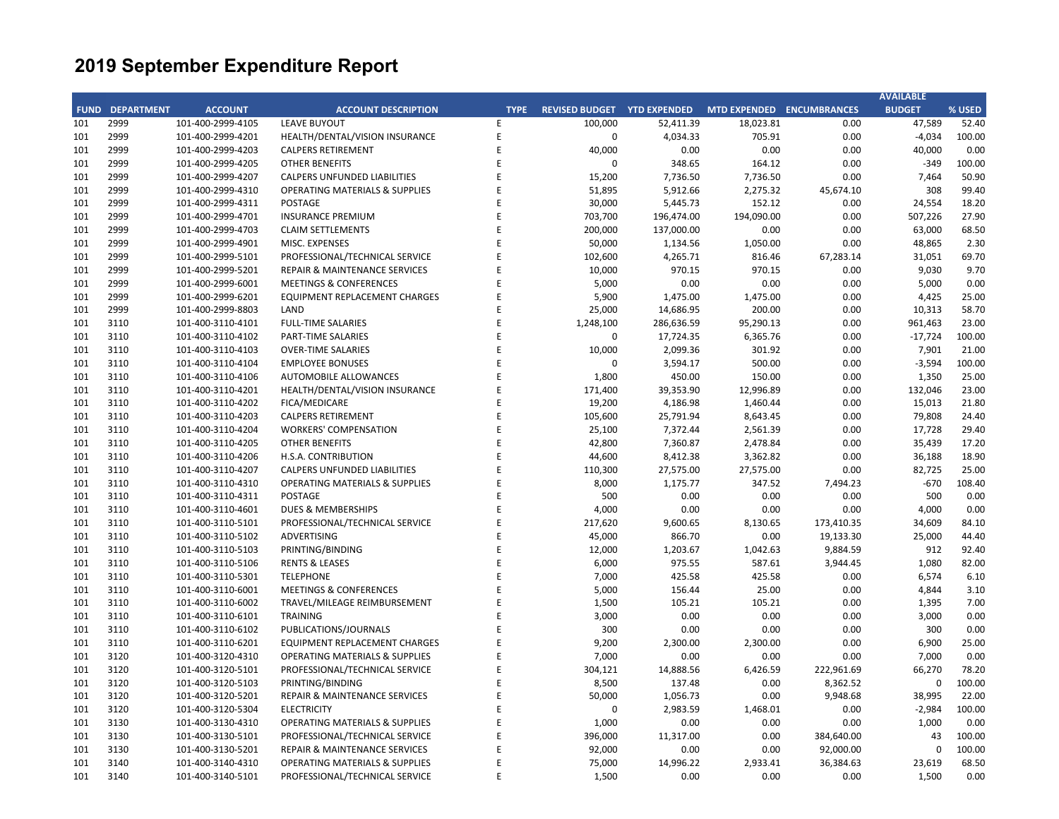|     |                        |                   |                                           |             |                             |            |                           |            | <b>AVAILABLE</b> |        |
|-----|------------------------|-------------------|-------------------------------------------|-------------|-----------------------------|------------|---------------------------|------------|------------------|--------|
|     | <b>FUND DEPARTMENT</b> | <b>ACCOUNT</b>    | <b>ACCOUNT DESCRIPTION</b>                | <b>TYPE</b> | REVISED BUDGET YTD EXPENDED |            | MTD EXPENDED ENCUMBRANCES |            | <b>BUDGET</b>    | % USED |
| 101 | 2999                   | 101-400-2999-4105 | <b>LEAVE BUYOUT</b>                       | E           | 100,000                     | 52,411.39  | 18,023.81                 | 0.00       | 47,589           | 52.40  |
| 101 | 2999                   | 101-400-2999-4201 | HEALTH/DENTAL/VISION INSURANCE            | E           | 0                           | 4,034.33   | 705.91                    | 0.00       | $-4,034$         | 100.00 |
| 101 | 2999                   | 101-400-2999-4203 | <b>CALPERS RETIREMENT</b>                 | E           | 40,000                      | 0.00       | 0.00                      | 0.00       | 40,000           | 0.00   |
| 101 | 2999                   | 101-400-2999-4205 | <b>OTHER BENEFITS</b>                     | E           | 0                           | 348.65     | 164.12                    | 0.00       | $-349$           | 100.00 |
| 101 | 2999                   | 101-400-2999-4207 | <b>CALPERS UNFUNDED LIABILITIES</b>       | E           | 15,200                      | 7,736.50   | 7,736.50                  | 0.00       | 7,464            | 50.90  |
| 101 | 2999                   | 101-400-2999-4310 | <b>OPERATING MATERIALS &amp; SUPPLIES</b> | F           | 51,895                      | 5,912.66   | 2,275.32                  | 45,674.10  | 308              | 99.40  |
| 101 | 2999                   | 101-400-2999-4311 | <b>POSTAGE</b>                            | E           | 30,000                      | 5,445.73   | 152.12                    | 0.00       | 24,554           | 18.20  |
| 101 | 2999                   | 101-400-2999-4701 | <b>INSURANCE PREMIUM</b>                  | F           | 703,700                     | 196,474.00 | 194,090.00                | 0.00       | 507,226          | 27.90  |
| 101 | 2999                   | 101-400-2999-4703 | <b>CLAIM SETTLEMENTS</b>                  | E           | 200,000                     | 137,000.00 | 0.00                      | 0.00       | 63,000           | 68.50  |
| 101 | 2999                   | 101-400-2999-4901 | MISC. EXPENSES                            | F           | 50,000                      | 1,134.56   | 1,050.00                  | 0.00       | 48,865           | 2.30   |
| 101 | 2999                   | 101-400-2999-5101 | PROFESSIONAL/TECHNICAL SERVICE            | F           | 102,600                     | 4,265.71   | 816.46                    | 67,283.14  | 31,051           | 69.70  |
| 101 | 2999                   | 101-400-2999-5201 | REPAIR & MAINTENANCE SERVICES             | F           | 10,000                      | 970.15     | 970.15                    | 0.00       | 9,030            | 9.70   |
| 101 | 2999                   | 101-400-2999-6001 | <b>MEETINGS &amp; CONFERENCES</b>         | E           | 5,000                       | 0.00       | 0.00                      | 0.00       | 5,000            | 0.00   |
| 101 | 2999                   | 101-400-2999-6201 | EQUIPMENT REPLACEMENT CHARGES             | E           | 5,900                       | 1,475.00   | 1,475.00                  | 0.00       | 4,425            | 25.00  |
| 101 | 2999                   | 101-400-2999-8803 | LAND                                      | E           | 25,000                      | 14,686.95  | 200.00                    | 0.00       | 10,313           | 58.70  |
| 101 | 3110                   | 101-400-3110-4101 | <b>FULL-TIME SALARIES</b>                 | E           | 1,248,100                   | 286,636.59 | 95,290.13                 | 0.00       | 961,463          | 23.00  |
| 101 | 3110                   | 101-400-3110-4102 | PART-TIME SALARIES                        | E           | $\mathbf 0$                 | 17,724.35  | 6,365.76                  | 0.00       | $-17,724$        | 100.00 |
| 101 | 3110                   | 101-400-3110-4103 | <b>OVER-TIME SALARIES</b>                 | E           | 10,000                      | 2,099.36   | 301.92                    | 0.00       | 7,901            | 21.00  |
| 101 | 3110                   | 101-400-3110-4104 | <b>EMPLOYEE BONUSES</b>                   | F           | $\mathbf 0$                 | 3,594.17   | 500.00                    | 0.00       | $-3,594$         | 100.00 |
| 101 | 3110                   | 101-400-3110-4106 | <b>AUTOMOBILE ALLOWANCES</b>              | F           | 1,800                       | 450.00     | 150.00                    | 0.00       | 1,350            | 25.00  |
| 101 | 3110                   | 101-400-3110-4201 | HEALTH/DENTAL/VISION INSURANCE            | E           | 171,400                     | 39,353.90  | 12,996.89                 | 0.00       | 132,046          | 23.00  |
| 101 | 3110                   | 101-400-3110-4202 | FICA/MEDICARE                             | F           | 19,200                      | 4,186.98   | 1,460.44                  | 0.00       | 15,013           | 21.80  |
| 101 | 3110                   | 101-400-3110-4203 | <b>CALPERS RETIREMENT</b>                 | E           | 105,600                     | 25,791.94  | 8,643.45                  | 0.00       | 79,808           | 24.40  |
| 101 | 3110                   | 101-400-3110-4204 | <b>WORKERS' COMPENSATION</b>              | F           | 25,100                      | 7,372.44   | 2,561.39                  | 0.00       | 17,728           | 29.40  |
| 101 | 3110                   | 101-400-3110-4205 | <b>OTHER BENEFITS</b>                     | E           | 42,800                      | 7,360.87   | 2,478.84                  | 0.00       | 35,439           | 17.20  |
| 101 | 3110                   | 101-400-3110-4206 | H.S.A. CONTRIBUTION                       | F           | 44,600                      | 8,412.38   | 3,362.82                  | 0.00       | 36,188           | 18.90  |
| 101 | 3110                   | 101-400-3110-4207 | <b>CALPERS UNFUNDED LIABILITIES</b>       | E           | 110,300                     | 27,575.00  | 27,575.00                 | 0.00       | 82,725           | 25.00  |
| 101 | 3110                   | 101-400-3110-4310 | <b>OPERATING MATERIALS &amp; SUPPLIES</b> | F           | 8,000                       | 1,175.77   | 347.52                    | 7,494.23   | $-670$           | 108.40 |
| 101 | 3110                   | 101-400-3110-4311 | POSTAGE                                   | E           | 500                         | 0.00       | 0.00                      | 0.00       | 500              | 0.00   |
| 101 | 3110                   | 101-400-3110-4601 | DUES & MEMBERSHIPS                        | F           | 4,000                       | 0.00       | 0.00                      | 0.00       | 4,000            | 0.00   |
| 101 | 3110                   | 101-400-3110-5101 | PROFESSIONAL/TECHNICAL SERVICE            | E           | 217,620                     | 9,600.65   | 8,130.65                  | 173,410.35 | 34,609           | 84.10  |
| 101 | 3110                   | 101-400-3110-5102 | ADVERTISING                               | F           | 45,000                      | 866.70     | 0.00                      | 19,133.30  | 25,000           | 44.40  |
| 101 | 3110                   | 101-400-3110-5103 | PRINTING/BINDING                          | E           | 12,000                      | 1,203.67   | 1,042.63                  | 9,884.59   | 912              | 92.40  |
| 101 | 3110                   | 101-400-3110-5106 | <b>RENTS &amp; LEASES</b>                 | F           | 6,000                       | 975.55     | 587.61                    | 3,944.45   | 1,080            | 82.00  |
| 101 | 3110                   | 101-400-3110-5301 | <b>TELEPHONE</b>                          | F           | 7,000                       | 425.58     | 425.58                    | 0.00       | 6,574            | 6.10   |
| 101 | 3110                   | 101-400-3110-6001 | <b>MEETINGS &amp; CONFERENCES</b>         | F           | 5,000                       | 156.44     | 25.00                     | 0.00       | 4,844            | 3.10   |
| 101 | 3110                   | 101-400-3110-6002 | TRAVEL/MILEAGE REIMBURSEMENT              | E           | 1,500                       | 105.21     | 105.21                    | 0.00       | 1,395            | 7.00   |
| 101 | 3110                   | 101-400-3110-6101 | <b>TRAINING</b>                           | F           | 3,000                       | 0.00       | 0.00                      | 0.00       | 3,000            | 0.00   |
| 101 | 3110                   | 101-400-3110-6102 | PUBLICATIONS/JOURNALS                     | E           | 300                         | 0.00       | 0.00                      | 0.00       | 300              | 0.00   |
| 101 | 3110                   | 101-400-3110-6201 | EQUIPMENT REPLACEMENT CHARGES             | E           | 9,200                       | 2,300.00   | 2,300.00                  | 0.00       | 6,900            | 25.00  |
| 101 | 3120                   | 101-400-3120-4310 | <b>OPERATING MATERIALS &amp; SUPPLIES</b> | F           | 7,000                       | 0.00       | 0.00                      | 0.00       | 7,000            | 0.00   |
| 101 | 3120                   | 101-400-3120-5101 | PROFESSIONAL/TECHNICAL SERVICE            | E           | 304,121                     | 14,888.56  | 6,426.59                  | 222,961.69 | 66,270           | 78.20  |
| 101 | 3120                   | 101-400-3120-5103 | PRINTING/BINDING                          | E           | 8,500                       | 137.48     | 0.00                      | 8,362.52   | $\mathbf 0$      | 100.00 |
| 101 | 3120                   | 101-400-3120-5201 | REPAIR & MAINTENANCE SERVICES             | F           | 50,000                      | 1,056.73   | 0.00                      | 9,948.68   | 38,995           | 22.00  |
| 101 | 3120                   | 101-400-3120-5304 | <b>ELECTRICITY</b>                        | F           | $\mathbf 0$                 | 2,983.59   | 1,468.01                  | 0.00       | $-2,984$         | 100.00 |
| 101 | 3130                   | 101-400-3130-4310 | <b>OPERATING MATERIALS &amp; SUPPLIES</b> | F           | 1,000                       | 0.00       | 0.00                      | 0.00       | 1,000            | 0.00   |
| 101 | 3130                   | 101-400-3130-5101 | PROFESSIONAL/TECHNICAL SERVICE            | E           | 396,000                     | 11,317.00  | 0.00                      | 384,640.00 | 43               | 100.00 |
| 101 | 3130                   | 101-400-3130-5201 | REPAIR & MAINTENANCE SERVICES             | F           | 92,000                      | 0.00       | 0.00                      | 92,000.00  | $\Omega$         | 100.00 |
| 101 | 3140                   | 101-400-3140-4310 | <b>OPERATING MATERIALS &amp; SUPPLIES</b> | F           | 75,000                      | 14,996.22  | 2,933.41                  | 36,384.63  | 23,619           | 68.50  |
| 101 | 3140                   | 101-400-3140-5101 | PROFESSIONAL/TECHNICAL SERVICE            | F           | 1,500                       | 0.00       | 0.00                      | 0.00       | 1,500            | 0.00   |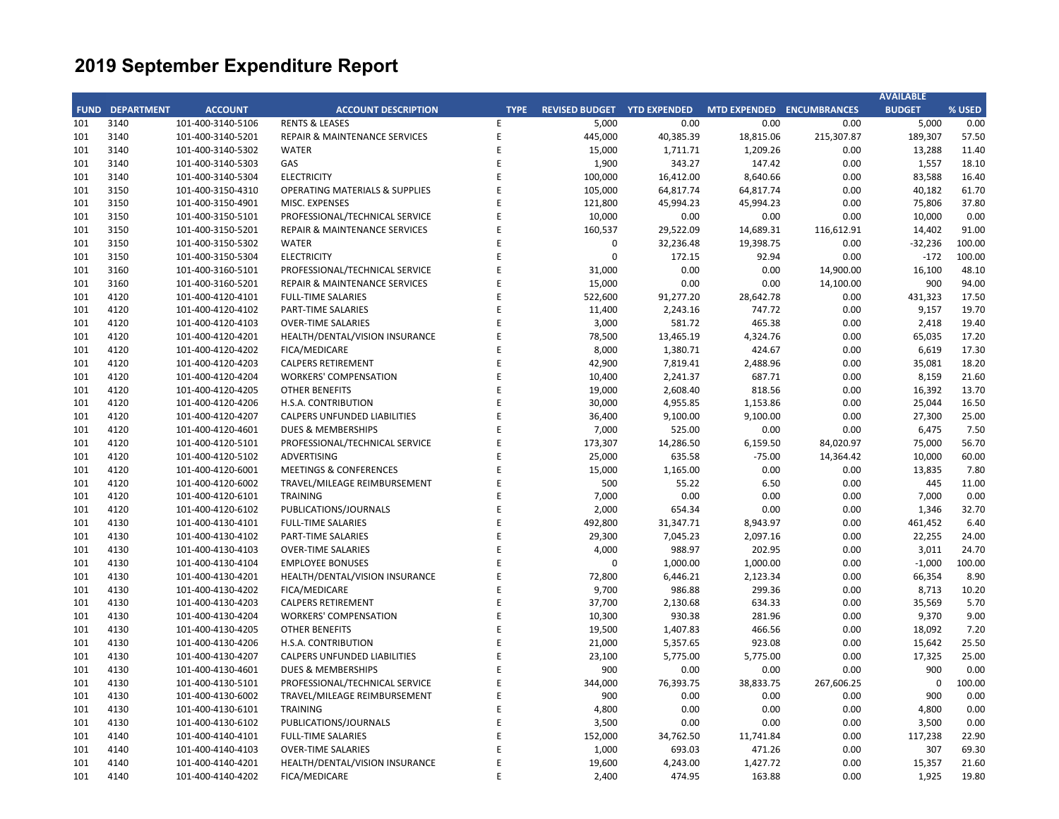|     |                        |                   |                                           |             |                                    |           |                           |            | <b>AVAILABLE</b> |        |
|-----|------------------------|-------------------|-------------------------------------------|-------------|------------------------------------|-----------|---------------------------|------------|------------------|--------|
|     | <b>FUND DEPARTMENT</b> | <b>ACCOUNT</b>    | <b>ACCOUNT DESCRIPTION</b>                | <b>TYPE</b> | <b>REVISED BUDGET YTD EXPENDED</b> |           | MTD EXPENDED ENCUMBRANCES |            | <b>BUDGET</b>    | % USED |
| 101 | 3140                   | 101-400-3140-5106 | <b>RENTS &amp; LEASES</b>                 | E           | 5,000                              | 0.00      | 0.00                      | 0.00       | 5,000            | 0.00   |
| 101 | 3140                   | 101-400-3140-5201 | <b>REPAIR &amp; MAINTENANCE SERVICES</b>  | E           | 445,000                            | 40,385.39 | 18,815.06                 | 215,307.87 | 189,307          | 57.50  |
| 101 | 3140                   | 101-400-3140-5302 | <b>WATER</b>                              | E           | 15,000                             | 1,711.71  | 1,209.26                  | 0.00       | 13,288           | 11.40  |
| 101 | 3140                   | 101-400-3140-5303 | GAS                                       | F           | 1,900                              | 343.27    | 147.42                    | 0.00       | 1,557            | 18.10  |
| 101 | 3140                   | 101-400-3140-5304 | <b>ELECTRICITY</b>                        | E           | 100,000                            | 16,412.00 | 8,640.66                  | 0.00       | 83,588           | 16.40  |
| 101 | 3150                   | 101-400-3150-4310 | <b>OPERATING MATERIALS &amp; SUPPLIES</b> | F           | 105,000                            | 64,817.74 | 64,817.74                 | 0.00       | 40,182           | 61.70  |
| 101 | 3150                   | 101-400-3150-4901 | MISC. EXPENSES                            | F           | 121,800                            | 45,994.23 | 45,994.23                 | 0.00       | 75,806           | 37.80  |
| 101 | 3150                   | 101-400-3150-5101 | PROFESSIONAL/TECHNICAL SERVICE            | F           | 10,000                             | 0.00      | 0.00                      | 0.00       | 10,000           | 0.00   |
| 101 | 3150                   | 101-400-3150-5201 | <b>REPAIR &amp; MAINTENANCE SERVICES</b>  | E           | 160,537                            | 29,522.09 | 14,689.31                 | 116,612.91 | 14,402           | 91.00  |
| 101 | 3150                   | 101-400-3150-5302 | <b>WATER</b>                              | F           | 0                                  | 32,236.48 | 19,398.75                 | 0.00       | $-32,236$        | 100.00 |
| 101 | 3150                   | 101-400-3150-5304 | <b>ELECTRICITY</b>                        | F           | $\mathbf 0$                        | 172.15    | 92.94                     | 0.00       | $-172$           | 100.00 |
| 101 | 3160                   | 101-400-3160-5101 | PROFESSIONAL/TECHNICAL SERVICE            | F           | 31,000                             | 0.00      | 0.00                      | 14,900.00  | 16,100           | 48.10  |
| 101 | 3160                   | 101-400-3160-5201 | <b>REPAIR &amp; MAINTENANCE SERVICES</b>  | E           | 15,000                             | 0.00      | 0.00                      | 14,100.00  | 900              | 94.00  |
| 101 | 4120                   | 101-400-4120-4101 | <b>FULL-TIME SALARIES</b>                 | F           | 522,600                            | 91,277.20 | 28,642.78                 | 0.00       | 431,323          | 17.50  |
| 101 | 4120                   | 101-400-4120-4102 | PART-TIME SALARIES                        | E           | 11,400                             | 2,243.16  | 747.72                    | 0.00       | 9,157            | 19.70  |
| 101 | 4120                   | 101-400-4120-4103 | <b>OVER-TIME SALARIES</b>                 |             | 3,000                              | 581.72    | 465.38                    | 0.00       | 2,418            | 19.40  |
| 101 | 4120                   | 101-400-4120-4201 | HEALTH/DENTAL/VISION INSURANCE            | F           | 78,500                             | 13,465.19 | 4,324.76                  | 0.00       | 65,035           | 17.20  |
| 101 | 4120                   | 101-400-4120-4202 | FICA/MEDICARE                             | F           | 8,000                              | 1,380.71  | 424.67                    | 0.00       | 6,619            | 17.30  |
| 101 | 4120                   | 101-400-4120-4203 | <b>CALPERS RETIREMENT</b>                 | F           | 42,900                             | 7,819.41  | 2,488.96                  | 0.00       | 35,081           | 18.20  |
| 101 | 4120                   | 101-400-4120-4204 | <b>WORKERS' COMPENSATION</b>              |             | 10,400                             | 2,241.37  | 687.71                    | 0.00       | 8,159            | 21.60  |
| 101 | 4120                   | 101-400-4120-4205 | <b>OTHER BENEFITS</b>                     | F           | 19,000                             | 2,608.40  | 818.56                    | 0.00       | 16,392           | 13.70  |
| 101 | 4120                   | 101-400-4120-4206 | H.S.A. CONTRIBUTION                       | F           | 30,000                             | 4,955.85  | 1,153.86                  | 0.00       | 25,044           | 16.50  |
| 101 | 4120                   | 101-400-4120-4207 | <b>CALPERS UNFUNDED LIABILITIES</b>       | E           | 36,400                             | 9,100.00  | 9,100.00                  | 0.00       | 27,300           | 25.00  |
| 101 | 4120                   | 101-400-4120-4601 | <b>DUES &amp; MEMBERSHIPS</b>             |             | 7,000                              | 525.00    | 0.00                      | 0.00       | 6,475            | 7.50   |
| 101 | 4120                   | 101-400-4120-5101 | PROFESSIONAL/TECHNICAL SERVICE            | F           | 173,307                            | 14,286.50 | 6,159.50                  | 84,020.97  | 75,000           | 56.70  |
| 101 | 4120                   | 101-400-4120-5102 | ADVERTISING                               | F           | 25,000                             | 635.58    | $-75.00$                  | 14,364.42  | 10,000           | 60.00  |
| 101 | 4120                   | 101-400-4120-6001 | <b>MEETINGS &amp; CONFERENCES</b>         | F           | 15,000                             | 1,165.00  | 0.00                      | 0.00       | 13,835           | 7.80   |
| 101 | 4120                   | 101-400-4120-6002 | TRAVEL/MILEAGE REIMBURSEMENT              |             | 500                                | 55.22     | 6.50                      | 0.00       | 445              | 11.00  |
| 101 | 4120                   | 101-400-4120-6101 | <b>TRAINING</b>                           | F           | 7,000                              | 0.00      | 0.00                      | 0.00       | 7,000            | 0.00   |
| 101 | 4120                   | 101-400-4120-6102 | PUBLICATIONS/JOURNALS                     | F           | 2,000                              | 654.34    | 0.00                      | 0.00       | 1,346            | 32.70  |
| 101 | 4130                   | 101-400-4130-4101 | <b>FULL-TIME SALARIES</b>                 | F           | 492,800                            | 31,347.71 | 8,943.97                  | 0.00       | 461,452          | 6.40   |
| 101 | 4130                   | 101-400-4130-4102 | <b>PART-TIME SALARIES</b>                 |             | 29,300                             | 7,045.23  | 2,097.16                  | 0.00       | 22,255           | 24.00  |
| 101 | 4130                   | 101-400-4130-4103 | <b>OVER-TIME SALARIES</b>                 | E           | 4,000                              | 988.97    | 202.95                    | 0.00       | 3,011            | 24.70  |
| 101 | 4130                   | 101-400-4130-4104 | <b>EMPLOYEE BONUSES</b>                   | F           | 0                                  | 1,000.00  | 1,000.00                  | 0.00       | $-1,000$         | 100.00 |
| 101 | 4130                   | 101-400-4130-4201 | HEALTH/DENTAL/VISION INSURANCE            | F           | 72,800                             | 6,446.21  | 2,123.34                  | 0.00       | 66,354           | 8.90   |
| 101 | 4130                   | 101-400-4130-4202 | FICA/MEDICARE                             | F           | 9,700                              | 986.88    | 299.36                    | 0.00       | 8,713            | 10.20  |
| 101 | 4130                   | 101-400-4130-4203 | <b>CALPERS RETIREMENT</b>                 |             | 37,700                             | 2,130.68  | 634.33                    | 0.00       | 35,569           | 5.70   |
| 101 | 4130                   | 101-400-4130-4204 | <b>WORKERS' COMPENSATION</b>              | F           | 10,300                             | 930.38    | 281.96                    | 0.00       | 9,370            | 9.00   |
| 101 | 4130                   | 101-400-4130-4205 | <b>OTHER BENEFITS</b>                     | F           | 19,500                             | 1,407.83  | 466.56                    | 0.00       | 18,092           | 7.20   |
| 101 | 4130                   | 101-400-4130-4206 | H.S.A. CONTRIBUTION                       | F           | 21,000                             | 5,357.65  | 923.08                    | 0.00       | 15,642           | 25.50  |
| 101 | 4130                   | 101-400-4130-4207 | CALPERS UNFUNDED LIABILITIES              | E           | 23,100                             | 5,775.00  | 5,775.00                  | 0.00       | 17,325           | 25.00  |
| 101 | 4130                   | 101-400-4130-4601 | <b>DUES &amp; MEMBERSHIPS</b>             | F           | 900                                | 0.00      | 0.00                      | 0.00       | 900              | 0.00   |
| 101 | 4130                   | 101-400-4130-5101 | PROFESSIONAL/TECHNICAL SERVICE            | F           | 344,000                            | 76,393.75 | 38,833.75                 | 267,606.25 | $\mathbf 0$      | 100.00 |
| 101 | 4130                   | 101-400-4130-6002 | TRAVEL/MILEAGE REIMBURSEMENT              | F           | 900                                | 0.00      | 0.00                      | 0.00       | 900              | 0.00   |
| 101 | 4130                   | 101-400-4130-6101 | <b>TRAINING</b>                           | E           | 4,800                              | 0.00      | 0.00                      | 0.00       | 4,800            | 0.00   |
| 101 | 4130                   | 101-400-4130-6102 | PUBLICATIONS/JOURNALS                     | F           | 3,500                              | 0.00      | 0.00                      | 0.00       | 3,500            | 0.00   |
| 101 | 4140                   | 101-400-4140-4101 | <b>FULL-TIME SALARIES</b>                 | E           | 152,000                            | 34,762.50 | 11,741.84                 | 0.00       | 117,238          | 22.90  |
| 101 | 4140                   | 101-400-4140-4103 | <b>OVER-TIME SALARIES</b>                 | F           | 1,000                              | 693.03    | 471.26                    | 0.00       | 307              | 69.30  |
| 101 | 4140                   | 101-400-4140-4201 | HEALTH/DENTAL/VISION INSURANCE            | E           | 19,600                             | 4,243.00  | 1,427.72                  | 0.00       | 15,357           | 21.60  |
| 101 | 4140                   | 101-400-4140-4202 | FICA/MEDICARE                             | E           | 2,400                              | 474.95    | 163.88                    | 0.00       | 1,925            | 19.80  |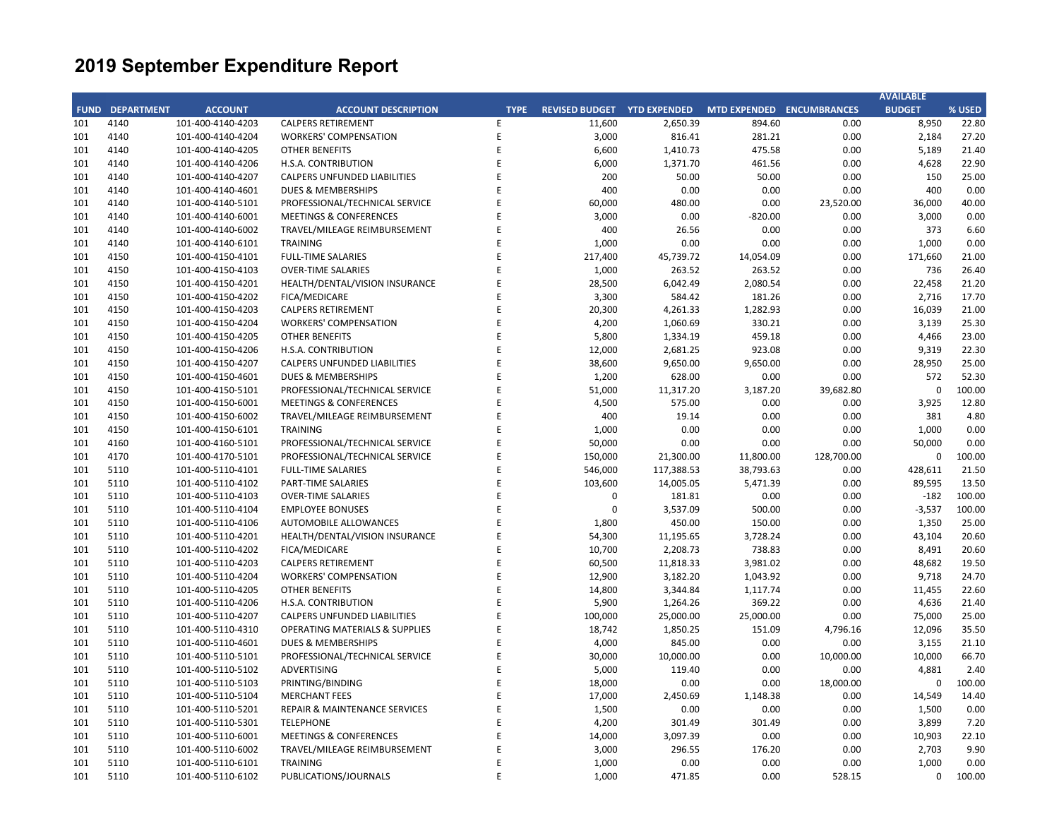|            |                        |                                        |                                           |             |                                    |                     |                           |                   | <b>AVAILABLE</b> |        |
|------------|------------------------|----------------------------------------|-------------------------------------------|-------------|------------------------------------|---------------------|---------------------------|-------------------|------------------|--------|
|            | <b>FUND DEPARTMENT</b> | <b>ACCOUNT</b>                         | <b>ACCOUNT DESCRIPTION</b>                | <b>TYPE</b> | <b>REVISED BUDGET YTD EXPENDED</b> |                     | MTD EXPENDED ENCUMBRANCES |                   | <b>BUDGET</b>    | % USED |
| 101        | 4140                   | 101-400-4140-4203                      | <b>CALPERS RETIREMENT</b>                 | E           | 11,600                             | 2,650.39            | 894.60                    | 0.00              | 8,950            | 22.80  |
| 101        | 4140                   | 101-400-4140-4204                      | <b>WORKERS' COMPENSATION</b>              | E           | 3,000                              | 816.41              | 281.21                    | 0.00              | 2,184            | 27.20  |
| 101        | 4140                   | 101-400-4140-4205                      | <b>OTHER BENEFITS</b>                     | E           | 6,600                              | 1,410.73            | 475.58                    | 0.00              | 5,189            | 21.40  |
| 101        | 4140                   | 101-400-4140-4206                      | H.S.A. CONTRIBUTION                       | E           | 6,000                              | 1,371.70            | 461.56                    | 0.00              | 4,628            | 22.90  |
| 101        | 4140                   | 101-400-4140-4207                      | <b>CALPERS UNFUNDED LIABILITIES</b>       | E           | 200                                | 50.00               | 50.00                     | 0.00              | 150              | 25.00  |
| 101        | 4140                   | 101-400-4140-4601                      | <b>DUES &amp; MEMBERSHIPS</b>             | F           | 400                                | 0.00                | 0.00                      | 0.00              | 400              | 0.00   |
| 101        | 4140                   | 101-400-4140-5101                      | PROFESSIONAL/TECHNICAL SERVICE            | E           | 60,000                             | 480.00              | 0.00                      | 23,520.00         | 36,000           | 40.00  |
| 101        | 4140                   | 101-400-4140-6001                      | <b>MEETINGS &amp; CONFERENCES</b>         | E           | 3,000                              | 0.00                | $-820.00$                 | 0.00              | 3,000            | 0.00   |
| 101        | 4140                   | 101-400-4140-6002                      | TRAVEL/MILEAGE REIMBURSEMENT              | E           | 400                                | 26.56               | 0.00                      | 0.00              | 373              | 6.60   |
| 101        | 4140                   | 101-400-4140-6101                      | <b>TRAINING</b>                           | E           | 1,000                              | 0.00                | 0.00                      | 0.00              | 1,000            | 0.00   |
| 101        | 4150                   | 101-400-4150-4101                      | <b>FULL-TIME SALARIES</b>                 | E           | 217,400                            | 45,739.72           | 14,054.09                 | 0.00              | 171,660          | 21.00  |
| 101        | 4150                   | 101-400-4150-4103                      | <b>OVER-TIME SALARIES</b>                 | E           | 1,000                              | 263.52              | 263.52                    | 0.00              | 736              | 26.40  |
| 101        | 4150                   | 101-400-4150-4201                      | HEALTH/DENTAL/VISION INSURANCE            | E           | 28,500                             | 6,042.49            | 2,080.54                  | 0.00              | 22,458           | 21.20  |
| 101        | 4150                   | 101-400-4150-4202                      | FICA/MEDICARE                             | E           | 3,300                              | 584.42              | 181.26                    | 0.00              | 2,716            | 17.70  |
| 101        | 4150                   | 101-400-4150-4203                      | <b>CALPERS RETIREMENT</b>                 | E           | 20,300                             | 4,261.33            | 1,282.93                  | 0.00              | 16,039           | 21.00  |
| 101        | 4150                   | 101-400-4150-4204                      | <b>WORKERS' COMPENSATION</b>              | E           | 4,200                              | 1,060.69            | 330.21                    | 0.00              | 3,139            | 25.30  |
| 101        | 4150                   | 101-400-4150-4205                      | <b>OTHER BENEFITS</b>                     | F           | 5,800                              | 1,334.19            | 459.18                    | 0.00              | 4,466            | 23.00  |
| 101        | 4150                   | 101-400-4150-4206                      | H.S.A. CONTRIBUTION                       | F           | 12,000                             | 2,681.25            | 923.08                    | 0.00              | 9,319            | 22.30  |
| 101        | 4150                   | 101-400-4150-4207                      | CALPERS UNFUNDED LIABILITIES              | F           | 38,600                             | 9,650.00            | 9,650.00                  | 0.00              | 28,950           | 25.00  |
| 101        | 4150                   | 101-400-4150-4601                      | <b>DUES &amp; MEMBERSHIPS</b>             | E           | 1,200                              | 628.00              | 0.00                      | 0.00              | 572              | 52.30  |
| 101        | 4150                   | 101-400-4150-5101                      | PROFESSIONAL/TECHNICAL SERVICE            | E           | 51,000                             | 11,317.20           | 3,187.20                  | 39,682.80         | $\mathbf 0$      | 100.00 |
| 101        | 4150                   | 101-400-4150-6001                      | <b>MEETINGS &amp; CONFERENCES</b>         | E           | 4,500                              | 575.00              | 0.00                      | 0.00              | 3,925            | 12.80  |
| 101        | 4150                   | 101-400-4150-6002                      | TRAVEL/MILEAGE REIMBURSEMENT              | E           | 400                                | 19.14               | 0.00                      | 0.00              | 381              | 4.80   |
| 101        | 4150                   | 101-400-4150-6101                      | <b>TRAINING</b>                           | E           | 1,000                              | 0.00                | 0.00                      | 0.00              | 1,000            | 0.00   |
| 101        | 4160                   | 101-400-4160-5101                      | PROFESSIONAL/TECHNICAL SERVICE            | E           | 50,000                             | 0.00                | 0.00                      | 0.00              | 50,000           | 0.00   |
| 101        | 4170                   | 101-400-4170-5101                      | PROFESSIONAL/TECHNICAL SERVICE            | E           | 150,000                            | 21,300.00           | 11,800.00                 | 128,700.00        | 0                | 100.00 |
| 101        | 5110                   | 101-400-5110-4101                      | <b>FULL-TIME SALARIES</b>                 | F           | 546,000                            | 117,388.53          | 38,793.63                 | 0.00              | 428,611          | 21.50  |
| 101        | 5110                   | 101-400-5110-4102                      | PART-TIME SALARIES                        | E           | 103,600                            | 14,005.05           | 5,471.39                  | 0.00              | 89,595           | 13.50  |
| 101        | 5110                   | 101-400-5110-4103                      | <b>OVER-TIME SALARIES</b>                 | E           | $\pmb{0}$                          | 181.81              | 0.00                      | 0.00              | $-182$           | 100.00 |
| 101        | 5110                   | 101-400-5110-4104                      | <b>EMPLOYEE BONUSES</b>                   | F           | $\mathbf 0$                        | 3,537.09            | 500.00                    | 0.00              | $-3,537$         | 100.00 |
| 101        | 5110                   | 101-400-5110-4106                      | <b>AUTOMOBILE ALLOWANCES</b>              | F           | 1,800                              | 450.00              | 150.00                    | 0.00              | 1,350            | 25.00  |
| 101        | 5110                   | 101-400-5110-4201                      | HEALTH/DENTAL/VISION INSURANCE            | E           | 54,300                             | 11,195.65           | 3,728.24                  | 0.00              | 43,104           | 20.60  |
| 101        | 5110                   | 101-400-5110-4202                      | FICA/MEDICARE                             | F           | 10,700                             | 2,208.73            | 738.83                    | 0.00              | 8,491            | 20.60  |
| 101        | 5110                   | 101-400-5110-4203                      | <b>CALPERS RETIREMENT</b>                 | E           | 60,500                             | 11,818.33           | 3,981.02                  | 0.00              | 48,682           | 19.50  |
| 101        | 5110                   | 101-400-5110-4204                      | <b>WORKERS' COMPENSATION</b>              | F           | 12,900                             | 3,182.20            | 1,043.92                  | 0.00              | 9,718            | 24.70  |
| 101        | 5110                   | 101-400-5110-4205                      | <b>OTHER BENEFITS</b>                     | E           | 14,800                             | 3,344.84            | 1,117.74                  | 0.00              | 11,455           | 22.60  |
| 101        | 5110                   | 101-400-5110-4206                      | H.S.A. CONTRIBUTION                       | F           | 5,900                              | 1,264.26            | 369.22                    | 0.00              | 4,636            | 21.40  |
| 101        | 5110                   | 101-400-5110-4207                      | <b>CALPERS UNFUNDED LIABILITIES</b>       | E           | 100,000                            | 25,000.00           | 25,000.00                 | 0.00              | 75,000           | 25.00  |
| 101        | 5110                   | 101-400-5110-4310                      | <b>OPERATING MATERIALS &amp; SUPPLIES</b> | F           | 18,742                             | 1,850.25            | 151.09                    | 4,796.16          | 12,096           | 35.50  |
| 101        | 5110                   | 101-400-5110-4601                      | <b>DUES &amp; MEMBERSHIPS</b>             | E           | 4,000                              | 845.00              | 0.00                      | 0.00              | 3,155            | 21.10  |
|            | 5110                   |                                        | PROFESSIONAL/TECHNICAL SERVICE            | E           |                                    |                     | 0.00                      |                   | 10,000           | 66.70  |
| 101<br>101 | 5110                   | 101-400-5110-5101<br>101-400-5110-5102 | ADVERTISING                               | E           | 30,000                             | 10,000.00<br>119.40 | 0.00                      | 10,000.00<br>0.00 | 4,881            | 2.40   |
|            |                        |                                        |                                           | E           | 5,000                              |                     |                           |                   |                  |        |
| 101        | 5110                   | 101-400-5110-5103                      | PRINTING/BINDING                          | E           | 18,000                             | 0.00                | 0.00                      | 18,000.00         | 0                | 100.00 |
| 101        | 5110                   | 101-400-5110-5104                      | <b>MERCHANT FEES</b>                      |             | 17,000                             | 2,450.69            | 1,148.38                  | 0.00              | 14,549           | 14.40  |
| 101        | 5110                   | 101-400-5110-5201                      | <b>REPAIR &amp; MAINTENANCE SERVICES</b>  | E<br>E      | 1,500                              | 0.00                | 0.00                      | 0.00              | 1,500            | 0.00   |
| 101        | 5110                   | 101-400-5110-5301                      | <b>TELEPHONE</b>                          |             | 4,200                              | 301.49              | 301.49                    | 0.00              | 3,899            | 7.20   |
| 101        | 5110                   | 101-400-5110-6001                      | <b>MEETINGS &amp; CONFERENCES</b>         | E<br>E      | 14,000                             | 3,097.39            | 0.00                      | 0.00              | 10,903           | 22.10  |
| 101        | 5110                   | 101-400-5110-6002                      | TRAVEL/MILEAGE REIMBURSEMENT              |             | 3,000                              | 296.55              | 176.20                    | 0.00              | 2,703            | 9.90   |
| 101        | 5110                   | 101-400-5110-6101                      | <b>TRAINING</b>                           | E           | 1,000                              | 0.00                | 0.00                      | 0.00              | 1,000            | 0.00   |
| 101        | 5110                   | 101-400-5110-6102                      | PUBLICATIONS/JOURNALS                     | E           | 1,000                              | 471.85              | 0.00                      | 528.15            | $\Omega$         | 100.00 |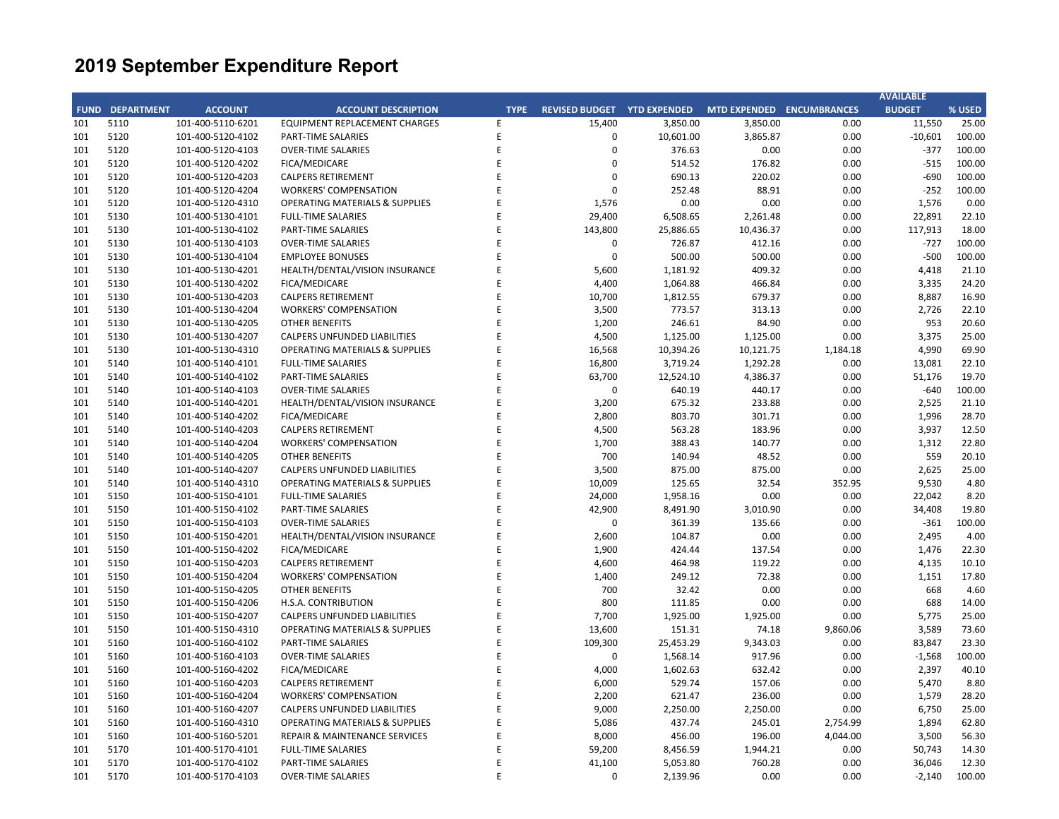|     |                        |                   |                                           |             |                                    |           |                           |          | <b>AVAILABLE</b> |        |
|-----|------------------------|-------------------|-------------------------------------------|-------------|------------------------------------|-----------|---------------------------|----------|------------------|--------|
|     | <b>FUND DEPARTMENT</b> | <b>ACCOUNT</b>    | <b>ACCOUNT DESCRIPTION</b>                | <b>TYPE</b> | <b>REVISED BUDGET YTD EXPENDED</b> |           | MTD EXPENDED ENCUMBRANCES |          | <b>BUDGET</b>    | % USED |
| 101 | 5110                   | 101-400-5110-6201 | <b>EQUIPMENT REPLACEMENT CHARGES</b>      | E           | 15,400                             | 3,850.00  | 3,850.00                  | 0.00     | 11,550           | 25.00  |
| 101 | 5120                   | 101-400-5120-4102 | PART-TIME SALARIES                        | E           | 0                                  | 10,601.00 | 3,865.87                  | 0.00     | $-10,601$        | 100.00 |
| 101 | 5120                   | 101-400-5120-4103 | <b>OVER-TIME SALARIES</b>                 | E           | $\pmb{0}$                          | 376.63    | 0.00                      | 0.00     | $-377$           | 100.00 |
| 101 | 5120                   | 101-400-5120-4202 | FICA/MEDICARE                             | E           | 0                                  | 514.52    | 176.82                    | 0.00     | $-515$           | 100.00 |
| 101 | 5120                   | 101-400-5120-4203 | <b>CALPERS RETIREMENT</b>                 | E           | $\mathbf 0$                        | 690.13    | 220.02                    | 0.00     | $-690$           | 100.00 |
| 101 | 5120                   | 101-400-5120-4204 | <b>WORKERS' COMPENSATION</b>              | F           | $\Omega$                           | 252.48    | 88.91                     | 0.00     | $-252$           | 100.00 |
| 101 | 5120                   | 101-400-5120-4310 | <b>OPERATING MATERIALS &amp; SUPPLIES</b> | E           | 1,576                              | 0.00      | 0.00                      | 0.00     | 1,576            | 0.00   |
| 101 | 5130                   | 101-400-5130-4101 | <b>FULL-TIME SALARIES</b>                 | F           | 29,400                             | 6,508.65  | 2,261.48                  | 0.00     | 22,891           | 22.10  |
| 101 | 5130                   | 101-400-5130-4102 | <b>PART-TIME SALARIES</b>                 | E           | 143,800                            | 25,886.65 | 10,436.37                 | 0.00     | 117,913          | 18.00  |
| 101 | 5130                   | 101-400-5130-4103 | <b>OVER-TIME SALARIES</b>                 | F           | 0                                  | 726.87    | 412.16                    | 0.00     | $-727$           | 100.00 |
| 101 | 5130                   | 101-400-5130-4104 | <b>EMPLOYEE BONUSES</b>                   | E           | $\mathbf 0$                        | 500.00    | 500.00                    | 0.00     | $-500$           | 100.00 |
| 101 | 5130                   | 101-400-5130-4201 | HEALTH/DENTAL/VISION INSURANCE            | F           | 5,600                              | 1,181.92  | 409.32                    | 0.00     | 4,418            | 21.10  |
| 101 | 5130                   | 101-400-5130-4202 | FICA/MEDICARE                             | E           | 4,400                              | 1,064.88  | 466.84                    | 0.00     | 3,335            | 24.20  |
| 101 | 5130                   | 101-400-5130-4203 | <b>CALPERS RETIREMENT</b>                 | F           | 10,700                             | 1,812.55  | 679.37                    | 0.00     | 8,887            | 16.90  |
| 101 | 5130                   | 101-400-5130-4204 | <b>WORKERS' COMPENSATION</b>              | E           | 3,500                              | 773.57    | 313.13                    | 0.00     | 2,726            | 22.10  |
| 101 | 5130                   | 101-400-5130-4205 | <b>OTHER BENEFITS</b>                     | F           | 1,200                              | 246.61    | 84.90                     | 0.00     | 953              | 20.60  |
| 101 | 5130                   | 101-400-5130-4207 | <b>CALPERS UNFUNDED LIABILITIES</b>       | E           | 4,500                              | 1,125.00  | 1,125.00                  | 0.00     | 3,375            | 25.00  |
| 101 | 5130                   | 101-400-5130-4310 | <b>OPERATING MATERIALS &amp; SUPPLIES</b> | F           | 16,568                             | 10,394.26 | 10,121.75                 | 1,184.18 | 4,990            | 69.90  |
| 101 | 5140                   | 101-400-5140-4101 | <b>FULL-TIME SALARIES</b>                 | E           | 16,800                             | 3,719.24  | 1,292.28                  | 0.00     | 13,081           | 22.10  |
| 101 | 5140                   | 101-400-5140-4102 | PART-TIME SALARIES                        | F           | 63,700                             | 12,524.10 | 4,386.37                  | 0.00     | 51,176           | 19.70  |
| 101 | 5140                   | 101-400-5140-4103 | <b>OVER-TIME SALARIES</b>                 | E           | $\mathbf 0$                        | 640.19    | 440.17                    | 0.00     | $-640$           | 100.00 |
| 101 | 5140                   | 101-400-5140-4201 | HEALTH/DENTAL/VISION INSURANCE            | E           | 3,200                              | 675.32    | 233.88                    | 0.00     | 2,525            | 21.10  |
| 101 | 5140                   | 101-400-5140-4202 | FICA/MEDICARE                             | E           | 2,800                              | 803.70    | 301.71                    | 0.00     | 1,996            | 28.70  |
| 101 | 5140                   | 101-400-5140-4203 | <b>CALPERS RETIREMENT</b>                 | F           | 4,500                              | 563.28    | 183.96                    | 0.00     | 3,937            | 12.50  |
| 101 | 5140                   | 101-400-5140-4204 | <b>WORKERS' COMPENSATION</b>              | E           | 1,700                              | 388.43    | 140.77                    | 0.00     | 1,312            | 22.80  |
| 101 | 5140                   | 101-400-5140-4205 | <b>OTHER BENEFITS</b>                     | F           | 700                                | 140.94    | 48.52                     | 0.00     | 559              | 20.10  |
| 101 | 5140                   | 101-400-5140-4207 | <b>CALPERS UNFUNDED LIABILITIES</b>       | F           | 3,500                              | 875.00    | 875.00                    | 0.00     | 2,625            | 25.00  |
| 101 | 5140                   | 101-400-5140-4310 | <b>OPERATING MATERIALS &amp; SUPPLIES</b> | F           | 10,009                             | 125.65    | 32.54                     | 352.95   | 9,530            | 4.80   |
| 101 | 5150                   | 101-400-5150-4101 | <b>FULL-TIME SALARIES</b>                 | E           | 24,000                             | 1,958.16  | 0.00                      | 0.00     | 22,042           | 8.20   |
| 101 | 5150                   | 101-400-5150-4102 | PART-TIME SALARIES                        | F           | 42,900                             | 8,491.90  | 3,010.90                  | 0.00     | 34,408           | 19.80  |
| 101 | 5150                   | 101-400-5150-4103 | <b>OVER-TIME SALARIES</b>                 | F           | $\mathbf 0$                        | 361.39    | 135.66                    | 0.00     | $-361$           | 100.00 |
| 101 | 5150                   | 101-400-5150-4201 | HEALTH/DENTAL/VISION INSURANCE            | E           | 2,600                              | 104.87    | 0.00                      | 0.00     | 2,495            | 4.00   |
| 101 | 5150                   | 101-400-5150-4202 | FICA/MEDICARE                             | E           | 1,900                              | 424.44    | 137.54                    | 0.00     | 1,476            | 22.30  |
| 101 | 5150                   | 101-400-5150-4203 | <b>CALPERS RETIREMENT</b>                 | E           | 4,600                              | 464.98    | 119.22                    | 0.00     | 4,135            | 10.10  |
| 101 | 5150                   | 101-400-5150-4204 | <b>WORKERS' COMPENSATION</b>              | E           | 1,400                              | 249.12    | 72.38                     | 0.00     | 1,151            | 17.80  |
| 101 | 5150                   | 101-400-5150-4205 | <b>OTHER BENEFITS</b>                     | F           | 700                                | 32.42     | 0.00                      | 0.00     | 668              | 4.60   |
| 101 | 5150                   | 101-400-5150-4206 | H.S.A. CONTRIBUTION                       | E           | 800                                | 111.85    | 0.00                      | 0.00     | 688              | 14.00  |
| 101 | 5150                   | 101-400-5150-4207 | <b>CALPERS UNFUNDED LIABILITIES</b>       | E           | 7,700                              | 1,925.00  | 1,925.00                  | 0.00     | 5,775            | 25.00  |
| 101 | 5150                   | 101-400-5150-4310 | <b>OPERATING MATERIALS &amp; SUPPLIES</b> | E           | 13,600                             | 151.31    | 74.18                     | 9,860.06 | 3,589            | 73.60  |
| 101 | 5160                   | 101-400-5160-4102 | PART-TIME SALARIES                        | F           | 109,300                            | 25,453.29 | 9,343.03                  | 0.00     | 83,847           | 23.30  |
| 101 | 5160                   | 101-400-5160-4103 | <b>OVER-TIME SALARIES</b>                 | E           | $\mathbf 0$                        | 1,568.14  | 917.96                    | 0.00     | $-1,568$         | 100.00 |
| 101 | 5160                   | 101-400-5160-4202 | FICA/MEDICARE                             | F           | 4,000                              | 1,602.63  | 632.42                    | 0.00     | 2,397            | 40.10  |
| 101 | 5160                   | 101-400-5160-4203 | <b>CALPERS RETIREMENT</b>                 | E           | 6,000                              | 529.74    | 157.06                    | 0.00     | 5,470            | 8.80   |
| 101 | 5160                   | 101-400-5160-4204 | <b>WORKERS' COMPENSATION</b>              | F           | 2,200                              | 621.47    | 236.00                    | 0.00     | 1,579            | 28.20  |
| 101 | 5160                   | 101-400-5160-4207 | <b>CALPERS UNFUNDED LIABILITIES</b>       | E           | 9,000                              | 2,250.00  | 2,250.00                  | 0.00     | 6,750            | 25.00  |
| 101 | 5160                   | 101-400-5160-4310 | <b>OPERATING MATERIALS &amp; SUPPLIES</b> | E           | 5,086                              | 437.74    | 245.01                    | 2,754.99 | 1,894            | 62.80  |
| 101 | 5160                   | 101-400-5160-5201 | <b>REPAIR &amp; MAINTENANCE SERVICES</b>  | E           | 8,000                              | 456.00    | 196.00                    | 4,044.00 | 3,500            | 56.30  |
| 101 | 5170                   | 101-400-5170-4101 | <b>FULL-TIME SALARIES</b>                 | F           | 59,200                             | 8,456.59  | 1,944.21                  | 0.00     | 50,743           | 14.30  |
| 101 | 5170                   | 101-400-5170-4102 | PART-TIME SALARIES                        | E           | 41,100                             | 5,053.80  | 760.28                    | 0.00     | 36,046           | 12.30  |
| 101 | 5170                   | 101-400-5170-4103 | <b>OVER-TIME SALARIES</b>                 | F           | $\Omega$                           | 2,139.96  | 0.00                      | 0.00     | $-2,140$         | 100.00 |
|     |                        |                   |                                           |             |                                    |           |                           |          |                  |        |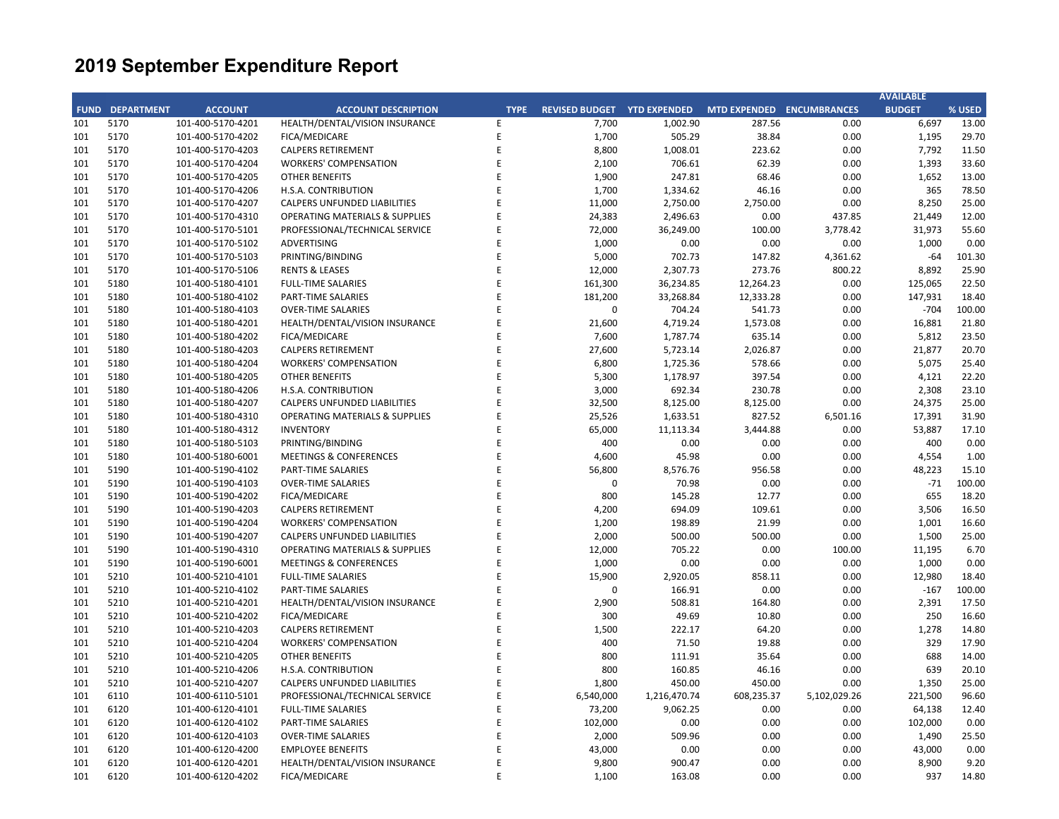|            |                        |                                        |                                                                     |             |                             |              |                           |              | <b>AVAILABLE</b> |        |
|------------|------------------------|----------------------------------------|---------------------------------------------------------------------|-------------|-----------------------------|--------------|---------------------------|--------------|------------------|--------|
|            | <b>FUND DEPARTMENT</b> | <b>ACCOUNT</b>                         | <b>ACCOUNT DESCRIPTION</b>                                          | <b>TYPE</b> | REVISED BUDGET YTD EXPENDED |              | MTD EXPENDED ENCUMBRANCES |              | <b>BUDGET</b>    | % USED |
| 101        | 5170                   | 101-400-5170-4201                      | HEALTH/DENTAL/VISION INSURANCE                                      | E           | 7,700                       | 1,002.90     | 287.56                    | 0.00         | 6,697            | 13.00  |
| 101        | 5170                   | 101-400-5170-4202                      | FICA/MEDICARE                                                       | E           | 1,700                       | 505.29       | 38.84                     | 0.00         | 1,195            | 29.70  |
| 101        | 5170                   | 101-400-5170-4203                      | <b>CALPERS RETIREMENT</b>                                           | E           | 8,800                       | 1,008.01     | 223.62                    | 0.00         | 7,792            | 11.50  |
| 101        | 5170                   | 101-400-5170-4204                      | <b>WORKERS' COMPENSATION</b>                                        | E           | 2,100                       | 706.61       | 62.39                     | 0.00         | 1,393            | 33.60  |
| 101        | 5170                   | 101-400-5170-4205                      | <b>OTHER BENEFITS</b>                                               | E           | 1,900                       | 247.81       | 68.46                     | 0.00         | 1,652            | 13.00  |
| 101        | 5170                   | 101-400-5170-4206                      | H.S.A. CONTRIBUTION                                                 | E           | 1,700                       | 1,334.62     | 46.16                     | 0.00         | 365              | 78.50  |
| 101        | 5170                   | 101-400-5170-4207                      | CALPERS UNFUNDED LIABILITIES                                        | E           | 11,000                      | 2,750.00     | 2,750.00                  | 0.00         | 8,250            | 25.00  |
| 101        | 5170                   | 101-400-5170-4310                      | <b>OPERATING MATERIALS &amp; SUPPLIES</b>                           | E           | 24,383                      | 2,496.63     | 0.00                      | 437.85       | 21,449           | 12.00  |
| 101        | 5170                   | 101-400-5170-5101                      | PROFESSIONAL/TECHNICAL SERVICE                                      | E           | 72,000                      | 36,249.00    | 100.00                    | 3,778.42     | 31,973           | 55.60  |
| 101        | 5170                   | 101-400-5170-5102                      | ADVERTISING                                                         | F           | 1,000                       | 0.00         | 0.00                      | 0.00         | 1,000            | 0.00   |
| 101        | 5170                   | 101-400-5170-5103                      | PRINTING/BINDING                                                    | F           | 5,000                       | 702.73       | 147.82                    | 4,361.62     | $-64$            | 101.30 |
| 101        | 5170                   | 101-400-5170-5106                      | <b>RENTS &amp; LEASES</b>                                           | E           | 12,000                      | 2,307.73     | 273.76                    | 800.22       | 8,892            | 25.90  |
| 101        | 5180                   | 101-400-5180-4101                      | <b>FULL-TIME SALARIES</b>                                           | E           | 161,300                     | 36,234.85    | 12,264.23                 | 0.00         | 125,065          | 22.50  |
| 101        | 5180                   | 101-400-5180-4102                      | PART-TIME SALARIES                                                  | E           | 181,200                     | 33,268.84    | 12,333.28                 | 0.00         | 147,931          | 18.40  |
| 101        | 5180                   | 101-400-5180-4103                      | <b>OVER-TIME SALARIES</b>                                           | F           | $\pmb{0}$                   | 704.24       | 541.73                    | 0.00         | $-704$           | 100.00 |
| 101        | 5180                   | 101-400-5180-4201                      | HEALTH/DENTAL/VISION INSURANCE                                      | E           | 21,600                      | 4,719.24     | 1,573.08                  | 0.00         | 16,881           | 21.80  |
| 101        | 5180                   | 101-400-5180-4202                      | FICA/MEDICARE                                                       | F           | 7,600                       | 1,787.74     | 635.14                    | 0.00         | 5,812            | 23.50  |
| 101        | 5180                   | 101-400-5180-4203                      | <b>CALPERS RETIREMENT</b>                                           | E           | 27,600                      | 5,723.14     | 2,026.87                  | 0.00         | 21,877           | 20.70  |
| 101        | 5180                   | 101-400-5180-4204                      | <b>WORKERS' COMPENSATION</b>                                        | F           | 6,800                       | 1,725.36     | 578.66                    | 0.00         | 5,075            | 25.40  |
| 101        | 5180                   | 101-400-5180-4205                      | <b>OTHER BENEFITS</b>                                               | E           | 5,300                       | 1,178.97     | 397.54                    | 0.00         | 4,121            | 22.20  |
| 101        | 5180                   | 101-400-5180-4206                      | H.S.A. CONTRIBUTION                                                 | F           | 3,000                       | 692.34       | 230.78                    | 0.00         | 2,308            | 23.10  |
| 101        | 5180                   | 101-400-5180-4207                      | <b>CALPERS UNFUNDED LIABILITIES</b>                                 | E           | 32,500                      | 8,125.00     | 8,125.00                  | 0.00         | 24,375           | 25.00  |
| 101        | 5180                   | 101-400-5180-4310                      | <b>OPERATING MATERIALS &amp; SUPPLIES</b>                           | F           | 25,526                      | 1,633.51     | 827.52                    | 6,501.16     | 17,391           | 31.90  |
| 101        | 5180                   | 101-400-5180-4312                      | <b>INVENTORY</b>                                                    | E           | 65,000                      | 11,113.34    | 3,444.88                  | 0.00         | 53,887           | 17.10  |
| 101        | 5180                   | 101-400-5180-5103                      | PRINTING/BINDING                                                    | F           | 400                         | 0.00         | 0.00                      | 0.00         | 400              | 0.00   |
| 101        | 5180                   | 101-400-5180-6001                      | <b>MEETINGS &amp; CONFERENCES</b>                                   | E           | 4,600                       | 45.98        | 0.00                      | 0.00         | 4,554            | 1.00   |
| 101        | 5190                   | 101-400-5190-4102                      | PART-TIME SALARIES                                                  | F           | 56,800                      | 8,576.76     | 956.58                    | 0.00         | 48,223           | 15.10  |
| 101        | 5190                   | 101-400-5190-4103                      | <b>OVER-TIME SALARIES</b>                                           | E           | $\pmb{0}$                   | 70.98        | 0.00                      | 0.00         | $-71$            | 100.00 |
| 101        | 5190                   | 101-400-5190-4202                      |                                                                     | F           | 800                         | 145.28       | 12.77                     | 0.00         | 655              | 18.20  |
| 101        | 5190                   | 101-400-5190-4203                      | FICA/MEDICARE<br><b>CALPERS RETIREMENT</b>                          | E           | 4,200                       | 694.09       | 109.61                    | 0.00         | 3,506            | 16.50  |
|            |                        |                                        |                                                                     | F           |                             |              |                           |              |                  | 16.60  |
| 101<br>101 | 5190<br>5190           | 101-400-5190-4204<br>101-400-5190-4207 | <b>WORKERS' COMPENSATION</b><br><b>CALPERS UNFUNDED LIABILITIES</b> | E           | 1,200<br>2,000              | 198.89       | 21.99<br>500.00           | 0.00<br>0.00 | 1,001<br>1,500   | 25.00  |
|            |                        |                                        |                                                                     | E           |                             | 500.00       |                           |              |                  |        |
| 101        | 5190                   | 101-400-5190-4310                      | <b>OPERATING MATERIALS &amp; SUPPLIES</b>                           | E           | 12,000                      | 705.22       | 0.00                      | 100.00       | 11,195           | 6.70   |
| 101        | 5190                   | 101-400-5190-6001                      | <b>MEETINGS &amp; CONFERENCES</b>                                   |             | 1,000                       | 0.00         | 0.00                      | 0.00         | 1,000            | 0.00   |
| 101        | 5210                   | 101-400-5210-4101                      | <b>FULL-TIME SALARIES</b>                                           | E<br>F      | 15,900                      | 2,920.05     | 858.11                    | 0.00         | 12,980           | 18.40  |
| 101        | 5210                   | 101-400-5210-4102                      | <b>PART-TIME SALARIES</b>                                           |             | $\mathbf 0$                 | 166.91       | 0.00                      | 0.00         | $-167$           | 100.00 |
| 101        | 5210                   | 101-400-5210-4201                      | HEALTH/DENTAL/VISION INSURANCE                                      | E           | 2,900                       | 508.81       | 164.80                    | 0.00         | 2,391            | 17.50  |
| 101        | 5210                   | 101-400-5210-4202                      | FICA/MEDICARE                                                       | E           | 300                         | 49.69        | 10.80                     | 0.00         | 250              | 16.60  |
| 101        | 5210                   | 101-400-5210-4203                      | <b>CALPERS RETIREMENT</b>                                           | E           | 1,500                       | 222.17       | 64.20                     | 0.00         | 1,278            | 14.80  |
| 101        | 5210                   | 101-400-5210-4204                      | <b>WORKERS' COMPENSATION</b>                                        | E           | 400                         | 71.50        | 19.88                     | 0.00         | 329              | 17.90  |
| 101        | 5210                   | 101-400-5210-4205                      | <b>OTHER BENEFITS</b>                                               | E           | 800                         | 111.91       | 35.64                     | 0.00         | 688              | 14.00  |
| 101        | 5210                   | 101-400-5210-4206                      | H.S.A. CONTRIBUTION                                                 | E           | 800                         | 160.85       | 46.16                     | 0.00         | 639              | 20.10  |
| 101        | 5210                   | 101-400-5210-4207                      | <b>CALPERS UNFUNDED LIABILITIES</b>                                 | E           | 1,800                       | 450.00       | 450.00                    | 0.00         | 1,350            | 25.00  |
| 101        | 6110                   | 101-400-6110-5101                      | PROFESSIONAL/TECHNICAL SERVICE                                      | F           | 6,540,000                   | 1,216,470.74 | 608,235.37                | 5,102,029.26 | 221,500          | 96.60  |
| 101        | 6120                   | 101-400-6120-4101                      | <b>FULL-TIME SALARIES</b>                                           | E           | 73,200                      | 9,062.25     | 0.00                      | 0.00         | 64,138           | 12.40  |
| 101        | 6120                   | 101-400-6120-4102                      | PART-TIME SALARIES                                                  | E           | 102,000                     | 0.00         | 0.00                      | 0.00         | 102,000          | 0.00   |
| 101        | 6120                   | 101-400-6120-4103                      | <b>OVER-TIME SALARIES</b>                                           | E           | 2,000                       | 509.96       | 0.00                      | 0.00         | 1,490            | 25.50  |
| 101        | 6120                   | 101-400-6120-4200                      | <b>EMPLOYEE BENEFITS</b>                                            | F           | 43,000                      | 0.00         | 0.00                      | 0.00         | 43,000           | 0.00   |
| 101        | 6120                   | 101-400-6120-4201                      | HEALTH/DENTAL/VISION INSURANCE                                      | E           | 9,800                       | 900.47       | 0.00                      | 0.00         | 8,900            | 9.20   |
| 101        | 6120                   | 101-400-6120-4202                      | FICA/MEDICARE                                                       | E           | 1,100                       | 163.08       | 0.00                      | 0.00         | 937              | 14.80  |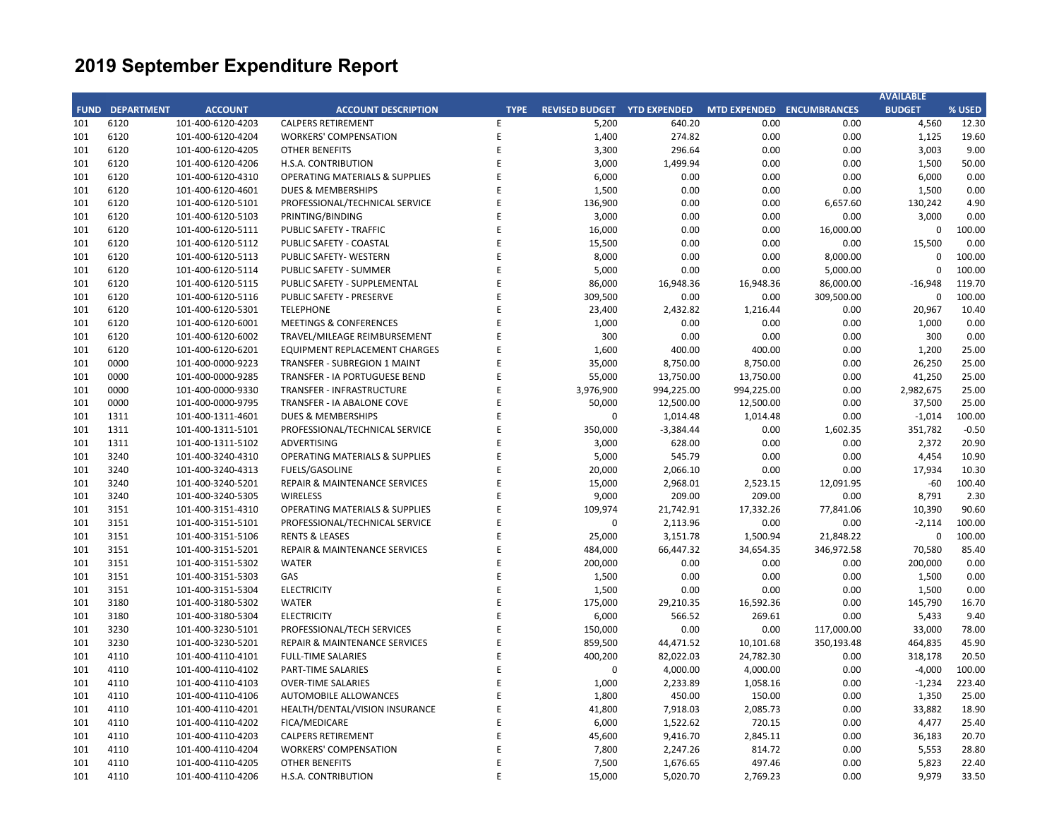|     |                        |                   |                                           |             |                                    |            |                           |            | <b>AVAILABLE</b> |         |
|-----|------------------------|-------------------|-------------------------------------------|-------------|------------------------------------|------------|---------------------------|------------|------------------|---------|
|     | <b>FUND DEPARTMENT</b> | <b>ACCOUNT</b>    | <b>ACCOUNT DESCRIPTION</b>                | <b>TYPE</b> | <b>REVISED BUDGET YTD EXPENDED</b> |            | MTD EXPENDED ENCUMBRANCES |            | <b>BUDGET</b>    | % USED  |
| 101 | 6120                   | 101-400-6120-4203 | <b>CALPERS RETIREMENT</b>                 | E           | 5,200                              | 640.20     | 0.00                      | 0.00       | 4,560            | 12.30   |
| 101 | 6120                   | 101-400-6120-4204 | <b>WORKERS' COMPENSATION</b>              | E           | 1,400                              | 274.82     | 0.00                      | 0.00       | 1,125            | 19.60   |
| 101 | 6120                   | 101-400-6120-4205 | <b>OTHER BENEFITS</b>                     | E           | 3,300                              | 296.64     | 0.00                      | 0.00       | 3,003            | 9.00    |
| 101 | 6120                   | 101-400-6120-4206 | H.S.A. CONTRIBUTION                       | E           | 3,000                              | 1,499.94   | 0.00                      | 0.00       | 1,500            | 50.00   |
| 101 | 6120                   | 101-400-6120-4310 | <b>OPERATING MATERIALS &amp; SUPPLIES</b> | E           | 6,000                              | 0.00       | 0.00                      | 0.00       | 6,000            | 0.00    |
| 101 | 6120                   | 101-400-6120-4601 | <b>DUES &amp; MEMBERSHIPS</b>             | F           | 1,500                              | 0.00       | 0.00                      | 0.00       | 1,500            | 0.00    |
| 101 | 6120                   | 101-400-6120-5101 | PROFESSIONAL/TECHNICAL SERVICE            | E           | 136,900                            | 0.00       | 0.00                      | 6,657.60   | 130,242          | 4.90    |
| 101 | 6120                   | 101-400-6120-5103 | PRINTING/BINDING                          | F           | 3,000                              | 0.00       | 0.00                      | 0.00       | 3,000            | 0.00    |
| 101 | 6120                   | 101-400-6120-5111 | PUBLIC SAFETY - TRAFFIC                   | E           | 16,000                             | 0.00       | 0.00                      | 16,000.00  | $\mathbf 0$      | 100.00  |
| 101 | 6120                   | 101-400-6120-5112 | PUBLIC SAFETY - COASTAL                   | F           | 15,500                             | 0.00       | 0.00                      | 0.00       | 15,500           | 0.00    |
| 101 | 6120                   | 101-400-6120-5113 | PUBLIC SAFETY- WESTERN                    | E           | 8,000                              | 0.00       | 0.00                      | 8,000.00   | $\mathbf 0$      | 100.00  |
| 101 | 6120                   | 101-400-6120-5114 | PUBLIC SAFETY - SUMMER                    | E           | 5,000                              | 0.00       | 0.00                      | 5,000.00   | $\Omega$         | 100.00  |
| 101 | 6120                   | 101-400-6120-5115 | PUBLIC SAFETY - SUPPLEMENTAL              | E           | 86,000                             | 16,948.36  | 16,948.36                 | 86,000.00  | $-16,948$        | 119.70  |
| 101 | 6120                   | 101-400-6120-5116 | PUBLIC SAFETY - PRESERVE                  | E           | 309,500                            | 0.00       | 0.00                      | 309,500.00 | $\mathbf 0$      | 100.00  |
| 101 | 6120                   | 101-400-6120-5301 | <b>TELEPHONE</b>                          | E           | 23,400                             | 2,432.82   | 1,216.44                  | 0.00       | 20,967           | 10.40   |
| 101 | 6120                   | 101-400-6120-6001 | <b>MEETINGS &amp; CONFERENCES</b>         | E           | 1,000                              | 0.00       | 0.00                      | 0.00       | 1,000            | 0.00    |
| 101 | 6120                   | 101-400-6120-6002 | TRAVEL/MILEAGE REIMBURSEMENT              | E           | 300                                | 0.00       | 0.00                      | 0.00       | 300              | 0.00    |
| 101 | 6120                   | 101-400-6120-6201 | <b>EQUIPMENT REPLACEMENT CHARGES</b>      | E           | 1,600                              | 400.00     | 400.00                    | 0.00       | 1,200            | 25.00   |
| 101 | 0000                   | 101-400-0000-9223 | <b>TRANSFER - SUBREGION 1 MAINT</b>       | F           | 35,000                             | 8,750.00   | 8,750.00                  | 0.00       | 26,250           | 25.00   |
| 101 | 0000                   | 101-400-0000-9285 | <b>TRANSFER - IA PORTUGUESE BEND</b>      | E           | 55,000                             | 13,750.00  | 13,750.00                 | 0.00       | 41,250           | 25.00   |
| 101 | 0000                   | 101-400-0000-9330 | TRANSFER - INFRASTRUCTURE                 | F           | 3,976,900                          | 994,225.00 | 994,225.00                | 0.00       | 2,982,675        | 25.00   |
| 101 | 0000                   | 101-400-0000-9795 | TRANSFER - IA ABALONE COVE                | E           | 50,000                             | 12,500.00  | 12,500.00                 | 0.00       | 37,500           | 25.00   |
| 101 | 1311                   | 101-400-1311-4601 | DUES & MEMBERSHIPS                        | F           | $\Omega$                           | 1,014.48   | 1,014.48                  | 0.00       | $-1,014$         | 100.00  |
| 101 | 1311                   | 101-400-1311-5101 | PROFESSIONAL/TECHNICAL SERVICE            | E           | 350,000                            | -3,384.44  | 0.00                      | 1,602.35   | 351,782          | $-0.50$ |
| 101 | 1311                   | 101-400-1311-5102 | ADVERTISING                               | F           | 3,000                              | 628.00     | 0.00                      | 0.00       | 2,372            | 20.90   |
| 101 | 3240                   | 101-400-3240-4310 | <b>OPERATING MATERIALS &amp; SUPPLIES</b> | E           | 5,000                              | 545.79     | 0.00                      | 0.00       | 4,454            | 10.90   |
| 101 | 3240                   | 101-400-3240-4313 | <b>FUELS/GASOLINE</b>                     | F           | 20,000                             | 2,066.10   | 0.00                      | 0.00       | 17,934           | 10.30   |
| 101 | 3240                   | 101-400-3240-5201 | <b>REPAIR &amp; MAINTENANCE SERVICES</b>  | E           | 15,000                             | 2,968.01   | 2,523.15                  | 12,091.95  | $-60$            | 100.40  |
| 101 | 3240                   | 101-400-3240-5305 | WIRELESS                                  | E           | 9,000                              | 209.00     | 209.00                    | 0.00       | 8,791            | 2.30    |
| 101 | 3151                   | 101-400-3151-4310 | <b>OPERATING MATERIALS &amp; SUPPLIES</b> | E           | 109,974                            | 21,742.91  | 17,332.26                 | 77,841.06  | 10,390           | 90.60   |
| 101 | 3151                   | 101-400-3151-5101 | PROFESSIONAL/TECHNICAL SERVICE            | E           | $\mathbf 0$                        | 2,113.96   | 0.00                      | 0.00       | $-2,114$         | 100.00  |
| 101 | 3151                   | 101-400-3151-5106 | <b>RENTS &amp; LEASES</b>                 | E           | 25,000                             | 3,151.78   | 1,500.94                  | 21,848.22  | $\mathbf 0$      | 100.00  |
| 101 | 3151                   | 101-400-3151-5201 | <b>REPAIR &amp; MAINTENANCE SERVICES</b>  | E           | 484,000                            | 66,447.32  | 34,654.35                 | 346,972.58 | 70.580           | 85.40   |
| 101 | 3151                   | 101-400-3151-5302 | <b>WATER</b>                              | E           | 200,000                            | 0.00       | 0.00                      | 0.00       | 200,000          | 0.00    |
| 101 | 3151                   | 101-400-3151-5303 | GAS                                       | F           | 1,500                              | 0.00       | 0.00                      | 0.00       | 1,500            | 0.00    |
| 101 | 3151                   | 101-400-3151-5304 | <b>ELECTRICITY</b>                        | E           | 1,500                              | 0.00       | 0.00                      | 0.00       | 1,500            | 0.00    |
| 101 | 3180                   | 101-400-3180-5302 | <b>WATER</b>                              | E           | 175,000                            | 29,210.35  | 16,592.36                 | 0.00       | 145,790          | 16.70   |
| 101 | 3180                   | 101-400-3180-5304 | <b>ELECTRICITY</b>                        | E           | 6,000                              | 566.52     | 269.61                    | 0.00       | 5,433            | 9.40    |
| 101 | 3230                   | 101-400-3230-5101 | PROFESSIONAL/TECH SERVICES                | E           | 150,000                            | 0.00       | 0.00                      | 117,000.00 | 33,000           | 78.00   |
| 101 | 3230                   | 101-400-3230-5201 | <b>REPAIR &amp; MAINTENANCE SERVICES</b>  | E           | 859,500                            | 44,471.52  | 10,101.68                 | 350,193.48 | 464,835          | 45.90   |
| 101 | 4110                   | 101-400-4110-4101 | <b>FULL-TIME SALARIES</b>                 | F           | 400,200                            | 82,022.03  | 24,782.30                 | 0.00       | 318,178          | 20.50   |
| 101 | 4110                   | 101-400-4110-4102 | PART-TIME SALARIES                        | E           | $\mathbf 0$                        | 4,000.00   | 4,000.00                  | 0.00       | $-4,000$         | 100.00  |
| 101 | 4110                   | 101-400-4110-4103 | <b>OVER-TIME SALARIES</b>                 | E           | 1,000                              | 2,233.89   | 1,058.16                  | 0.00       | $-1,234$         | 223.40  |
| 101 | 4110                   | 101-400-4110-4106 | AUTOMOBILE ALLOWANCES                     | F           | 1,800                              | 450.00     | 150.00                    | 0.00       | 1,350            | 25.00   |
| 101 | 4110                   | 101-400-4110-4201 | HEALTH/DENTAL/VISION INSURANCE            | F           | 41,800                             | 7,918.03   | 2,085.73                  | 0.00       | 33,882           | 18.90   |
| 101 | 4110                   | 101-400-4110-4202 | FICA/MEDICARE                             | F           | 6,000                              | 1,522.62   | 720.15                    | 0.00       | 4,477            | 25.40   |
| 101 | 4110                   | 101-400-4110-4203 | <b>CALPERS RETIREMENT</b>                 | E           | 45,600                             | 9,416.70   | 2,845.11                  | 0.00       | 36,183           | 20.70   |
| 101 | 4110                   | 101-400-4110-4204 | <b>WORKERS' COMPENSATION</b>              | F           | 7,800                              | 2,247.26   | 814.72                    | 0.00       | 5,553            | 28.80   |
| 101 | 4110                   | 101-400-4110-4205 | <b>OTHER BENEFITS</b>                     | E           | 7,500                              | 1,676.65   | 497.46                    | 0.00       | 5,823            | 22.40   |
| 101 | 4110                   | 101-400-4110-4206 | H.S.A. CONTRIBUTION                       | E           | 15,000                             | 5,020.70   | 2,769.23                  | 0.00       | 9.979            | 33.50   |
|     |                        |                   |                                           |             |                                    |            |                           |            |                  |         |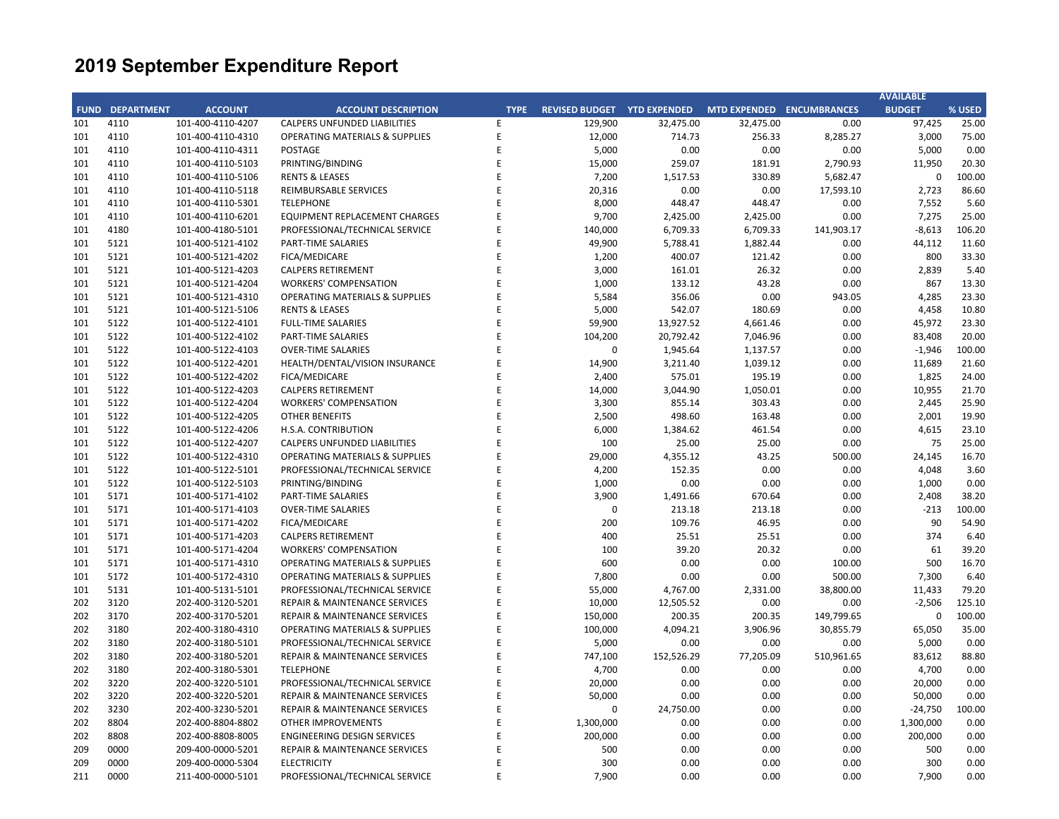|             |                   |                   |                                           |             |                                    |            |                           |            | <b>AVAILABLE</b> |        |
|-------------|-------------------|-------------------|-------------------------------------------|-------------|------------------------------------|------------|---------------------------|------------|------------------|--------|
| <b>FUND</b> | <b>DEPARTMENT</b> | <b>ACCOUNT</b>    | <b>ACCOUNT DESCRIPTION</b>                | <b>TYPE</b> | <b>REVISED BUDGET YTD EXPENDED</b> |            | MTD EXPENDED ENCUMBRANCES |            | <b>BUDGET</b>    | % USED |
| 101         | 4110              | 101-400-4110-4207 | CALPERS UNFUNDED LIABILITIES              | Ε           | 129,900                            | 32,475.00  | 32,475.00                 | 0.00       | 97,425           | 25.00  |
| 101         | 4110              | 101-400-4110-4310 | <b>OPERATING MATERIALS &amp; SUPPLIES</b> | E           | 12,000                             | 714.73     | 256.33                    | 8,285.27   | 3,000            | 75.00  |
| 101         | 4110              | 101-400-4110-4311 | POSTAGE                                   | E           | 5,000                              | 0.00       | 0.00                      | 0.00       | 5,000            | 0.00   |
| 101         | 4110              | 101-400-4110-5103 | PRINTING/BINDING                          | E           | 15,000                             | 259.07     | 181.91                    | 2,790.93   | 11,950           | 20.30  |
| 101         | 4110              | 101-400-4110-5106 | <b>RENTS &amp; LEASES</b>                 | E           | 7,200                              | 1,517.53   | 330.89                    | 5,682.47   | 0                | 100.00 |
| 101         | 4110              | 101-400-4110-5118 | REIMBURSABLE SERVICES                     | E           | 20,316                             | 0.00       | 0.00                      | 17,593.10  | 2,723            | 86.60  |
| 101         | 4110              | 101-400-4110-5301 | <b>TELEPHONE</b>                          | E           | 8,000                              | 448.47     | 448.47                    | 0.00       | 7,552            | 5.60   |
| 101         | 4110              | 101-400-4110-6201 | EQUIPMENT REPLACEMENT CHARGES             | F           | 9,700                              | 2,425.00   | 2,425.00                  | 0.00       | 7,275            | 25.00  |
| 101         | 4180              | 101-400-4180-5101 | PROFESSIONAL/TECHNICAL SERVICE            | F           | 140,000                            | 6,709.33   | 6,709.33                  | 141,903.17 | $-8,613$         | 106.20 |
| 101         | 5121              | 101-400-5121-4102 | PART-TIME SALARIES                        | F           | 49,900                             | 5,788.41   | 1,882.44                  | 0.00       | 44,112           | 11.60  |
| 101         | 5121              | 101-400-5121-4202 | FICA/MEDICARE                             | E           | 1,200                              | 400.07     | 121.42                    | 0.00       | 800              | 33.30  |
| 101         | 5121              | 101-400-5121-4203 | <b>CALPERS RETIREMENT</b>                 | E           | 3,000                              | 161.01     | 26.32                     | 0.00       | 2,839            | 5.40   |
| 101         | 5121              | 101-400-5121-4204 | <b>WORKERS' COMPENSATION</b>              | E           | 1,000                              | 133.12     | 43.28                     | 0.00       | 867              | 13.30  |
| 101         | 5121              | 101-400-5121-4310 | <b>OPERATING MATERIALS &amp; SUPPLIES</b> | E           | 5,584                              | 356.06     | 0.00                      | 943.05     | 4,285            | 23.30  |
| 101         | 5121              | 101-400-5121-5106 | <b>RENTS &amp; LEASES</b>                 | E           | 5,000                              | 542.07     | 180.69                    | 0.00       | 4,458            | 10.80  |
| 101         | 5122              | 101-400-5122-4101 | <b>FULL-TIME SALARIES</b>                 | E           | 59,900                             | 13,927.52  | 4,661.46                  | 0.00       | 45,972           | 23.30  |
| 101         | 5122              | 101-400-5122-4102 | PART-TIME SALARIES                        | F           | 104,200                            | 20,792.42  | 7,046.96                  | 0.00       | 83,408           | 20.00  |
| 101         | 5122              | 101-400-5122-4103 | <b>OVER-TIME SALARIES</b>                 | E           | 0                                  | 1,945.64   | 1,137.57                  | 0.00       | $-1,946$         | 100.00 |
| 101         | 5122              | 101-400-5122-4201 | HEALTH/DENTAL/VISION INSURANCE            | E           | 14,900                             | 3,211.40   | 1,039.12                  | 0.00       | 11,689           | 21.60  |
| 101         | 5122              | 101-400-5122-4202 | FICA/MEDICARE                             | E           | 2,400                              | 575.01     | 195.19                    | 0.00       | 1,825            | 24.00  |
| 101         | 5122              | 101-400-5122-4203 | <b>CALPERS RETIREMENT</b>                 | F           | 14,000                             | 3,044.90   | 1,050.01                  | 0.00       | 10,955           | 21.70  |
| 101         | 5122              | 101-400-5122-4204 | <b>WORKERS' COMPENSATION</b>              | E           | 3,300                              | 855.14     | 303.43                    | 0.00       | 2,445            | 25.90  |
| 101         | 5122              | 101-400-5122-4205 | <b>OTHER BENEFITS</b>                     | E           | 2,500                              | 498.60     | 163.48                    | 0.00       | 2,001            | 19.90  |
| 101         | 5122              | 101-400-5122-4206 | H.S.A. CONTRIBUTION                       | E           | 6,000                              | 1,384.62   | 461.54                    | 0.00       | 4,615            | 23.10  |
| 101         | 5122              | 101-400-5122-4207 | CALPERS UNFUNDED LIABILITIES              | E           | 100                                | 25.00      | 25.00                     | 0.00       | 75               | 25.00  |
| 101         | 5122              | 101-400-5122-4310 | <b>OPERATING MATERIALS &amp; SUPPLIES</b> | E           | 29,000                             | 4,355.12   | 43.25                     | 500.00     | 24,145           | 16.70  |
| 101         | 5122              | 101-400-5122-5101 | PROFESSIONAL/TECHNICAL SERVICE            | E           | 4,200                              | 152.35     | 0.00                      | 0.00       | 4,048            | 3.60   |
| 101         | 5122              | 101-400-5122-5103 | PRINTING/BINDING                          | E           | 1,000                              | 0.00       | 0.00                      | 0.00       | 1,000            | 0.00   |
| 101         | 5171              | 101-400-5171-4102 | PART-TIME SALARIES                        | E           | 3,900                              | 1,491.66   | 670.64                    | 0.00       | 2,408            | 38.20  |
| 101         | 5171              | 101-400-5171-4103 | <b>OVER-TIME SALARIES</b>                 | E           | 0                                  | 213.18     | 213.18                    | 0.00       | $-213$           | 100.00 |
| 101         | 5171              | 101-400-5171-4202 | <b>FICA/MEDICARE</b>                      | E           | 200                                | 109.76     | 46.95                     | 0.00       | 90               | 54.90  |
| 101         | 5171              | 101-400-5171-4203 | <b>CALPERS RETIREMENT</b>                 | E           | 400                                | 25.51      | 25.51                     | 0.00       | 374              | 6.40   |
| 101         | 5171              | 101-400-5171-4204 | <b>WORKERS' COMPENSATION</b>              | F           | 100                                | 39.20      | 20.32                     | 0.00       | 61               | 39.20  |
| 101         | 5171              | 101-400-5171-4310 | <b>OPERATING MATERIALS &amp; SUPPLIES</b> | F           | 600                                | 0.00       | 0.00                      | 100.00     | 500              | 16.70  |
| 101         | 5172              | 101-400-5172-4310 | <b>OPERATING MATERIALS &amp; SUPPLIES</b> | E           | 7,800                              | 0.00       | 0.00                      | 500.00     | 7,300            | 6.40   |
| 101         | 5131              | 101-400-5131-5101 | PROFESSIONAL/TECHNICAL SERVICE            | E           | 55,000                             | 4,767.00   | 2,331.00                  | 38,800.00  | 11,433           | 79.20  |
| 202         | 3120              | 202-400-3120-5201 | REPAIR & MAINTENANCE SERVICES             | E           | 10,000                             | 12,505.52  | 0.00                      | 0.00       | $-2,506$         | 125.10 |
| 202         | 3170              | 202-400-3170-5201 | <b>REPAIR &amp; MAINTENANCE SERVICES</b>  | E           | 150,000                            | 200.35     | 200.35                    | 149,799.65 | 0                | 100.00 |
| 202         | 3180              | 202-400-3180-4310 | <b>OPERATING MATERIALS &amp; SUPPLIES</b> | E           | 100,000                            | 4,094.21   | 3,906.96                  | 30,855.79  | 65,050           | 35.00  |
| 202         | 3180              | 202-400-3180-5101 | PROFESSIONAL/TECHNICAL SERVICE            | E           | 5,000                              | 0.00       | 0.00                      | 0.00       | 5,000            | 0.00   |
| 202         | 3180              | 202-400-3180-5201 | REPAIR & MAINTENANCE SERVICES             | F           | 747,100                            | 152,526.29 | 77,205.09                 | 510,961.65 | 83,612           | 88.80  |
| 202         | 3180              | 202-400-3180-5301 | <b>TELEPHONE</b>                          | F           | 4,700                              | 0.00       | 0.00                      | 0.00       | 4,700            | 0.00   |
| 202         | 3220              | 202-400-3220-5101 | PROFESSIONAL/TECHNICAL SERVICE            | F           | 20,000                             | 0.00       | 0.00                      | 0.00       | 20,000           | 0.00   |
| 202         | 3220              | 202-400-3220-5201 | <b>REPAIR &amp; MAINTENANCE SERVICES</b>  | E           | 50,000                             | 0.00       | 0.00                      | 0.00       | 50,000           | 0.00   |
| 202         | 3230              | 202-400-3230-5201 | REPAIR & MAINTENANCE SERVICES             | E           | 0                                  | 24,750.00  | 0.00                      | 0.00       | $-24,750$        | 100.00 |
| 202         | 8804              | 202-400-8804-8802 | <b>OTHER IMPROVEMENTS</b>                 | E           | 1,300,000                          | 0.00       | 0.00                      | 0.00       | 1,300,000        | 0.00   |
| 202         | 8808              | 202-400-8808-8005 | <b>ENGINEERING DESIGN SERVICES</b>        | F           | 200,000                            | 0.00       | 0.00                      | 0.00       | 200,000          | 0.00   |
| 209         | 0000              | 209-400-0000-5201 | <b>REPAIR &amp; MAINTENANCE SERVICES</b>  | E           | 500                                | 0.00       | 0.00                      | 0.00       | 500              | 0.00   |
| 209         | 0000              | 209-400-0000-5304 | <b>ELECTRICITY</b>                        | F           | 300                                | 0.00       | 0.00                      | 0.00       | 300              | 0.00   |
| 211         | 0000              | 211-400-0000-5101 | PROFESSIONAL/TECHNICAL SERVICE            | E           | 7,900                              | 0.00       | 0.00                      | 0.00       | 7,900            | 0.00   |
|             |                   |                   |                                           |             |                                    |            |                           |            |                  |        |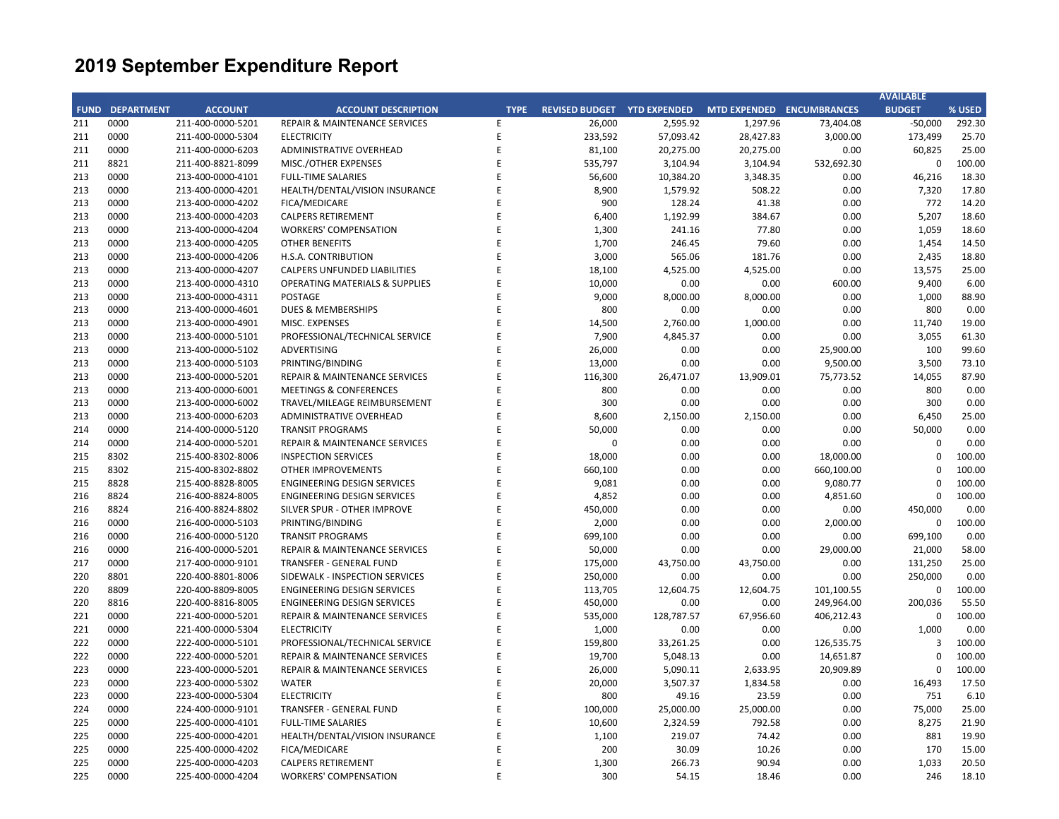| <b>FUND</b><br><b>DEPARTMENT</b><br><b>ACCOUNT</b><br><b>ACCOUNT DESCRIPTION</b><br><b>TYPE</b><br>REVISED BUDGET YTD EXPENDED<br>MTD EXPENDED ENCUMBRANCES<br><b>BUDGET</b><br>% USED<br>292.30<br>211<br>0000<br>211-400-0000-5201<br><b>REPAIR &amp; MAINTENANCE SERVICES</b><br>26,000<br>2,595.92<br>1,297.96<br>73,404.08<br>$-50,000$<br>Ε<br>0000<br>211-400-0000-5304<br><b>ELECTRICITY</b><br>E<br>233,592<br>57,093.42<br>28,427.83<br>3.000.00<br>173,499<br>25.70<br>211<br>211<br>0000<br>211-400-0000-6203<br>ADMINISTRATIVE OVERHEAD<br>E<br>81,100<br>20,275.00<br>20,275.00<br>0.00<br>60,825<br>25.00<br>8821<br>MISC./OTHER EXPENSES<br>E<br>535,797<br>3,104.94<br>3,104.94<br>532,692.30<br>100.00<br>211<br>211-400-8821-8099<br>$\mathbf 0$<br>E<br>213<br>0000<br>56,600<br>0.00<br>18.30<br>213-400-0000-4101<br><b>FULL-TIME SALARIES</b><br>10,384.20<br>3,348.35<br>46,216<br>0000<br>E<br>8,900<br>7,320<br>213<br>213-400-0000-4201<br>HEALTH/DENTAL/VISION INSURANCE<br>1,579.92<br>508.22<br>0.00<br>17.80<br>213<br>0000<br>213-400-0000-4202<br>E<br>900<br>128.24<br>41.38<br>0.00<br>772<br>14.20<br>FICA/MEDICARE<br>0000<br>6,400<br>384.67<br>5,207<br>18.60<br>213<br>213-400-0000-4203<br><b>CALPERS RETIREMENT</b><br>F<br>1,192.99<br>0.00<br>F<br>213<br>0000<br>213-400-0000-4204<br><b>WORKERS' COMPENSATION</b><br>1,300<br>241.16<br>77.80<br>0.00<br>1,059<br>18.60<br>0000<br>F<br>79.60<br>14.50<br>213<br>213-400-0000-4205<br><b>OTHER BENEFITS</b><br>1,700<br>246.45<br>0.00<br>1,454<br>0000<br>213<br>213-400-0000-4206<br>E<br>3,000<br>565.06<br>181.76<br>0.00<br>2,435<br>18.80<br>H.S.A. CONTRIBUTION<br>25.00<br>213<br>0000<br>213-400-0000-4207<br><b>CALPERS UNFUNDED LIABILITIES</b><br>E<br>18,100<br>4,525.00<br>4,525.00<br>0.00<br>13,575<br>0000<br>F<br>10,000<br>0.00<br>0.00<br>600.00<br>9,400<br>6.00<br>213<br>213-400-0000-4310<br><b>OPERATING MATERIALS &amp; SUPPLIES</b><br>213<br>0000<br>E<br>9,000<br>8,000.00<br>0.00<br>1,000<br>88.90<br>213-400-0000-4311<br><b>POSTAGE</b><br>8,000.00<br>0000<br><b>DUES &amp; MEMBERSHIPS</b><br>F<br>800<br>0.00<br>0.00<br>0.00<br>800<br>0.00<br>213<br>213-400-0000-4601<br>0000<br>F<br>1,000.00<br>0.00<br>11,740<br>19.00<br>213<br>213-400-0000-4901<br>MISC. EXPENSES<br>14,500<br>2,760.00<br>0000<br>F<br>7,900<br>0.00<br>0.00<br>3,055<br>61.30<br>213<br>213-400-0000-5101<br>PROFESSIONAL/TECHNICAL SERVICE<br>4,845.37<br>0000<br>F<br>26,000<br>0.00<br>99.60<br>213<br>213-400-0000-5102<br><b>ADVERTISING</b><br>0.00<br>25,900.00<br>100<br>213<br>0000<br>F<br>13,000<br>0.00<br>0.00<br>9,500.00<br>3,500<br>73.10<br>213-400-0000-5103<br>PRINTING/BINDING<br>0000<br>E<br>116,300<br>75,773.52<br>14,055<br>87.90<br>213<br>213-400-0000-5201<br><b>REPAIR &amp; MAINTENANCE SERVICES</b><br>26,471.07<br>13,909.01<br>0000<br>800<br>0.00<br>800<br>0.00<br>213<br>213-400-0000-6001<br><b>MEETINGS &amp; CONFERENCES</b><br>E<br>0.00<br>0.00<br>E<br>213<br>0000<br>213-400-0000-6002<br>TRAVEL/MILEAGE REIMBURSEMENT<br>300<br>0.00<br>0.00<br>0.00<br>300<br>0.00<br>0000<br>E<br>6,450<br>25.00<br>213<br>213-400-0000-6203<br>ADMINISTRATIVE OVERHEAD<br>8,600<br>2,150.00<br>2,150.00<br>0.00<br>50,000<br>50,000<br>0000<br>214-400-0000-5120<br><b>TRANSIT PROGRAMS</b><br>E<br>0.00<br>0.00<br>0.00<br>0.00<br>214<br>0000<br>214-400-0000-5201<br>F<br>$\mathbf 0$<br>0.00<br>0.00<br>0.00<br>$\Omega$<br>0.00<br>214<br>REPAIR & MAINTENANCE SERVICES<br>100.00<br>215<br>8302<br>215-400-8302-8006<br><b>INSPECTION SERVICES</b><br>F<br>18,000<br>0.00<br>0.00<br>18,000.00<br>$\mathbf 0$<br>F<br>100.00<br>8302<br>215-400-8302-8802<br>660,100<br>0.00<br>660,100.00<br>215<br><b>OTHER IMPROVEMENTS</b><br>0.00<br>$\Omega$<br>8828<br>0.00<br>100.00<br>215<br>215-400-8828-8005<br>E<br>9,081<br>0.00<br>9,080.77<br>$\mathbf 0$<br><b>ENGINEERING DESIGN SERVICES</b><br>8824<br>216-400-8824-8005<br>E<br>4,852<br>0.00<br>0.00<br>4,851.60<br>100.00<br>216<br><b>ENGINEERING DESIGN SERVICES</b><br>$\mathbf 0$<br>8824<br>216-400-8824-8802<br>E<br>450,000<br>0.00<br>0.00<br>450,000<br>0.00<br>216<br>SILVER SPUR - OTHER IMPROVE<br>0.00<br>0000<br>F<br>2,000<br>216<br>216-400-0000-5103<br>PRINTING/BINDING<br>0.00<br>0.00<br>2,000.00<br>$\mathbf 0$<br>100.00<br>0000<br>E<br>699,100<br>0.00<br>0.00<br>699,100<br>0.00<br>216<br>216-400-0000-5120<br><b>TRANSIT PROGRAMS</b><br>0.00<br>0000<br>F<br>50,000<br>0.00<br>29,000.00<br>21,000<br>58.00<br>216<br>216-400-0000-5201<br><b>REPAIR &amp; MAINTENANCE SERVICES</b><br>0.00<br>217<br>0000<br>217-400-0000-9101<br><b>TRANSFER - GENERAL FUND</b><br>E<br>175,000<br>43,750.00<br>43,750.00<br>0.00<br>131,250<br>25.00<br>250,000<br>220<br>8801<br>220-400-8801-8006<br>SIDEWALK - INSPECTION SERVICES<br>F<br>250,000<br>0.00<br>0.00<br>0.00<br>0.00<br>8809<br>E<br>100.00<br>220-400-8809-8005<br>113,705<br>12,604.75<br>12,604.75<br>101,100.55<br>$\mathbf 0$<br>220<br><b>ENGINEERING DESIGN SERVICES</b><br>E<br>450,000<br>200,036<br>55.50<br>220<br>8816<br>220-400-8816-8005<br><b>ENGINEERING DESIGN SERVICES</b><br>0.00<br>0.00<br>249,964.00<br>221<br>0000<br>221-400-0000-5201<br><b>REPAIR &amp; MAINTENANCE SERVICES</b><br>E<br>535,000<br>128,787.57<br>67,956.60<br>406,212.43<br>0<br>100.00<br>F<br>0.00<br>221<br>0000<br>221-400-0000-5304<br><b>ELECTRICITY</b><br>1,000<br>0.00<br>0.00<br>0.00<br>1,000<br>F<br>0000<br>159,800<br>$\overline{3}$<br>100.00<br>222<br>222-400-0000-5101<br>PROFESSIONAL/TECHNICAL SERVICE<br>33,261.25<br>0.00<br>126,535.75<br>0000<br>E<br>19,700<br>100.00<br>222<br>222-400-0000-5201<br><b>REPAIR &amp; MAINTENANCE SERVICES</b><br>5,048.13<br>0.00<br>14,651.87<br>$\mathbf 0$<br>223<br>0000<br>F<br>26,000<br>5,090.11<br>2,633.95<br>20,909.89<br>100.00<br>223-400-0000-5201<br>REPAIR & MAINTENANCE SERVICES<br>0<br>223<br>0000<br>20,000<br>16,493<br>17.50<br>223-400-0000-5302<br><b>WATER</b><br>F<br>3,507.37<br>1,834.58<br>0.00<br>223<br>0000<br>F<br>800<br>0.00<br>751<br>6.10<br>223-400-0000-5304<br><b>ELECTRICITY</b><br>49.16<br>23.59<br>0000<br>E<br>100,000<br>25,000.00<br>25.00<br>224<br>224-400-0000-9101<br><b>TRANSFER - GENERAL FUND</b><br>25,000.00<br>0.00<br>75,000<br>225<br>0000<br>E<br>10,600<br>2,324.59<br>792.58<br>0.00<br>8,275<br>21.90<br>225-400-0000-4101<br><b>FULL-TIME SALARIES</b><br>0000<br>225<br>225-400-0000-4201<br>HEALTH/DENTAL/VISION INSURANCE<br>E<br>1,100<br>219.07<br>74.42<br>0.00<br>881<br>19.90<br>0000<br>F<br>200<br>170<br>15.00<br>225<br>225-400-0000-4202<br>FICA/MEDICARE<br>30.09<br>10.26<br>0.00<br>E<br>225<br>0000<br><b>CALPERS RETIREMENT</b><br>1,300<br>266.73<br>90.94<br>0.00<br>1,033<br>20.50<br>225-400-0000-4203<br>225<br>0000<br>225-400-0000-4204<br><b>WORKERS' COMPENSATION</b><br>E<br>300<br>54.15<br>18.46<br>0.00<br>246<br>18.10 |  |  |  |  | <b>AVAILABLE</b> |  |
|---------------------------------------------------------------------------------------------------------------------------------------------------------------------------------------------------------------------------------------------------------------------------------------------------------------------------------------------------------------------------------------------------------------------------------------------------------------------------------------------------------------------------------------------------------------------------------------------------------------------------------------------------------------------------------------------------------------------------------------------------------------------------------------------------------------------------------------------------------------------------------------------------------------------------------------------------------------------------------------------------------------------------------------------------------------------------------------------------------------------------------------------------------------------------------------------------------------------------------------------------------------------------------------------------------------------------------------------------------------------------------------------------------------------------------------------------------------------------------------------------------------------------------------------------------------------------------------------------------------------------------------------------------------------------------------------------------------------------------------------------------------------------------------------------------------------------------------------------------------------------------------------------------------------------------------------------------------------------------------------------------------------------------------------------------------------------------------------------------------------------------------------------------------------------------------------------------------------------------------------------------------------------------------------------------------------------------------------------------------------------------------------------------------------------------------------------------------------------------------------------------------------------------------------------------------------------------------------------------------------------------------------------------------------------------------------------------------------------------------------------------------------------------------------------------------------------------------------------------------------------------------------------------------------------------------------------------------------------------------------------------------------------------------------------------------------------------------------------------------------------------------------------------------------------------------------------------------------------------------------------------------------------------------------------------------------------------------------------------------------------------------------------------------------------------------------------------------------------------------------------------------------------------------------------------------------------------------------------------------------------------------------------------------------------------------------------------------------------------------------------------------------------------------------------------------------------------------------------------------------------------------------------------------------------------------------------------------------------------------------------------------------------------------------------------------------------------------------------------------------------------------------------------------------------------------------------------------------------------------------------------------------------------------------------------------------------------------------------------------------------------------------------------------------------------------------------------------------------------------------------------------------------------------------------------------------------------------------------------------------------------------------------------------------------------------------------------------------------------------------------------------------------------------------------------------------------------------------------------------------------------------------------------------------------------------------------------------------------------------------------------------------------------------------------------------------------------------------------------------------------------------------------------------------------------------------------------------------------------------------------------------------------------------------------------------------------------------------------------------------------------------------------------------------------------------------------------------------------------------------------------------------------------------------------------------------------------------------------------------------------------------------------------------------------------------------------------------------------------------------------------------------------------------------------------------------------------------------------------------------------------------------------------------------------------------------------------------------------------------------------------------------------------------------------------------------------------------------------------------------------------------------------------------------------------------------------------------------------------------------------------------------------------------------------------------------------------------------------------------------------------------------------------------------------------------------------------------------------------------------------------------------------------------------------------------------------------------------------------------------------------------------------------------------------------------------------------------------------------------------------------------------------------------------------------------------------------------------------------------------------------------------------------------------------------------------------------------------|--|--|--|--|------------------|--|
|                                                                                                                                                                                                                                                                                                                                                                                                                                                                                                                                                                                                                                                                                                                                                                                                                                                                                                                                                                                                                                                                                                                                                                                                                                                                                                                                                                                                                                                                                                                                                                                                                                                                                                                                                                                                                                                                                                                                                                                                                                                                                                                                                                                                                                                                                                                                                                                                                                                                                                                                                                                                                                                                                                                                                                                                                                                                                                                                                                                                                                                                                                                                                                                                                                                                                                                                                                                                                                                                                                                                                                                                                                                                                                                                                                                                                                                                                                                                                                                                                                                                                                                                                                                                                                                                                                                                                                                                                                                                                                                                                                                                                                                                                                                                                                                                                                                                                                                                                                                                                                                                                                                                                                                                                                                                                                                                                                                                                                                                                                                                                                                                                                                                                                                                                                                                                                                                                                                                                                                                                                                                                                                                                                                                                                                                                                                                                                                                                                                                                                                                                                                                                                                                                                                                                                                                                                                                                                                                                                     |  |  |  |  |                  |  |
|                                                                                                                                                                                                                                                                                                                                                                                                                                                                                                                                                                                                                                                                                                                                                                                                                                                                                                                                                                                                                                                                                                                                                                                                                                                                                                                                                                                                                                                                                                                                                                                                                                                                                                                                                                                                                                                                                                                                                                                                                                                                                                                                                                                                                                                                                                                                                                                                                                                                                                                                                                                                                                                                                                                                                                                                                                                                                                                                                                                                                                                                                                                                                                                                                                                                                                                                                                                                                                                                                                                                                                                                                                                                                                                                                                                                                                                                                                                                                                                                                                                                                                                                                                                                                                                                                                                                                                                                                                                                                                                                                                                                                                                                                                                                                                                                                                                                                                                                                                                                                                                                                                                                                                                                                                                                                                                                                                                                                                                                                                                                                                                                                                                                                                                                                                                                                                                                                                                                                                                                                                                                                                                                                                                                                                                                                                                                                                                                                                                                                                                                                                                                                                                                                                                                                                                                                                                                                                                                                                     |  |  |  |  |                  |  |
|                                                                                                                                                                                                                                                                                                                                                                                                                                                                                                                                                                                                                                                                                                                                                                                                                                                                                                                                                                                                                                                                                                                                                                                                                                                                                                                                                                                                                                                                                                                                                                                                                                                                                                                                                                                                                                                                                                                                                                                                                                                                                                                                                                                                                                                                                                                                                                                                                                                                                                                                                                                                                                                                                                                                                                                                                                                                                                                                                                                                                                                                                                                                                                                                                                                                                                                                                                                                                                                                                                                                                                                                                                                                                                                                                                                                                                                                                                                                                                                                                                                                                                                                                                                                                                                                                                                                                                                                                                                                                                                                                                                                                                                                                                                                                                                                                                                                                                                                                                                                                                                                                                                                                                                                                                                                                                                                                                                                                                                                                                                                                                                                                                                                                                                                                                                                                                                                                                                                                                                                                                                                                                                                                                                                                                                                                                                                                                                                                                                                                                                                                                                                                                                                                                                                                                                                                                                                                                                                                                     |  |  |  |  |                  |  |
|                                                                                                                                                                                                                                                                                                                                                                                                                                                                                                                                                                                                                                                                                                                                                                                                                                                                                                                                                                                                                                                                                                                                                                                                                                                                                                                                                                                                                                                                                                                                                                                                                                                                                                                                                                                                                                                                                                                                                                                                                                                                                                                                                                                                                                                                                                                                                                                                                                                                                                                                                                                                                                                                                                                                                                                                                                                                                                                                                                                                                                                                                                                                                                                                                                                                                                                                                                                                                                                                                                                                                                                                                                                                                                                                                                                                                                                                                                                                                                                                                                                                                                                                                                                                                                                                                                                                                                                                                                                                                                                                                                                                                                                                                                                                                                                                                                                                                                                                                                                                                                                                                                                                                                                                                                                                                                                                                                                                                                                                                                                                                                                                                                                                                                                                                                                                                                                                                                                                                                                                                                                                                                                                                                                                                                                                                                                                                                                                                                                                                                                                                                                                                                                                                                                                                                                                                                                                                                                                                                     |  |  |  |  |                  |  |
|                                                                                                                                                                                                                                                                                                                                                                                                                                                                                                                                                                                                                                                                                                                                                                                                                                                                                                                                                                                                                                                                                                                                                                                                                                                                                                                                                                                                                                                                                                                                                                                                                                                                                                                                                                                                                                                                                                                                                                                                                                                                                                                                                                                                                                                                                                                                                                                                                                                                                                                                                                                                                                                                                                                                                                                                                                                                                                                                                                                                                                                                                                                                                                                                                                                                                                                                                                                                                                                                                                                                                                                                                                                                                                                                                                                                                                                                                                                                                                                                                                                                                                                                                                                                                                                                                                                                                                                                                                                                                                                                                                                                                                                                                                                                                                                                                                                                                                                                                                                                                                                                                                                                                                                                                                                                                                                                                                                                                                                                                                                                                                                                                                                                                                                                                                                                                                                                                                                                                                                                                                                                                                                                                                                                                                                                                                                                                                                                                                                                                                                                                                                                                                                                                                                                                                                                                                                                                                                                                                     |  |  |  |  |                  |  |
|                                                                                                                                                                                                                                                                                                                                                                                                                                                                                                                                                                                                                                                                                                                                                                                                                                                                                                                                                                                                                                                                                                                                                                                                                                                                                                                                                                                                                                                                                                                                                                                                                                                                                                                                                                                                                                                                                                                                                                                                                                                                                                                                                                                                                                                                                                                                                                                                                                                                                                                                                                                                                                                                                                                                                                                                                                                                                                                                                                                                                                                                                                                                                                                                                                                                                                                                                                                                                                                                                                                                                                                                                                                                                                                                                                                                                                                                                                                                                                                                                                                                                                                                                                                                                                                                                                                                                                                                                                                                                                                                                                                                                                                                                                                                                                                                                                                                                                                                                                                                                                                                                                                                                                                                                                                                                                                                                                                                                                                                                                                                                                                                                                                                                                                                                                                                                                                                                                                                                                                                                                                                                                                                                                                                                                                                                                                                                                                                                                                                                                                                                                                                                                                                                                                                                                                                                                                                                                                                                                     |  |  |  |  |                  |  |
|                                                                                                                                                                                                                                                                                                                                                                                                                                                                                                                                                                                                                                                                                                                                                                                                                                                                                                                                                                                                                                                                                                                                                                                                                                                                                                                                                                                                                                                                                                                                                                                                                                                                                                                                                                                                                                                                                                                                                                                                                                                                                                                                                                                                                                                                                                                                                                                                                                                                                                                                                                                                                                                                                                                                                                                                                                                                                                                                                                                                                                                                                                                                                                                                                                                                                                                                                                                                                                                                                                                                                                                                                                                                                                                                                                                                                                                                                                                                                                                                                                                                                                                                                                                                                                                                                                                                                                                                                                                                                                                                                                                                                                                                                                                                                                                                                                                                                                                                                                                                                                                                                                                                                                                                                                                                                                                                                                                                                                                                                                                                                                                                                                                                                                                                                                                                                                                                                                                                                                                                                                                                                                                                                                                                                                                                                                                                                                                                                                                                                                                                                                                                                                                                                                                                                                                                                                                                                                                                                                     |  |  |  |  |                  |  |
|                                                                                                                                                                                                                                                                                                                                                                                                                                                                                                                                                                                                                                                                                                                                                                                                                                                                                                                                                                                                                                                                                                                                                                                                                                                                                                                                                                                                                                                                                                                                                                                                                                                                                                                                                                                                                                                                                                                                                                                                                                                                                                                                                                                                                                                                                                                                                                                                                                                                                                                                                                                                                                                                                                                                                                                                                                                                                                                                                                                                                                                                                                                                                                                                                                                                                                                                                                                                                                                                                                                                                                                                                                                                                                                                                                                                                                                                                                                                                                                                                                                                                                                                                                                                                                                                                                                                                                                                                                                                                                                                                                                                                                                                                                                                                                                                                                                                                                                                                                                                                                                                                                                                                                                                                                                                                                                                                                                                                                                                                                                                                                                                                                                                                                                                                                                                                                                                                                                                                                                                                                                                                                                                                                                                                                                                                                                                                                                                                                                                                                                                                                                                                                                                                                                                                                                                                                                                                                                                                                     |  |  |  |  |                  |  |
|                                                                                                                                                                                                                                                                                                                                                                                                                                                                                                                                                                                                                                                                                                                                                                                                                                                                                                                                                                                                                                                                                                                                                                                                                                                                                                                                                                                                                                                                                                                                                                                                                                                                                                                                                                                                                                                                                                                                                                                                                                                                                                                                                                                                                                                                                                                                                                                                                                                                                                                                                                                                                                                                                                                                                                                                                                                                                                                                                                                                                                                                                                                                                                                                                                                                                                                                                                                                                                                                                                                                                                                                                                                                                                                                                                                                                                                                                                                                                                                                                                                                                                                                                                                                                                                                                                                                                                                                                                                                                                                                                                                                                                                                                                                                                                                                                                                                                                                                                                                                                                                                                                                                                                                                                                                                                                                                                                                                                                                                                                                                                                                                                                                                                                                                                                                                                                                                                                                                                                                                                                                                                                                                                                                                                                                                                                                                                                                                                                                                                                                                                                                                                                                                                                                                                                                                                                                                                                                                                                     |  |  |  |  |                  |  |
|                                                                                                                                                                                                                                                                                                                                                                                                                                                                                                                                                                                                                                                                                                                                                                                                                                                                                                                                                                                                                                                                                                                                                                                                                                                                                                                                                                                                                                                                                                                                                                                                                                                                                                                                                                                                                                                                                                                                                                                                                                                                                                                                                                                                                                                                                                                                                                                                                                                                                                                                                                                                                                                                                                                                                                                                                                                                                                                                                                                                                                                                                                                                                                                                                                                                                                                                                                                                                                                                                                                                                                                                                                                                                                                                                                                                                                                                                                                                                                                                                                                                                                                                                                                                                                                                                                                                                                                                                                                                                                                                                                                                                                                                                                                                                                                                                                                                                                                                                                                                                                                                                                                                                                                                                                                                                                                                                                                                                                                                                                                                                                                                                                                                                                                                                                                                                                                                                                                                                                                                                                                                                                                                                                                                                                                                                                                                                                                                                                                                                                                                                                                                                                                                                                                                                                                                                                                                                                                                                                     |  |  |  |  |                  |  |
|                                                                                                                                                                                                                                                                                                                                                                                                                                                                                                                                                                                                                                                                                                                                                                                                                                                                                                                                                                                                                                                                                                                                                                                                                                                                                                                                                                                                                                                                                                                                                                                                                                                                                                                                                                                                                                                                                                                                                                                                                                                                                                                                                                                                                                                                                                                                                                                                                                                                                                                                                                                                                                                                                                                                                                                                                                                                                                                                                                                                                                                                                                                                                                                                                                                                                                                                                                                                                                                                                                                                                                                                                                                                                                                                                                                                                                                                                                                                                                                                                                                                                                                                                                                                                                                                                                                                                                                                                                                                                                                                                                                                                                                                                                                                                                                                                                                                                                                                                                                                                                                                                                                                                                                                                                                                                                                                                                                                                                                                                                                                                                                                                                                                                                                                                                                                                                                                                                                                                                                                                                                                                                                                                                                                                                                                                                                                                                                                                                                                                                                                                                                                                                                                                                                                                                                                                                                                                                                                                                     |  |  |  |  |                  |  |
|                                                                                                                                                                                                                                                                                                                                                                                                                                                                                                                                                                                                                                                                                                                                                                                                                                                                                                                                                                                                                                                                                                                                                                                                                                                                                                                                                                                                                                                                                                                                                                                                                                                                                                                                                                                                                                                                                                                                                                                                                                                                                                                                                                                                                                                                                                                                                                                                                                                                                                                                                                                                                                                                                                                                                                                                                                                                                                                                                                                                                                                                                                                                                                                                                                                                                                                                                                                                                                                                                                                                                                                                                                                                                                                                                                                                                                                                                                                                                                                                                                                                                                                                                                                                                                                                                                                                                                                                                                                                                                                                                                                                                                                                                                                                                                                                                                                                                                                                                                                                                                                                                                                                                                                                                                                                                                                                                                                                                                                                                                                                                                                                                                                                                                                                                                                                                                                                                                                                                                                                                                                                                                                                                                                                                                                                                                                                                                                                                                                                                                                                                                                                                                                                                                                                                                                                                                                                                                                                                                     |  |  |  |  |                  |  |
|                                                                                                                                                                                                                                                                                                                                                                                                                                                                                                                                                                                                                                                                                                                                                                                                                                                                                                                                                                                                                                                                                                                                                                                                                                                                                                                                                                                                                                                                                                                                                                                                                                                                                                                                                                                                                                                                                                                                                                                                                                                                                                                                                                                                                                                                                                                                                                                                                                                                                                                                                                                                                                                                                                                                                                                                                                                                                                                                                                                                                                                                                                                                                                                                                                                                                                                                                                                                                                                                                                                                                                                                                                                                                                                                                                                                                                                                                                                                                                                                                                                                                                                                                                                                                                                                                                                                                                                                                                                                                                                                                                                                                                                                                                                                                                                                                                                                                                                                                                                                                                                                                                                                                                                                                                                                                                                                                                                                                                                                                                                                                                                                                                                                                                                                                                                                                                                                                                                                                                                                                                                                                                                                                                                                                                                                                                                                                                                                                                                                                                                                                                                                                                                                                                                                                                                                                                                                                                                                                                     |  |  |  |  |                  |  |
|                                                                                                                                                                                                                                                                                                                                                                                                                                                                                                                                                                                                                                                                                                                                                                                                                                                                                                                                                                                                                                                                                                                                                                                                                                                                                                                                                                                                                                                                                                                                                                                                                                                                                                                                                                                                                                                                                                                                                                                                                                                                                                                                                                                                                                                                                                                                                                                                                                                                                                                                                                                                                                                                                                                                                                                                                                                                                                                                                                                                                                                                                                                                                                                                                                                                                                                                                                                                                                                                                                                                                                                                                                                                                                                                                                                                                                                                                                                                                                                                                                                                                                                                                                                                                                                                                                                                                                                                                                                                                                                                                                                                                                                                                                                                                                                                                                                                                                                                                                                                                                                                                                                                                                                                                                                                                                                                                                                                                                                                                                                                                                                                                                                                                                                                                                                                                                                                                                                                                                                                                                                                                                                                                                                                                                                                                                                                                                                                                                                                                                                                                                                                                                                                                                                                                                                                                                                                                                                                                                     |  |  |  |  |                  |  |
|                                                                                                                                                                                                                                                                                                                                                                                                                                                                                                                                                                                                                                                                                                                                                                                                                                                                                                                                                                                                                                                                                                                                                                                                                                                                                                                                                                                                                                                                                                                                                                                                                                                                                                                                                                                                                                                                                                                                                                                                                                                                                                                                                                                                                                                                                                                                                                                                                                                                                                                                                                                                                                                                                                                                                                                                                                                                                                                                                                                                                                                                                                                                                                                                                                                                                                                                                                                                                                                                                                                                                                                                                                                                                                                                                                                                                                                                                                                                                                                                                                                                                                                                                                                                                                                                                                                                                                                                                                                                                                                                                                                                                                                                                                                                                                                                                                                                                                                                                                                                                                                                                                                                                                                                                                                                                                                                                                                                                                                                                                                                                                                                                                                                                                                                                                                                                                                                                                                                                                                                                                                                                                                                                                                                                                                                                                                                                                                                                                                                                                                                                                                                                                                                                                                                                                                                                                                                                                                                                                     |  |  |  |  |                  |  |
|                                                                                                                                                                                                                                                                                                                                                                                                                                                                                                                                                                                                                                                                                                                                                                                                                                                                                                                                                                                                                                                                                                                                                                                                                                                                                                                                                                                                                                                                                                                                                                                                                                                                                                                                                                                                                                                                                                                                                                                                                                                                                                                                                                                                                                                                                                                                                                                                                                                                                                                                                                                                                                                                                                                                                                                                                                                                                                                                                                                                                                                                                                                                                                                                                                                                                                                                                                                                                                                                                                                                                                                                                                                                                                                                                                                                                                                                                                                                                                                                                                                                                                                                                                                                                                                                                                                                                                                                                                                                                                                                                                                                                                                                                                                                                                                                                                                                                                                                                                                                                                                                                                                                                                                                                                                                                                                                                                                                                                                                                                                                                                                                                                                                                                                                                                                                                                                                                                                                                                                                                                                                                                                                                                                                                                                                                                                                                                                                                                                                                                                                                                                                                                                                                                                                                                                                                                                                                                                                                                     |  |  |  |  |                  |  |
|                                                                                                                                                                                                                                                                                                                                                                                                                                                                                                                                                                                                                                                                                                                                                                                                                                                                                                                                                                                                                                                                                                                                                                                                                                                                                                                                                                                                                                                                                                                                                                                                                                                                                                                                                                                                                                                                                                                                                                                                                                                                                                                                                                                                                                                                                                                                                                                                                                                                                                                                                                                                                                                                                                                                                                                                                                                                                                                                                                                                                                                                                                                                                                                                                                                                                                                                                                                                                                                                                                                                                                                                                                                                                                                                                                                                                                                                                                                                                                                                                                                                                                                                                                                                                                                                                                                                                                                                                                                                                                                                                                                                                                                                                                                                                                                                                                                                                                                                                                                                                                                                                                                                                                                                                                                                                                                                                                                                                                                                                                                                                                                                                                                                                                                                                                                                                                                                                                                                                                                                                                                                                                                                                                                                                                                                                                                                                                                                                                                                                                                                                                                                                                                                                                                                                                                                                                                                                                                                                                     |  |  |  |  |                  |  |
|                                                                                                                                                                                                                                                                                                                                                                                                                                                                                                                                                                                                                                                                                                                                                                                                                                                                                                                                                                                                                                                                                                                                                                                                                                                                                                                                                                                                                                                                                                                                                                                                                                                                                                                                                                                                                                                                                                                                                                                                                                                                                                                                                                                                                                                                                                                                                                                                                                                                                                                                                                                                                                                                                                                                                                                                                                                                                                                                                                                                                                                                                                                                                                                                                                                                                                                                                                                                                                                                                                                                                                                                                                                                                                                                                                                                                                                                                                                                                                                                                                                                                                                                                                                                                                                                                                                                                                                                                                                                                                                                                                                                                                                                                                                                                                                                                                                                                                                                                                                                                                                                                                                                                                                                                                                                                                                                                                                                                                                                                                                                                                                                                                                                                                                                                                                                                                                                                                                                                                                                                                                                                                                                                                                                                                                                                                                                                                                                                                                                                                                                                                                                                                                                                                                                                                                                                                                                                                                                                                     |  |  |  |  |                  |  |
|                                                                                                                                                                                                                                                                                                                                                                                                                                                                                                                                                                                                                                                                                                                                                                                                                                                                                                                                                                                                                                                                                                                                                                                                                                                                                                                                                                                                                                                                                                                                                                                                                                                                                                                                                                                                                                                                                                                                                                                                                                                                                                                                                                                                                                                                                                                                                                                                                                                                                                                                                                                                                                                                                                                                                                                                                                                                                                                                                                                                                                                                                                                                                                                                                                                                                                                                                                                                                                                                                                                                                                                                                                                                                                                                                                                                                                                                                                                                                                                                                                                                                                                                                                                                                                                                                                                                                                                                                                                                                                                                                                                                                                                                                                                                                                                                                                                                                                                                                                                                                                                                                                                                                                                                                                                                                                                                                                                                                                                                                                                                                                                                                                                                                                                                                                                                                                                                                                                                                                                                                                                                                                                                                                                                                                                                                                                                                                                                                                                                                                                                                                                                                                                                                                                                                                                                                                                                                                                                                                     |  |  |  |  |                  |  |
|                                                                                                                                                                                                                                                                                                                                                                                                                                                                                                                                                                                                                                                                                                                                                                                                                                                                                                                                                                                                                                                                                                                                                                                                                                                                                                                                                                                                                                                                                                                                                                                                                                                                                                                                                                                                                                                                                                                                                                                                                                                                                                                                                                                                                                                                                                                                                                                                                                                                                                                                                                                                                                                                                                                                                                                                                                                                                                                                                                                                                                                                                                                                                                                                                                                                                                                                                                                                                                                                                                                                                                                                                                                                                                                                                                                                                                                                                                                                                                                                                                                                                                                                                                                                                                                                                                                                                                                                                                                                                                                                                                                                                                                                                                                                                                                                                                                                                                                                                                                                                                                                                                                                                                                                                                                                                                                                                                                                                                                                                                                                                                                                                                                                                                                                                                                                                                                                                                                                                                                                                                                                                                                                                                                                                                                                                                                                                                                                                                                                                                                                                                                                                                                                                                                                                                                                                                                                                                                                                                     |  |  |  |  |                  |  |
|                                                                                                                                                                                                                                                                                                                                                                                                                                                                                                                                                                                                                                                                                                                                                                                                                                                                                                                                                                                                                                                                                                                                                                                                                                                                                                                                                                                                                                                                                                                                                                                                                                                                                                                                                                                                                                                                                                                                                                                                                                                                                                                                                                                                                                                                                                                                                                                                                                                                                                                                                                                                                                                                                                                                                                                                                                                                                                                                                                                                                                                                                                                                                                                                                                                                                                                                                                                                                                                                                                                                                                                                                                                                                                                                                                                                                                                                                                                                                                                                                                                                                                                                                                                                                                                                                                                                                                                                                                                                                                                                                                                                                                                                                                                                                                                                                                                                                                                                                                                                                                                                                                                                                                                                                                                                                                                                                                                                                                                                                                                                                                                                                                                                                                                                                                                                                                                                                                                                                                                                                                                                                                                                                                                                                                                                                                                                                                                                                                                                                                                                                                                                                                                                                                                                                                                                                                                                                                                                                                     |  |  |  |  |                  |  |
|                                                                                                                                                                                                                                                                                                                                                                                                                                                                                                                                                                                                                                                                                                                                                                                                                                                                                                                                                                                                                                                                                                                                                                                                                                                                                                                                                                                                                                                                                                                                                                                                                                                                                                                                                                                                                                                                                                                                                                                                                                                                                                                                                                                                                                                                                                                                                                                                                                                                                                                                                                                                                                                                                                                                                                                                                                                                                                                                                                                                                                                                                                                                                                                                                                                                                                                                                                                                                                                                                                                                                                                                                                                                                                                                                                                                                                                                                                                                                                                                                                                                                                                                                                                                                                                                                                                                                                                                                                                                                                                                                                                                                                                                                                                                                                                                                                                                                                                                                                                                                                                                                                                                                                                                                                                                                                                                                                                                                                                                                                                                                                                                                                                                                                                                                                                                                                                                                                                                                                                                                                                                                                                                                                                                                                                                                                                                                                                                                                                                                                                                                                                                                                                                                                                                                                                                                                                                                                                                                                     |  |  |  |  |                  |  |
|                                                                                                                                                                                                                                                                                                                                                                                                                                                                                                                                                                                                                                                                                                                                                                                                                                                                                                                                                                                                                                                                                                                                                                                                                                                                                                                                                                                                                                                                                                                                                                                                                                                                                                                                                                                                                                                                                                                                                                                                                                                                                                                                                                                                                                                                                                                                                                                                                                                                                                                                                                                                                                                                                                                                                                                                                                                                                                                                                                                                                                                                                                                                                                                                                                                                                                                                                                                                                                                                                                                                                                                                                                                                                                                                                                                                                                                                                                                                                                                                                                                                                                                                                                                                                                                                                                                                                                                                                                                                                                                                                                                                                                                                                                                                                                                                                                                                                                                                                                                                                                                                                                                                                                                                                                                                                                                                                                                                                                                                                                                                                                                                                                                                                                                                                                                                                                                                                                                                                                                                                                                                                                                                                                                                                                                                                                                                                                                                                                                                                                                                                                                                                                                                                                                                                                                                                                                                                                                                                                     |  |  |  |  |                  |  |
|                                                                                                                                                                                                                                                                                                                                                                                                                                                                                                                                                                                                                                                                                                                                                                                                                                                                                                                                                                                                                                                                                                                                                                                                                                                                                                                                                                                                                                                                                                                                                                                                                                                                                                                                                                                                                                                                                                                                                                                                                                                                                                                                                                                                                                                                                                                                                                                                                                                                                                                                                                                                                                                                                                                                                                                                                                                                                                                                                                                                                                                                                                                                                                                                                                                                                                                                                                                                                                                                                                                                                                                                                                                                                                                                                                                                                                                                                                                                                                                                                                                                                                                                                                                                                                                                                                                                                                                                                                                                                                                                                                                                                                                                                                                                                                                                                                                                                                                                                                                                                                                                                                                                                                                                                                                                                                                                                                                                                                                                                                                                                                                                                                                                                                                                                                                                                                                                                                                                                                                                                                                                                                                                                                                                                                                                                                                                                                                                                                                                                                                                                                                                                                                                                                                                                                                                                                                                                                                                                                     |  |  |  |  |                  |  |
|                                                                                                                                                                                                                                                                                                                                                                                                                                                                                                                                                                                                                                                                                                                                                                                                                                                                                                                                                                                                                                                                                                                                                                                                                                                                                                                                                                                                                                                                                                                                                                                                                                                                                                                                                                                                                                                                                                                                                                                                                                                                                                                                                                                                                                                                                                                                                                                                                                                                                                                                                                                                                                                                                                                                                                                                                                                                                                                                                                                                                                                                                                                                                                                                                                                                                                                                                                                                                                                                                                                                                                                                                                                                                                                                                                                                                                                                                                                                                                                                                                                                                                                                                                                                                                                                                                                                                                                                                                                                                                                                                                                                                                                                                                                                                                                                                                                                                                                                                                                                                                                                                                                                                                                                                                                                                                                                                                                                                                                                                                                                                                                                                                                                                                                                                                                                                                                                                                                                                                                                                                                                                                                                                                                                                                                                                                                                                                                                                                                                                                                                                                                                                                                                                                                                                                                                                                                                                                                                                                     |  |  |  |  |                  |  |
|                                                                                                                                                                                                                                                                                                                                                                                                                                                                                                                                                                                                                                                                                                                                                                                                                                                                                                                                                                                                                                                                                                                                                                                                                                                                                                                                                                                                                                                                                                                                                                                                                                                                                                                                                                                                                                                                                                                                                                                                                                                                                                                                                                                                                                                                                                                                                                                                                                                                                                                                                                                                                                                                                                                                                                                                                                                                                                                                                                                                                                                                                                                                                                                                                                                                                                                                                                                                                                                                                                                                                                                                                                                                                                                                                                                                                                                                                                                                                                                                                                                                                                                                                                                                                                                                                                                                                                                                                                                                                                                                                                                                                                                                                                                                                                                                                                                                                                                                                                                                                                                                                                                                                                                                                                                                                                                                                                                                                                                                                                                                                                                                                                                                                                                                                                                                                                                                                                                                                                                                                                                                                                                                                                                                                                                                                                                                                                                                                                                                                                                                                                                                                                                                                                                                                                                                                                                                                                                                                                     |  |  |  |  |                  |  |
|                                                                                                                                                                                                                                                                                                                                                                                                                                                                                                                                                                                                                                                                                                                                                                                                                                                                                                                                                                                                                                                                                                                                                                                                                                                                                                                                                                                                                                                                                                                                                                                                                                                                                                                                                                                                                                                                                                                                                                                                                                                                                                                                                                                                                                                                                                                                                                                                                                                                                                                                                                                                                                                                                                                                                                                                                                                                                                                                                                                                                                                                                                                                                                                                                                                                                                                                                                                                                                                                                                                                                                                                                                                                                                                                                                                                                                                                                                                                                                                                                                                                                                                                                                                                                                                                                                                                                                                                                                                                                                                                                                                                                                                                                                                                                                                                                                                                                                                                                                                                                                                                                                                                                                                                                                                                                                                                                                                                                                                                                                                                                                                                                                                                                                                                                                                                                                                                                                                                                                                                                                                                                                                                                                                                                                                                                                                                                                                                                                                                                                                                                                                                                                                                                                                                                                                                                                                                                                                                                                     |  |  |  |  |                  |  |
|                                                                                                                                                                                                                                                                                                                                                                                                                                                                                                                                                                                                                                                                                                                                                                                                                                                                                                                                                                                                                                                                                                                                                                                                                                                                                                                                                                                                                                                                                                                                                                                                                                                                                                                                                                                                                                                                                                                                                                                                                                                                                                                                                                                                                                                                                                                                                                                                                                                                                                                                                                                                                                                                                                                                                                                                                                                                                                                                                                                                                                                                                                                                                                                                                                                                                                                                                                                                                                                                                                                                                                                                                                                                                                                                                                                                                                                                                                                                                                                                                                                                                                                                                                                                                                                                                                                                                                                                                                                                                                                                                                                                                                                                                                                                                                                                                                                                                                                                                                                                                                                                                                                                                                                                                                                                                                                                                                                                                                                                                                                                                                                                                                                                                                                                                                                                                                                                                                                                                                                                                                                                                                                                                                                                                                                                                                                                                                                                                                                                                                                                                                                                                                                                                                                                                                                                                                                                                                                                                                     |  |  |  |  |                  |  |
|                                                                                                                                                                                                                                                                                                                                                                                                                                                                                                                                                                                                                                                                                                                                                                                                                                                                                                                                                                                                                                                                                                                                                                                                                                                                                                                                                                                                                                                                                                                                                                                                                                                                                                                                                                                                                                                                                                                                                                                                                                                                                                                                                                                                                                                                                                                                                                                                                                                                                                                                                                                                                                                                                                                                                                                                                                                                                                                                                                                                                                                                                                                                                                                                                                                                                                                                                                                                                                                                                                                                                                                                                                                                                                                                                                                                                                                                                                                                                                                                                                                                                                                                                                                                                                                                                                                                                                                                                                                                                                                                                                                                                                                                                                                                                                                                                                                                                                                                                                                                                                                                                                                                                                                                                                                                                                                                                                                                                                                                                                                                                                                                                                                                                                                                                                                                                                                                                                                                                                                                                                                                                                                                                                                                                                                                                                                                                                                                                                                                                                                                                                                                                                                                                                                                                                                                                                                                                                                                                                     |  |  |  |  |                  |  |
|                                                                                                                                                                                                                                                                                                                                                                                                                                                                                                                                                                                                                                                                                                                                                                                                                                                                                                                                                                                                                                                                                                                                                                                                                                                                                                                                                                                                                                                                                                                                                                                                                                                                                                                                                                                                                                                                                                                                                                                                                                                                                                                                                                                                                                                                                                                                                                                                                                                                                                                                                                                                                                                                                                                                                                                                                                                                                                                                                                                                                                                                                                                                                                                                                                                                                                                                                                                                                                                                                                                                                                                                                                                                                                                                                                                                                                                                                                                                                                                                                                                                                                                                                                                                                                                                                                                                                                                                                                                                                                                                                                                                                                                                                                                                                                                                                                                                                                                                                                                                                                                                                                                                                                                                                                                                                                                                                                                                                                                                                                                                                                                                                                                                                                                                                                                                                                                                                                                                                                                                                                                                                                                                                                                                                                                                                                                                                                                                                                                                                                                                                                                                                                                                                                                                                                                                                                                                                                                                                                     |  |  |  |  |                  |  |
|                                                                                                                                                                                                                                                                                                                                                                                                                                                                                                                                                                                                                                                                                                                                                                                                                                                                                                                                                                                                                                                                                                                                                                                                                                                                                                                                                                                                                                                                                                                                                                                                                                                                                                                                                                                                                                                                                                                                                                                                                                                                                                                                                                                                                                                                                                                                                                                                                                                                                                                                                                                                                                                                                                                                                                                                                                                                                                                                                                                                                                                                                                                                                                                                                                                                                                                                                                                                                                                                                                                                                                                                                                                                                                                                                                                                                                                                                                                                                                                                                                                                                                                                                                                                                                                                                                                                                                                                                                                                                                                                                                                                                                                                                                                                                                                                                                                                                                                                                                                                                                                                                                                                                                                                                                                                                                                                                                                                                                                                                                                                                                                                                                                                                                                                                                                                                                                                                                                                                                                                                                                                                                                                                                                                                                                                                                                                                                                                                                                                                                                                                                                                                                                                                                                                                                                                                                                                                                                                                                     |  |  |  |  |                  |  |
|                                                                                                                                                                                                                                                                                                                                                                                                                                                                                                                                                                                                                                                                                                                                                                                                                                                                                                                                                                                                                                                                                                                                                                                                                                                                                                                                                                                                                                                                                                                                                                                                                                                                                                                                                                                                                                                                                                                                                                                                                                                                                                                                                                                                                                                                                                                                                                                                                                                                                                                                                                                                                                                                                                                                                                                                                                                                                                                                                                                                                                                                                                                                                                                                                                                                                                                                                                                                                                                                                                                                                                                                                                                                                                                                                                                                                                                                                                                                                                                                                                                                                                                                                                                                                                                                                                                                                                                                                                                                                                                                                                                                                                                                                                                                                                                                                                                                                                                                                                                                                                                                                                                                                                                                                                                                                                                                                                                                                                                                                                                                                                                                                                                                                                                                                                                                                                                                                                                                                                                                                                                                                                                                                                                                                                                                                                                                                                                                                                                                                                                                                                                                                                                                                                                                                                                                                                                                                                                                                                     |  |  |  |  |                  |  |
|                                                                                                                                                                                                                                                                                                                                                                                                                                                                                                                                                                                                                                                                                                                                                                                                                                                                                                                                                                                                                                                                                                                                                                                                                                                                                                                                                                                                                                                                                                                                                                                                                                                                                                                                                                                                                                                                                                                                                                                                                                                                                                                                                                                                                                                                                                                                                                                                                                                                                                                                                                                                                                                                                                                                                                                                                                                                                                                                                                                                                                                                                                                                                                                                                                                                                                                                                                                                                                                                                                                                                                                                                                                                                                                                                                                                                                                                                                                                                                                                                                                                                                                                                                                                                                                                                                                                                                                                                                                                                                                                                                                                                                                                                                                                                                                                                                                                                                                                                                                                                                                                                                                                                                                                                                                                                                                                                                                                                                                                                                                                                                                                                                                                                                                                                                                                                                                                                                                                                                                                                                                                                                                                                                                                                                                                                                                                                                                                                                                                                                                                                                                                                                                                                                                                                                                                                                                                                                                                                                     |  |  |  |  |                  |  |
|                                                                                                                                                                                                                                                                                                                                                                                                                                                                                                                                                                                                                                                                                                                                                                                                                                                                                                                                                                                                                                                                                                                                                                                                                                                                                                                                                                                                                                                                                                                                                                                                                                                                                                                                                                                                                                                                                                                                                                                                                                                                                                                                                                                                                                                                                                                                                                                                                                                                                                                                                                                                                                                                                                                                                                                                                                                                                                                                                                                                                                                                                                                                                                                                                                                                                                                                                                                                                                                                                                                                                                                                                                                                                                                                                                                                                                                                                                                                                                                                                                                                                                                                                                                                                                                                                                                                                                                                                                                                                                                                                                                                                                                                                                                                                                                                                                                                                                                                                                                                                                                                                                                                                                                                                                                                                                                                                                                                                                                                                                                                                                                                                                                                                                                                                                                                                                                                                                                                                                                                                                                                                                                                                                                                                                                                                                                                                                                                                                                                                                                                                                                                                                                                                                                                                                                                                                                                                                                                                                     |  |  |  |  |                  |  |
|                                                                                                                                                                                                                                                                                                                                                                                                                                                                                                                                                                                                                                                                                                                                                                                                                                                                                                                                                                                                                                                                                                                                                                                                                                                                                                                                                                                                                                                                                                                                                                                                                                                                                                                                                                                                                                                                                                                                                                                                                                                                                                                                                                                                                                                                                                                                                                                                                                                                                                                                                                                                                                                                                                                                                                                                                                                                                                                                                                                                                                                                                                                                                                                                                                                                                                                                                                                                                                                                                                                                                                                                                                                                                                                                                                                                                                                                                                                                                                                                                                                                                                                                                                                                                                                                                                                                                                                                                                                                                                                                                                                                                                                                                                                                                                                                                                                                                                                                                                                                                                                                                                                                                                                                                                                                                                                                                                                                                                                                                                                                                                                                                                                                                                                                                                                                                                                                                                                                                                                                                                                                                                                                                                                                                                                                                                                                                                                                                                                                                                                                                                                                                                                                                                                                                                                                                                                                                                                                                                     |  |  |  |  |                  |  |
|                                                                                                                                                                                                                                                                                                                                                                                                                                                                                                                                                                                                                                                                                                                                                                                                                                                                                                                                                                                                                                                                                                                                                                                                                                                                                                                                                                                                                                                                                                                                                                                                                                                                                                                                                                                                                                                                                                                                                                                                                                                                                                                                                                                                                                                                                                                                                                                                                                                                                                                                                                                                                                                                                                                                                                                                                                                                                                                                                                                                                                                                                                                                                                                                                                                                                                                                                                                                                                                                                                                                                                                                                                                                                                                                                                                                                                                                                                                                                                                                                                                                                                                                                                                                                                                                                                                                                                                                                                                                                                                                                                                                                                                                                                                                                                                                                                                                                                                                                                                                                                                                                                                                                                                                                                                                                                                                                                                                                                                                                                                                                                                                                                                                                                                                                                                                                                                                                                                                                                                                                                                                                                                                                                                                                                                                                                                                                                                                                                                                                                                                                                                                                                                                                                                                                                                                                                                                                                                                                                     |  |  |  |  |                  |  |
|                                                                                                                                                                                                                                                                                                                                                                                                                                                                                                                                                                                                                                                                                                                                                                                                                                                                                                                                                                                                                                                                                                                                                                                                                                                                                                                                                                                                                                                                                                                                                                                                                                                                                                                                                                                                                                                                                                                                                                                                                                                                                                                                                                                                                                                                                                                                                                                                                                                                                                                                                                                                                                                                                                                                                                                                                                                                                                                                                                                                                                                                                                                                                                                                                                                                                                                                                                                                                                                                                                                                                                                                                                                                                                                                                                                                                                                                                                                                                                                                                                                                                                                                                                                                                                                                                                                                                                                                                                                                                                                                                                                                                                                                                                                                                                                                                                                                                                                                                                                                                                                                                                                                                                                                                                                                                                                                                                                                                                                                                                                                                                                                                                                                                                                                                                                                                                                                                                                                                                                                                                                                                                                                                                                                                                                                                                                                                                                                                                                                                                                                                                                                                                                                                                                                                                                                                                                                                                                                                                     |  |  |  |  |                  |  |
|                                                                                                                                                                                                                                                                                                                                                                                                                                                                                                                                                                                                                                                                                                                                                                                                                                                                                                                                                                                                                                                                                                                                                                                                                                                                                                                                                                                                                                                                                                                                                                                                                                                                                                                                                                                                                                                                                                                                                                                                                                                                                                                                                                                                                                                                                                                                                                                                                                                                                                                                                                                                                                                                                                                                                                                                                                                                                                                                                                                                                                                                                                                                                                                                                                                                                                                                                                                                                                                                                                                                                                                                                                                                                                                                                                                                                                                                                                                                                                                                                                                                                                                                                                                                                                                                                                                                                                                                                                                                                                                                                                                                                                                                                                                                                                                                                                                                                                                                                                                                                                                                                                                                                                                                                                                                                                                                                                                                                                                                                                                                                                                                                                                                                                                                                                                                                                                                                                                                                                                                                                                                                                                                                                                                                                                                                                                                                                                                                                                                                                                                                                                                                                                                                                                                                                                                                                                                                                                                                                     |  |  |  |  |                  |  |
|                                                                                                                                                                                                                                                                                                                                                                                                                                                                                                                                                                                                                                                                                                                                                                                                                                                                                                                                                                                                                                                                                                                                                                                                                                                                                                                                                                                                                                                                                                                                                                                                                                                                                                                                                                                                                                                                                                                                                                                                                                                                                                                                                                                                                                                                                                                                                                                                                                                                                                                                                                                                                                                                                                                                                                                                                                                                                                                                                                                                                                                                                                                                                                                                                                                                                                                                                                                                                                                                                                                                                                                                                                                                                                                                                                                                                                                                                                                                                                                                                                                                                                                                                                                                                                                                                                                                                                                                                                                                                                                                                                                                                                                                                                                                                                                                                                                                                                                                                                                                                                                                                                                                                                                                                                                                                                                                                                                                                                                                                                                                                                                                                                                                                                                                                                                                                                                                                                                                                                                                                                                                                                                                                                                                                                                                                                                                                                                                                                                                                                                                                                                                                                                                                                                                                                                                                                                                                                                                                                     |  |  |  |  |                  |  |
|                                                                                                                                                                                                                                                                                                                                                                                                                                                                                                                                                                                                                                                                                                                                                                                                                                                                                                                                                                                                                                                                                                                                                                                                                                                                                                                                                                                                                                                                                                                                                                                                                                                                                                                                                                                                                                                                                                                                                                                                                                                                                                                                                                                                                                                                                                                                                                                                                                                                                                                                                                                                                                                                                                                                                                                                                                                                                                                                                                                                                                                                                                                                                                                                                                                                                                                                                                                                                                                                                                                                                                                                                                                                                                                                                                                                                                                                                                                                                                                                                                                                                                                                                                                                                                                                                                                                                                                                                                                                                                                                                                                                                                                                                                                                                                                                                                                                                                                                                                                                                                                                                                                                                                                                                                                                                                                                                                                                                                                                                                                                                                                                                                                                                                                                                                                                                                                                                                                                                                                                                                                                                                                                                                                                                                                                                                                                                                                                                                                                                                                                                                                                                                                                                                                                                                                                                                                                                                                                                                     |  |  |  |  |                  |  |
|                                                                                                                                                                                                                                                                                                                                                                                                                                                                                                                                                                                                                                                                                                                                                                                                                                                                                                                                                                                                                                                                                                                                                                                                                                                                                                                                                                                                                                                                                                                                                                                                                                                                                                                                                                                                                                                                                                                                                                                                                                                                                                                                                                                                                                                                                                                                                                                                                                                                                                                                                                                                                                                                                                                                                                                                                                                                                                                                                                                                                                                                                                                                                                                                                                                                                                                                                                                                                                                                                                                                                                                                                                                                                                                                                                                                                                                                                                                                                                                                                                                                                                                                                                                                                                                                                                                                                                                                                                                                                                                                                                                                                                                                                                                                                                                                                                                                                                                                                                                                                                                                                                                                                                                                                                                                                                                                                                                                                                                                                                                                                                                                                                                                                                                                                                                                                                                                                                                                                                                                                                                                                                                                                                                                                                                                                                                                                                                                                                                                                                                                                                                                                                                                                                                                                                                                                                                                                                                                                                     |  |  |  |  |                  |  |
|                                                                                                                                                                                                                                                                                                                                                                                                                                                                                                                                                                                                                                                                                                                                                                                                                                                                                                                                                                                                                                                                                                                                                                                                                                                                                                                                                                                                                                                                                                                                                                                                                                                                                                                                                                                                                                                                                                                                                                                                                                                                                                                                                                                                                                                                                                                                                                                                                                                                                                                                                                                                                                                                                                                                                                                                                                                                                                                                                                                                                                                                                                                                                                                                                                                                                                                                                                                                                                                                                                                                                                                                                                                                                                                                                                                                                                                                                                                                                                                                                                                                                                                                                                                                                                                                                                                                                                                                                                                                                                                                                                                                                                                                                                                                                                                                                                                                                                                                                                                                                                                                                                                                                                                                                                                                                                                                                                                                                                                                                                                                                                                                                                                                                                                                                                                                                                                                                                                                                                                                                                                                                                                                                                                                                                                                                                                                                                                                                                                                                                                                                                                                                                                                                                                                                                                                                                                                                                                                                                     |  |  |  |  |                  |  |
|                                                                                                                                                                                                                                                                                                                                                                                                                                                                                                                                                                                                                                                                                                                                                                                                                                                                                                                                                                                                                                                                                                                                                                                                                                                                                                                                                                                                                                                                                                                                                                                                                                                                                                                                                                                                                                                                                                                                                                                                                                                                                                                                                                                                                                                                                                                                                                                                                                                                                                                                                                                                                                                                                                                                                                                                                                                                                                                                                                                                                                                                                                                                                                                                                                                                                                                                                                                                                                                                                                                                                                                                                                                                                                                                                                                                                                                                                                                                                                                                                                                                                                                                                                                                                                                                                                                                                                                                                                                                                                                                                                                                                                                                                                                                                                                                                                                                                                                                                                                                                                                                                                                                                                                                                                                                                                                                                                                                                                                                                                                                                                                                                                                                                                                                                                                                                                                                                                                                                                                                                                                                                                                                                                                                                                                                                                                                                                                                                                                                                                                                                                                                                                                                                                                                                                                                                                                                                                                                                                     |  |  |  |  |                  |  |
|                                                                                                                                                                                                                                                                                                                                                                                                                                                                                                                                                                                                                                                                                                                                                                                                                                                                                                                                                                                                                                                                                                                                                                                                                                                                                                                                                                                                                                                                                                                                                                                                                                                                                                                                                                                                                                                                                                                                                                                                                                                                                                                                                                                                                                                                                                                                                                                                                                                                                                                                                                                                                                                                                                                                                                                                                                                                                                                                                                                                                                                                                                                                                                                                                                                                                                                                                                                                                                                                                                                                                                                                                                                                                                                                                                                                                                                                                                                                                                                                                                                                                                                                                                                                                                                                                                                                                                                                                                                                                                                                                                                                                                                                                                                                                                                                                                                                                                                                                                                                                                                                                                                                                                                                                                                                                                                                                                                                                                                                                                                                                                                                                                                                                                                                                                                                                                                                                                                                                                                                                                                                                                                                                                                                                                                                                                                                                                                                                                                                                                                                                                                                                                                                                                                                                                                                                                                                                                                                                                     |  |  |  |  |                  |  |
|                                                                                                                                                                                                                                                                                                                                                                                                                                                                                                                                                                                                                                                                                                                                                                                                                                                                                                                                                                                                                                                                                                                                                                                                                                                                                                                                                                                                                                                                                                                                                                                                                                                                                                                                                                                                                                                                                                                                                                                                                                                                                                                                                                                                                                                                                                                                                                                                                                                                                                                                                                                                                                                                                                                                                                                                                                                                                                                                                                                                                                                                                                                                                                                                                                                                                                                                                                                                                                                                                                                                                                                                                                                                                                                                                                                                                                                                                                                                                                                                                                                                                                                                                                                                                                                                                                                                                                                                                                                                                                                                                                                                                                                                                                                                                                                                                                                                                                                                                                                                                                                                                                                                                                                                                                                                                                                                                                                                                                                                                                                                                                                                                                                                                                                                                                                                                                                                                                                                                                                                                                                                                                                                                                                                                                                                                                                                                                                                                                                                                                                                                                                                                                                                                                                                                                                                                                                                                                                                                                     |  |  |  |  |                  |  |
|                                                                                                                                                                                                                                                                                                                                                                                                                                                                                                                                                                                                                                                                                                                                                                                                                                                                                                                                                                                                                                                                                                                                                                                                                                                                                                                                                                                                                                                                                                                                                                                                                                                                                                                                                                                                                                                                                                                                                                                                                                                                                                                                                                                                                                                                                                                                                                                                                                                                                                                                                                                                                                                                                                                                                                                                                                                                                                                                                                                                                                                                                                                                                                                                                                                                                                                                                                                                                                                                                                                                                                                                                                                                                                                                                                                                                                                                                                                                                                                                                                                                                                                                                                                                                                                                                                                                                                                                                                                                                                                                                                                                                                                                                                                                                                                                                                                                                                                                                                                                                                                                                                                                                                                                                                                                                                                                                                                                                                                                                                                                                                                                                                                                                                                                                                                                                                                                                                                                                                                                                                                                                                                                                                                                                                                                                                                                                                                                                                                                                                                                                                                                                                                                                                                                                                                                                                                                                                                                                                     |  |  |  |  |                  |  |
|                                                                                                                                                                                                                                                                                                                                                                                                                                                                                                                                                                                                                                                                                                                                                                                                                                                                                                                                                                                                                                                                                                                                                                                                                                                                                                                                                                                                                                                                                                                                                                                                                                                                                                                                                                                                                                                                                                                                                                                                                                                                                                                                                                                                                                                                                                                                                                                                                                                                                                                                                                                                                                                                                                                                                                                                                                                                                                                                                                                                                                                                                                                                                                                                                                                                                                                                                                                                                                                                                                                                                                                                                                                                                                                                                                                                                                                                                                                                                                                                                                                                                                                                                                                                                                                                                                                                                                                                                                                                                                                                                                                                                                                                                                                                                                                                                                                                                                                                                                                                                                                                                                                                                                                                                                                                                                                                                                                                                                                                                                                                                                                                                                                                                                                                                                                                                                                                                                                                                                                                                                                                                                                                                                                                                                                                                                                                                                                                                                                                                                                                                                                                                                                                                                                                                                                                                                                                                                                                                                     |  |  |  |  |                  |  |
|                                                                                                                                                                                                                                                                                                                                                                                                                                                                                                                                                                                                                                                                                                                                                                                                                                                                                                                                                                                                                                                                                                                                                                                                                                                                                                                                                                                                                                                                                                                                                                                                                                                                                                                                                                                                                                                                                                                                                                                                                                                                                                                                                                                                                                                                                                                                                                                                                                                                                                                                                                                                                                                                                                                                                                                                                                                                                                                                                                                                                                                                                                                                                                                                                                                                                                                                                                                                                                                                                                                                                                                                                                                                                                                                                                                                                                                                                                                                                                                                                                                                                                                                                                                                                                                                                                                                                                                                                                                                                                                                                                                                                                                                                                                                                                                                                                                                                                                                                                                                                                                                                                                                                                                                                                                                                                                                                                                                                                                                                                                                                                                                                                                                                                                                                                                                                                                                                                                                                                                                                                                                                                                                                                                                                                                                                                                                                                                                                                                                                                                                                                                                                                                                                                                                                                                                                                                                                                                                                                     |  |  |  |  |                  |  |
|                                                                                                                                                                                                                                                                                                                                                                                                                                                                                                                                                                                                                                                                                                                                                                                                                                                                                                                                                                                                                                                                                                                                                                                                                                                                                                                                                                                                                                                                                                                                                                                                                                                                                                                                                                                                                                                                                                                                                                                                                                                                                                                                                                                                                                                                                                                                                                                                                                                                                                                                                                                                                                                                                                                                                                                                                                                                                                                                                                                                                                                                                                                                                                                                                                                                                                                                                                                                                                                                                                                                                                                                                                                                                                                                                                                                                                                                                                                                                                                                                                                                                                                                                                                                                                                                                                                                                                                                                                                                                                                                                                                                                                                                                                                                                                                                                                                                                                                                                                                                                                                                                                                                                                                                                                                                                                                                                                                                                                                                                                                                                                                                                                                                                                                                                                                                                                                                                                                                                                                                                                                                                                                                                                                                                                                                                                                                                                                                                                                                                                                                                                                                                                                                                                                                                                                                                                                                                                                                                                     |  |  |  |  |                  |  |
|                                                                                                                                                                                                                                                                                                                                                                                                                                                                                                                                                                                                                                                                                                                                                                                                                                                                                                                                                                                                                                                                                                                                                                                                                                                                                                                                                                                                                                                                                                                                                                                                                                                                                                                                                                                                                                                                                                                                                                                                                                                                                                                                                                                                                                                                                                                                                                                                                                                                                                                                                                                                                                                                                                                                                                                                                                                                                                                                                                                                                                                                                                                                                                                                                                                                                                                                                                                                                                                                                                                                                                                                                                                                                                                                                                                                                                                                                                                                                                                                                                                                                                                                                                                                                                                                                                                                                                                                                                                                                                                                                                                                                                                                                                                                                                                                                                                                                                                                                                                                                                                                                                                                                                                                                                                                                                                                                                                                                                                                                                                                                                                                                                                                                                                                                                                                                                                                                                                                                                                                                                                                                                                                                                                                                                                                                                                                                                                                                                                                                                                                                                                                                                                                                                                                                                                                                                                                                                                                                                     |  |  |  |  |                  |  |
|                                                                                                                                                                                                                                                                                                                                                                                                                                                                                                                                                                                                                                                                                                                                                                                                                                                                                                                                                                                                                                                                                                                                                                                                                                                                                                                                                                                                                                                                                                                                                                                                                                                                                                                                                                                                                                                                                                                                                                                                                                                                                                                                                                                                                                                                                                                                                                                                                                                                                                                                                                                                                                                                                                                                                                                                                                                                                                                                                                                                                                                                                                                                                                                                                                                                                                                                                                                                                                                                                                                                                                                                                                                                                                                                                                                                                                                                                                                                                                                                                                                                                                                                                                                                                                                                                                                                                                                                                                                                                                                                                                                                                                                                                                                                                                                                                                                                                                                                                                                                                                                                                                                                                                                                                                                                                                                                                                                                                                                                                                                                                                                                                                                                                                                                                                                                                                                                                                                                                                                                                                                                                                                                                                                                                                                                                                                                                                                                                                                                                                                                                                                                                                                                                                                                                                                                                                                                                                                                                                     |  |  |  |  |                  |  |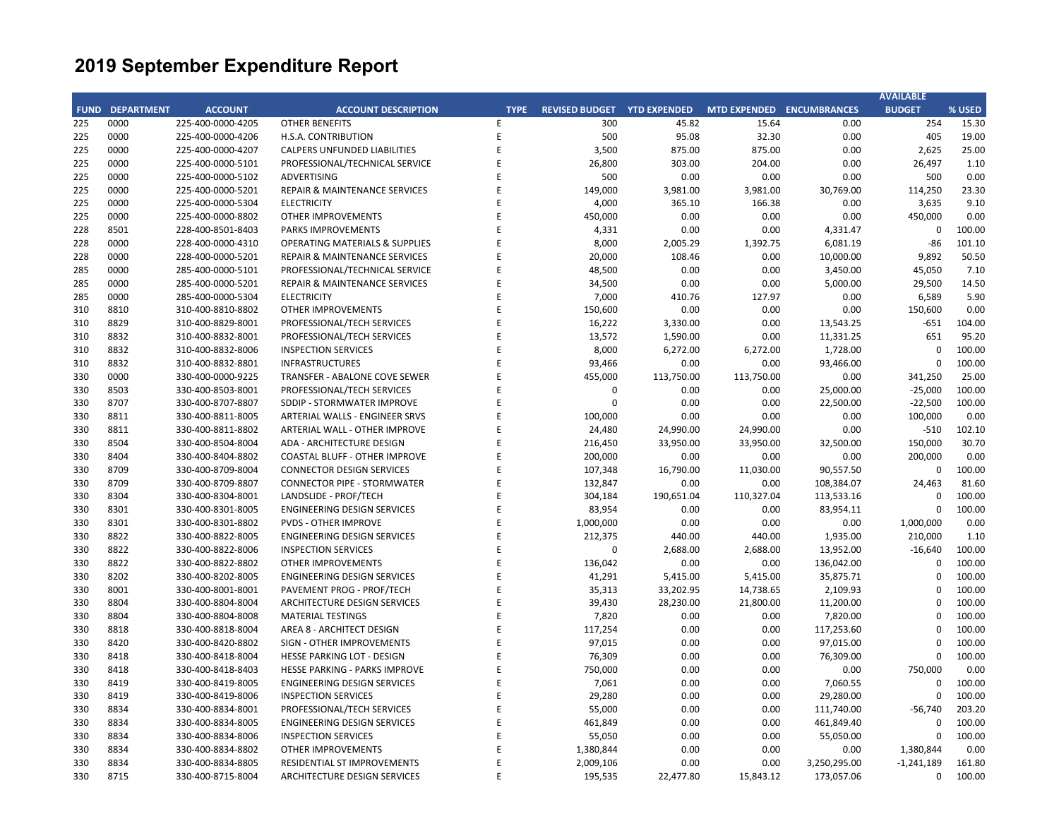|     |                        |                   |                                           |             |                                    |            |                           |                   | <b>AVAILABLE</b>        |                  |
|-----|------------------------|-------------------|-------------------------------------------|-------------|------------------------------------|------------|---------------------------|-------------------|-------------------------|------------------|
|     | <b>FUND DEPARTMENT</b> | <b>ACCOUNT</b>    | <b>ACCOUNT DESCRIPTION</b>                | <b>TYPE</b> | <b>REVISED BUDGET YTD EXPENDED</b> |            | MTD EXPENDED ENCUMBRANCES |                   | <b>BUDGET</b>           | % USED           |
| 225 | 0000                   | 225-400-0000-4205 | <b>OTHER BENEFITS</b>                     | E           | 300                                | 45.82      | 15.64                     | 0.00              | 254                     | 15.30            |
| 225 | 0000                   | 225-400-0000-4206 | H.S.A. CONTRIBUTION                       | E           | 500                                | 95.08      | 32.30                     | 0.00              | 405                     | 19.00            |
| 225 | 0000                   | 225-400-0000-4207 | <b>CALPERS UNFUNDED LIABILITIES</b>       | E           | 3,500                              | 875.00     | 875.00                    | 0.00              | 2,625                   | 25.00            |
| 225 | 0000                   | 225-400-0000-5101 | PROFESSIONAL/TECHNICAL SERVICE            | E           | 26,800                             | 303.00     | 204.00                    | 0.00              | 26,497                  | 1.10             |
| 225 | 0000                   | 225-400-0000-5102 | <b>ADVERTISING</b>                        | E           | 500                                | 0.00       | 0.00                      | 0.00              | 500                     | 0.00             |
| 225 | 0000                   | 225-400-0000-5201 | REPAIR & MAINTENANCE SERVICES             | F           | 149,000                            | 3,981.00   | 3,981.00                  | 30,769.00         | 114,250                 | 23.30            |
| 225 | 0000                   | 225-400-0000-5304 | <b>ELECTRICITY</b>                        | E           | 4,000                              | 365.10     | 166.38                    | 0.00              | 3,635                   | 9.10             |
| 225 | 0000                   | 225-400-0000-8802 | <b>OTHER IMPROVEMENTS</b>                 | F           | 450,000                            | 0.00       | 0.00                      | 0.00              | 450,000                 | 0.00             |
| 228 | 8501                   | 228-400-8501-8403 | PARKS IMPROVEMENTS                        | E           | 4,331                              | 0.00       | 0.00                      | 4,331.47          | $\mathbf 0$             | 100.00           |
| 228 | 0000                   | 228-400-0000-4310 | <b>OPERATING MATERIALS &amp; SUPPLIES</b> | F           | 8,000                              | 2,005.29   | 1,392.75                  | 6,081.19          | -86                     | 101.10           |
| 228 | 0000                   | 228-400-0000-5201 | <b>REPAIR &amp; MAINTENANCE SERVICES</b>  | E           | 20,000                             | 108.46     | 0.00                      | 10,000.00         | 9,892                   | 50.50            |
| 285 | 0000                   | 285-400-0000-5101 | PROFESSIONAL/TECHNICAL SERVICE            | E           | 48,500                             | 0.00       | 0.00                      | 3,450.00          | 45,050                  | 7.10             |
| 285 | 0000                   | 285-400-0000-5201 | <b>REPAIR &amp; MAINTENANCE SERVICES</b>  | E           | 34,500                             | 0.00       | 0.00                      | 5,000.00          | 29,500                  | 14.50            |
| 285 | 0000                   | 285-400-0000-5304 | <b>ELECTRICITY</b>                        | F           | 7,000                              | 410.76     | 127.97                    | 0.00              | 6,589                   | 5.90             |
| 310 | 8810                   | 310-400-8810-8802 | <b>OTHER IMPROVEMENTS</b>                 | E           | 150,600                            | 0.00       | 0.00                      | 0.00              | 150,600                 | 0.00             |
| 310 | 8829                   | 310-400-8829-8001 | PROFESSIONAL/TECH SERVICES                | E           | 16,222                             | 3,330.00   | 0.00                      | 13,543.25         | $-651$                  | 104.00           |
| 310 | 8832                   | 310-400-8832-8001 | PROFESSIONAL/TECH SERVICES                | E           | 13,572                             | 1,590.00   | 0.00                      | 11,331.25         | 651                     | 95.20            |
| 310 | 8832                   | 310-400-8832-8006 | <b>INSPECTION SERVICES</b>                | F           | 8,000                              | 6,272.00   | 6,272.00                  | 1,728.00          | $\Omega$                | 100.00           |
| 310 | 8832                   | 310-400-8832-8801 | <b>INFRASTRUCTURES</b>                    | E           | 93,466                             | 0.00       | 0.00                      | 93,466.00         | $\Omega$                | 100.00           |
| 330 | 0000                   | 330-400-0000-9225 | TRANSFER - ABALONE COVE SEWER             | F           | 455,000                            | 113,750.00 | 113,750.00                | 0.00              | 341,250                 | 25.00            |
| 330 | 8503                   | 330-400-8503-8001 | PROFESSIONAL/TECH SERVICES                | E           | $\mathbf 0$                        | 0.00       | 0.00                      | 25,000.00         | $-25,000$               | 100.00           |
| 330 | 8707                   | 330-400-8707-8807 | SDDIP - STORMWATER IMPROVE                | E           | $\Omega$                           | 0.00       | 0.00                      | 22,500.00         | $-22,500$               | 100.00           |
| 330 | 8811                   | 330-400-8811-8005 | ARTERIAL WALLS - ENGINEER SRVS            | E           | 100,000                            | 0.00       | 0.00                      | 0.00              | 100,000                 | 0.00             |
| 330 | 8811                   | 330-400-8811-8802 | ARTERIAL WALL - OTHER IMPROVE             | E           | 24,480                             | 24,990.00  | 24,990.00                 | 0.00              | $-510$                  | 102.10           |
| 330 | 8504                   | 330-400-8504-8004 | ADA - ARCHITECTURE DESIGN                 | E           | 216,450                            | 33,950.00  | 33,950.00                 | 32,500.00         | 150,000                 | 30.70            |
| 330 | 8404                   | 330-400-8404-8802 | COASTAL BLUFF - OTHER IMPROVE             | F           | 200,000                            | 0.00       | 0.00                      | 0.00              | 200,000                 | 0.00             |
| 330 | 8709                   | 330-400-8709-8004 | <b>CONNECTOR DESIGN SERVICES</b>          | F           | 107,348                            | 16,790.00  | 11,030.00                 | 90,557.50         | $\mathbf 0$             | 100.00           |
| 330 | 8709                   | 330-400-8709-8807 | <b>CONNECTOR PIPE - STORMWATER</b>        | F           | 132,847                            | 0.00       | 0.00                      | 108,384.07        | 24,463                  | 81.60            |
| 330 | 8304                   | 330-400-8304-8001 | LANDSLIDE - PROF/TECH                     | E           | 304,184                            | 190,651.04 | 110,327.04                | 113,533.16        | $\Omega$                | 100.00           |
| 330 | 8301                   | 330-400-8301-8005 | ENGINEERING DESIGN SERVICES               | F           | 83,954                             | 0.00       | 0.00                      | 83,954.11         | $\Omega$                | 100.00           |
| 330 | 8301                   | 330-400-8301-8802 | <b>PVDS - OTHER IMPROVE</b>               | E           | 1,000,000                          | 0.00       | 0.00                      | 0.00              | 1,000,000               | 0.00             |
| 330 | 8822                   | 330-400-8822-8005 | <b>ENGINEERING DESIGN SERVICES</b>        | E           | 212,375                            | 440.00     | 440.00                    | 1,935.00          | 210,000                 | 1.10             |
| 330 | 8822                   | 330-400-8822-8006 | <b>INSPECTION SERVICES</b>                | E           | $\Omega$                           | 2,688.00   | 2,688.00                  | 13,952.00         | $-16,640$               | 100.00           |
| 330 | 8822                   | 330-400-8822-8802 | <b>OTHER IMPROVEMENTS</b>                 | F           | 136,042                            | 0.00       | 0.00                      | 136,042.00        | $\Omega$                | 100.00           |
| 330 | 8202                   | 330-400-8202-8005 | <b>ENGINEERING DESIGN SERVICES</b>        | F           | 41,291                             | 5,415.00   | 5,415.00                  | 35,875.71         | $\Omega$                | 100.00           |
| 330 | 8001                   | 330-400-8001-8001 | PAVEMENT PROG - PROF/TECH                 | F           | 35,313                             | 33,202.95  | 14,738.65                 | 2,109.93          | $\Omega$                | 100.00           |
| 330 | 8804                   | 330-400-8804-8004 | ARCHITECTURE DESIGN SERVICES              | E           | 39,430                             | 28,230.00  | 21,800.00                 | 11,200.00         | $\Omega$                | 100.00           |
| 330 | 8804                   | 330-400-8804-8008 | <b>MATERIAL TESTINGS</b>                  | E           | 7,820                              | 0.00       | 0.00                      | 7,820.00          | $\Omega$                | 100.00           |
| 330 | 8818                   | 330-400-8818-8004 | AREA 8 - ARCHITECT DESIGN                 | E           | 117,254                            | 0.00       | 0.00                      | 117,253.60        | $\Omega$                | 100.00           |
| 330 | 8420                   | 330-400-8420-8802 | SIGN - OTHER IMPROVEMENTS                 | F           | 97,015                             |            | 0.00                      |                   | $\Omega$                | 100.00           |
|     | 8418                   |                   | <b>HESSE PARKING LOT - DESIGN</b>         | E           | 76,309                             | 0.00       |                           | 97,015.00         | $\Omega$                | 100.00           |
| 330 | 8418                   | 330-400-8418-8004 |                                           | F           | 750,000                            | 0.00       | 0.00<br>0.00              | 76,309.00<br>0.00 | 750,000                 | 0.00             |
| 330 |                        | 330-400-8418-8403 | HESSE PARKING - PARKS IMPROVE             | E           |                                    | 0.00       |                           |                   |                         |                  |
| 330 | 8419                   | 330-400-8419-8005 | <b>ENGINEERING DESIGN SERVICES</b>        | F           | 7,061                              | 0.00       | 0.00                      | 7,060.55          | $\mathbf 0$<br>$\Omega$ | 100.00<br>100.00 |
| 330 | 8419                   | 330-400-8419-8006 | <b>INSPECTION SERVICES</b>                | E           | 29,280                             | 0.00       | 0.00                      | 29,280.00         |                         |                  |
| 330 | 8834                   | 330-400-8834-8001 | PROFESSIONAL/TECH SERVICES                |             | 55,000                             | 0.00       | 0.00                      | 111,740.00        | $-56,740$               | 203.20           |
| 330 | 8834                   | 330-400-8834-8005 | <b>ENGINEERING DESIGN SERVICES</b>        | E           | 461,849                            | 0.00       | 0.00                      | 461,849.40        | $\Omega$                | 100.00           |
| 330 | 8834                   | 330-400-8834-8006 | <b>INSPECTION SERVICES</b>                | E<br>F      | 55,050                             | 0.00       | 0.00                      | 55,050.00         | 0                       | 100.00<br>0.00   |
| 330 | 8834                   | 330-400-8834-8802 | <b>OTHER IMPROVEMENTS</b>                 |             | 1,380,844                          | 0.00       | 0.00                      | 0.00              | 1,380,844               |                  |
| 330 | 8834                   | 330-400-8834-8805 | RESIDENTIAL ST IMPROVEMENTS               | E           | 2,009,106                          | 0.00       | 0.00                      | 3,250,295.00      | $-1,241,189$            | 161.80           |
| 330 | 8715                   | 330-400-8715-8004 | ARCHITECTURE DESIGN SERVICES              | E           | 195,535                            | 22,477.80  | 15,843.12                 | 173,057.06        | $\Omega$                | 100.00           |